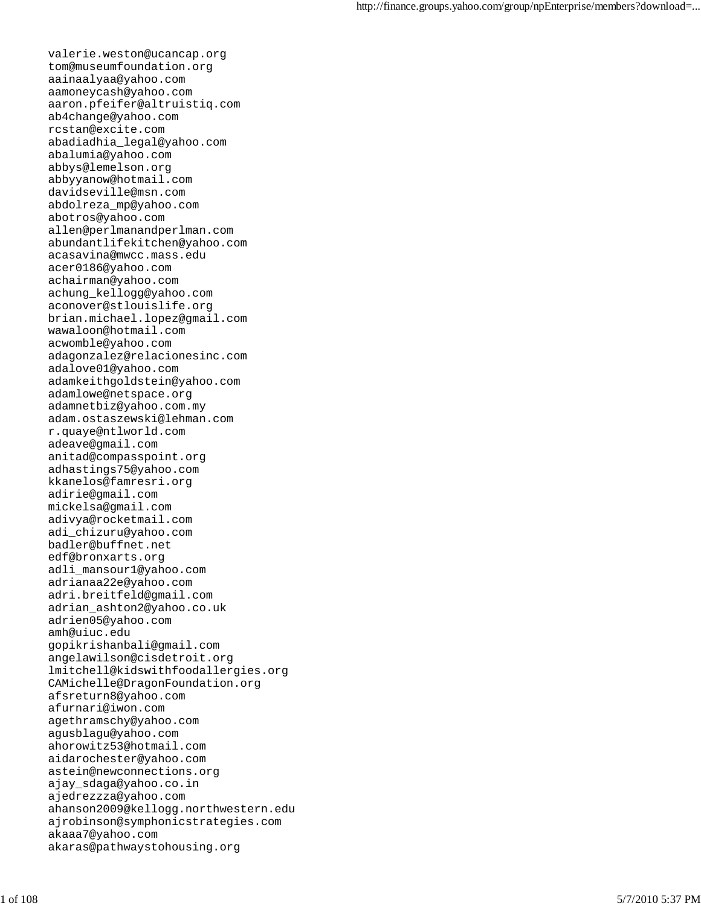valerie.weston@ucancap.org tom@museumfoundation.org aainaalyaa@yahoo.com aamoneycash@yahoo.com aaron.pfeifer@altruistiq.com ab4change@yahoo.com rcstan@excite.com abadiadhia\_legal@yahoo.com abalumia@yahoo.com abbys@lemelson.org abbyyanow@hotmail.com davidseville@msn.com abdolreza\_mp@yahoo.com abotros@yahoo.com allen@perlmanandperlman.com abundantlifekitchen@yahoo.com acasavina@mwcc.mass.edu acer0186@yahoo.com achairman@yahoo.com achung\_kellogg@yahoo.com aconover@stlouislife.org brian.michael.lopez@gmail.com wawaloon@hotmail.com acwomble@yahoo.com adagonzalez@relacionesinc.com adalove01@yahoo.com adamkeithgoldstein@yahoo.com adamlowe@netspace.org adamnetbiz@yahoo.com.my adam.ostaszewski@lehman.com r.quaye@ntlworld.com adeave@gmail.com anitad@compasspoint.org adhastings75@yahoo.com kkanelos@famresri.org adirie@gmail.com mickelsa@gmail.com adivya@rocketmail.com adi\_chizuru@yahoo.com badler@buffnet.net edf@bronxarts.org adli\_mansour1@yahoo.com adrianaa22e@yahoo.com adri.breitfeld@gmail.com adrian\_ashton2@yahoo.co.uk adrien05@yahoo.com amh@uiuc.edu gopikrishanbali@gmail.com angelawilson@cisdetroit.org lmitchell@kidswithfoodallergies.org CAMichelle@DragonFoundation.org afsreturn8@yahoo.com afurnari@iwon.com agethramschy@yahoo.com agusblagu@yahoo.com ahorowitz53@hotmail.com aidarochester@yahoo.com astein@newconnections.org ajay\_sdaga@yahoo.co.in ajedrezzza@yahoo.com ahanson2009@kellogg.northwestern.edu ajrobinson@symphonicstrategies.com akaaa7@yahoo.com akaras@pathwaystohousing.org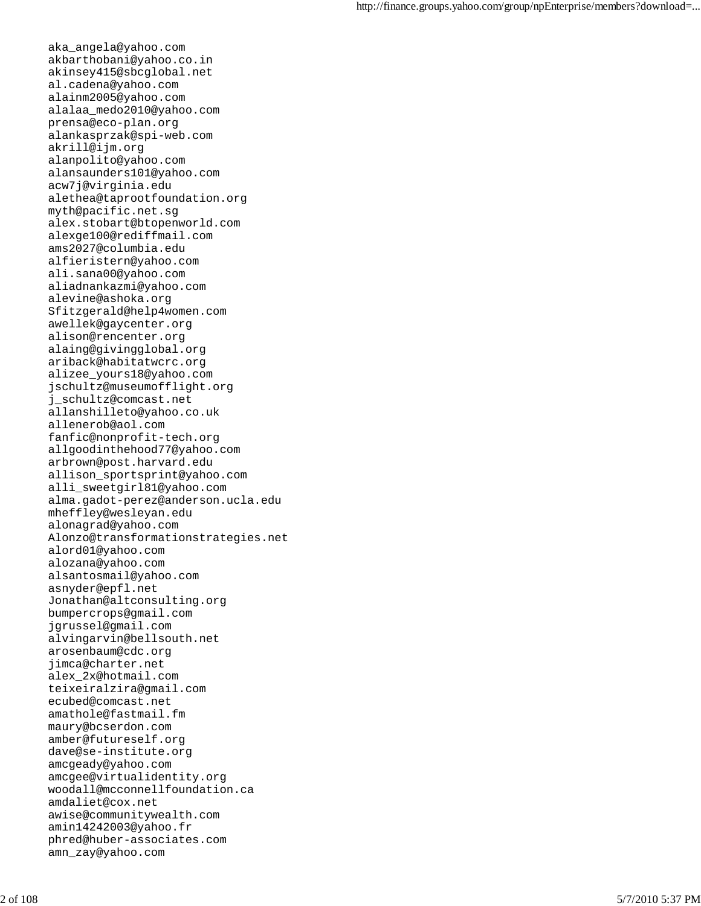aka\_angela@yahoo.com akbarthobani@yahoo.co.in akinsey415@sbcglobal.net al.cadena@yahoo.com alainm2005@yahoo.com alalaa\_medo2010@yahoo.com prensa@eco-plan.org alankasprzak@spi-web.com akrill@ijm.org alanpolito@yahoo.com alansaunders101@yahoo.com acw7j@virginia.edu alethea@taprootfoundation.org myth@pacific.net.sg alex.stobart@btopenworld.com alexge100@rediffmail.com ams2027@columbia.edu alfieristern@yahoo.com ali.sana00@yahoo.com aliadnankazmi@yahoo.com alevine@ashoka.org Sfitzgerald@help4women.com awellek@gaycenter.org alison@rencenter.org alaing@givingglobal.org ariback@habitatwcrc.org alizee\_yours18@yahoo.com jschultz@museumofflight.org j\_schultz@comcast.net allanshilleto@yahoo.co.uk allenerob@aol.com fanfic@nonprofit-tech.org allgoodinthehood77@yahoo.com arbrown@post.harvard.edu allison\_sportsprint@yahoo.com alli\_sweetgirl81@yahoo.com alma.gadot-perez@anderson.ucla.edu mheffley@wesleyan.edu alonagrad@yahoo.com Alonzo@transformationstrategies.net alord01@yahoo.com alozana@yahoo.com alsantosmail@yahoo.com asnyder@epfl.net Jonathan@altconsulting.org bumpercrops@gmail.com jgrussel@gmail.com alvingarvin@bellsouth.net arosenbaum@cdc.org jimca@charter.net alex\_2x@hotmail.com teixeiralzira@gmail.com ecubed@comcast.net amathole@fastmail.fm maury@bcserdon.com amber@futureself.org dave@se-institute.org amcgeady@yahoo.com amcgee@virtualidentity.org woodall@mcconnellfoundation.ca amdaliet@cox.net awise@communitywealth.com amin14242003@yahoo.fr phred@huber-associates.com amn\_zay@yahoo.com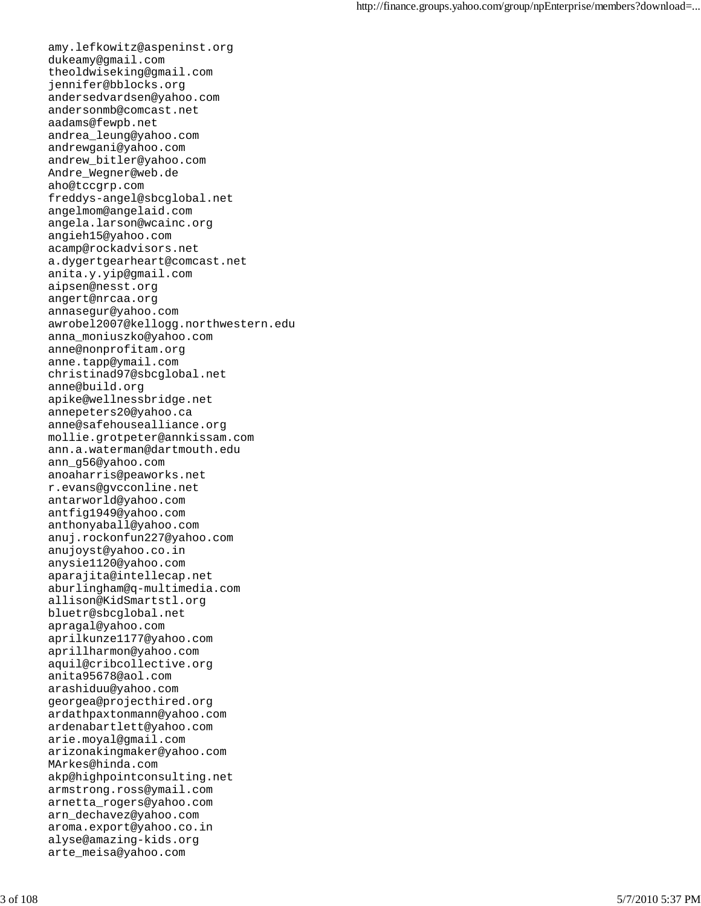amy.lefkowitz@aspeninst.org dukeamy@gmail.com theoldwiseking@gmail.com jennifer@bblocks.org andersedvardsen@yahoo.com andersonmb@comcast.net aadams@fewpb.net andrea\_leung@yahoo.com andrewgani@yahoo.com andrew\_bitler@yahoo.com Andre\_Wegner@web.de aho@tccgrp.com freddys-angel@sbcglobal.net angelmom@angelaid.com angela.larson@wcainc.org angieh15@yahoo.com acamp@rockadvisors.net a.dygertgearheart@comcast.net anita.y.yip@gmail.com aipsen@nesst.org angert@nrcaa.org annasegur@yahoo.com awrobel2007@kellogg.northwestern.edu anna\_moniuszko@yahoo.com anne@nonprofitam.org anne.tapp@ymail.com christinad97@sbcglobal.net anne@build.org apike@wellnessbridge.net annepeters20@yahoo.ca anne@safehousealliance.org mollie.grotpeter@annkissam.com ann.a.waterman@dartmouth.edu ann\_g56@yahoo.com anoaharris@peaworks.net r.evans@gvcconline.net antarworld@yahoo.com antfig1949@yahoo.com anthonyaball@yahoo.com anuj.rockonfun227@yahoo.com anujoyst@yahoo.co.in anysie1120@yahoo.com aparajita@intellecap.net aburlingham@q-multimedia.com allison@KidSmartstl.org bluetr@sbcglobal.net apragal@yahoo.com aprilkunze1177@yahoo.com aprillharmon@yahoo.com aquil@cribcollective.org anita95678@aol.com arashiduu@yahoo.com georgea@projecthired.org ardathpaxtonmann@yahoo.com ardenabartlett@yahoo.com arie.moyal@gmail.com arizonakingmaker@yahoo.com MArkes@hinda.com akp@highpointconsulting.net armstrong.ross@ymail.com arnetta\_rogers@yahoo.com arn\_dechavez@yahoo.com aroma.export@yahoo.co.in alyse@amazing-kids.org arte\_meisa@yahoo.com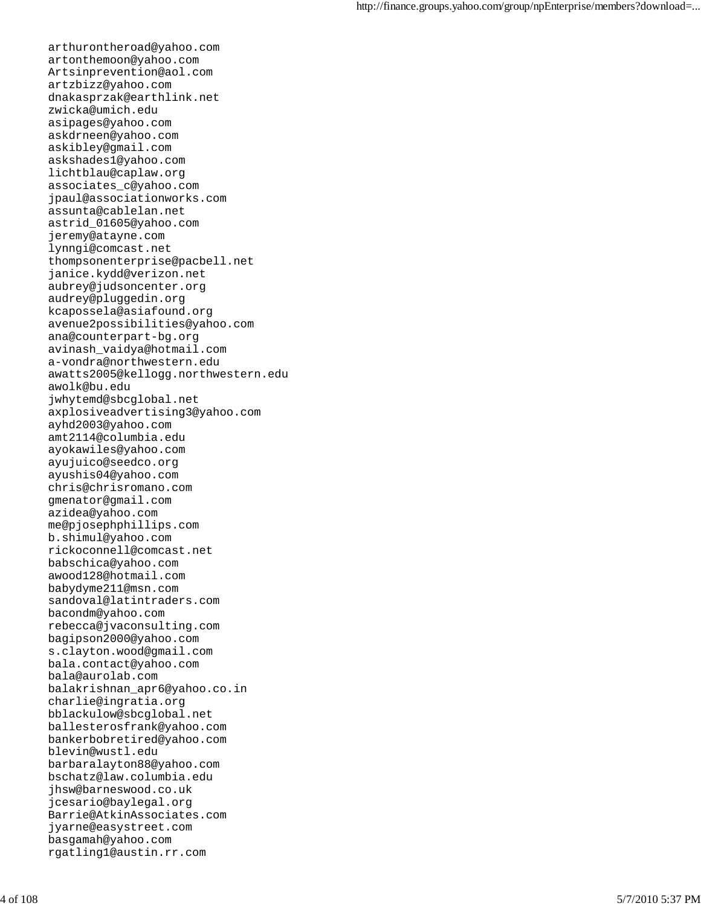arthurontheroad@yahoo.com artonthemoon@yahoo.com Artsinprevention@aol.com artzbizz@yahoo.com dnakasprzak@earthlink.net zwicka@umich.edu asipages@yahoo.com askdrneen@yahoo.com askibley@gmail.com askshades1@yahoo.com lichtblau@caplaw.org associates\_c@yahoo.com jpaul@associationworks.com assunta@cablelan.net astrid\_01605@yahoo.com jeremy@atayne.com lynngi@comcast.net thompsonenterprise@pacbell.net janice.kydd@verizon.net aubrey@judsoncenter.org audrey@pluggedin.org kcapossela@asiafound.org avenue2possibilities@yahoo.com ana@counterpart-bg.org avinash\_vaidya@hotmail.com a-vondra@northwestern.edu awatts2005@kellogg.northwestern.edu awolk@bu.edu jwhytemd@sbcglobal.net axplosiveadvertising3@yahoo.com ayhd2003@yahoo.com amt2114@columbia.edu ayokawiles@yahoo.com ayujuico@seedco.org ayushis04@yahoo.com chris@chrisromano.com gmenator@gmail.com azidea@yahoo.com me@pjosephphillips.com b.shimul@yahoo.com rickoconnell@comcast.net babschica@yahoo.com awood128@hotmail.com babydyme211@msn.com sandoval@latintraders.com bacondm@yahoo.com rebecca@jvaconsulting.com bagipson2000@yahoo.com s.clayton.wood@gmail.com bala.contact@yahoo.com bala@aurolab.com balakrishnan\_apr6@yahoo.co.in charlie@ingratia.org bblackulow@sbcglobal.net ballesterosfrank@yahoo.com bankerbobretired@yahoo.com blevin@wustl.edu barbaralayton88@yahoo.com bschatz@law.columbia.edu jhsw@barneswood.co.uk jcesario@baylegal.org Barrie@AtkinAssociates.com jyarne@easystreet.com basgamah@yahoo.com rgatling1@austin.rr.com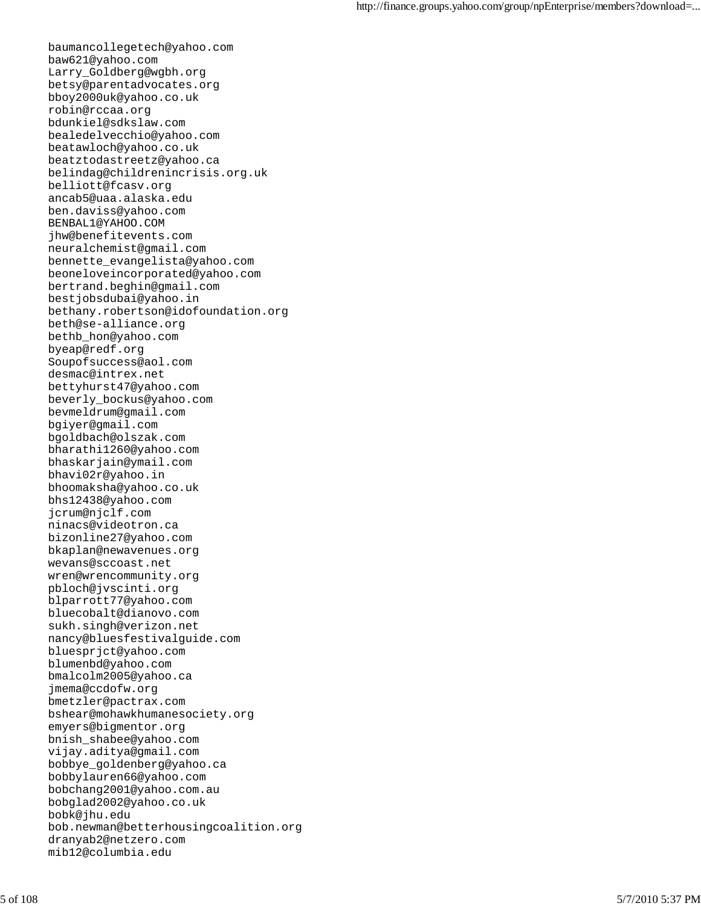baumancollegetech@yahoo.com baw621@yahoo.com Larry\_Goldberg@wgbh.org betsy@parentadvocates.org bboy2000uk@yahoo.co.uk robin@rccaa.org bdunkiel@sdkslaw.com bealedelvecchio@yahoo.com beatawloch@yahoo.co.uk beatztodastreetz@yahoo.ca belindag@childrenincrisis.org.uk belliott@fcasv.org ancab5@uaa.alaska.edu ben.daviss@yahoo.com BENBAL1@YAHOO.COM jhw@benefitevents.com neuralchemist@gmail.com bennette\_evangelista@yahoo.com beoneloveincorporated@yahoo.com bertrand.beghin@gmail.com bestjobsdubai@yahoo.in bethany.robertson@idofoundation.org beth@se-alliance.org bethb\_hon@yahoo.com byeap@redf.org Soupofsuccess@aol.com desmac@intrex.net bettyhurst47@yahoo.com beverly\_bockus@yahoo.com bevmeldrum@gmail.com bgiyer@gmail.com bgoldbach@olszak.com bharathi1260@yahoo.com bhaskarjain@ymail.com bhavi02r@yahoo.in bhoomaksha@yahoo.co.uk bhs12438@yahoo.com jcrum@njclf.com ninacs@videotron.ca bizonline27@yahoo.com bkaplan@newavenues.org wevans@sccoast.net wren@wrencommunity.org pbloch@jvscinti.org blparrott77@yahoo.com bluecobalt@dianovo.com sukh.singh@verizon.net nancy@bluesfestivalguide.com bluesprjct@yahoo.com blumenbd@yahoo.com bmalcolm2005@yahoo.ca jmema@ccdofw.org bmetzler@pactrax.com bshear@mohawkhumanesociety.org emyers@bigmentor.org bnish\_shabee@yahoo.com vijay.aditya@gmail.com bobbye\_goldenberg@yahoo.ca bobbylauren66@yahoo.com bobchang2001@yahoo.com.au bobglad2002@yahoo.co.uk bobk@jhu.edu bob.newman@betterhousingcoalition.org dranyab2@netzero.com mib12@columbia.edu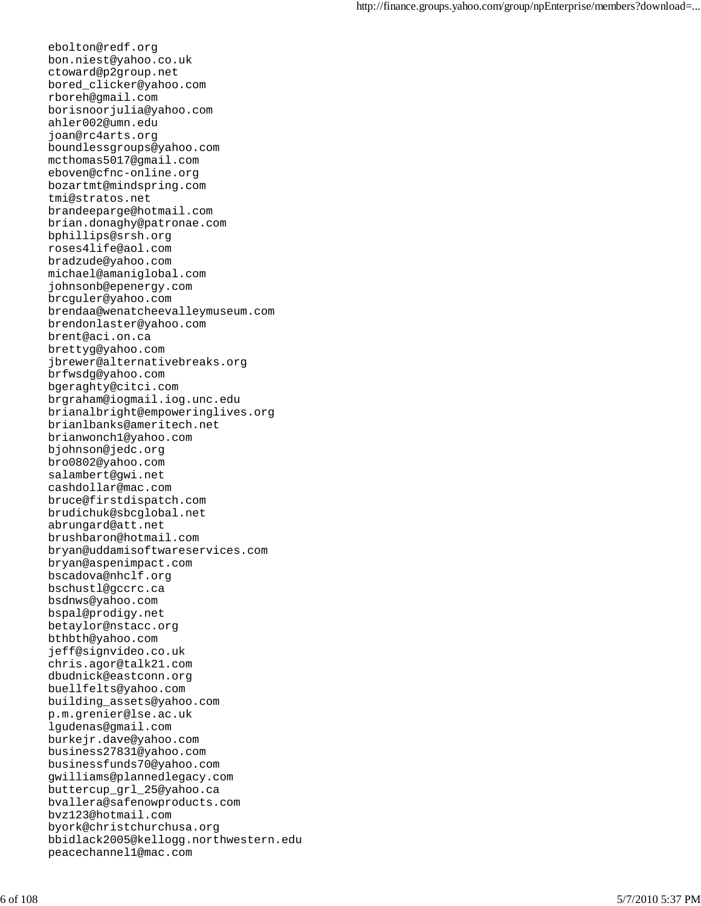ebolton@redf.org bon.niest@yahoo.co.uk ctoward@p2group.net bored\_clicker@yahoo.com rboreh@gmail.com borisnoorjulia@yahoo.com ahler002@umn.edu joan@rc4arts.org boundlessgroups@yahoo.com mcthomas5017@gmail.com eboven@cfnc-online.org bozartmt@mindspring.com tmi@stratos.net brandeeparge@hotmail.com brian.donaghy@patronae.com bphillips@srsh.org roses4life@aol.com bradzude@yahoo.com michael@amaniglobal.com johnsonb@epenergy.com brcguler@yahoo.com brendaa@wenatcheevalleymuseum.com brendonlaster@yahoo.com brent@aci.on.ca brettyg@yahoo.com jbrewer@alternativebreaks.org brfwsdg@yahoo.com bgeraghty@citci.com brgraham@iogmail.iog.unc.edu brianalbright@empoweringlives.org brianlbanks@ameritech.net brianwonch1@yahoo.com bjohnson@jedc.org bro0802@yahoo.com salambert@gwi.net cashdollar@mac.com bruce@firstdispatch.com brudichuk@sbcglobal.net abrungard@att.net brushbaron@hotmail.com bryan@uddamisoftwareservices.com bryan@aspenimpact.com bscadova@nhclf.org bschustl@gccrc.ca bsdnws@yahoo.com bspal@prodigy.net betaylor@nstacc.org bthbth@yahoo.com jeff@signvideo.co.uk chris.agor@talk21.com dbudnick@eastconn.org buellfelts@yahoo.com building\_assets@yahoo.com p.m.grenier@lse.ac.uk lgudenas@gmail.com burkejr.dave@yahoo.com business27831@yahoo.com businessfunds70@yahoo.com gwilliams@plannedlegacy.com buttercup\_grl\_25@yahoo.ca bvallera@safenowproducts.com bvz123@hotmail.com byork@christchurchusa.org bbidlack2005@kellogg.northwestern.edu peacechannel1@mac.com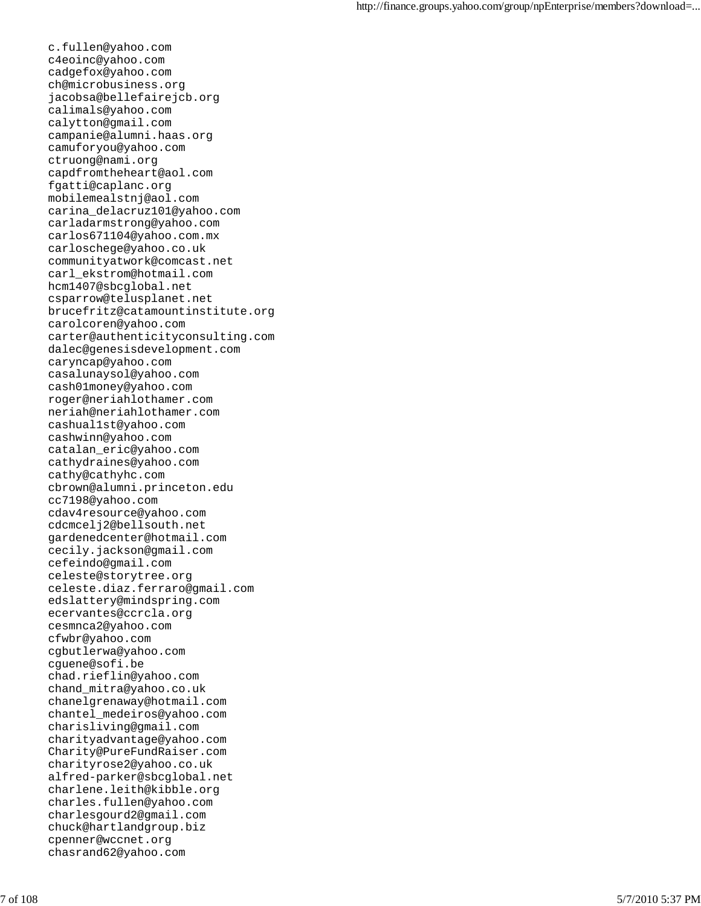c.fullen@yahoo.com c4eoinc@yahoo.com cadgefox@yahoo.com ch@microbusiness.org jacobsa@bellefairejcb.org calimals@yahoo.com calytton@gmail.com campanie@alumni.haas.org camuforyou@yahoo.com ctruong@nami.org capdfromtheheart@aol.com fgatti@caplanc.org mobilemealstnj@aol.com carina\_delacruz101@yahoo.com carladarmstrong@yahoo.com carlos671104@yahoo.com.mx carloschege@yahoo.co.uk communityatwork@comcast.net carl\_ekstrom@hotmail.com hcm1407@sbcglobal.net csparrow@telusplanet.net brucefritz@catamountinstitute.org carolcoren@yahoo.com carter@authenticityconsulting.com dalec@genesisdevelopment.com caryncap@yahoo.com casalunaysol@yahoo.com cash01money@yahoo.com roger@neriahlothamer.com neriah@neriahlothamer.com cashual1st@yahoo.com cashwinn@yahoo.com catalan\_eric@yahoo.com cathydraines@yahoo.com cathy@cathyhc.com cbrown@alumni.princeton.edu cc7198@yahoo.com cdav4resource@yahoo.com cdcmcelj2@bellsouth.net gardenedcenter@hotmail.com cecily.jackson@gmail.com cefeindo@gmail.com celeste@storytree.org celeste.diaz.ferraro@gmail.com edslattery@mindspring.com ecervantes@ccrcla.org cesmnca2@yahoo.com cfwbr@yahoo.com cgbutlerwa@yahoo.com cguene@sofi.be chad.rieflin@yahoo.com chand\_mitra@yahoo.co.uk chanelgrenaway@hotmail.com chantel\_medeiros@yahoo.com charisliving@gmail.com charityadvantage@yahoo.com Charity@PureFundRaiser.com charityrose2@yahoo.co.uk alfred-parker@sbcglobal.net charlene.leith@kibble.org charles.fullen@yahoo.com charlesgourd2@gmail.com chuck@hartlandgroup.biz cpenner@wccnet.org chasrand62@yahoo.com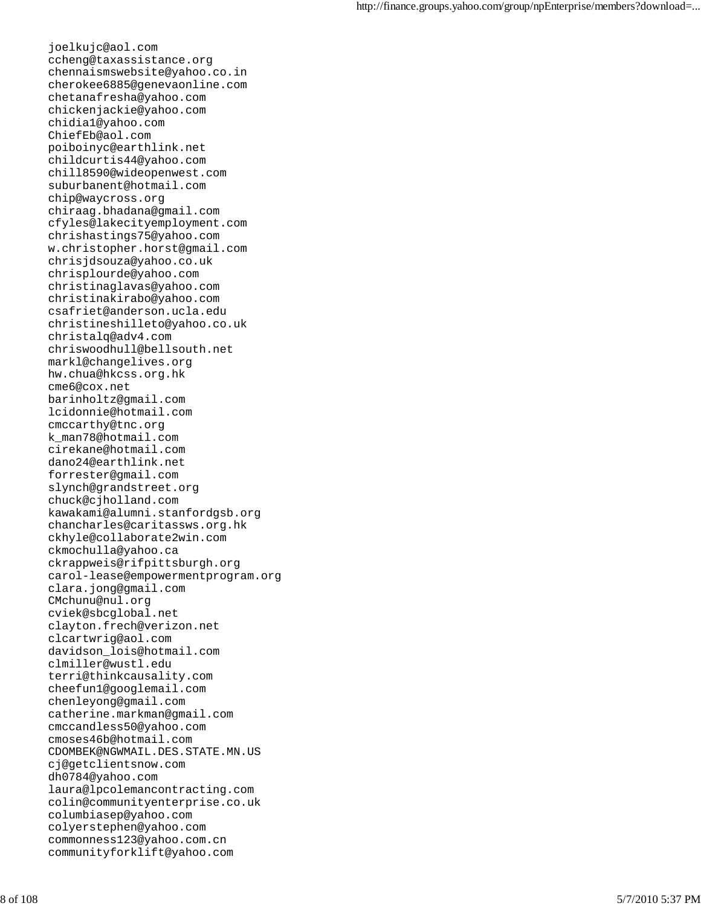joelkujc@aol.com ccheng@taxassistance.org chennaismswebsite@yahoo.co.in cherokee6885@genevaonline.com chetanafresha@yahoo.com chickenjackie@yahoo.com chidia1@yahoo.com ChiefEb@aol.com poiboinyc@earthlink.net childcurtis44@yahoo.com chill8590@wideopenwest.com suburbanent@hotmail.com chip@waycross.org chiraag.bhadana@gmail.com cfyles@lakecityemployment.com chrishastings75@yahoo.com w.christopher.horst@gmail.com chrisjdsouza@yahoo.co.uk chrisplourde@yahoo.com christinaglavas@yahoo.com christinakirabo@yahoo.com csafriet@anderson.ucla.edu christineshilleto@yahoo.co.uk christalq@adv4.com chriswoodhull@bellsouth.net markl@changelives.org hw.chua@hkcss.org.hk cme6@cox.net barinholtz@gmail.com lcidonnie@hotmail.com cmccarthy@tnc.org k\_man78@hotmail.com cirekane@hotmail.com dano24@earthlink.net forrester@gmail.com slynch@grandstreet.org chuck@cjholland.com kawakami@alumni.stanfordgsb.org chancharles@caritassws.org.hk ckhyle@collaborate2win.com ckmochulla@yahoo.ca ckrappweis@rifpittsburgh.org carol-lease@empowermentprogram.org clara.jong@gmail.com CMchunu@nul.org cviek@sbcglobal.net clayton.frech@verizon.net clcartwrig@aol.com davidson\_lois@hotmail.com clmiller@wustl.edu terri@thinkcausality.com cheefun1@googlemail.com chenleyong@gmail.com catherine.markman@gmail.com cmccandless50@yahoo.com cmoses46b@hotmail.com CDOMBEK@NGWMAIL.DES.STATE.MN.US cj@getclientsnow.com dh0784@yahoo.com laura@lpcolemancontracting.com colin@communityenterprise.co.uk columbiasep@yahoo.com colyerstephen@yahoo.com commonness123@yahoo.com.cn communityforklift@yahoo.com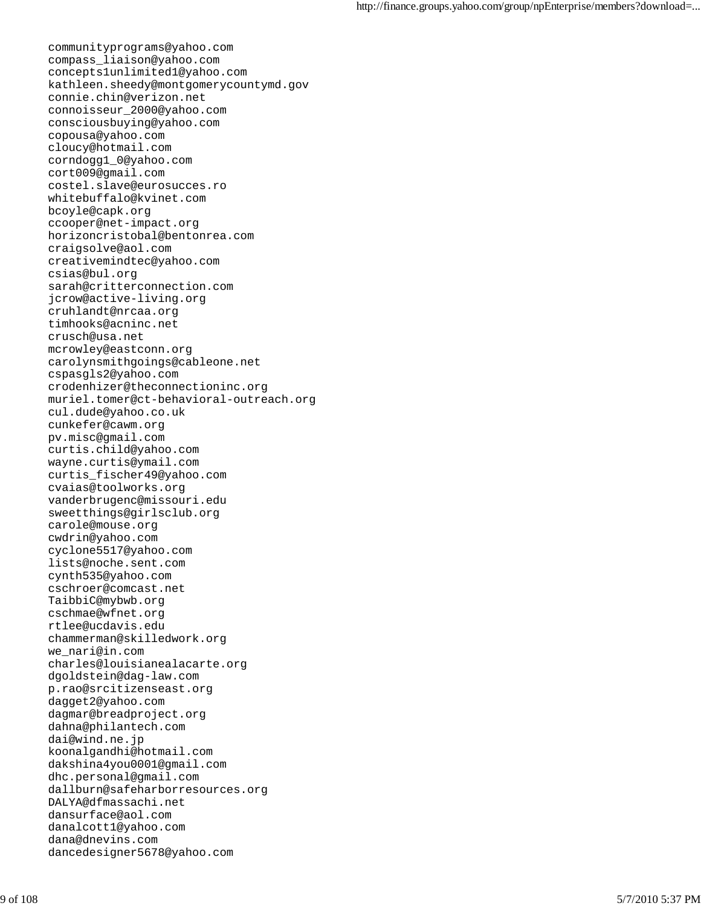communityprograms@yahoo.com compass\_liaison@yahoo.com concepts1unlimited1@yahoo.com kathleen.sheedy@montgomerycountymd.gov connie.chin@verizon.net connoisseur\_2000@yahoo.com consciousbuying@yahoo.com copousa@yahoo.com cloucy@hotmail.com corndogg1\_0@yahoo.com cort009@gmail.com costel.slave@eurosucces.ro whitebuffalo@kvinet.com bcoyle@capk.org ccooper@net-impact.org horizoncristobal@bentonrea.com craigsolve@aol.com creativemindtec@yahoo.com csias@bul.org sarah@critterconnection.com jcrow@active-living.org cruhlandt@nrcaa.org timhooks@acninc.net crusch@usa.net mcrowley@eastconn.org carolynsmithgoings@cableone.net cspasgls2@yahoo.com crodenhizer@theconnectioninc.org muriel.tomer@ct-behavioral-outreach.org cul.dude@yahoo.co.uk cunkefer@cawm.org pv.misc@gmail.com curtis.child@yahoo.com wayne.curtis@ymail.com curtis\_fischer49@yahoo.com cvaias@toolworks.org vanderbrugenc@missouri.edu sweetthings@girlsclub.org carole@mouse.org cwdrin@yahoo.com cyclone5517@yahoo.com lists@noche.sent.com cynth535@yahoo.com cschroer@comcast.net TaibbiC@mybwb.org cschmae@wfnet.org rtlee@ucdavis.edu chammerman@skilledwork.org we\_nari@in.com charles@louisianealacarte.org dgoldstein@dag-law.com p.rao@srcitizenseast.org dagget2@yahoo.com dagmar@breadproject.org dahna@philantech.com dai@wind.ne.jp koonalgandhi@hotmail.com dakshina4you0001@gmail.com dhc.personal@gmail.com dallburn@safeharborresources.org DALYA@dfmassachi.net dansurface@aol.com danalcott1@yahoo.com dana@dnevins.com dancedesigner5678@yahoo.com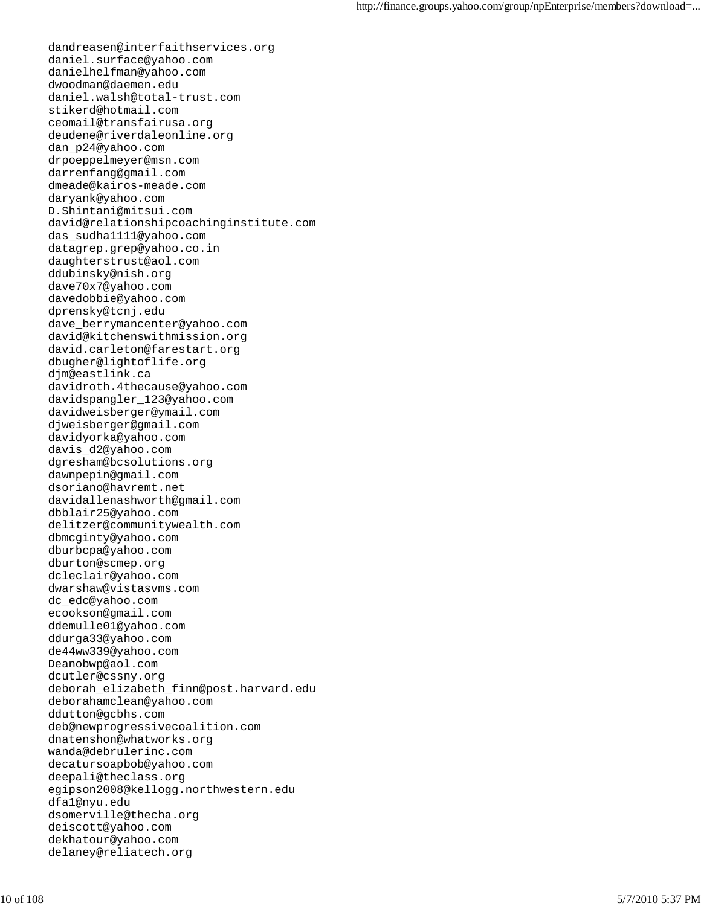dandreasen@interfaithservices.org daniel.surface@yahoo.com danielhelfman@yahoo.com dwoodman@daemen.edu daniel.walsh@total-trust.com stikerd@hotmail.com ceomail@transfairusa.org deudene@riverdaleonline.org dan\_p24@yahoo.com drpoeppelmeyer@msn.com darrenfang@gmail.com dmeade@kairos-meade.com daryank@yahoo.com D.Shintani@mitsui.com david@relationshipcoachinginstitute.com das\_sudha1111@yahoo.com datagrep.grep@yahoo.co.in daughterstrust@aol.com ddubinsky@nish.org dave70x7@yahoo.com davedobbie@yahoo.com dprensky@tcnj.edu dave\_berrymancenter@yahoo.com david@kitchenswithmission.org david.carleton@farestart.org dbugher@lightoflife.org djm@eastlink.ca davidroth.4thecause@yahoo.com davidspangler\_123@yahoo.com davidweisberger@ymail.com djweisberger@gmail.com davidyorka@yahoo.com davis\_d2@yahoo.com dgresham@bcsolutions.org dawnpepin@gmail.com dsoriano@havremt.net davidallenashworth@gmail.com dbblair25@yahoo.com delitzer@communitywealth.com dbmcginty@yahoo.com dburbcpa@yahoo.com dburton@scmep.org dcleclair@yahoo.com dwarshaw@vistasvms.com dc\_edc@yahoo.com ecookson@gmail.com ddemulle01@yahoo.com ddurga33@yahoo.com de44ww339@yahoo.com Deanobwp@aol.com dcutler@cssny.org deborah\_elizabeth\_finn@post.harvard.edu deborahamclean@yahoo.com ddutton@gcbhs.com deb@newprogressivecoalition.com dnatenshon@whatworks.org wanda@debrulerinc.com decatursoapbob@yahoo.com deepali@theclass.org egipson2008@kellogg.northwestern.edu dfa1@nyu.edu dsomerville@thecha.org deiscott@yahoo.com dekhatour@yahoo.com delaney@reliatech.org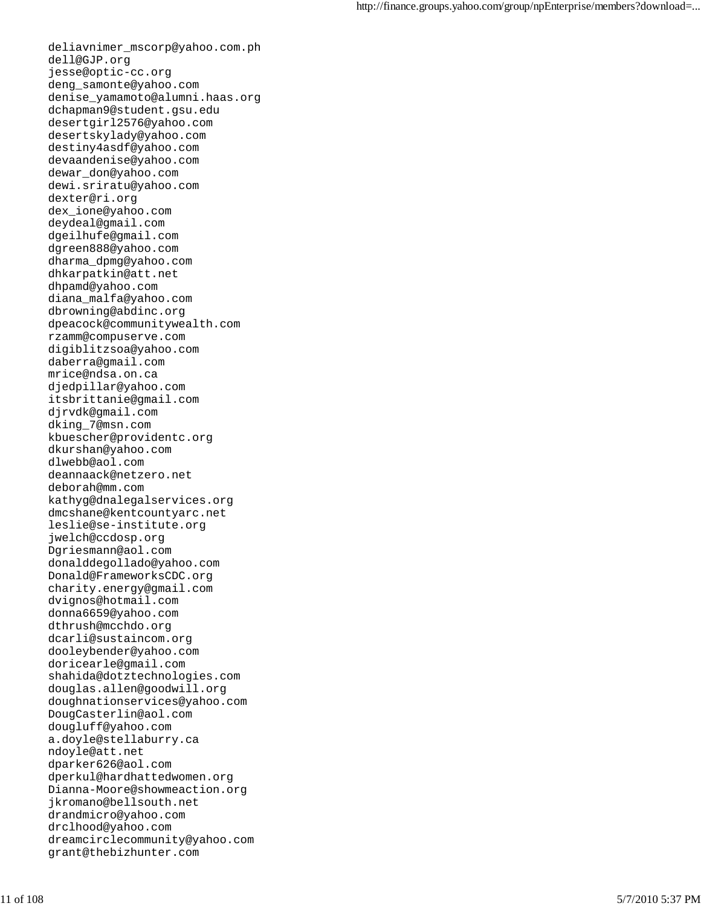deliavnimer\_mscorp@yahoo.com.ph dell@GJP.org jesse@optic-cc.org deng\_samonte@yahoo.com denise\_yamamoto@alumni.haas.org dchapman9@student.gsu.edu desertgirl2576@yahoo.com desertskylady@yahoo.com destiny4asdf@yahoo.com devaandenise@yahoo.com dewar\_don@yahoo.com dewi.sriratu@yahoo.com dexter@ri.org dex\_ione@yahoo.com deydeal@gmail.com dgeilhufe@gmail.com dgreen888@yahoo.com dharma\_dpmg@yahoo.com dhkarpatkin@att.net dhpamd@yahoo.com diana\_malfa@yahoo.com dbrowning@abdinc.org dpeacock@communitywealth.com rzamm@compuserve.com digiblitzsoa@yahoo.com daberra@gmail.com mrice@ndsa.on.ca djedpillar@yahoo.com itsbrittanie@gmail.com djrvdk@gmail.com dking\_7@msn.com kbuescher@providentc.org dkurshan@yahoo.com dlwebb@aol.com deannaack@netzero.net deborah@mm.com kathyg@dnalegalservices.org dmcshane@kentcountyarc.net leslie@se-institute.org jwelch@ccdosp.org Dgriesmann@aol.com donalddegollado@yahoo.com Donald@FrameworksCDC.org charity.energy@gmail.com dvignos@hotmail.com donna6659@yahoo.com dthrush@mcchdo.org dcarli@sustaincom.org dooleybender@yahoo.com doricearle@gmail.com shahida@dotztechnologies.com douglas.allen@goodwill.org doughnationservices@yahoo.com DougCasterlin@aol.com dougluff@yahoo.com a.doyle@stellaburry.ca ndoyle@att.net dparker626@aol.com dperkul@hardhattedwomen.org Dianna-Moore@showmeaction.org jkromano@bellsouth.net drandmicro@yahoo.com drclhood@yahoo.com dreamcirclecommunity@yahoo.com grant@thebizhunter.com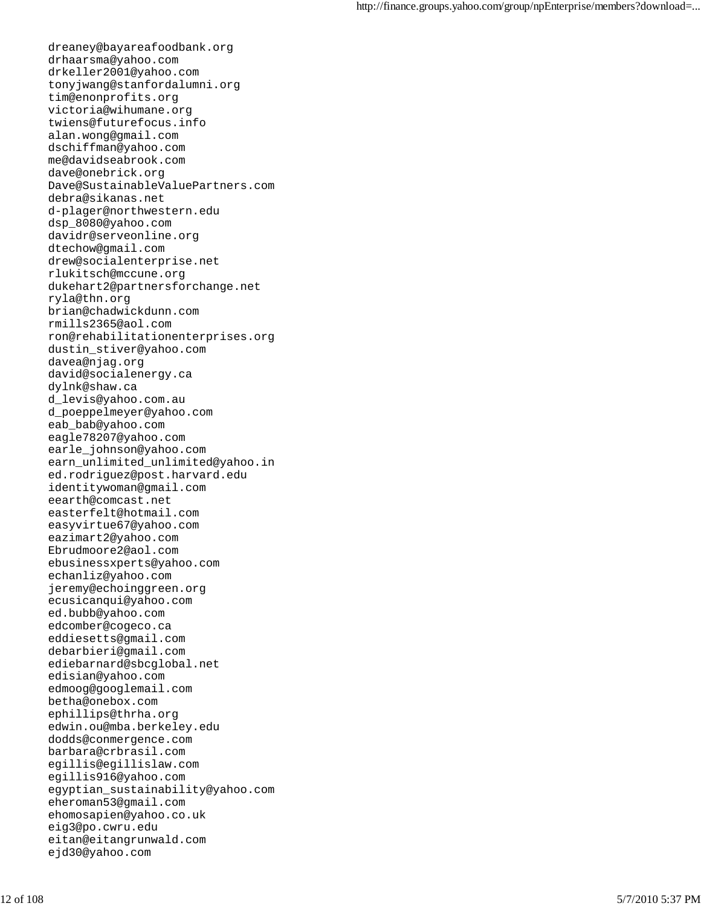dreaney@bayareafoodbank.org drhaarsma@yahoo.com drkeller2001@yahoo.com tonyjwang@stanfordalumni.org tim@enonprofits.org victoria@wihumane.org twiens@futurefocus.info alan.wong@gmail.com dschiffman@yahoo.com me@davidseabrook.com dave@onebrick.org Dave@SustainableValuePartners.com debra@sikanas.net d-plager@northwestern.edu dsp\_8080@yahoo.com davidr@serveonline.org dtechow@gmail.com drew@socialenterprise.net rlukitsch@mccune.org dukehart2@partnersforchange.net ryla@thn.org brian@chadwickdunn.com rmills2365@aol.com ron@rehabilitationenterprises.org dustin\_stiver@yahoo.com davea@njag.org david@socialenergy.ca dylnk@shaw.ca d\_levis@yahoo.com.au d\_poeppelmeyer@yahoo.com eab\_bab@yahoo.com eagle78207@yahoo.com earle\_johnson@yahoo.com earn\_unlimited\_unlimited@yahoo.in ed.rodriguez@post.harvard.edu identitywoman@gmail.com eearth@comcast.net easterfelt@hotmail.com easyvirtue67@yahoo.com eazimart2@yahoo.com Ebrudmoore2@aol.com ebusinessxperts@yahoo.com echanliz@yahoo.com jeremy@echoinggreen.org ecusicanqui@yahoo.com ed.bubb@yahoo.com edcomber@cogeco.ca eddiesetts@gmail.com debarbieri@gmail.com ediebarnard@sbcglobal.net edisian@yahoo.com edmoog@googlemail.com betha@onebox.com ephillips@thrha.org edwin.ou@mba.berkeley.edu dodds@conmergence.com barbara@crbrasil.com egillis@egillislaw.com egillis916@yahoo.com egyptian\_sustainability@yahoo.com eheroman53@gmail.com ehomosapien@yahoo.co.uk eig3@po.cwru.edu eitan@eitangrunwald.com ejd30@yahoo.com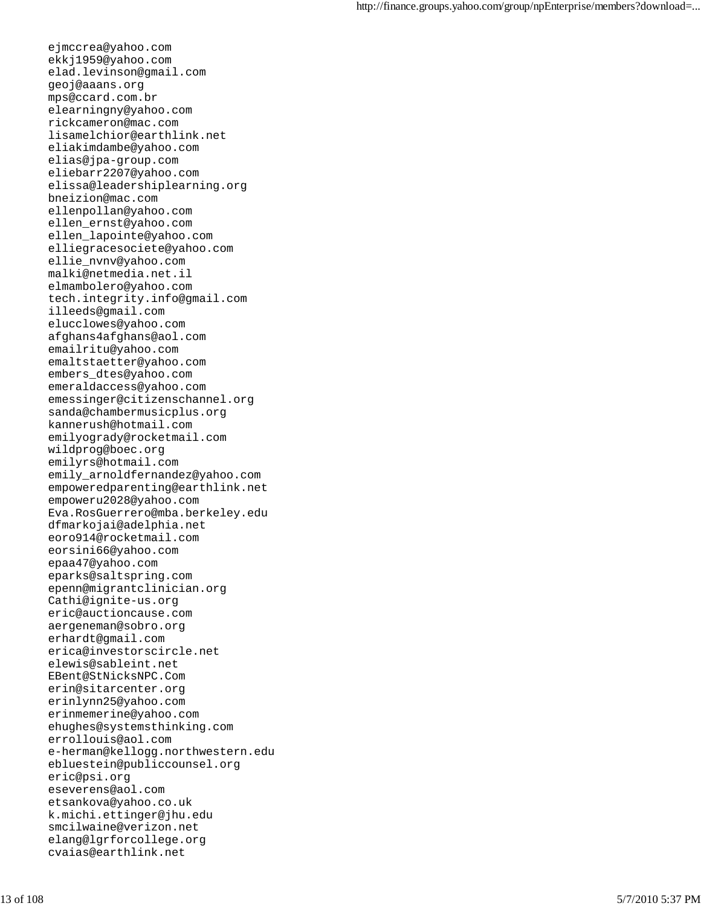ejmccrea@yahoo.com ekkj1959@yahoo.com elad.levinson@gmail.com geoj@aaans.org mps@ccard.com.br elearningny@yahoo.com rickcameron@mac.com lisamelchior@earthlink.net eliakimdambe@yahoo.com elias@jpa-group.com eliebarr2207@yahoo.com elissa@leadershiplearning.org bneizion@mac.com ellenpollan@yahoo.com ellen\_ernst@yahoo.com ellen\_lapointe@yahoo.com elliegracesociete@yahoo.com ellie\_nvnv@yahoo.com malki@netmedia.net.il elmambolero@yahoo.com tech.integrity.info@gmail.com illeeds@gmail.com elucclowes@yahoo.com afghans4afghans@aol.com emailritu@yahoo.com emaltstaetter@yahoo.com embers\_dtes@yahoo.com emeraldaccess@yahoo.com emessinger@citizenschannel.org sanda@chambermusicplus.org kannerush@hotmail.com emilyogrady@rocketmail.com wildprog@boec.org emilyrs@hotmail.com emily\_arnoldfernandez@yahoo.com empoweredparenting@earthlink.net empoweru2028@yahoo.com Eva.RosGuerrero@mba.berkeley.edu dfmarkojai@adelphia.net eoro914@rocketmail.com eorsini66@yahoo.com epaa47@yahoo.com eparks@saltspring.com epenn@migrantclinician.org Cathi@ignite-us.org eric@auctioncause.com aergeneman@sobro.org erhardt@gmail.com erica@investorscircle.net elewis@sableint.net EBent@StNicksNPC.Com erin@sitarcenter.org erinlynn25@yahoo.com erinmemerine@yahoo.com ehughes@systemsthinking.com errollouis@aol.com e-herman@kellogg.northwestern.edu ebluestein@publiccounsel.org eric@psi.org eseverens@aol.com etsankova@yahoo.co.uk k.michi.ettinger@jhu.edu smcilwaine@verizon.net elang@lgrforcollege.org cvaias@earthlink.net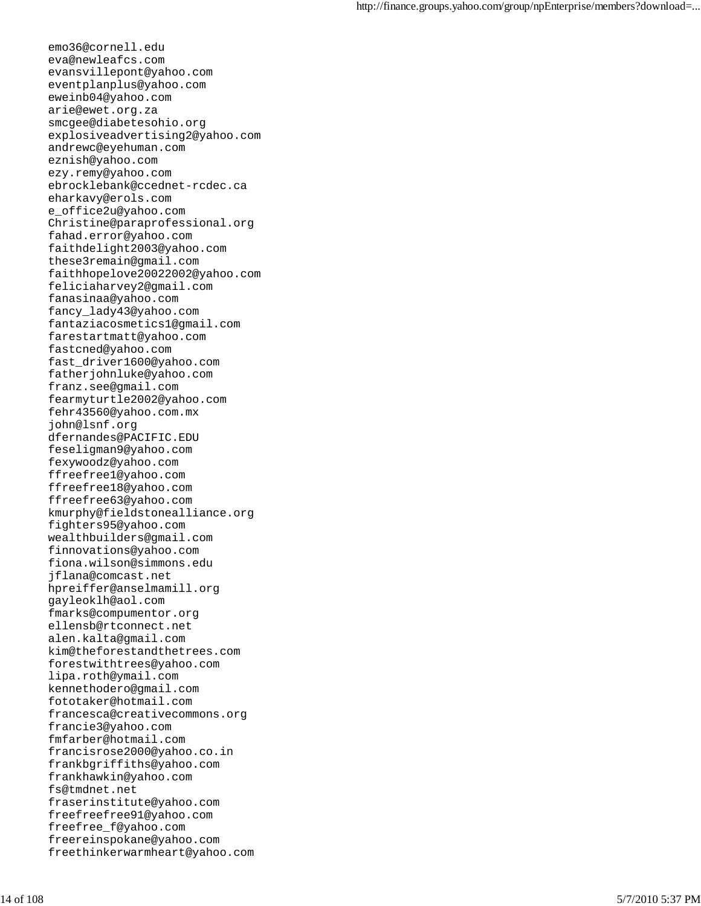emo36@cornell.edu eva@newleafcs.com evansvillepont@yahoo.com eventplanplus@yahoo.com eweinb04@yahoo.com arie@ewet.org.za smcgee@diabetesohio.org explosiveadvertising2@yahoo.com andrewc@eyehuman.com eznish@yahoo.com ezy.remy@yahoo.com ebrocklebank@ccednet-rcdec.ca eharkavy@erols.com e\_office2u@yahoo.com Christine@paraprofessional.org fahad.error@yahoo.com faithdelight2003@yahoo.com these3remain@gmail.com faithhopelove20022002@yahoo.com feliciaharvey2@gmail.com fanasinaa@yahoo.com fancy\_lady43@yahoo.com fantaziacosmetics1@gmail.com farestartmatt@yahoo.com fastcned@yahoo.com fast\_driver1600@yahoo.com fatherjohnluke@yahoo.com franz.see@gmail.com fearmyturtle2002@yahoo.com fehr43560@yahoo.com.mx john@lsnf.org dfernandes@PACIFIC.EDU feseligman9@yahoo.com fexywoodz@yahoo.com ffreefree1@yahoo.com ffreefree18@yahoo.com ffreefree63@yahoo.com kmurphy@fieldstonealliance.org fighters95@yahoo.com wealthbuilders@gmail.com finnovations@yahoo.com fiona.wilson@simmons.edu jflana@comcast.net hpreiffer@anselmamill.org gayleoklh@aol.com fmarks@compumentor.org ellensb@rtconnect.net alen.kalta@gmail.com kim@theforestandthetrees.com forestwithtrees@yahoo.com lipa.roth@ymail.com kennethodero@gmail.com fototaker@hotmail.com francesca@creativecommons.org francie3@yahoo.com fmfarber@hotmail.com francisrose2000@yahoo.co.in frankbgriffiths@yahoo.com frankhawkin@yahoo.com fs@tmdnet.net fraserinstitute@yahoo.com freefreefree91@yahoo.com freefree\_f@yahoo.com freereinspokane@yahoo.com freethinkerwarmheart@yahoo.com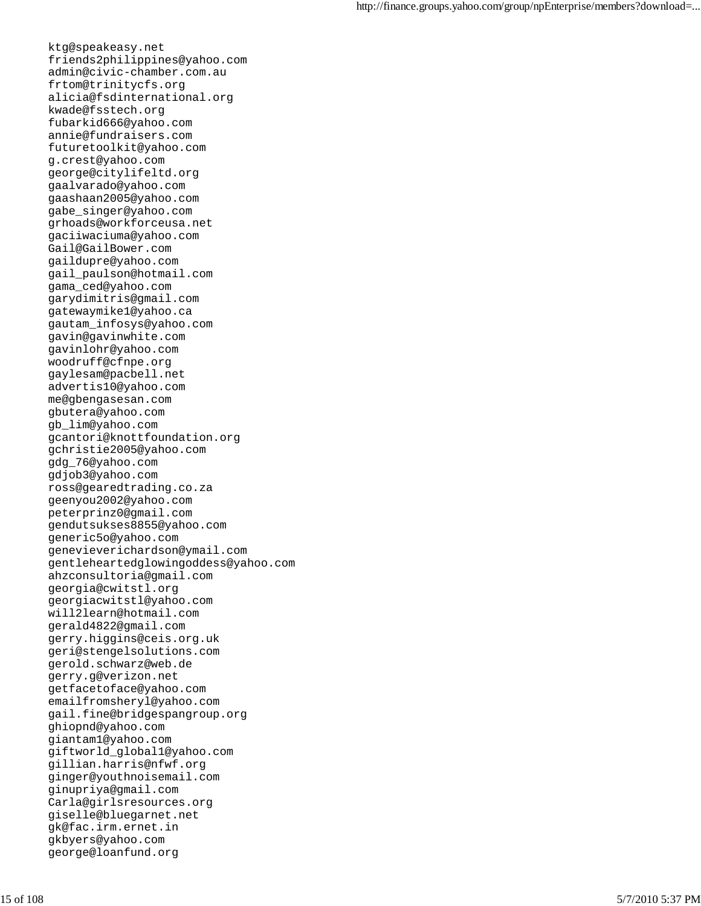ktg@speakeasy.net friends2philippines@yahoo.com admin@civic-chamber.com.au frtom@trinitycfs.org alicia@fsdinternational.org kwade@fsstech.org fubarkid666@yahoo.com annie@fundraisers.com futuretoolkit@yahoo.com g.crest@yahoo.com george@citylifeltd.org gaalvarado@yahoo.com gaashaan2005@yahoo.com gabe\_singer@yahoo.com grhoads@workforceusa.net gaciiwaciuma@yahoo.com Gail@GailBower.com gaildupre@yahoo.com gail\_paulson@hotmail.com gama\_ced@yahoo.com garydimitris@gmail.com gatewaymike1@yahoo.ca gautam\_infosys@yahoo.com gavin@gavinwhite.com gavinlohr@yahoo.com woodruff@cfnpe.org gaylesam@pacbell.net advertis10@yahoo.com me@gbengasesan.com gbutera@yahoo.com gb\_lim@yahoo.com gcantori@knottfoundation.org gchristie2005@yahoo.com gdg\_76@yahoo.com gdjob3@yahoo.com ross@gearedtrading.co.za geenyou2002@yahoo.com peterprinz0@gmail.com gendutsukses8855@yahoo.com generic5o@yahoo.com genevieverichardson@ymail.com gentleheartedglowingoddess@yahoo.com ahzconsultoria@gmail.com georgia@cwitstl.org georgiacwitstl@yahoo.com will2learn@hotmail.com gerald4822@gmail.com gerry.higgins@ceis.org.uk geri@stengelsolutions.com gerold.schwarz@web.de gerry.g@verizon.net getfacetoface@yahoo.com emailfromsheryl@yahoo.com gail.fine@bridgespangroup.org ghiopnd@yahoo.com giantam1@yahoo.com giftworld\_global1@yahoo.com gillian.harris@nfwf.org ginger@youthnoisemail.com ginupriya@gmail.com Carla@girlsresources.org giselle@bluegarnet.net gk@fac.irm.ernet.in gkbyers@yahoo.com george@loanfund.org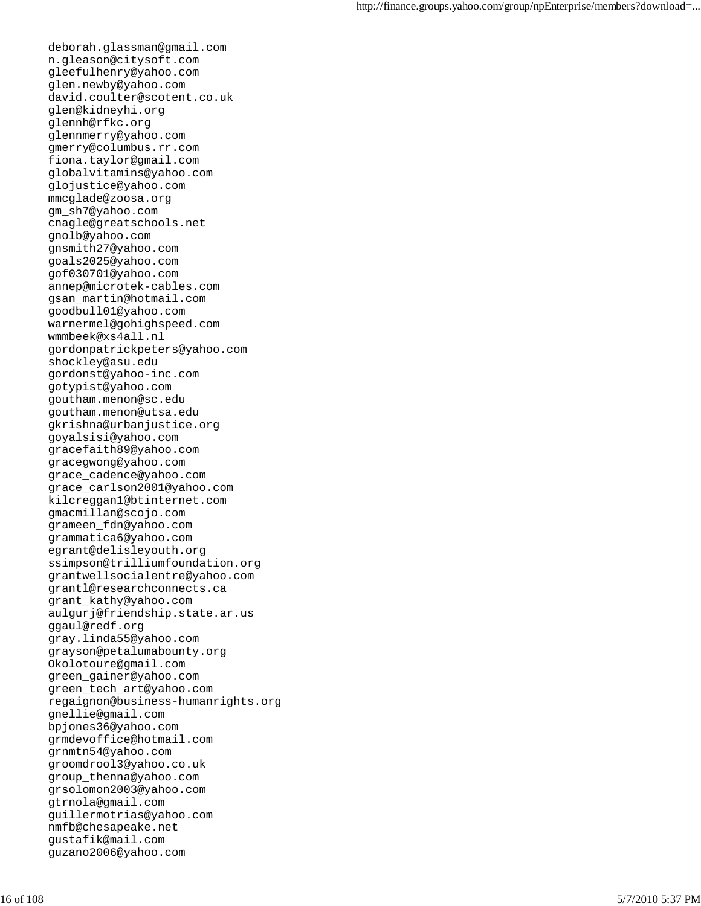deborah.glassman@gmail.com n.gleason@citysoft.com gleefulhenry@yahoo.com glen.newby@yahoo.com david.coulter@scotent.co.uk glen@kidneyhi.org glennh@rfkc.org glennmerry@yahoo.com gmerry@columbus.rr.com fiona.taylor@gmail.com globalvitamins@yahoo.com glojustice@yahoo.com mmcglade@zoosa.org gm\_sh7@yahoo.com cnagle@greatschools.net gnolb@yahoo.com gnsmith27@yahoo.com goals2025@yahoo.com gof030701@yahoo.com annep@microtek-cables.com gsan\_martin@hotmail.com goodbull01@yahoo.com warnermel@gohighspeed.com wmmbeek@xs4all.nl gordonpatrickpeters@yahoo.com shockley@asu.edu gordonst@yahoo-inc.com gotypist@yahoo.com goutham.menon@sc.edu goutham.menon@utsa.edu gkrishna@urbanjustice.org goyalsisi@yahoo.com gracefaith89@yahoo.com gracegwong@yahoo.com grace\_cadence@yahoo.com grace\_carlson2001@yahoo.com kilcreggan1@btinternet.com gmacmillan@scojo.com grameen\_fdn@yahoo.com grammatica6@yahoo.com egrant@delisleyouth.org ssimpson@trilliumfoundation.org grantwellsocialentre@yahoo.com grantl@researchconnects.ca grant\_kathy@yahoo.com aulgurj@friendship.state.ar.us ggaul@redf.org gray.linda55@yahoo.com grayson@petalumabounty.org Okolotoure@gmail.com green\_gainer@yahoo.com green\_tech\_art@yahoo.com regaignon@business-humanrights.org gnellie@gmail.com bpjones36@yahoo.com grmdevoffice@hotmail.com grnmtn54@yahoo.com groomdrool3@yahoo.co.uk group\_thenna@yahoo.com grsolomon2003@yahoo.com gtrnola@gmail.com guillermotrias@yahoo.com nmfb@chesapeake.net gustafik@mail.com guzano2006@yahoo.com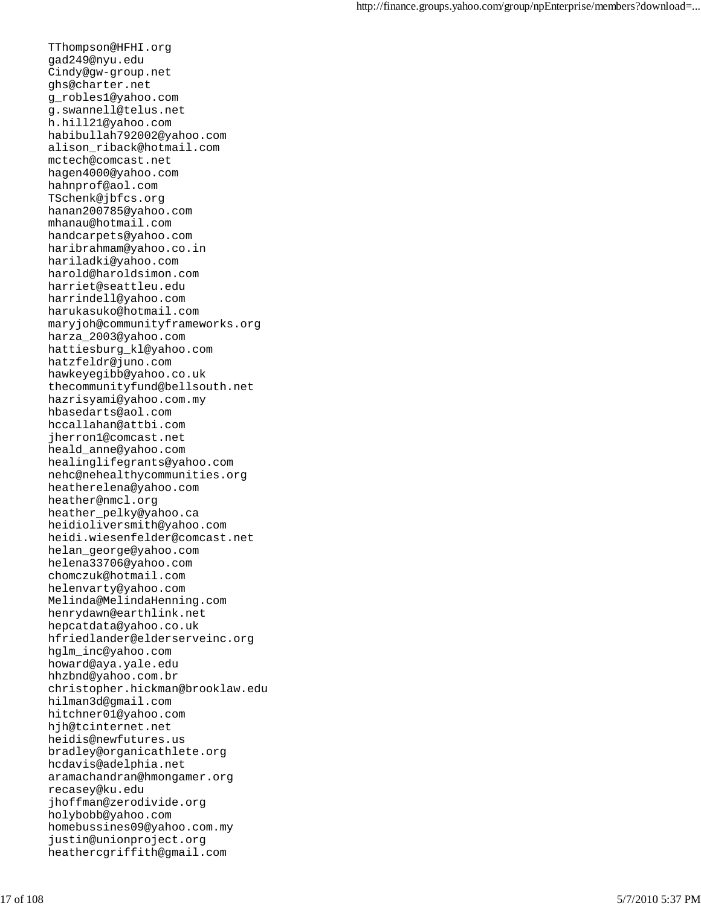TThompson@HFHI.org gad249@nyu.edu Cindy@gw-group.net ghs@charter.net g\_robles1@yahoo.com g.swannell@telus.net h.hill21@yahoo.com habibullah792002@yahoo.com alison\_riback@hotmail.com mctech@comcast.net hagen4000@yahoo.com hahnprof@aol.com TSchenk@jbfcs.org hanan200785@yahoo.com mhanau@hotmail.com handcarpets@yahoo.com haribrahmam@yahoo.co.in hariladki@yahoo.com harold@haroldsimon.com harriet@seattleu.edu harrindell@yahoo.com harukasuko@hotmail.com maryjoh@communityframeworks.org harza\_2003@yahoo.com hattiesburg\_kl@yahoo.com hatzfeldr@juno.com hawkeyegibb@yahoo.co.uk thecommunityfund@bellsouth.net hazrisyami@yahoo.com.my hbasedarts@aol.com hccallahan@attbi.com jherron1@comcast.net heald\_anne@yahoo.com healinglifegrants@yahoo.com nehc@nehealthycommunities.org heatherelena@yahoo.com heather@nmcl.org heather\_pelky@yahoo.ca heidioliversmith@yahoo.com heidi.wiesenfelder@comcast.net helan\_george@yahoo.com helena33706@yahoo.com chomczuk@hotmail.com helenvarty@yahoo.com Melinda@MelindaHenning.com henrydawn@earthlink.net hepcatdata@yahoo.co.uk hfriedlander@elderserveinc.org hglm\_inc@yahoo.com howard@aya.yale.edu hhzbnd@yahoo.com.br christopher.hickman@brooklaw.edu hilman3d@gmail.com hitchner01@yahoo.com hjh@tcinternet.net heidis@newfutures.us bradley@organicathlete.org hcdavis@adelphia.net aramachandran@hmongamer.org recasey@ku.edu jhoffman@zerodivide.org holybobb@yahoo.com homebussines09@yahoo.com.my justin@unionproject.org heathercgriffith@gmail.com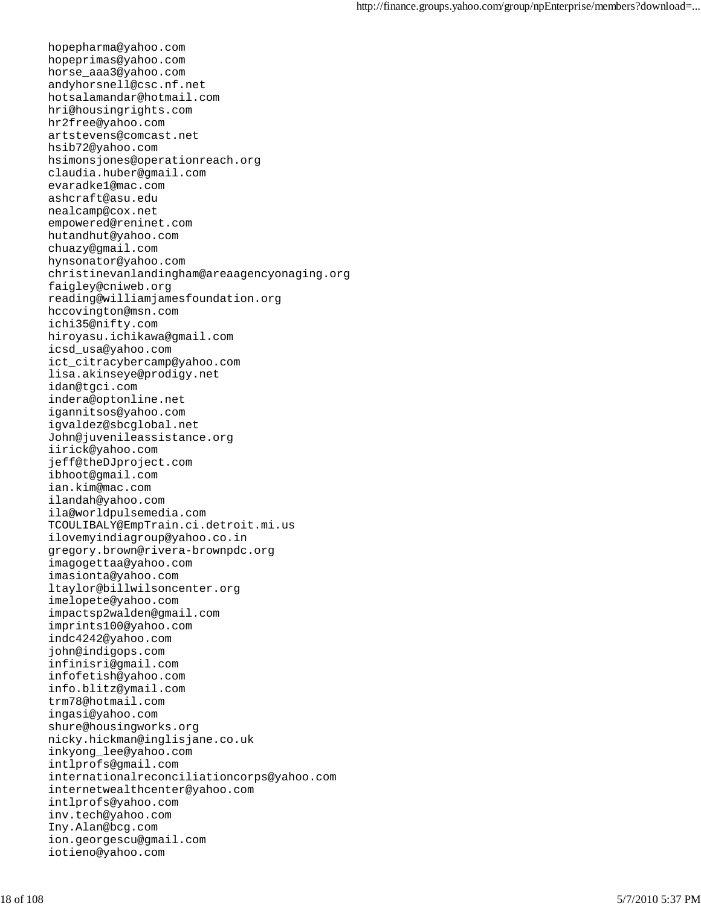hopepharma@yahoo.com hopeprimas@yahoo.com horse\_aaa3@yahoo.com andyhorsnell@csc.nf.net hotsalamandar@hotmail.com hri@housingrights.com hr2free@yahoo.com artstevens@comcast.net hsib72@yahoo.com hsimonsjones@operationreach.org claudia.huber@gmail.com evaradke1@mac.com ashcraft@asu.edu nealcamp@cox.net empowered@reninet.com hutandhut@yahoo.com chuazy@gmail.com hynsonator@yahoo.com christinevanlandingham@areaagencyonaging.org faigley@cniweb.org reading@williamjamesfoundation.org hccovington@msn.com ichi35@nifty.com hiroyasu.ichikawa@gmail.com icsd\_usa@yahoo.com ict\_citracybercamp@yahoo.com lisa.akinseye@prodigy.net idan@tgci.com indera@optonline.net igannitsos@yahoo.com igvaldez@sbcglobal.net John@juvenileassistance.org iirick@yahoo.com jeff@theDJproject.com ibhoot@gmail.com ian.kim@mac.com ilandah@yahoo.com ila@worldpulsemedia.com TCOULIBALY@EmpTrain.ci.detroit.mi.us ilovemyindiagroup@yahoo.co.in gregory.brown@rivera-brownpdc.org imagogettaa@yahoo.com imasionta@yahoo.com ltaylor@billwilsoncenter.org imelopete@yahoo.com impactsp2walden@gmail.com imprints100@yahoo.com indc4242@yahoo.com john@indigops.com infinisri@gmail.com infofetish@yahoo.com info.blitz@ymail.com trm78@hotmail.com ingasi@yahoo.com shure@housingworks.org nicky.hickman@inglisjane.co.uk inkyong\_lee@yahoo.com intlprofs@gmail.com internationalreconciliationcorps@yahoo.com internetwealthcenter@yahoo.com intlprofs@yahoo.com inv.tech@yahoo.com Iny.Alan@bcg.com ion.georgescu@gmail.com iotieno@yahoo.com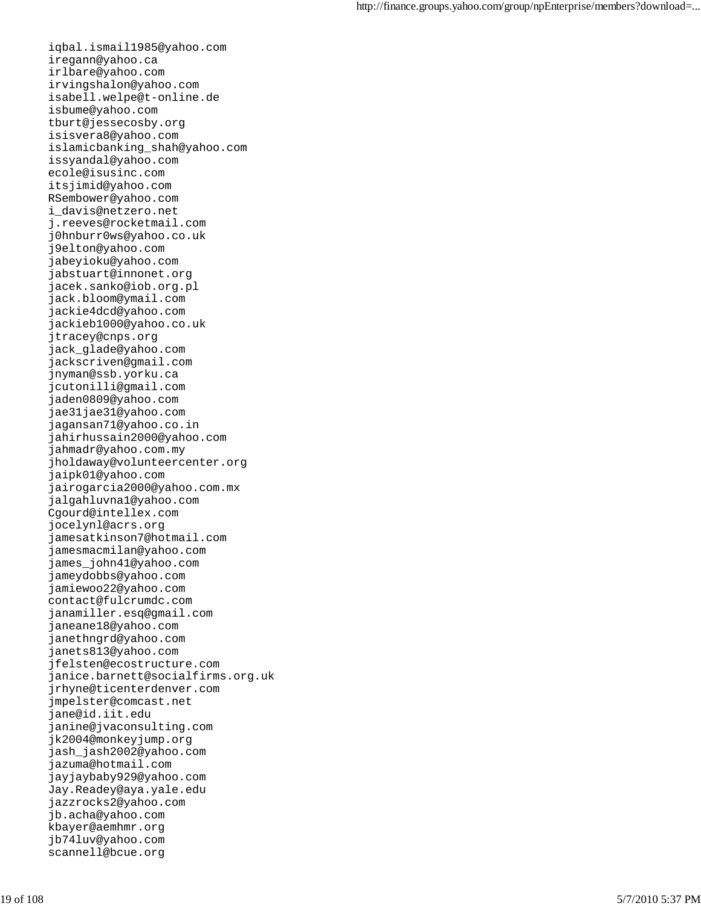iqbal.ismail1985@yahoo.com iregann@yahoo.ca irlbare@yahoo.com irvingshalon@yahoo.com isabell.welpe@t-online.de isbume@yahoo.com tburt@jessecosby.org isisvera8@yahoo.com islamicbanking\_shah@yahoo.com issyandal@yahoo.com ecole@isusinc.com itsjimid@yahoo.com RSembower@yahoo.com i\_davis@netzero.net j.reeves@rocketmail.com j0hnburr0ws@yahoo.co.uk j9elton@yahoo.com jabeyioku@yahoo.com jabstuart@innonet.org jacek.sanko@iob.org.pl jack.bloom@ymail.com jackie4dcd@yahoo.com jackieb1000@yahoo.co.uk jtracey@cnps.org jack\_glade@yahoo.com jackscriven@gmail.com jnyman@ssb.yorku.ca jcutonilli@gmail.com jaden0809@yahoo.com jae31jae31@yahoo.com jagansan71@yahoo.co.in jahirhussain2000@yahoo.com jahmadr@yahoo.com.my jholdaway@volunteercenter.org jaipk01@yahoo.com jairogarcia2000@yahoo.com.mx jalgahluvna1@yahoo.com Cgourd@intellex.com jocelynl@acrs.org jamesatkinson7@hotmail.com jamesmacmilan@yahoo.com james\_john41@yahoo.com jameydobbs@yahoo.com jamiewoo22@yahoo.com contact@fulcrumdc.com janamiller.esq@gmail.com janeane18@yahoo.com janethngrd@yahoo.com janets813@yahoo.com jfelsten@ecostructure.com janice.barnett@socialfirms.org.uk jrhyne@ticenterdenver.com jmpelster@comcast.net jane@id.iit.edu janine@jvaconsulting.com jk2004@monkeyjump.org jash\_jash2002@yahoo.com jazuma@hotmail.com jayjaybaby929@yahoo.com Jay.Readey@aya.yale.edu jazzrocks2@yahoo.com jb.acha@yahoo.com kbayer@aemhmr.org jb74luv@yahoo.com scannell@bcue.org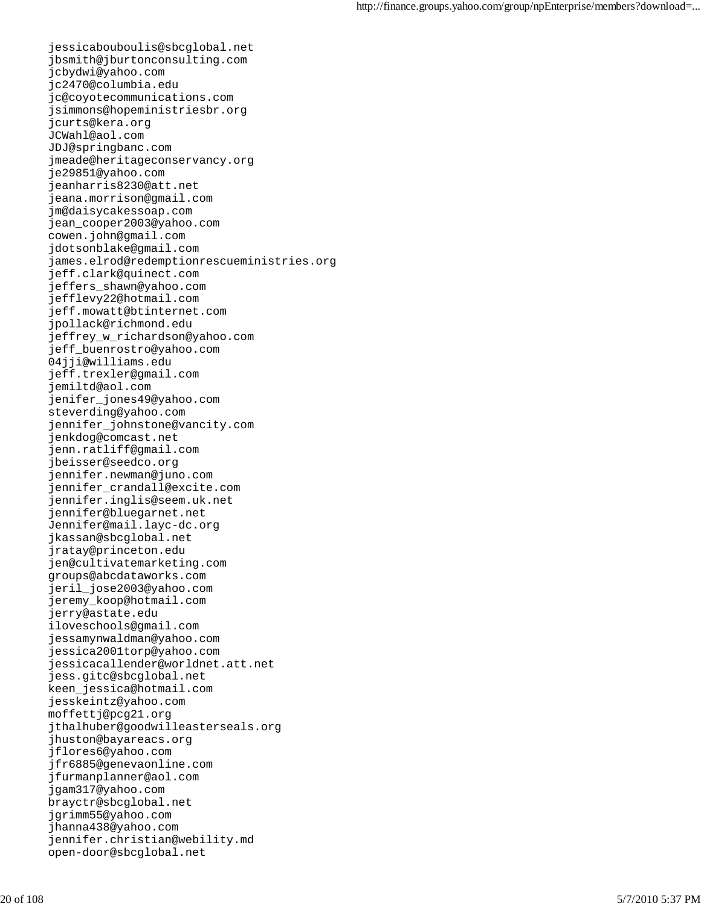jessicabouboulis@sbcglobal.net jbsmith@jburtonconsulting.com jcbydwi@yahoo.com jc2470@columbia.edu jc@coyotecommunications.com jsimmons@hopeministriesbr.org jcurts@kera.org JCWahl@aol.com JDJ@springbanc.com jmeade@heritageconservancy.org je29851@yahoo.com jeanharris8230@att.net jeana.morrison@gmail.com jm@daisycakessoap.com jean\_cooper2003@yahoo.com cowen.john@gmail.com jdotsonblake@gmail.com james.elrod@redemptionrescueministries.org jeff.clark@quinect.com jeffers\_shawn@yahoo.com jefflevy22@hotmail.com jeff.mowatt@btinternet.com jpollack@richmond.edu jeffrey\_w\_richardson@yahoo.com jeff\_buenrostro@yahoo.com 04jji@williams.edu jeff.trexler@gmail.com jemiltd@aol.com jenifer\_jones49@yahoo.com steverding@yahoo.com jennifer\_johnstone@vancity.com jenkdog@comcast.net jenn.ratliff@gmail.com jbeisser@seedco.org jennifer.newman@juno.com jennifer\_crandall@excite.com jennifer.inglis@seem.uk.net jennifer@bluegarnet.net Jennifer@mail.layc-dc.org jkassan@sbcglobal.net jratay@princeton.edu jen@cultivatemarketing.com groups@abcdataworks.com jeril\_jose2003@yahoo.com jeremy\_koop@hotmail.com jerry@astate.edu iloveschools@gmail.com jessamynwaldman@yahoo.com jessica2001torp@yahoo.com jessicacallender@worldnet.att.net jess.gitc@sbcglobal.net keen\_jessica@hotmail.com jesskeintz@yahoo.com moffettj@pcg21.org jthalhuber@goodwilleasterseals.org jhuston@bayareacs.org jflores6@yahoo.com jfr6885@genevaonline.com jfurmanplanner@aol.com jgam317@yahoo.com brayctr@sbcglobal.net jgrimm55@yahoo.com jhanna438@yahoo.com jennifer.christian@webility.md open-door@sbcglobal.net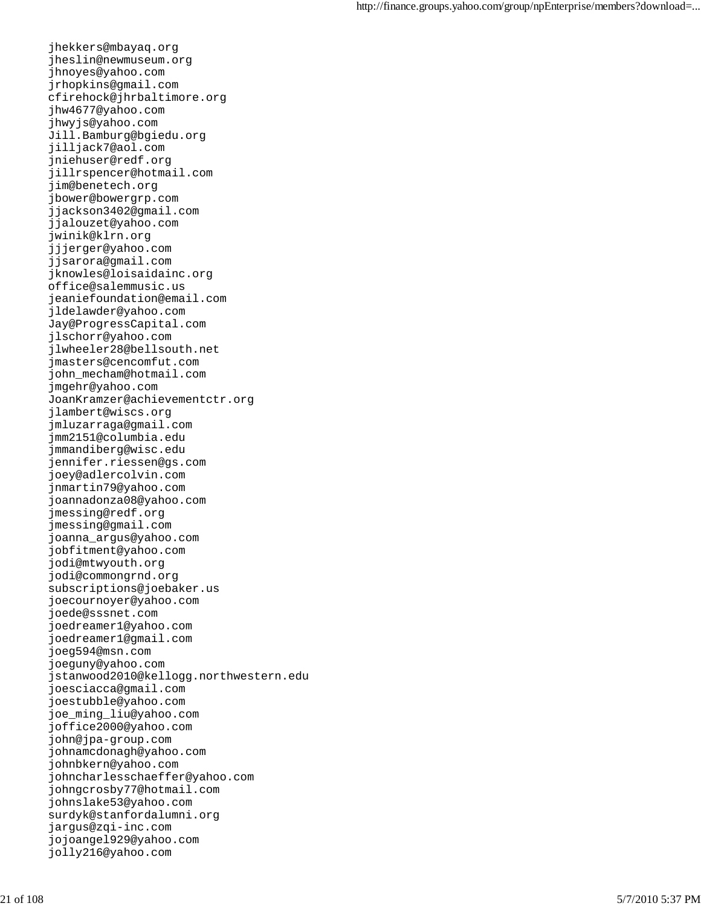jhekkers@mbayaq.org jheslin@newmuseum.org jhnoyes@yahoo.com jrhopkins@gmail.com cfirehock@jhrbaltimore.org jhw4677@yahoo.com jhwyjs@yahoo.com Jill.Bamburg@bgiedu.org jilljack7@aol.com jniehuser@redf.org jillrspencer@hotmail.com jim@benetech.org jbower@bowergrp.com jjackson3402@gmail.com jjalouzet@yahoo.com jwinik@klrn.org jjjerger@yahoo.com jjsarora@gmail.com jknowles@loisaidainc.org office@salemmusic.us jeaniefoundation@email.com jldelawder@yahoo.com Jay@ProgressCapital.com jlschorr@yahoo.com jlwheeler28@bellsouth.net jmasters@cencomfut.com john\_mecham@hotmail.com jmgehr@yahoo.com JoanKramzer@achievementctr.org jlambert@wiscs.org jmluzarraga@gmail.com jmm2151@columbia.edu jmmandiberg@wisc.edu jennifer.riessen@gs.com joey@adlercolvin.com jnmartin79@yahoo.com joannadonza08@yahoo.com jmessing@redf.org jmessing@gmail.com joanna\_argus@yahoo.com jobfitment@yahoo.com jodi@mtwyouth.org jodi@commongrnd.org subscriptions@joebaker.us joecournoyer@yahoo.com joede@sssnet.com joedreamer1@yahoo.com joedreamer1@gmail.com joeg594@msn.com joeguny@yahoo.com jstanwood2010@kellogg.northwestern.edu joesciacca@gmail.com joestubble@yahoo.com joe\_ming\_liu@yahoo.com joffice2000@yahoo.com john@jpa-group.com johnamcdonagh@yahoo.com johnbkern@yahoo.com johncharlesschaeffer@yahoo.com johngcrosby77@hotmail.com johnslake53@yahoo.com surdyk@stanfordalumni.org jargus@zqi-inc.com jojoangel929@yahoo.com jolly216@yahoo.com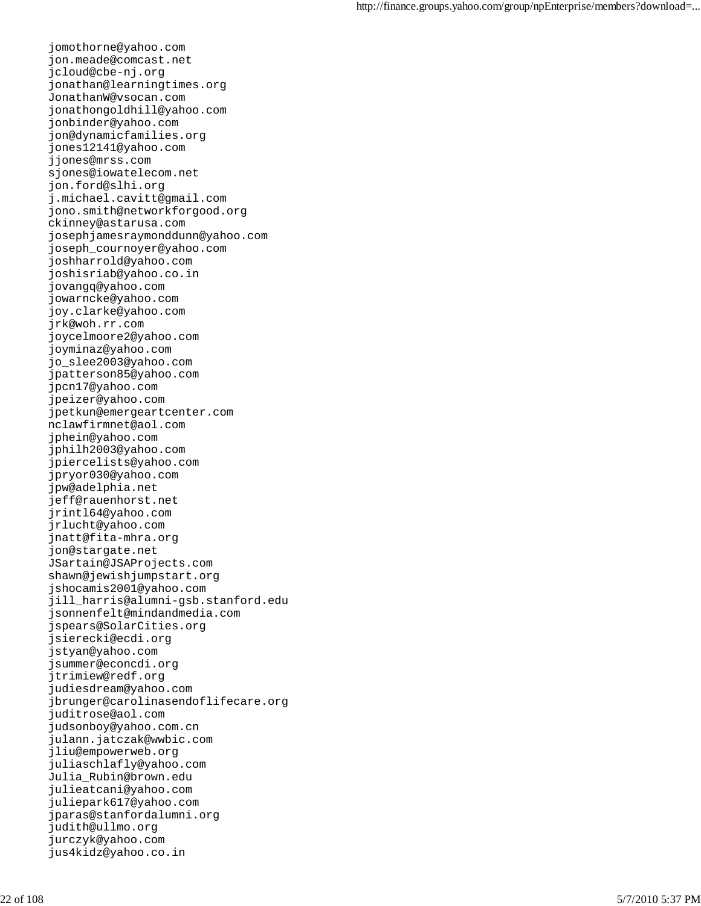jomothorne@yahoo.com jon.meade@comcast.net jcloud@cbe-nj.org jonathan@learningtimes.org JonathanW@vsocan.com jonathongoldhill@yahoo.com jonbinder@yahoo.com jon@dynamicfamilies.org jones12141@yahoo.com jjones@mrss.com sjones@iowatelecom.net jon.ford@slhi.org j.michael.cavitt@gmail.com jono.smith@networkforgood.org ckinney@astarusa.com josephjamesraymonddunn@yahoo.com joseph\_cournoyer@yahoo.com joshharrold@yahoo.com joshisriab@yahoo.co.in jovangq@yahoo.com jowarncke@yahoo.com joy.clarke@yahoo.com jrk@woh.rr.com joycelmoore2@yahoo.com joyminaz@yahoo.com jo\_slee2003@yahoo.com jpatterson85@yahoo.com jpcn17@yahoo.com jpeizer@yahoo.com jpetkun@emergeartcenter.com nclawfirmnet@aol.com jphein@yahoo.com jphilh2003@yahoo.com jpiercelists@yahoo.com jpryor030@yahoo.com jpw@adelphia.net jeff@rauenhorst.net jrintl64@yahoo.com jrlucht@yahoo.com jnatt@fita-mhra.org jon@stargate.net JSartain@JSAProjects.com shawn@jewishjumpstart.org jshocamis2001@yahoo.com jill\_harris@alumni-gsb.stanford.edu jsonnenfelt@mindandmedia.com jspears@SolarCities.org jsierecki@ecdi.org jstyan@yahoo.com jsummer@econcdi.org jtrimiew@redf.org judiesdream@yahoo.com jbrunger@carolinasendoflifecare.org juditrose@aol.com judsonboy@yahoo.com.cn julann.jatczak@wwbic.com jliu@empowerweb.org juliaschlafly@yahoo.com Julia\_Rubin@brown.edu julieatcani@yahoo.com juliepark617@yahoo.com jparas@stanfordalumni.org judith@ullmo.org jurczyk@yahoo.com jus4kidz@yahoo.co.in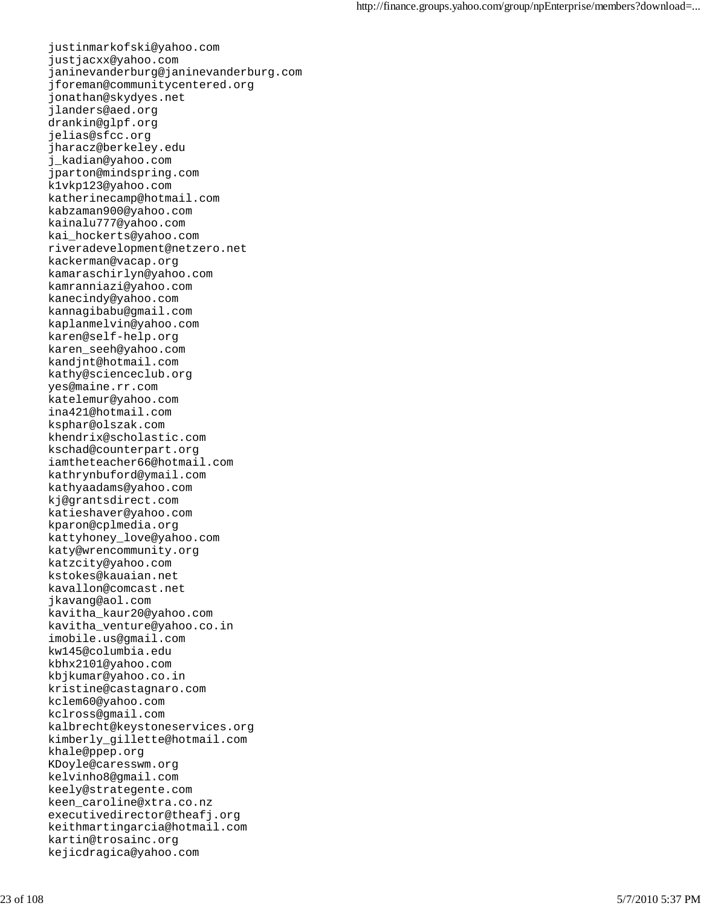justinmarkofski@yahoo.com justjacxx@yahoo.com janinevanderburg@janinevanderburg.com jforeman@communitycentered.org jonathan@skydyes.net jlanders@aed.org drankin@glpf.org jelias@sfcc.org jharacz@berkeley.edu j\_kadian@yahoo.com jparton@mindspring.com k1vkp123@yahoo.com katherinecamp@hotmail.com kabzaman900@yahoo.com kainalu777@yahoo.com kai\_hockerts@yahoo.com riveradevelopment@netzero.net kackerman@vacap.org kamaraschirlyn@yahoo.com kamranniazi@yahoo.com kanecindy@yahoo.com kannagibabu@gmail.com kaplanmelvin@yahoo.com karen@self-help.org karen\_seeh@yahoo.com kandjnt@hotmail.com kathy@scienceclub.org yes@maine.rr.com katelemur@yahoo.com ina421@hotmail.com ksphar@olszak.com khendrix@scholastic.com kschad@counterpart.org iamtheteacher66@hotmail.com kathrynbuford@ymail.com kathyaadams@yahoo.com kj@grantsdirect.com katieshaver@yahoo.com kparon@cplmedia.org kattyhoney\_love@yahoo.com katy@wrencommunity.org katzcity@yahoo.com kstokes@kauaian.net kavallon@comcast.net jkavang@aol.com kavitha\_kaur20@yahoo.com kavitha\_venture@yahoo.co.in imobile.us@gmail.com kw145@columbia.edu kbhx2101@yahoo.com kbjkumar@yahoo.co.in kristine@castagnaro.com kclem60@yahoo.com kclross@gmail.com kalbrecht@keystoneservices.org kimberly\_gillette@hotmail.com khale@ppep.org KDoyle@caresswm.org kelvinho8@gmail.com keely@strategente.com keen\_caroline@xtra.co.nz executivedirector@theafj.org keithmartingarcia@hotmail.com kartin@trosainc.org kejicdragica@yahoo.com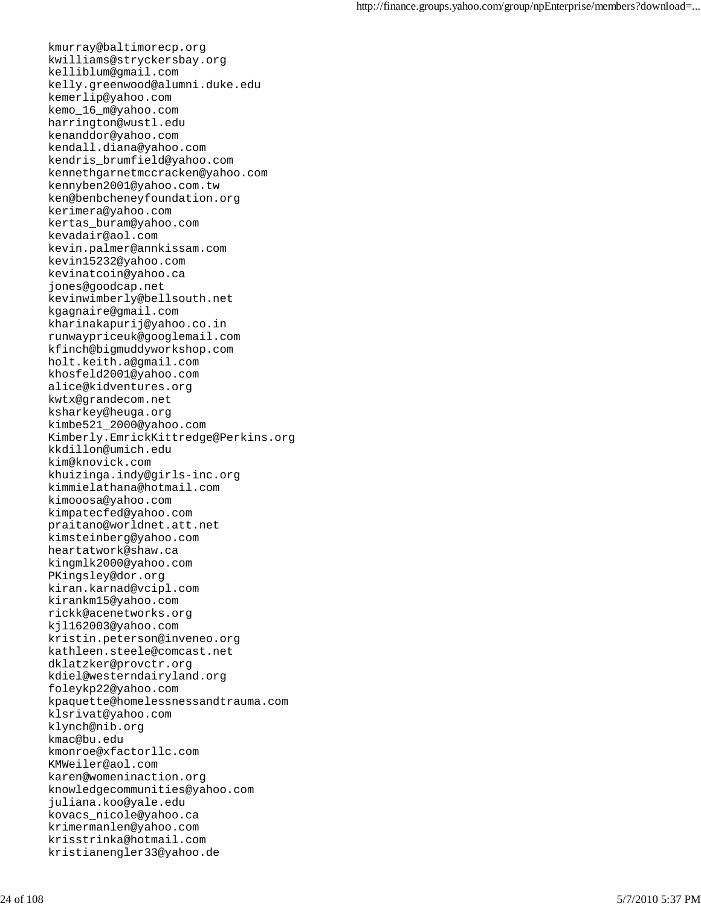kmurray@baltimorecp.org kwilliams@stryckersbay.org kelliblum@gmail.com kelly.greenwood@alumni.duke.edu kemerlip@yahoo.com kemo\_16\_m@yahoo.com harrington@wustl.edu kenanddor@yahoo.com kendall.diana@yahoo.com kendris\_brumfield@yahoo.com kennethgarnetmccracken@yahoo.com kennyben2001@yahoo.com.tw ken@benbcheneyfoundation.org kerimera@yahoo.com kertas\_buram@yahoo.com kevadair@aol.com kevin.palmer@annkissam.com kevin15232@yahoo.com kevinatcoin@yahoo.ca jones@goodcap.net kevinwimberly@bellsouth.net kgagnaire@gmail.com kharinakapurij@yahoo.co.in runwaypriceuk@googlemail.com kfinch@bigmuddyworkshop.com holt.keith.a@gmail.com khosfeld2001@yahoo.com alice@kidventures.org kwtx@grandecom.net ksharkey@heuga.org kimbe521\_2000@yahoo.com Kimberly.EmrickKittredge@Perkins.org kkdillon@umich.edu kim@knovick.com khuizinga.indy@girls-inc.org kimmielathana@hotmail.com kimooosa@yahoo.com kimpatecfed@yahoo.com praitano@worldnet.att.net kimsteinberg@yahoo.com heartatwork@shaw.ca kingmlk2000@yahoo.com PKingsley@dor.org kiran.karnad@vcipl.com kirankm15@yahoo.com rickk@acenetworks.org kjl162003@yahoo.com kristin.peterson@inveneo.org kathleen.steele@comcast.net dklatzker@provctr.org kdiel@westerndairyland.org foleykp22@yahoo.com kpaquette@homelessnessandtrauma.com klsrivat@yahoo.com klynch@nib.org kmac@bu.edu kmonroe@xfactorllc.com KMWeiler@aol.com karen@womeninaction.org knowledgecommunities@yahoo.com juliana.koo@yale.edu kovacs\_nicole@yahoo.ca krimermanlen@yahoo.com krisstrinka@hotmail.com kristianengler33@yahoo.de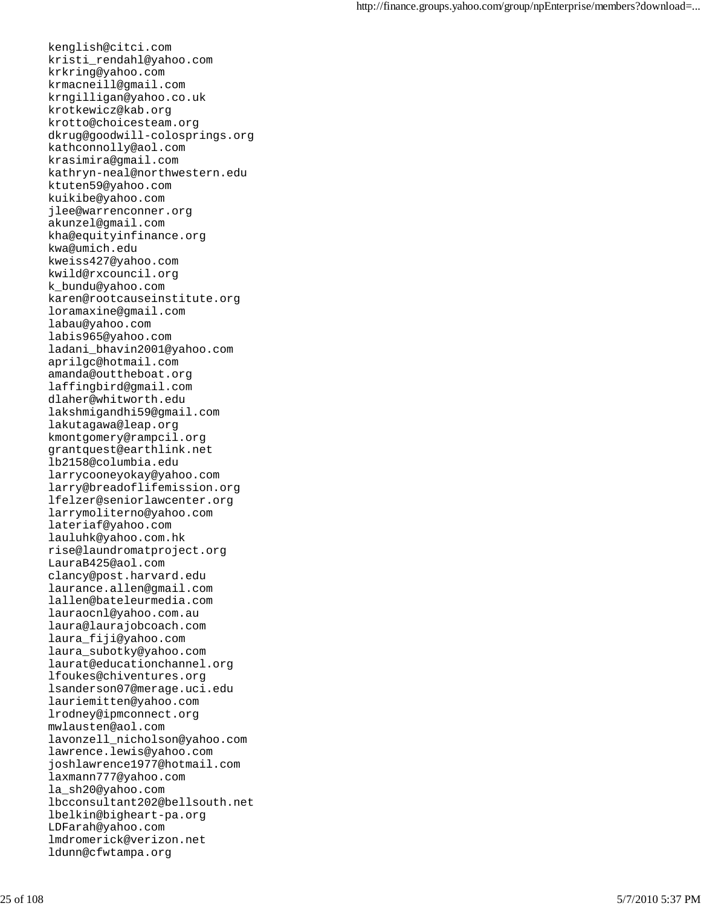kenglish@citci.com kristi\_rendahl@yahoo.com krkring@yahoo.com krmacneill@gmail.com krngilligan@yahoo.co.uk krotkewicz@kab.org krotto@choicesteam.org dkrug@goodwill-colosprings.org kathconnolly@aol.com krasimira@gmail.com kathryn-neal@northwestern.edu ktuten59@yahoo.com kuikibe@yahoo.com jlee@warrenconner.org akunzel@gmail.com kha@equityinfinance.org kwa@umich.edu kweiss427@yahoo.com kwild@rxcouncil.org k\_bundu@yahoo.com karen@rootcauseinstitute.org loramaxine@gmail.com labau@yahoo.com labis965@yahoo.com ladani\_bhavin2001@yahoo.com aprilgc@hotmail.com amanda@outtheboat.org laffingbird@gmail.com dlaher@whitworth.edu lakshmigandhi59@gmail.com lakutagawa@leap.org kmontgomery@rampcil.org grantquest@earthlink.net lb2158@columbia.edu larrycooneyokay@yahoo.com larry@breadoflifemission.org lfelzer@seniorlawcenter.org larrymoliterno@yahoo.com lateriaf@yahoo.com lauluhk@yahoo.com.hk rise@laundromatproject.org LauraB425@aol.com clancy@post.harvard.edu laurance.allen@gmail.com lallen@bateleurmedia.com lauraocnl@yahoo.com.au laura@laurajobcoach.com laura\_fiji@yahoo.com laura\_subotky@yahoo.com laurat@educationchannel.org lfoukes@chiventures.org lsanderson07@merage.uci.edu lauriemitten@yahoo.com lrodney@ipmconnect.org mwlausten@aol.com lavonzell\_nicholson@yahoo.com lawrence.lewis@yahoo.com joshlawrence1977@hotmail.com laxmann777@yahoo.com la\_sh20@yahoo.com lbcconsultant202@bellsouth.net lbelkin@bigheart-pa.org LDFarah@yahoo.com lmdromerick@verizon.net ldunn@cfwtampa.org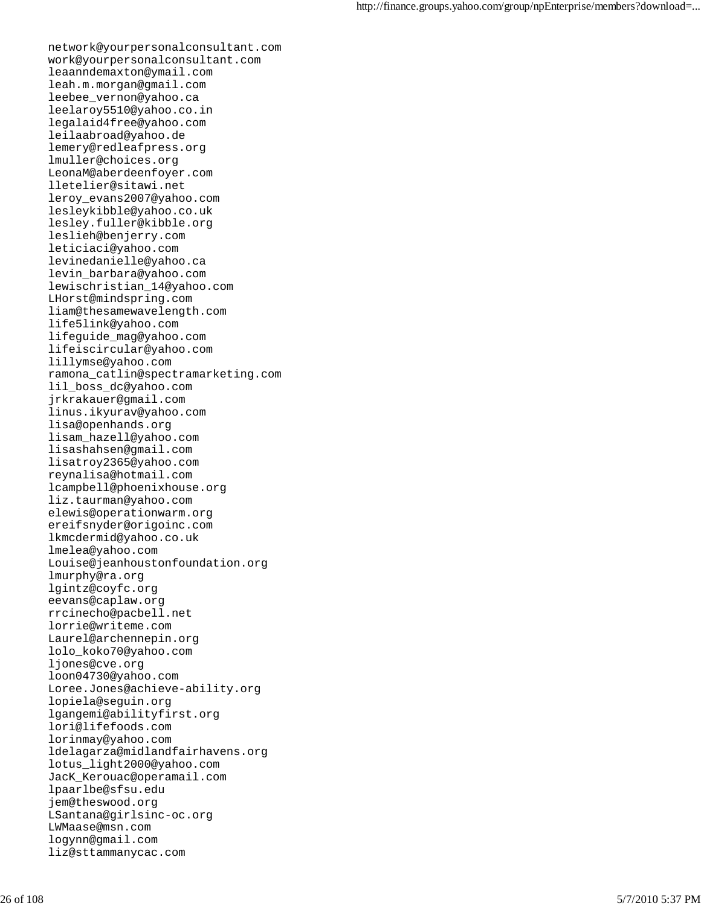network@yourpersonalconsultant.com work@yourpersonalconsultant.com leaanndemaxton@ymail.com leah.m.morgan@gmail.com leebee\_vernon@yahoo.ca leelaroy5510@yahoo.co.in legalaid4free@yahoo.com leilaabroad@yahoo.de lemery@redleafpress.org lmuller@choices.org LeonaM@aberdeenfoyer.com lletelier@sitawi.net leroy\_evans2007@yahoo.com lesleykibble@yahoo.co.uk lesley.fuller@kibble.org leslieh@benjerry.com leticiaci@yahoo.com levinedanielle@yahoo.ca levin\_barbara@yahoo.com lewischristian\_14@yahoo.com LHorst@mindspring.com liam@thesamewavelength.com life5link@yahoo.com lifeguide\_mag@yahoo.com lifeiscircular@yahoo.com lillymse@yahoo.com ramona\_catlin@spectramarketing.com lil\_boss\_dc@yahoo.com jrkrakauer@gmail.com linus.ikyurav@yahoo.com lisa@openhands.org lisam\_hazell@yahoo.com lisashahsen@gmail.com lisatroy2365@yahoo.com reynalisa@hotmail.com lcampbell@phoenixhouse.org liz.taurman@yahoo.com elewis@operationwarm.org ereifsnyder@origoinc.com lkmcdermid@yahoo.co.uk lmelea@yahoo.com Louise@jeanhoustonfoundation.org lmurphy@ra.org lgintz@coyfc.org eevans@caplaw.org rrcinecho@pacbell.net lorrie@writeme.com Laurel@archennepin.org lolo\_koko70@yahoo.com ljones@cve.org loon04730@yahoo.com Loree.Jones@achieve-ability.org lopiela@seguin.org lgangemi@abilityfirst.org lori@lifefoods.com lorinmay@yahoo.com ldelagarza@midlandfairhavens.org lotus\_light2000@yahoo.com JacK\_Kerouac@operamail.com lpaarlbe@sfsu.edu jem@theswood.org LSantana@girlsinc-oc.org LWMaase@msn.com logynn@gmail.com liz@sttammanycac.com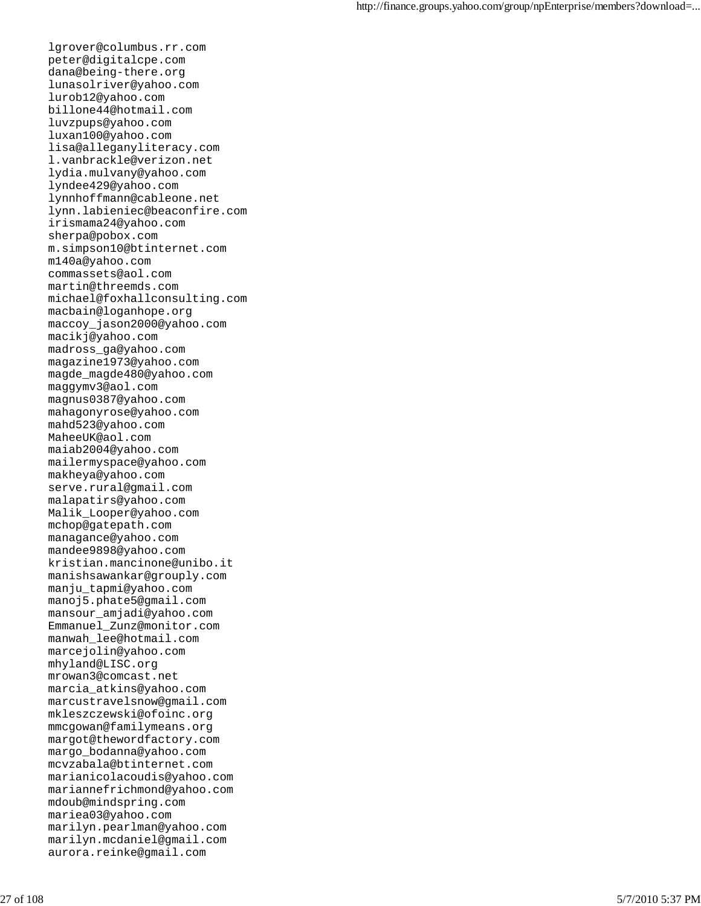lgrover@columbus.rr.com peter@digitalcpe.com dana@being-there.org lunasolriver@yahoo.com lurob12@yahoo.com billone44@hotmail.com luvzpups@yahoo.com luxan100@yahoo.com lisa@alleganyliteracy.com l.vanbrackle@verizon.net lydia.mulvany@yahoo.com lyndee429@yahoo.com lynnhoffmann@cableone.net lynn.labieniec@beaconfire.com irismama24@yahoo.com sherpa@pobox.com m.simpson10@btinternet.com m140a@yahoo.com commassets@aol.com martin@threemds.com michael@foxhallconsulting.com macbain@loganhope.org maccoy\_jason2000@yahoo.com macikj@yahoo.com madross\_ga@yahoo.com magazine1973@yahoo.com magde\_magde480@yahoo.com maggymv3@aol.com magnus0387@yahoo.com mahagonyrose@yahoo.com mahd523@yahoo.com MaheeUK@aol.com maiab2004@yahoo.com mailermyspace@yahoo.com makheya@yahoo.com serve.rural@gmail.com malapatirs@yahoo.com Malik\_Looper@yahoo.com mchop@gatepath.com managance@yahoo.com mandee9898@yahoo.com kristian.mancinone@unibo.it manishsawankar@grouply.com manju\_tapmi@yahoo.com manoj5.phate5@gmail.com mansour\_amjadi@yahoo.com Emmanuel\_Zunz@monitor.com manwah\_lee@hotmail.com marcejolin@yahoo.com mhyland@LISC.org mrowan3@comcast.net marcia\_atkins@yahoo.com marcustravelsnow@gmail.com mkleszczewski@ofoinc.org mmcgowan@familymeans.org margot@thewordfactory.com margo\_bodanna@yahoo.com mcvzabala@btinternet.com marianicolacoudis@yahoo.com mariannefrichmond@yahoo.com mdoub@mindspring.com mariea03@yahoo.com marilyn.pearlman@yahoo.com marilyn.mcdaniel@gmail.com aurora.reinke@gmail.com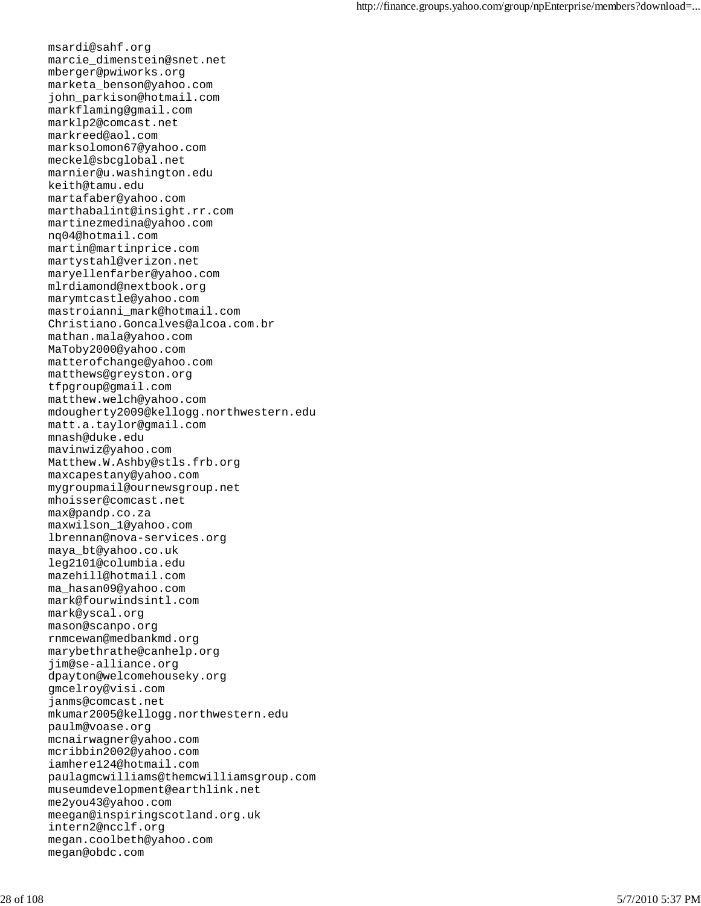msardi@sahf.org marcie\_dimenstein@snet.net mberger@pwiworks.org marketa\_benson@yahoo.com john\_parkison@hotmail.com markflaming@gmail.com marklp2@comcast.net markreed@aol.com marksolomon67@yahoo.com meckel@sbcglobal.net marnier@u.washington.edu keith@tamu.edu martafaber@yahoo.com marthabalint@insight.rr.com martinezmedina@yahoo.com nq04@hotmail.com martin@martinprice.com martystahl@verizon.net maryellenfarber@yahoo.com mlrdiamond@nextbook.org marymtcastle@yahoo.com mastroianni\_mark@hotmail.com Christiano.Goncalves@alcoa.com.br mathan.mala@yahoo.com MaToby2000@yahoo.com matterofchange@yahoo.com matthews@greyston.org tfpgroup@gmail.com matthew.welch@yahoo.com mdougherty2009@kellogg.northwestern.edu matt.a.taylor@gmail.com mnash@duke.edu mavinwiz@yahoo.com Matthew.W.Ashby@stls.frb.org maxcapestany@yahoo.com mygroupmail@ournewsgroup.net mhoisser@comcast.net max@pandp.co.za maxwilson\_1@yahoo.com lbrennan@nova-services.org maya\_bt@yahoo.co.uk leg2101@columbia.edu mazehill@hotmail.com ma\_hasan09@yahoo.com mark@fourwindsintl.com mark@yscal.org mason@scanpo.org rnmcewan@medbankmd.org marybethrathe@canhelp.org jim@se-alliance.org dpayton@welcomehouseky.org gmcelroy@visi.com janms@comcast.net mkumar2005@kellogg.northwestern.edu paulm@voase.org mcnairwagner@yahoo.com mcribbin2002@yahoo.com iamhere124@hotmail.com paulagmcwilliams@themcwilliamsgroup.com museumdevelopment@earthlink.net me2you43@yahoo.com meegan@inspiringscotland.org.uk intern2@ncclf.org megan.coolbeth@yahoo.com megan@obdc.com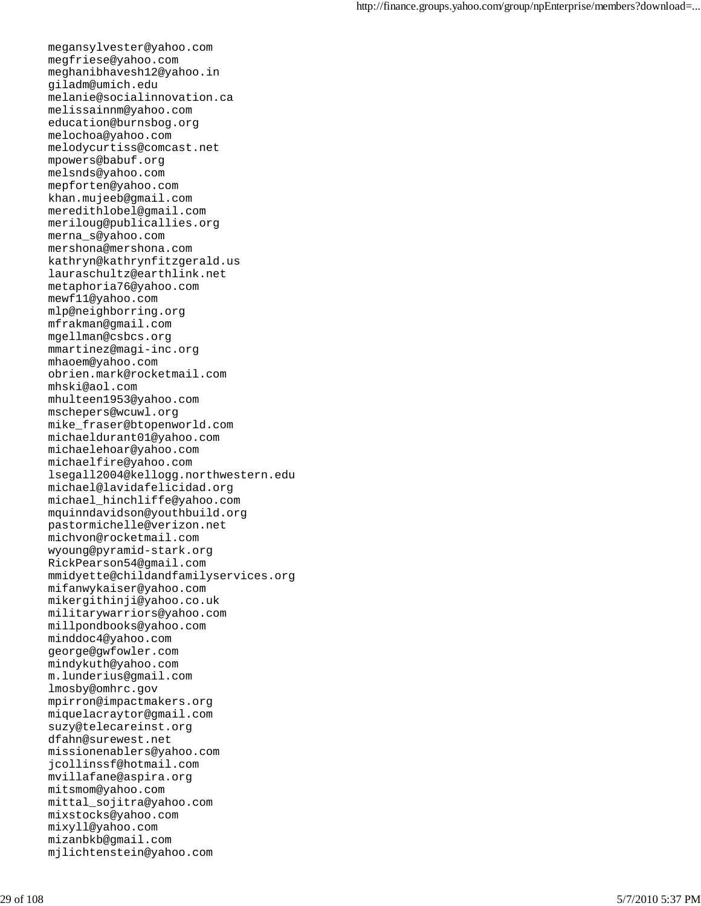megansylvester@yahoo.com megfriese@yahoo.com meghanibhavesh12@yahoo.in giladm@umich.edu melanie@socialinnovation.ca melissainnm@yahoo.com education@burnsbog.org melochoa@yahoo.com melodycurtiss@comcast.net mpowers@babuf.org melsnds@yahoo.com mepforten@yahoo.com khan.mujeeb@gmail.com meredithlobel@gmail.com meriloug@publicallies.org merna\_s@yahoo.com mershona@mershona.com kathryn@kathrynfitzgerald.us lauraschultz@earthlink.net metaphoria76@yahoo.com mewf11@yahoo.com mlp@neighborring.org mfrakman@gmail.com mgellman@csbcs.org mmartinez@magi-inc.org mhaoem@yahoo.com obrien.mark@rocketmail.com mhski@aol.com mhulteen1953@yahoo.com mschepers@wcuwl.org mike\_fraser@btopenworld.com michaeldurant01@yahoo.com michaelehoar@yahoo.com michaelfire@yahoo.com lsegall2004@kellogg.northwestern.edu michael@lavidafelicidad.org michael\_hinchliffe@yahoo.com mquinndavidson@youthbuild.org pastormichelle@verizon.net michvon@rocketmail.com wyoung@pyramid-stark.org RickPearson54@gmail.com mmidyette@childandfamilyservices.org mifanwykaiser@yahoo.com mikergithinji@yahoo.co.uk militarywarriors@yahoo.com millpondbooks@yahoo.com minddoc4@yahoo.com george@gwfowler.com mindykuth@yahoo.com m.lunderius@gmail.com lmosby@omhrc.gov mpirron@impactmakers.org miquelacraytor@gmail.com suzy@telecareinst.org dfahn@surewest.net missionenablers@yahoo.com jcollinssf@hotmail.com mvillafane@aspira.org mitsmom@yahoo.com mittal\_sojitra@yahoo.com mixstocks@yahoo.com mixyll@yahoo.com mizanbkb@gmail.com mjlichtenstein@yahoo.com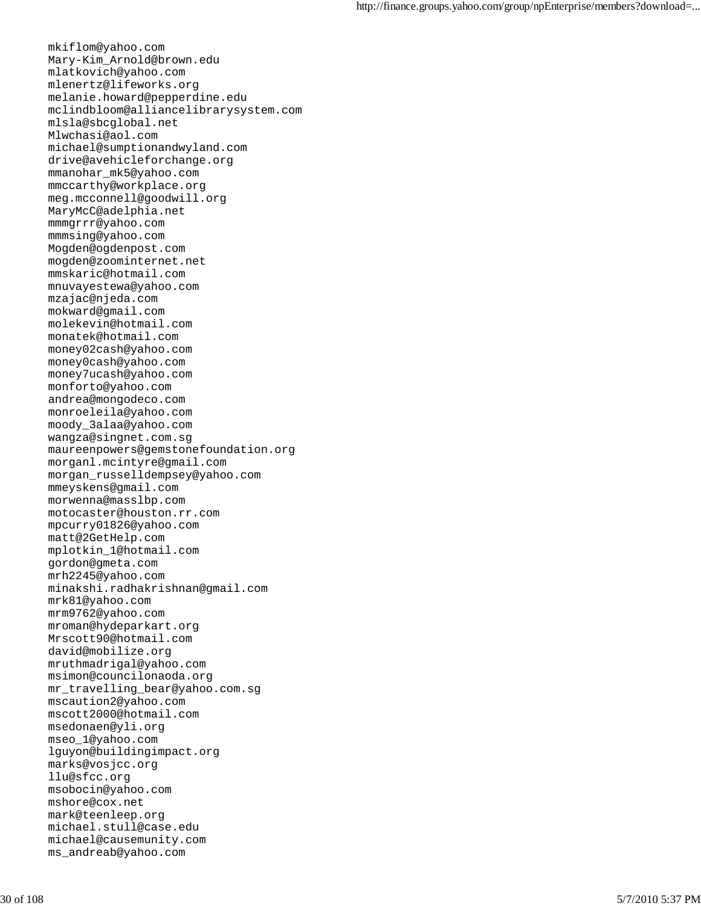mkiflom@yahoo.com Mary-Kim\_Arnold@brown.edu mlatkovich@yahoo.com mlenertz@lifeworks.org melanie.howard@pepperdine.edu mclindbloom@alliancelibrarysystem.com mlsla@sbcglobal.net Mlwchasi@aol.com michael@sumptionandwyland.com drive@avehicleforchange.org mmanohar\_mk5@yahoo.com mmccarthy@workplace.org meg.mcconnell@goodwill.org MaryMcC@adelphia.net mmmgrrr@yahoo.com mmmsing@yahoo.com Mogden@ogdenpost.com mogden@zoominternet.net mmskaric@hotmail.com mnuvayestewa@yahoo.com mzajac@njeda.com mokward@gmail.com molekevin@hotmail.com monatek@hotmail.com money02cash@yahoo.com money0cash@yahoo.com money7ucash@yahoo.com monforto@yahoo.com andrea@mongodeco.com monroeleila@yahoo.com moody\_3alaa@yahoo.com wangza@singnet.com.sg maureenpowers@gemstonefoundation.org morganl.mcintyre@gmail.com morgan\_russelldempsey@yahoo.com mmeyskens@gmail.com morwenna@masslbp.com motocaster@houston.rr.com mpcurry01826@yahoo.com matt@2GetHelp.com mplotkin\_1@hotmail.com gordon@gmeta.com mrh2245@yahoo.com minakshi.radhakrishnan@gmail.com mrk81@yahoo.com mrm9762@yahoo.com mroman@hydeparkart.org Mrscott90@hotmail.com david@mobilize.org mruthmadrigal@yahoo.com msimon@councilonaoda.org mr\_travelling\_bear@yahoo.com.sg mscaution2@yahoo.com mscott2000@hotmail.com msedonaen@yli.org mseo\_1@yahoo.com lguyon@buildingimpact.org marks@vosjcc.org llu@sfcc.org msobocin@yahoo.com mshore@cox.net mark@teenleep.org michael.stull@case.edu michael@causemunity.com ms\_andreab@yahoo.com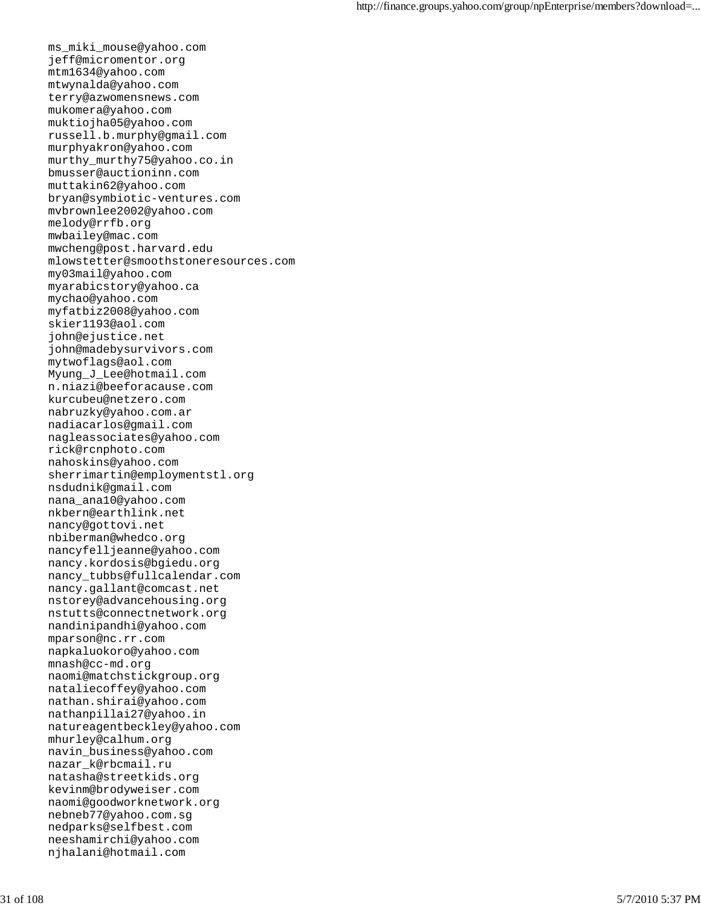ms\_miki\_mouse@yahoo.com jeff@micromentor.org mtm1634@yahoo.com mtwynalda@yahoo.com terry@azwomensnews.com mukomera@yahoo.com muktiojha05@yahoo.com russell.b.murphy@gmail.com murphyakron@yahoo.com murthy\_murthy75@yahoo.co.in bmusser@auctioninn.com muttakin62@yahoo.com bryan@symbiotic-ventures.com mvbrownlee2002@yahoo.com melody@rrfb.org mwbailey@mac.com mwcheng@post.harvard.edu mlowstetter@smoothstoneresources.com my03mail@yahoo.com myarabicstory@yahoo.ca mychao@yahoo.com myfatbiz2008@yahoo.com skier1193@aol.com john@ejustice.net john@madebysurvivors.com mytwoflags@aol.com Myung\_J\_Lee@hotmail.com n.niazi@beeforacause.com kurcubeu@netzero.com nabruzky@yahoo.com.ar nadiacarlos@gmail.com nagleassociates@yahoo.com rick@rcnphoto.com nahoskins@yahoo.com sherrimartin@employmentstl.org nsdudnik@gmail.com nana\_ana10@yahoo.com nkbern@earthlink.net nancy@gottovi.net nbiberman@whedco.org nancyfelljeanne@yahoo.com nancy.kordosis@bgiedu.org nancy\_tubbs@fullcalendar.com nancy.gallant@comcast.net nstorey@advancehousing.org nstutts@connectnetwork.org nandinipandhi@yahoo.com mparson@nc.rr.com napkaluokoro@yahoo.com mnash@cc-md.org naomi@matchstickgroup.org nataliecoffey@yahoo.com nathan.shirai@yahoo.com nathanpillai27@yahoo.in natureagentbeckley@yahoo.com mhurley@calhum.org navin\_business@yahoo.com nazar\_k@rbcmail.ru natasha@streetkids.org kevinm@brodyweiser.com naomi@goodworknetwork.org nebneb77@yahoo.com.sg nedparks@selfbest.com neeshamirchi@yahoo.com njhalani@hotmail.com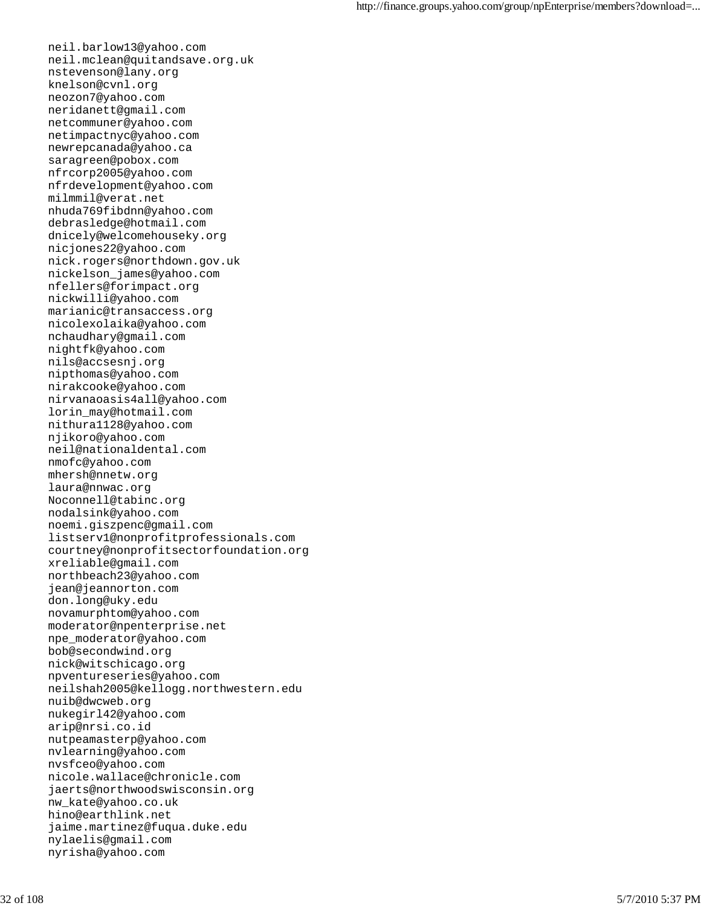neil.barlow13@yahoo.com neil.mclean@quitandsave.org.uk nstevenson@lany.org knelson@cvnl.org neozon7@yahoo.com neridanett@gmail.com netcommuner@yahoo.com netimpactnyc@yahoo.com newrepcanada@yahoo.ca saragreen@pobox.com nfrcorp2005@yahoo.com nfrdevelopment@yahoo.com milmmil@verat.net nhuda769fibdnn@yahoo.com debrasledge@hotmail.com dnicely@welcomehouseky.org nicjones22@yahoo.com nick.rogers@northdown.gov.uk nickelson\_james@yahoo.com nfellers@forimpact.org nickwilli@yahoo.com marianic@transaccess.org nicolexolaika@yahoo.com nchaudhary@gmail.com nightfk@yahoo.com nils@accsesnj.org nipthomas@yahoo.com nirakcooke@yahoo.com nirvanaoasis4all@yahoo.com lorin\_may@hotmail.com nithura1128@yahoo.com njikoro@yahoo.com neil@nationaldental.com nmofc@yahoo.com mhersh@nnetw.org laura@nnwac.org Noconnell@tabinc.org nodalsink@yahoo.com noemi.giszpenc@gmail.com listserv1@nonprofitprofessionals.com courtney@nonprofitsectorfoundation.org xreliable@gmail.com northbeach23@yahoo.com jean@jeannorton.com don.long@uky.edu novamurphtom@yahoo.com moderator@npenterprise.net npe\_moderator@yahoo.com bob@secondwind.org nick@witschicago.org npventureseries@yahoo.com neilshah2005@kellogg.northwestern.edu nuib@dwcweb.org nukegirl42@yahoo.com arip@nrsi.co.id nutpeamasterp@yahoo.com nvlearning@yahoo.com nvsfceo@yahoo.com nicole.wallace@chronicle.com jaerts@northwoodswisconsin.org nw\_kate@yahoo.co.uk hino@earthlink.net jaime.martinez@fuqua.duke.edu nylaelis@gmail.com nyrisha@yahoo.com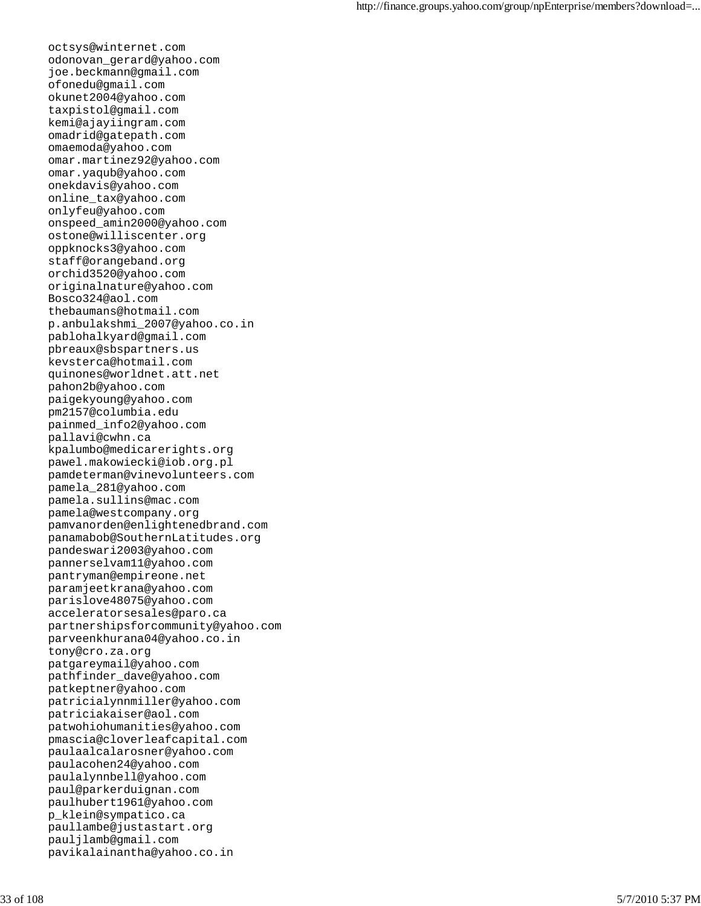octsys@winternet.com odonovan\_gerard@yahoo.com joe.beckmann@gmail.com ofonedu@gmail.com okunet2004@yahoo.com taxpistol@gmail.com kemi@ajayiingram.com omadrid@gatepath.com omaemoda@yahoo.com omar.martinez92@yahoo.com omar.yaqub@yahoo.com onekdavis@yahoo.com online\_tax@yahoo.com onlyfeu@yahoo.com onspeed\_amin2000@yahoo.com ostone@williscenter.org oppknocks3@yahoo.com staff@orangeband.org orchid3520@yahoo.com originalnature@yahoo.com Bosco324@aol.com thebaumans@hotmail.com p.anbulakshmi\_2007@yahoo.co.in pablohalkyard@gmail.com pbreaux@sbspartners.us kevsterca@hotmail.com quinones@worldnet.att.net pahon2b@yahoo.com paigekyoung@yahoo.com pm2157@columbia.edu painmed\_info2@yahoo.com pallavi@cwhn.ca kpalumbo@medicarerights.org pawel.makowiecki@iob.org.pl pamdeterman@vinevolunteers.com pamela\_281@yahoo.com pamela.sullins@mac.com pamela@westcompany.org pamvanorden@enlightenedbrand.com panamabob@SouthernLatitudes.org pandeswari2003@yahoo.com pannerselvam11@yahoo.com pantryman@empireone.net paramjeetkrana@yahoo.com parislove48075@yahoo.com acceleratorsesales@paro.ca partnershipsforcommunity@yahoo.com parveenkhurana04@yahoo.co.in tony@cro.za.org patgareymail@yahoo.com pathfinder\_dave@yahoo.com patkeptner@yahoo.com patricialynnmiller@yahoo.com patriciakaiser@aol.com patwohiohumanities@yahoo.com pmascia@cloverleafcapital.com paulaalcalarosner@yahoo.com paulacohen24@yahoo.com paulalynnbell@yahoo.com paul@parkerduignan.com paulhubert1961@yahoo.com p\_klein@sympatico.ca paullambe@justastart.org pauljlamb@gmail.com pavikalainantha@yahoo.co.in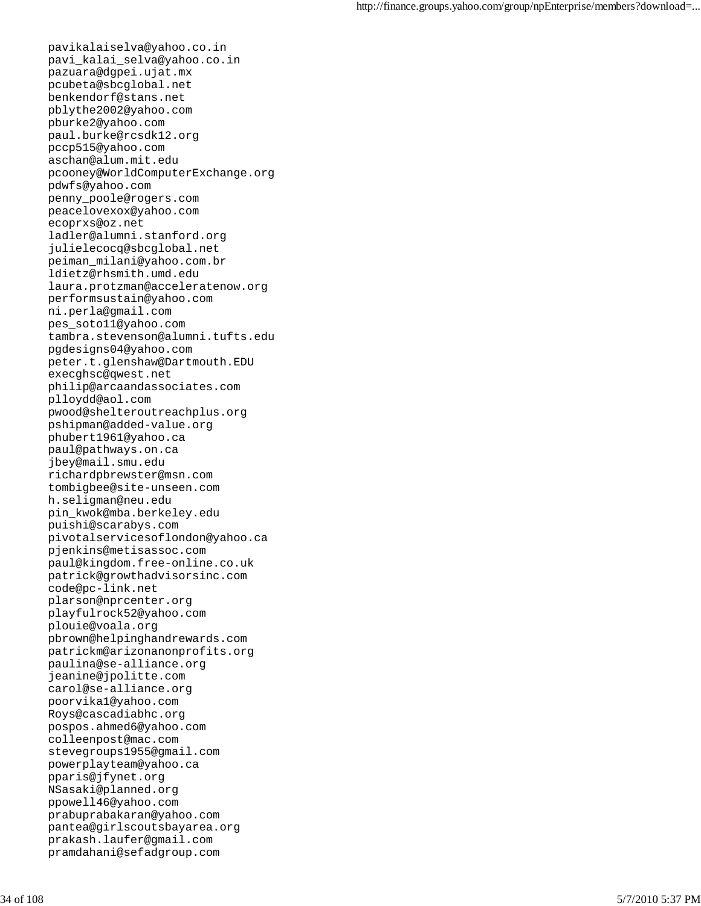pavikalaiselva@yahoo.co.in pavi\_kalai\_selva@yahoo.co.in pazuara@dgpei.ujat.mx pcubeta@sbcglobal.net benkendorf@stans.net pblythe2002@yahoo.com pburke2@yahoo.com paul.burke@rcsdk12.org pccp515@yahoo.com aschan@alum.mit.edu pcooney@WorldComputerExchange.org pdwfs@yahoo.com penny\_poole@rogers.com peacelovexox@yahoo.com ecoprxs@oz.net ladler@alumni.stanford.org julielecocq@sbcglobal.net peiman\_milani@yahoo.com.br ldietz@rhsmith.umd.edu laura.protzman@acceleratenow.org performsustain@yahoo.com ni.perla@gmail.com pes\_soto11@yahoo.com tambra.stevenson@alumni.tufts.edu pgdesigns04@yahoo.com peter.t.glenshaw@Dartmouth.EDU execghsc@qwest.net philip@arcaandassociates.com plloydd@aol.com pwood@shelteroutreachplus.org pshipman@added-value.org phubert1961@yahoo.ca paul@pathways.on.ca jbey@mail.smu.edu richardpbrewster@msn.com tombigbee@site-unseen.com h.seligman@neu.edu pin\_kwok@mba.berkeley.edu puishi@scarabys.com pivotalservicesoflondon@yahoo.ca pjenkins@metisassoc.com paul@kingdom.free-online.co.uk patrick@growthadvisorsinc.com code@pc-link.net plarson@nprcenter.org playfulrock52@yahoo.com plouie@voala.org pbrown@helpinghandrewards.com patrickm@arizonanonprofits.org paulina@se-alliance.org jeanine@jpolitte.com carol@se-alliance.org poorvika1@yahoo.com Roys@cascadiabhc.org pospos.ahmed6@yahoo.com colleenpost@mac.com stevegroups1955@gmail.com powerplayteam@yahoo.ca pparis@jfynet.org NSasaki@planned.org ppowell46@yahoo.com prabuprabakaran@yahoo.com pantea@girlscoutsbayarea.org prakash.laufer@gmail.com pramdahani@sefadgroup.com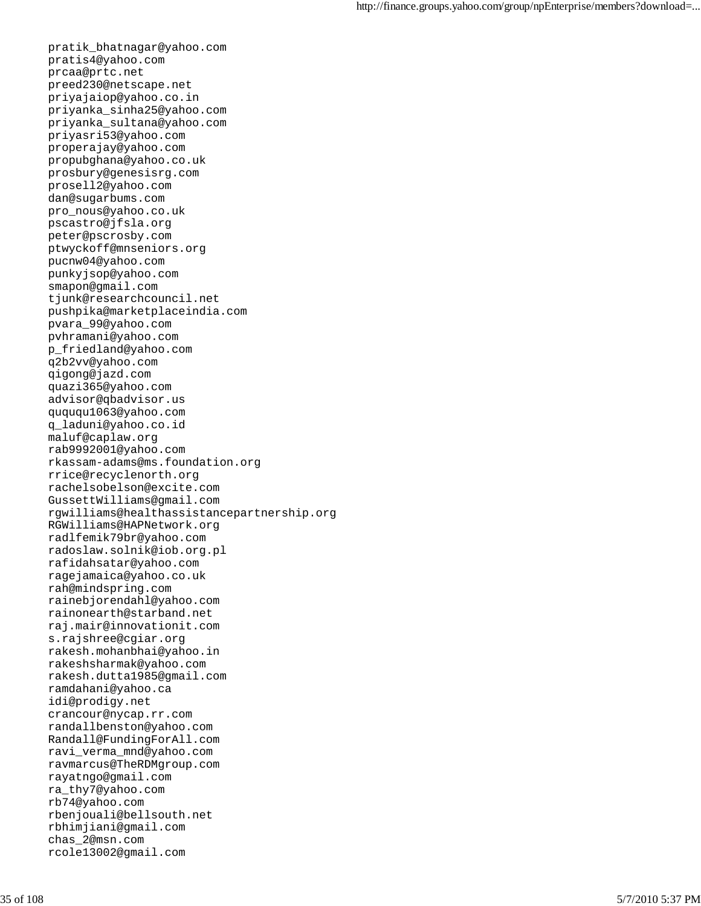pratik\_bhatnagar@yahoo.com pratis4@yahoo.com prcaa@prtc.net preed230@netscape.net priyajaiop@yahoo.co.in priyanka\_sinha25@yahoo.com priyanka\_sultana@yahoo.com priyasri53@yahoo.com properajay@yahoo.com propubghana@yahoo.co.uk prosbury@genesisrg.com prosell2@yahoo.com dan@sugarbums.com pro\_nous@yahoo.co.uk pscastro@jfsla.org peter@pscrosby.com ptwyckoff@mnseniors.org pucnw04@yahoo.com punkyjsop@yahoo.com smapon@gmail.com tjunk@researchcouncil.net pushpika@marketplaceindia.com pvara\_99@yahoo.com pvhramani@yahoo.com p\_friedland@yahoo.com q2b2vv@yahoo.com qigong@jazd.com quazi365@yahoo.com advisor@qbadvisor.us quququ1063@yahoo.com q\_laduni@yahoo.co.id maluf@caplaw.org rab9992001@yahoo.com rkassam-adams@ms.foundation.org rrice@recyclenorth.org rachelsobelson@excite.com GussettWilliams@gmail.com rgwilliams@healthassistancepartnership.org RGWilliams@HAPNetwork.org radlfemik79br@yahoo.com radoslaw.solnik@iob.org.pl rafidahsatar@yahoo.com ragejamaica@yahoo.co.uk rah@mindspring.com rainebjorendahl@yahoo.com rainonearth@starband.net raj.mair@innovationit.com s.rajshree@cgiar.org rakesh.mohanbhai@yahoo.in rakeshsharmak@yahoo.com rakesh.dutta1985@gmail.com ramdahani@yahoo.ca idi@prodigy.net crancour@nycap.rr.com randallbenston@yahoo.com Randall@FundingForAll.com ravi\_verma\_mnd@yahoo.com ravmarcus@TheRDMgroup.com rayatngo@gmail.com ra\_thy7@yahoo.com rb74@yahoo.com rbenjouali@bellsouth.net rbhimjiani@gmail.com chas\_2@msn.com rcole13002@gmail.com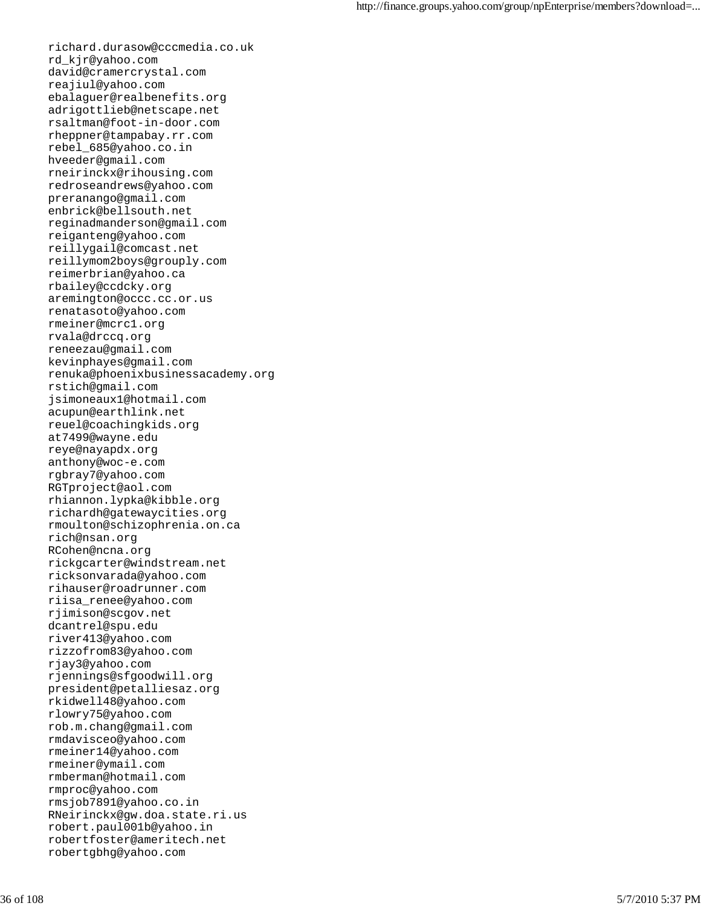richard.durasow@cccmedia.co.uk rd\_kjr@yahoo.com david@cramercrystal.com reajiul@yahoo.com ebalaguer@realbenefits.org adrigottlieb@netscape.net rsaltman@foot-in-door.com rheppner@tampabay.rr.com rebel\_685@yahoo.co.in hveeder@gmail.com rneirinckx@rihousing.com redroseandrews@yahoo.com preranango@gmail.com enbrick@bellsouth.net reginadmanderson@gmail.com reiganteng@yahoo.com reillygail@comcast.net reillymom2boys@grouply.com reimerbrian@yahoo.ca rbailey@ccdcky.org aremington@occc.cc.or.us renatasoto@yahoo.com rmeiner@mcrc1.org rvala@drccq.org reneezau@gmail.com kevinphayes@gmail.com renuka@phoenixbusinessacademy.org rstich@gmail.com jsimoneaux1@hotmail.com acupun@earthlink.net reuel@coachingkids.org at7499@wayne.edu reye@nayapdx.org anthony@woc-e.com rgbray7@yahoo.com RGTproject@aol.com rhiannon.lypka@kibble.org richardh@gatewaycities.org rmoulton@schizophrenia.on.ca rich@nsan.org RCohen@ncna.org rickgcarter@windstream.net ricksonvarada@yahoo.com rihauser@roadrunner.com riisa\_renee@yahoo.com rjimison@scgov.net dcantrel@spu.edu river413@yahoo.com rizzofrom83@yahoo.com rjay3@yahoo.com rjennings@sfgoodwill.org president@petalliesaz.org rkidwell48@yahoo.com rlowry75@yahoo.com rob.m.chang@gmail.com rmdavisceo@yahoo.com rmeiner14@yahoo.com rmeiner@ymail.com rmberman@hotmail.com rmproc@yahoo.com rmsjob7891@yahoo.co.in RNeirinckx@gw.doa.state.ri.us robert.paul001b@yahoo.in robertfoster@ameritech.net robertgbhg@yahoo.com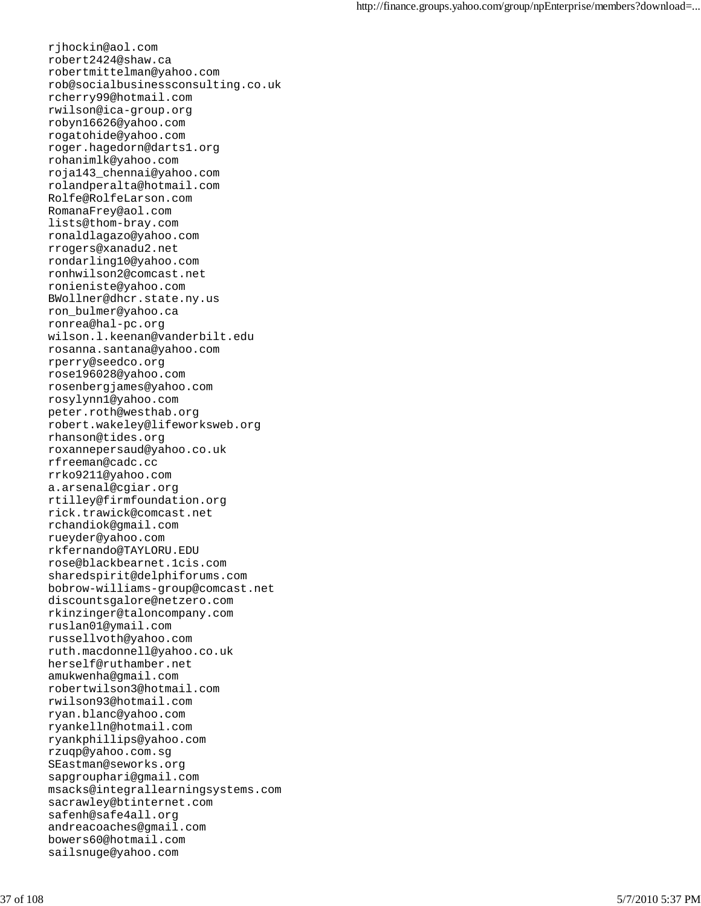rjhockin@aol.com robert2424@shaw.ca robertmittelman@yahoo.com rob@socialbusinessconsulting.co.uk rcherry99@hotmail.com rwilson@ica-group.org robyn16626@yahoo.com rogatohide@yahoo.com roger.hagedorn@darts1.org rohanimlk@yahoo.com roja143\_chennai@yahoo.com rolandperalta@hotmail.com Rolfe@RolfeLarson.com RomanaFrey@aol.com lists@thom-bray.com ronaldlagazo@yahoo.com rrogers@xanadu2.net rondarling10@yahoo.com ronhwilson2@comcast.net ronieniste@yahoo.com BWollner@dhcr.state.ny.us ron\_bulmer@yahoo.ca ronrea@hal-pc.org wilson.l.keenan@vanderbilt.edu rosanna.santana@yahoo.com rperry@seedco.org rose196028@yahoo.com rosenbergjames@yahoo.com rosylynn1@yahoo.com peter.roth@westhab.org robert.wakeley@lifeworksweb.org rhanson@tides.org roxannepersaud@yahoo.co.uk rfreeman@cadc.cc rrko9211@yahoo.com a.arsenal@cgiar.org rtilley@firmfoundation.org rick.trawick@comcast.net rchandiok@gmail.com rueyder@yahoo.com rkfernando@TAYLORU.EDU rose@blackbearnet.1cis.com sharedspirit@delphiforums.com bobrow-williams-group@comcast.net discountsgalore@netzero.com rkinzinger@taloncompany.com ruslan01@ymail.com russellvoth@yahoo.com ruth.macdonnell@yahoo.co.uk herself@ruthamber.net amukwenha@gmail.com robertwilson3@hotmail.com rwilson93@hotmail.com ryan.blanc@yahoo.com ryankelln@hotmail.com ryankphillips@yahoo.com rzuqp@yahoo.com.sg SEastman@seworks.org sapgrouphari@gmail.com msacks@integrallearningsystems.com sacrawley@btinternet.com safenh@safe4all.org andreacoaches@gmail.com bowers60@hotmail.com sailsnuge@yahoo.com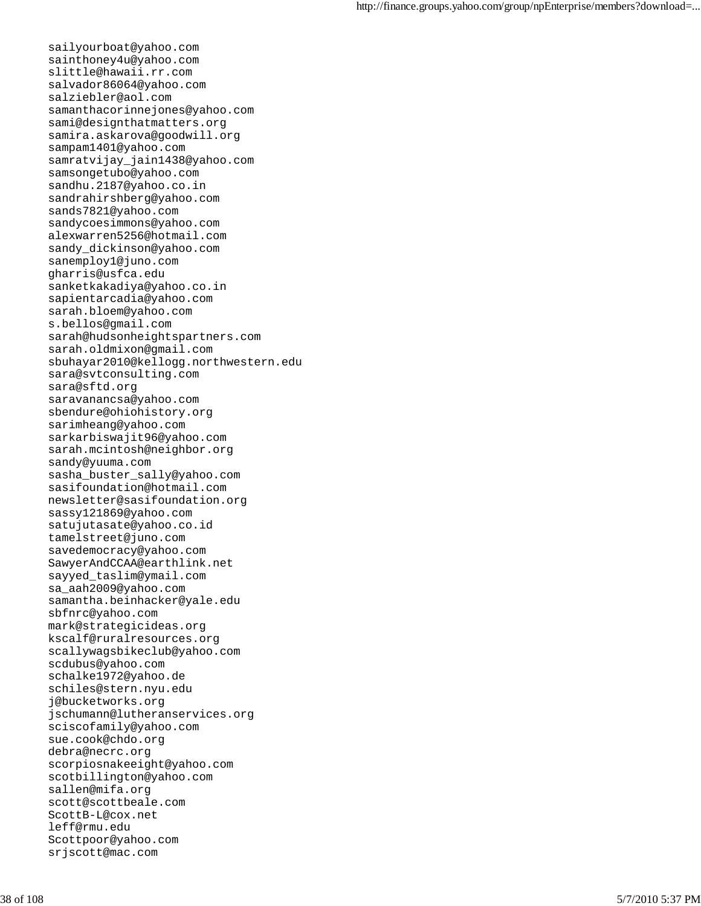sailyourboat@yahoo.com sainthoney4u@yahoo.com slittle@hawaii.rr.com salvador86064@yahoo.com salziebler@aol.com samanthacorinnejones@yahoo.com sami@designthatmatters.org samira.askarova@goodwill.org sampam1401@yahoo.com samratvijay\_jain1438@yahoo.com samsongetubo@yahoo.com sandhu.2187@yahoo.co.in sandrahirshberg@yahoo.com sands7821@yahoo.com sandycoesimmons@yahoo.com alexwarren5256@hotmail.com sandy\_dickinson@yahoo.com sanemploy1@juno.com gharris@usfca.edu sanketkakadiya@yahoo.co.in sapientarcadia@yahoo.com sarah.bloem@yahoo.com s.bellos@gmail.com sarah@hudsonheightspartners.com sarah.oldmixon@gmail.com sbuhayar2010@kellogg.northwestern.edu sara@svtconsulting.com sara@sftd.org saravanancsa@yahoo.com sbendure@ohiohistory.org sarimheang@yahoo.com sarkarbiswajit96@yahoo.com sarah.mcintosh@neighbor.org sandy@yuuma.com sasha\_buster\_sally@yahoo.com sasifoundation@hotmail.com newsletter@sasifoundation.org sassy121869@yahoo.com satujutasate@yahoo.co.id tamelstreet@juno.com savedemocracy@yahoo.com SawyerAndCCAA@earthlink.net sayyed\_taslim@ymail.com sa\_aah2009@yahoo.com samantha.beinhacker@yale.edu sbfnrc@yahoo.com mark@strategicideas.org kscalf@ruralresources.org scallywagsbikeclub@yahoo.com scdubus@yahoo.com schalke1972@yahoo.de schiles@stern.nyu.edu j@bucketworks.org jschumann@lutheranservices.org sciscofamily@yahoo.com sue.cook@chdo.org debra@necrc.org scorpiosnakeeight@yahoo.com scotbillington@yahoo.com sallen@mifa.org scott@scottbeale.com ScottB-L@cox.net leff@rmu.edu Scottpoor@yahoo.com srjscott@mac.com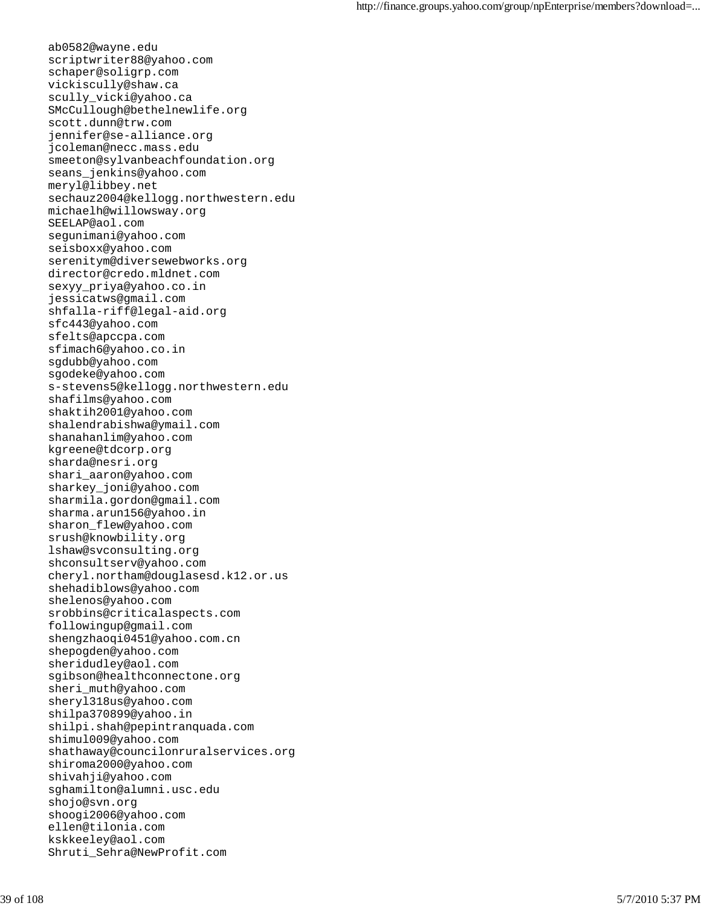ab0582@wayne.edu scriptwriter88@yahoo.com schaper@soligrp.com vickiscully@shaw.ca scully\_vicki@yahoo.ca SMcCullough@bethelnewlife.org scott.dunn@trw.com jennifer@se-alliance.org jcoleman@necc.mass.edu smeeton@sylvanbeachfoundation.org seans\_jenkins@yahoo.com meryl@libbey.net sechauz2004@kellogg.northwestern.edu michaelh@willowsway.org SEELAP@aol.com segunimani@yahoo.com seisboxx@yahoo.com serenitym@diversewebworks.org director@credo.mldnet.com sexyy\_priya@yahoo.co.in jessicatws@gmail.com shfalla-riff@legal-aid.org sfc443@yahoo.com sfelts@apccpa.com sfimach6@yahoo.co.in sgdubb@yahoo.com sgodeke@yahoo.com s-stevens5@kellogg.northwestern.edu shafilms@yahoo.com shaktih2001@yahoo.com shalendrabishwa@ymail.com shanahanlim@yahoo.com kgreene@tdcorp.org sharda@nesri.org shari\_aaron@yahoo.com sharkey\_joni@yahoo.com sharmila.gordon@gmail.com sharma.arun156@yahoo.in sharon\_flew@yahoo.com srush@knowbility.org lshaw@svconsulting.org shconsultserv@yahoo.com cheryl.northam@douglasesd.k12.or.us shehadiblows@yahoo.com shelenos@yahoo.com srobbins@criticalaspects.com followingup@gmail.com shengzhaoqi0451@yahoo.com.cn shepogden@yahoo.com sheridudley@aol.com sgibson@healthconnectone.org sheri\_muth@yahoo.com sheryl318us@yahoo.com shilpa370899@yahoo.in shilpi.shah@pepintranquada.com shimul009@yahoo.com shathaway@councilonruralservices.org shiroma2000@yahoo.com shivahji@yahoo.com sghamilton@alumni.usc.edu shojo@svn.org shoogi2006@yahoo.com ellen@tilonia.com kskkeeley@aol.com Shruti\_Sehra@NewProfit.com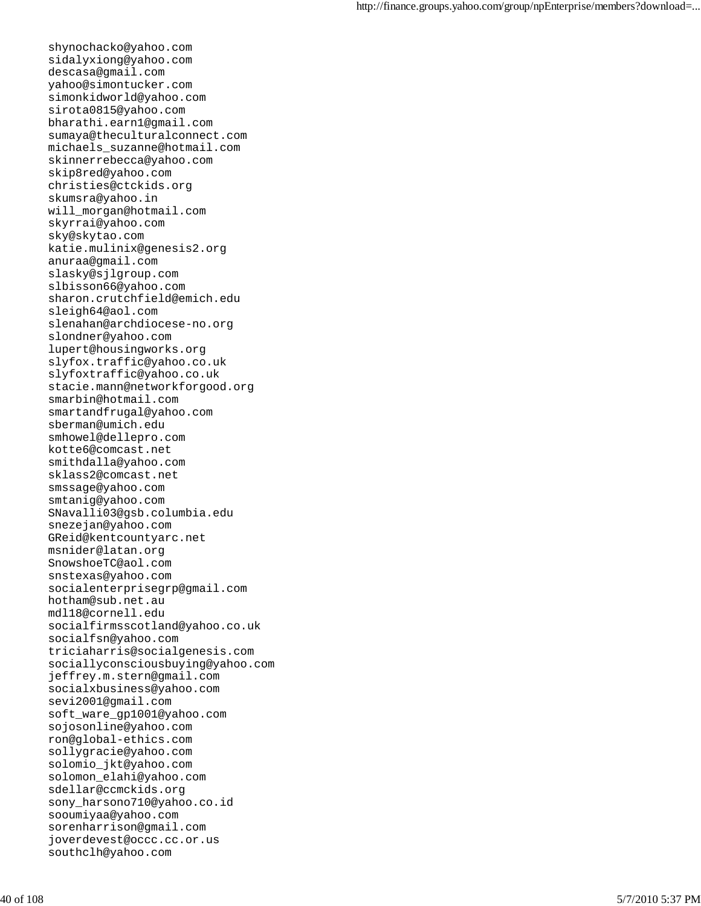shynochacko@yahoo.com sidalyxiong@yahoo.com descasa@gmail.com yahoo@simontucker.com simonkidworld@yahoo.com sirota0815@yahoo.com bharathi.earn1@gmail.com sumaya@theculturalconnect.com michaels\_suzanne@hotmail.com skinnerrebecca@yahoo.com skip8red@yahoo.com christies@ctckids.org skumsra@yahoo.in will\_morgan@hotmail.com skyrrai@yahoo.com sky@skytao.com katie.mulinix@genesis2.org anuraa@gmail.com slasky@sjlgroup.com slbisson66@yahoo.com sharon.crutchfield@emich.edu sleigh64@aol.com slenahan@archdiocese-no.org slondner@yahoo.com lupert@housingworks.org slyfox.traffic@yahoo.co.uk slyfoxtraffic@yahoo.co.uk stacie.mann@networkforgood.org smarbin@hotmail.com smartandfrugal@yahoo.com sberman@umich.edu smhowel@dellepro.com kotte6@comcast.net smithdalla@yahoo.com sklass2@comcast.net smssage@yahoo.com smtanig@yahoo.com SNavalli03@gsb.columbia.edu snezejan@yahoo.com GReid@kentcountyarc.net msnider@latan.org SnowshoeTC@aol.com snstexas@yahoo.com socialenterprisegrp@gmail.com hotham@sub.net.au mdl18@cornell.edu socialfirmsscotland@yahoo.co.uk socialfsn@yahoo.com triciaharris@socialgenesis.com sociallyconsciousbuying@yahoo.com jeffrey.m.stern@gmail.com socialxbusiness@yahoo.com sevi2001@gmail.com soft\_ware\_gp1001@yahoo.com sojosonline@yahoo.com ron@global-ethics.com sollygracie@yahoo.com solomio\_jkt@yahoo.com solomon\_elahi@yahoo.com sdellar@ccmckids.org sony\_harsono710@yahoo.co.id sooumiyaa@yahoo.com sorenharrison@gmail.com joverdevest@occc.cc.or.us southclh@yahoo.com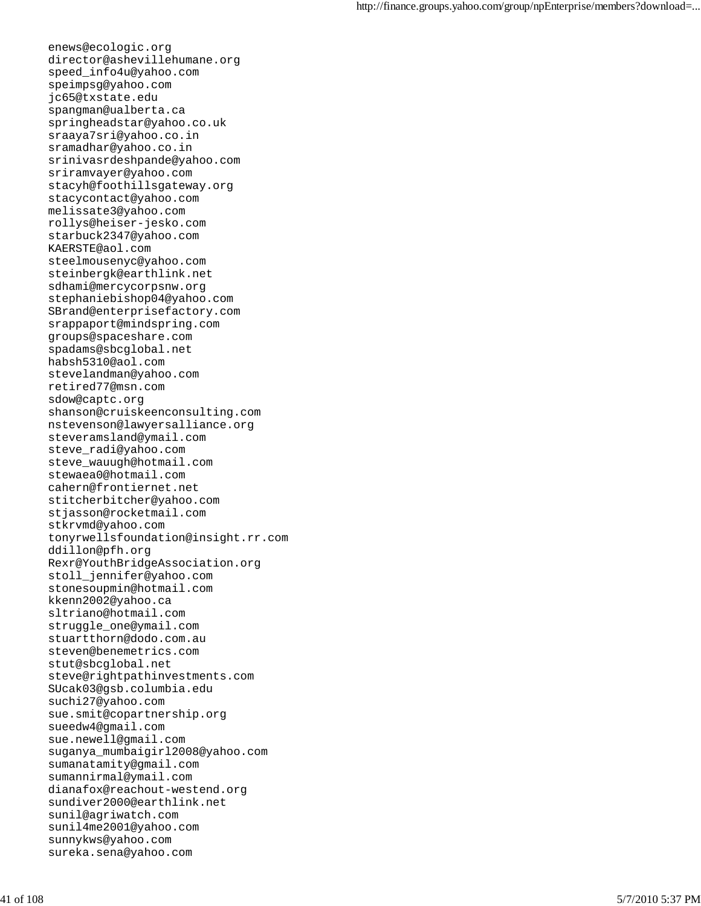enews@ecologic.org director@ashevillehumane.org speed\_info4u@yahoo.com speimpsg@yahoo.com jc65@txstate.edu spangman@ualberta.ca springheadstar@yahoo.co.uk sraaya7sri@yahoo.co.in sramadhar@yahoo.co.in srinivasrdeshpande@yahoo.com sriramvayer@yahoo.com stacyh@foothillsgateway.org stacycontact@yahoo.com melissate3@yahoo.com rollys@heiser-jesko.com starbuck2347@yahoo.com KAERSTE@aol.com steelmousenyc@yahoo.com steinbergk@earthlink.net sdhami@mercycorpsnw.org stephaniebishop04@yahoo.com SBrand@enterprisefactory.com srappaport@mindspring.com groups@spaceshare.com spadams@sbcglobal.net habsh5310@aol.com stevelandman@yahoo.com retired77@msn.com sdow@captc.org shanson@cruiskeenconsulting.com nstevenson@lawyersalliance.org steveramsland@ymail.com steve\_radi@yahoo.com steve\_wauugh@hotmail.com stewaea0@hotmail.com cahern@frontiernet.net stitcherbitcher@yahoo.com stjasson@rocketmail.com stkrvmd@yahoo.com tonyrwellsfoundation@insight.rr.com ddillon@pfh.org Rexr@YouthBridgeAssociation.org stoll\_jennifer@yahoo.com stonesoupmin@hotmail.com kkenn2002@yahoo.ca sltriano@hotmail.com struggle\_one@ymail.com stuartthorn@dodo.com.au steven@benemetrics.com stut@sbcglobal.net steve@rightpathinvestments.com SUcak03@gsb.columbia.edu suchi27@yahoo.com sue.smit@copartnership.org sueedw4@gmail.com sue.newell@gmail.com suganya\_mumbaigirl2008@yahoo.com sumanatamity@gmail.com sumannirmal@ymail.com dianafox@reachout-westend.org sundiver2000@earthlink.net sunil@agriwatch.com sunil4me2001@yahoo.com sunnykws@yahoo.com sureka.sena@yahoo.com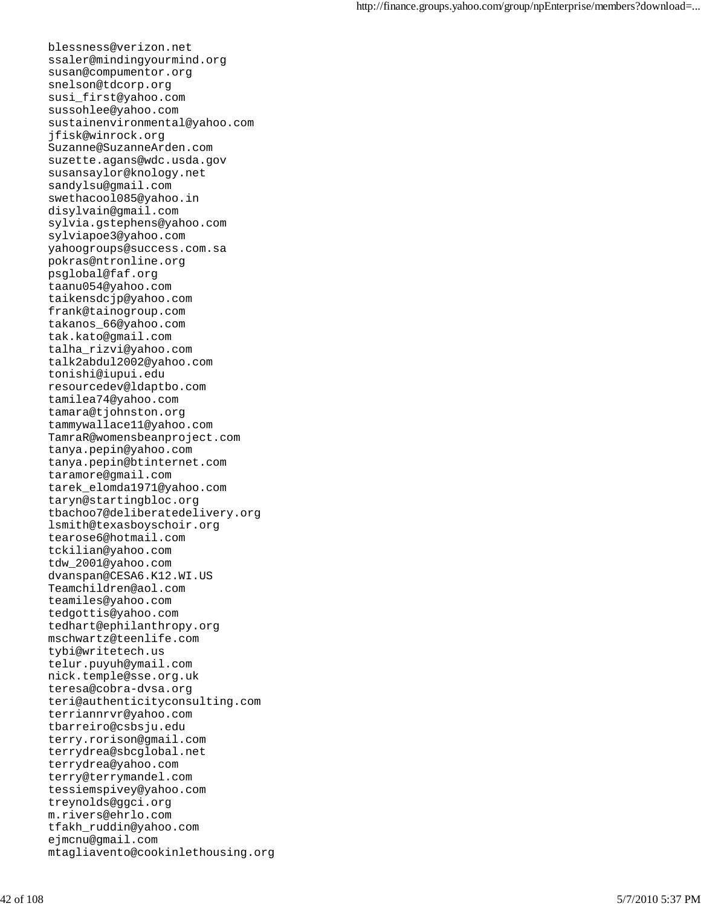blessness@verizon.net ssaler@mindingyourmind.org susan@compumentor.org snelson@tdcorp.org susi\_first@yahoo.com sussohlee@yahoo.com sustainenvironmental@yahoo.com jfisk@winrock.org Suzanne@SuzanneArden.com suzette.agans@wdc.usda.gov susansaylor@knology.net sandylsu@gmail.com swethacool085@yahoo.in disylvain@gmail.com sylvia.gstephens@yahoo.com sylviapoe3@yahoo.com yahoogroups@success.com.sa pokras@ntronline.org psglobal@faf.org taanu054@yahoo.com taikensdcjp@yahoo.com frank@tainogroup.com takanos\_66@yahoo.com tak.kato@gmail.com talha\_rizvi@yahoo.com talk2abdul2002@yahoo.com tonishi@iupui.edu resourcedev@ldaptbo.com tamilea74@yahoo.com tamara@tjohnston.org tammywallace11@yahoo.com TamraR@womensbeanproject.com tanya.pepin@yahoo.com tanya.pepin@btinternet.com taramore@gmail.com tarek\_elomda1971@yahoo.com taryn@startingbloc.org tbachoo7@deliberatedelivery.org lsmith@texasboyschoir.org tearose6@hotmail.com tckilian@yahoo.com tdw\_2001@yahoo.com dvanspan@CESA6.K12.WI.US Teamchildren@aol.com teamiles@yahoo.com tedgottis@yahoo.com tedhart@ephilanthropy.org mschwartz@teenlife.com tybi@writetech.us telur.puyuh@ymail.com nick.temple@sse.org.uk teresa@cobra-dvsa.org teri@authenticityconsulting.com terriannrvr@yahoo.com tbarreiro@csbsju.edu terry.rorison@gmail.com terrydrea@sbcglobal.net terrydrea@yahoo.com terry@terrymandel.com tessiemspivey@yahoo.com treynolds@ggci.org m.rivers@ehrlo.com tfakh\_ruddin@yahoo.com ejmcnu@gmail.com mtagliavento@cookinlethousing.org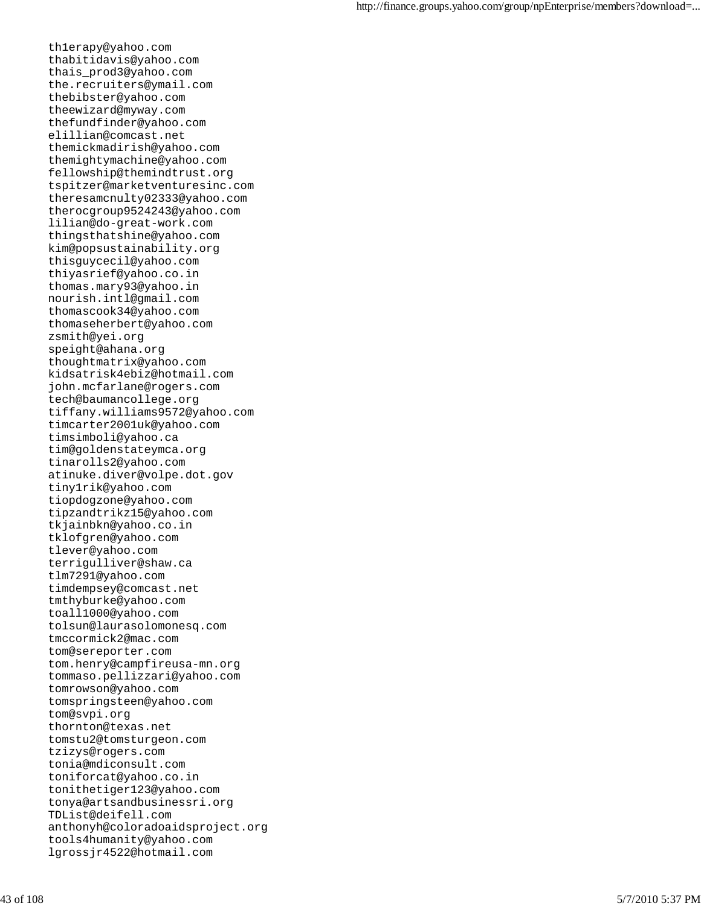th1erapy@yahoo.com thabitidavis@yahoo.com thais\_prod3@yahoo.com the.recruiters@ymail.com thebibster@yahoo.com theewizard@myway.com thefundfinder@yahoo.com elillian@comcast.net themickmadirish@yahoo.com themightymachine@yahoo.com fellowship@themindtrust.org tspitzer@marketventuresinc.com theresamcnulty02333@yahoo.com therocgroup9524243@yahoo.com lilian@do-great-work.com thingsthatshine@yahoo.com kim@popsustainability.org thisguycecil@yahoo.com thiyasrief@yahoo.co.in thomas.mary93@yahoo.in nourish.intl@gmail.com thomascook34@yahoo.com thomaseherbert@yahoo.com zsmith@yei.org speight@ahana.org thoughtmatrix@yahoo.com kidsatrisk4ebiz@hotmail.com john.mcfarlane@rogers.com tech@baumancollege.org tiffany.williams9572@yahoo.com timcarter2001uk@yahoo.com timsimboli@yahoo.ca tim@goldenstateymca.org tinarolls2@yahoo.com atinuke.diver@volpe.dot.gov tiny1rik@yahoo.com tiopdogzone@yahoo.com tipzandtrikz15@yahoo.com tkjainbkn@yahoo.co.in tklofgren@yahoo.com tlever@yahoo.com terrigulliver@shaw.ca tlm7291@yahoo.com timdempsey@comcast.net tmthyburke@yahoo.com toall1000@yahoo.com tolsun@laurasolomonesq.com tmccormick2@mac.com tom@sereporter.com tom.henry@campfireusa-mn.org tommaso.pellizzari@yahoo.com tomrowson@yahoo.com tomspringsteen@yahoo.com tom@svpi.org thornton@texas.net tomstu2@tomsturgeon.com tzizys@rogers.com tonia@mdiconsult.com toniforcat@yahoo.co.in tonithetiger123@yahoo.com tonya@artsandbusinessri.org TDList@deifell.com anthonyh@coloradoaidsproject.org tools4humanity@yahoo.com lgrossjr4522@hotmail.com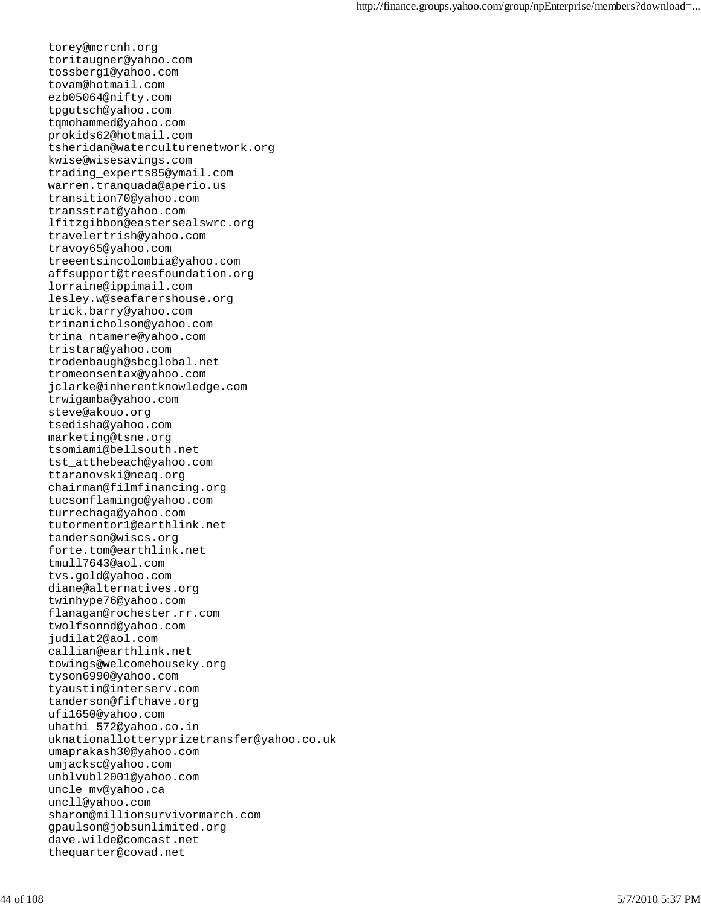torey@mcrcnh.org toritaugner@yahoo.com tossberg1@yahoo.com tovam@hotmail.com ezb05064@nifty.com tpgutsch@yahoo.com tqmohammed@yahoo.com prokids62@hotmail.com tsheridan@waterculturenetwork.org kwise@wisesavings.com trading\_experts85@ymail.com warren.tranquada@aperio.us transition70@yahoo.com transstrat@yahoo.com lfitzgibbon@eastersealswrc.org travelertrish@yahoo.com travoy65@yahoo.com treeentsincolombia@yahoo.com affsupport@treesfoundation.org lorraine@ippimail.com lesley.w@seafarershouse.org trick.barry@yahoo.com trinanicholson@yahoo.com trina\_ntamere@yahoo.com tristara@yahoo.com trodenbaugh@sbcglobal.net tromeonsentax@yahoo.com jclarke@inherentknowledge.com trwigamba@yahoo.com steve@akouo.org tsedisha@yahoo.com marketing@tsne.org tsomiami@bellsouth.net tst\_atthebeach@yahoo.com ttaranovski@neaq.org chairman@filmfinancing.org tucsonflamingo@yahoo.com turrechaga@yahoo.com tutormentor1@earthlink.net tanderson@wiscs.org forte.tom@earthlink.net tmull7643@aol.com tvs.gold@yahoo.com diane@alternatives.org twinhype76@yahoo.com flanagan@rochester.rr.com twolfsonnd@yahoo.com judilat2@aol.com callian@earthlink.net towings@welcomehouseky.org tyson6990@yahoo.com tyaustin@interserv.com tanderson@fifthave.org ufi1650@yahoo.com uhathi\_572@yahoo.co.in uknationallotteryprizetransfer@yahoo.co.uk umaprakash30@yahoo.com umjacksc@yahoo.com unblvubl2001@yahoo.com uncle\_mv@yahoo.ca uncll@yahoo.com sharon@millionsurvivormarch.com gpaulson@jobsunlimited.org dave.wilde@comcast.net thequarter@covad.net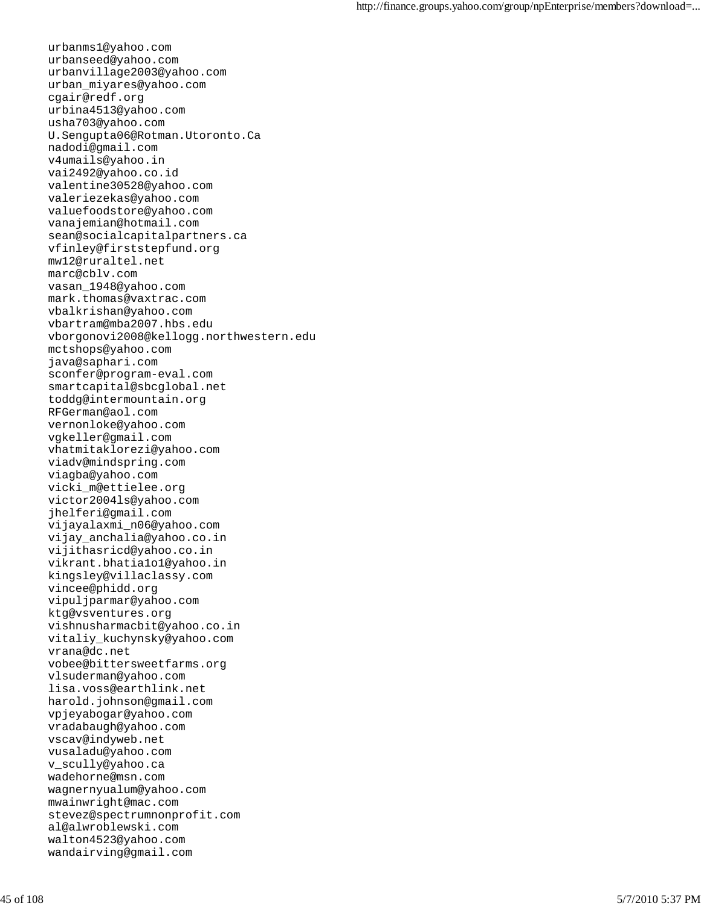urbanms1@yahoo.com urbanseed@yahoo.com urbanvillage2003@yahoo.com urban\_miyares@yahoo.com cgair@redf.org urbina4513@yahoo.com usha703@yahoo.com U.Sengupta06@Rotman.Utoronto.Ca nadodi@gmail.com v4umails@yahoo.in vai2492@yahoo.co.id valentine30528@yahoo.com valeriezekas@yahoo.com valuefoodstore@yahoo.com vanajemian@hotmail.com sean@socialcapitalpartners.ca vfinley@firststepfund.org mw12@ruraltel.net marc@cblv.com vasan\_1948@yahoo.com mark.thomas@vaxtrac.com vbalkrishan@yahoo.com vbartram@mba2007.hbs.edu vborgonovi2008@kellogg.northwestern.edu mctshops@yahoo.com java@saphari.com sconfer@program-eval.com smartcapital@sbcglobal.net toddg@intermountain.org RFGerman@aol.com vernonloke@yahoo.com vgkeller@gmail.com vhatmitaklorezi@yahoo.com viadv@mindspring.com viagba@yahoo.com vicki\_m@ettielee.org victor2004ls@yahoo.com jhelferi@gmail.com vijayalaxmi\_n06@yahoo.com vijay\_anchalia@yahoo.co.in vijithasricd@yahoo.co.in vikrant.bhatia1o1@yahoo.in kingsley@villaclassy.com vincee@phidd.org vipuljparmar@yahoo.com ktg@vsventures.org vishnusharmacbit@yahoo.co.in vitaliy\_kuchynsky@yahoo.com vrana@dc.net vobee@bittersweetfarms.org vlsuderman@yahoo.com lisa.voss@earthlink.net harold.johnson@gmail.com vpjeyabogar@yahoo.com vradabaugh@yahoo.com vscav@indyweb.net vusaladu@yahoo.com v\_scully@yahoo.ca wadehorne@msn.com wagnernyualum@yahoo.com mwainwright@mac.com stevez@spectrumnonprofit.com al@alwroblewski.com walton4523@yahoo.com wandairving@gmail.com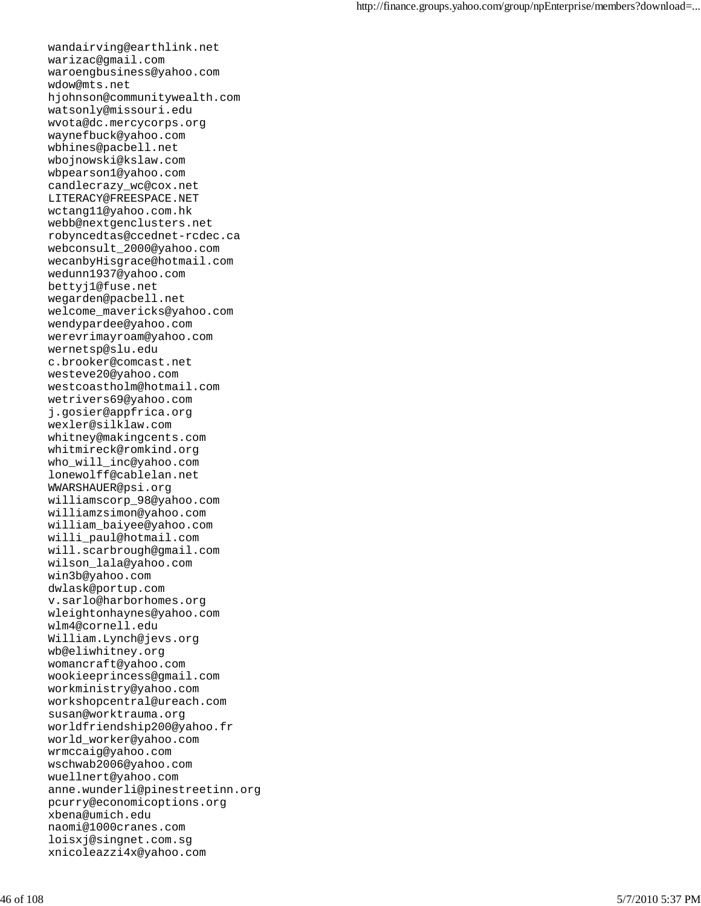wandairving@earthlink.net warizac@gmail.com waroengbusiness@yahoo.com wdow@mts.net hjohnson@communitywealth.com watsonly@missouri.edu wvota@dc.mercycorps.org waynefbuck@yahoo.com wbhines@pacbell.net wbojnowski@kslaw.com wbpearson1@yahoo.com candlecrazy\_wc@cox.net LITERACY@FREESPACE.NET wctang11@yahoo.com.hk webb@nextgenclusters.net robyncedtas@ccednet-rcdec.ca webconsult\_2000@yahoo.com wecanbyHisgrace@hotmail.com wedunn1937@yahoo.com bettyj1@fuse.net wegarden@pacbell.net welcome\_mavericks@yahoo.com wendypardee@yahoo.com werevrimayroam@yahoo.com wernetsp@slu.edu c.brooker@comcast.net westeve20@yahoo.com westcoastholm@hotmail.com wetrivers69@yahoo.com j.gosier@appfrica.org wexler@silklaw.com whitney@makingcents.com whitmireck@romkind.org who\_will\_inc@yahoo.com lonewolff@cablelan.net WWARSHAUER@psi.org williamscorp\_98@yahoo.com williamzsimon@yahoo.com william\_baiyee@yahoo.com willi\_paul@hotmail.com will.scarbrough@gmail.com wilson\_lala@yahoo.com win3b@yahoo.com dwlask@portup.com v.sarlo@harborhomes.org wleightonhaynes@yahoo.com wlm4@cornell.edu William.Lynch@jevs.org wb@eliwhitney.org womancraft@yahoo.com wookieeprincess@gmail.com workministry@yahoo.com workshopcentral@ureach.com susan@worktrauma.org worldfriendship200@yahoo.fr world\_worker@yahoo.com wrmccaig@yahoo.com wschwab2006@yahoo.com wuellnert@yahoo.com anne.wunderli@pinestreetinn.org pcurry@economicoptions.org xbena@umich.edu naomi@1000cranes.com loisxj@singnet.com.sg xnicoleazzi4x@yahoo.com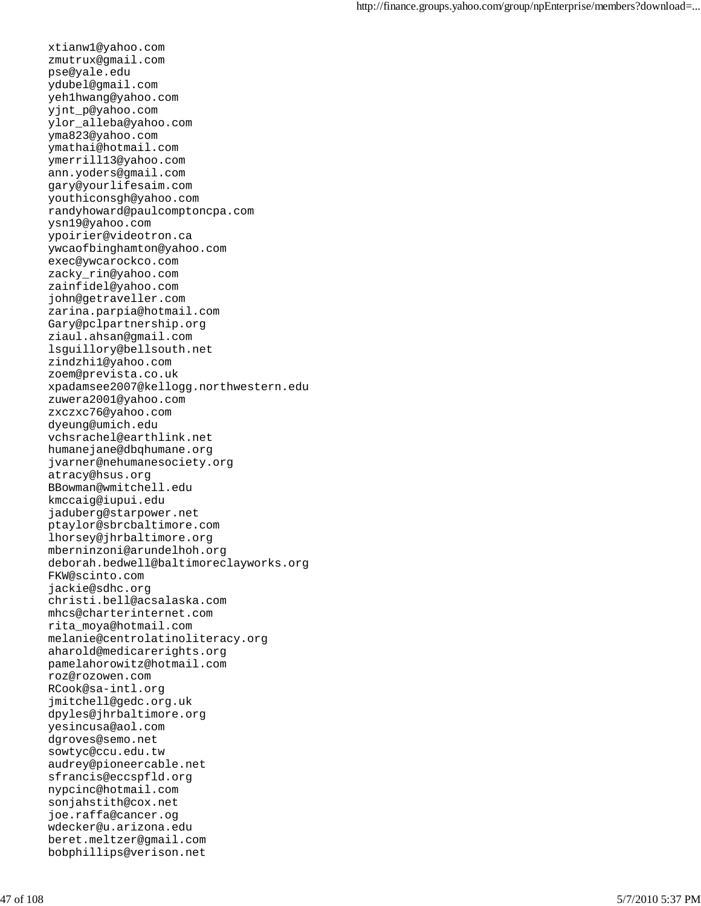xtianw1@yahoo.com zmutrux@gmail.com pse@yale.edu ydubel@gmail.com yeh1hwang@yahoo.com yjnt\_p@yahoo.com ylor\_alleba@yahoo.com yma823@yahoo.com ymathai@hotmail.com ymerrill13@yahoo.com ann.yoders@gmail.com gary@yourlifesaim.com youthiconsgh@yahoo.com randyhoward@paulcomptoncpa.com ysn19@yahoo.com ypoirier@videotron.ca ywcaofbinghamton@yahoo.com exec@ywcarockco.com zacky\_rin@yahoo.com zainfidel@yahoo.com john@getraveller.com zarina.parpia@hotmail.com Gary@pclpartnership.org ziaul.ahsan@gmail.com lsguillory@bellsouth.net zindzhi1@yahoo.com zoem@prevista.co.uk xpadamsee2007@kellogg.northwestern.edu zuwera2001@yahoo.com zxczxc76@yahoo.com dyeung@umich.edu vchsrachel@earthlink.net humanejane@dbqhumane.org jvarner@nehumanesociety.org atracy@hsus.org BBowman@wmitchell.edu kmccaig@iupui.edu jaduberg@starpower.net ptaylor@sbrcbaltimore.com lhorsey@jhrbaltimore.org mberninzoni@arundelhoh.org deborah.bedwell@baltimoreclayworks.org FKW@scinto.com jackie@sdhc.org christi.bell@acsalaska.com mhcs@charterinternet.com rita\_moya@hotmail.com melanie@centrolatinoliteracy.org aharold@medicarerights.org pamelahorowitz@hotmail.com roz@rozowen.com RCook@sa-intl.org jmitchell@gedc.org.uk dpyles@jhrbaltimore.org yesincusa@aol.com dgroves@semo.net sowtyc@ccu.edu.tw audrey@pioneercable.net sfrancis@eccspfld.org nypcinc@hotmail.com sonjahstith@cox.net joe.raffa@cancer.og wdecker@u.arizona.edu beret.meltzer@gmail.com bobphillips@verison.net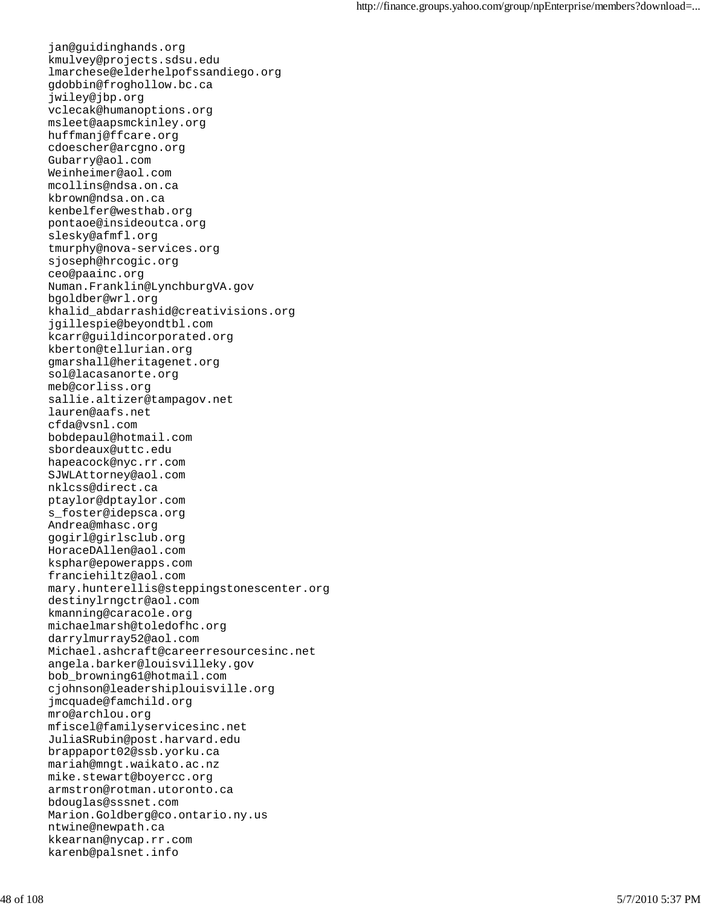jan@guidinghands.org kmulvey@projects.sdsu.edu lmarchese@elderhelpofssandiego.org gdobbin@froghollow.bc.ca jwiley@jbp.org vclecak@humanoptions.org msleet@aapsmckinley.org huffmanj@ffcare.org cdoescher@arcgno.org Gubarry@aol.com Weinheimer@aol.com mcollins@ndsa.on.ca kbrown@ndsa.on.ca kenbelfer@westhab.org pontaoe@insideoutca.org slesky@afmfl.org tmurphy@nova-services.org sjoseph@hrcogic.org ceo@paainc.org Numan.Franklin@LynchburgVA.gov bgoldber@wrl.org khalid\_abdarrashid@creativisions.org jgillespie@beyondtbl.com kcarr@guildincorporated.org kberton@tellurian.org gmarshall@heritagenet.org sol@lacasanorte.org meb@corliss.org sallie.altizer@tampagov.net lauren@aafs.net cfda@vsnl.com bobdepaul@hotmail.com sbordeaux@uttc.edu hapeacock@nyc.rr.com SJWLAttorney@aol.com nklcss@direct.ca ptaylor@dptaylor.com s\_foster@idepsca.org Andrea@mhasc.org gogirl@girlsclub.org HoraceDAllen@aol.com ksphar@epowerapps.com franciehiltz@aol.com mary.hunterellis@steppingstonescenter.org destinylrngctr@aol.com kmanning@caracole.org michaelmarsh@toledofhc.org darrylmurray52@aol.com Michael.ashcraft@careerresourcesinc.net angela.barker@louisvilleky.gov bob\_browning61@hotmail.com cjohnson@leadershiplouisville.org jmcquade@famchild.org mro@archlou.org mfiscel@familyservicesinc.net JuliaSRubin@post.harvard.edu brappaport02@ssb.yorku.ca mariah@mngt.waikato.ac.nz mike.stewart@boyercc.org armstron@rotman.utoronto.ca bdouglas@sssnet.com Marion.Goldberg@co.ontario.ny.us ntwine@newpath.ca kkearnan@nycap.rr.com karenb@palsnet.info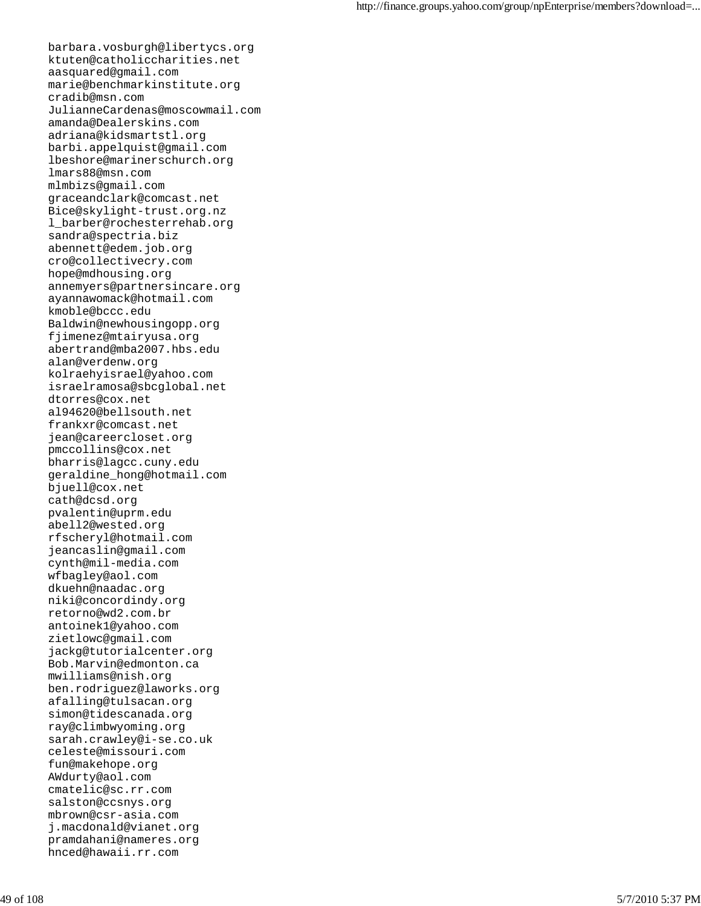barbara.vosburgh@libertycs.org ktuten@catholiccharities.net aasquared@gmail.com marie@benchmarkinstitute.org cradib@msn.com JulianneCardenas@moscowmail.com amanda@Dealerskins.com adriana@kidsmartstl.org barbi.appelquist@gmail.com lbeshore@marinerschurch.org lmars88@msn.com mlmbizs@gmail.com graceandclark@comcast.net Bice@skylight-trust.org.nz l\_barber@rochesterrehab.org sandra@spectria.biz abennett@edem.job.org cro@collectivecry.com hope@mdhousing.org annemyers@partnersincare.org ayannawomack@hotmail.com kmoble@bccc.edu Baldwin@newhousingopp.org fjimenez@mtairyusa.org abertrand@mba2007.hbs.edu alan@verdenw.org kolraehyisrael@yahoo.com israelramosa@sbcglobal.net dtorres@cox.net al94620@bellsouth.net frankxr@comcast.net jean@careercloset.org pmccollins@cox.net bharris@lagcc.cuny.edu geraldine\_hong@hotmail.com bjuell@cox.net cath@dcsd.org pvalentin@uprm.edu abell2@wested.org rfscheryl@hotmail.com jeancaslin@gmail.com cynth@mil-media.com wfbagley@aol.com dkuehn@naadac.org niki@concordindy.org retorno@wd2.com.br antoinek1@yahoo.com zietlowc@gmail.com jackg@tutorialcenter.org Bob.Marvin@edmonton.ca mwilliams@nish.org ben.rodriguez@laworks.org afalling@tulsacan.org simon@tidescanada.org ray@climbwyoming.org sarah.crawley@i-se.co.uk celeste@missouri.com fun@makehope.org AWdurty@aol.com cmatelic@sc.rr.com salston@ccsnys.org mbrown@csr-asia.com j.macdonald@vianet.org pramdahani@nameres.org hnced@hawaii.rr.com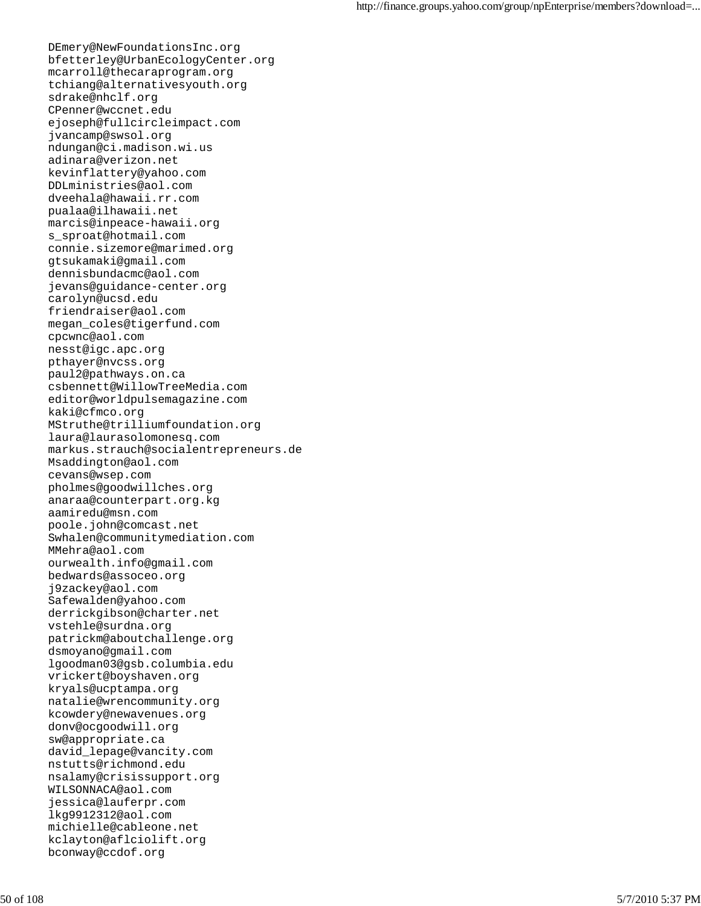DEmery@NewFoundationsInc.org bfetterley@UrbanEcologyCenter.org mcarroll@thecaraprogram.org tchiang@alternativesyouth.org sdrake@nhclf.org CPenner@wccnet.edu ejoseph@fullcircleimpact.com jvancamp@swsol.org ndungan@ci.madison.wi.us adinara@verizon.net kevinflattery@yahoo.com DDLministries@aol.com dveehala@hawaii.rr.com pualaa@ilhawaii.net marcis@inpeace-hawaii.org s\_sproat@hotmail.com connie.sizemore@marimed.org gtsukamaki@gmail.com dennisbundacmc@aol.com jevans@guidance-center.org carolyn@ucsd.edu friendraiser@aol.com megan\_coles@tigerfund.com cpcwnc@aol.com nesst@igc.apc.org pthayer@nvcss.org paul2@pathways.on.ca csbennett@WillowTreeMedia.com editor@worldpulsemagazine.com kaki@cfmco.org MStruthe@trilliumfoundation.org laura@laurasolomonesq.com markus.strauch@socialentrepreneurs.de Msaddington@aol.com cevans@wsep.com pholmes@goodwillches.org anaraa@counterpart.org.kg aamiredu@msn.com poole.john@comcast.net Swhalen@communitymediation.com MMehra@aol.com ourwealth.info@gmail.com bedwards@assoceo.org j9zackey@aol.com Safewalden@yahoo.com derrickgibson@charter.net vstehle@surdna.org patrickm@aboutchallenge.org dsmoyano@gmail.com lgoodman03@gsb.columbia.edu vrickert@boyshaven.org kryals@ucptampa.org natalie@wrencommunity.org kcowdery@newavenues.org donv@ocgoodwill.org sw@appropriate.ca david\_lepage@vancity.com nstutts@richmond.edu nsalamy@crisissupport.org WILSONNACA@aol.com jessica@lauferpr.com lkg9912312@aol.com michielle@cableone.net kclayton@aflciolift.org bconway@ccdof.org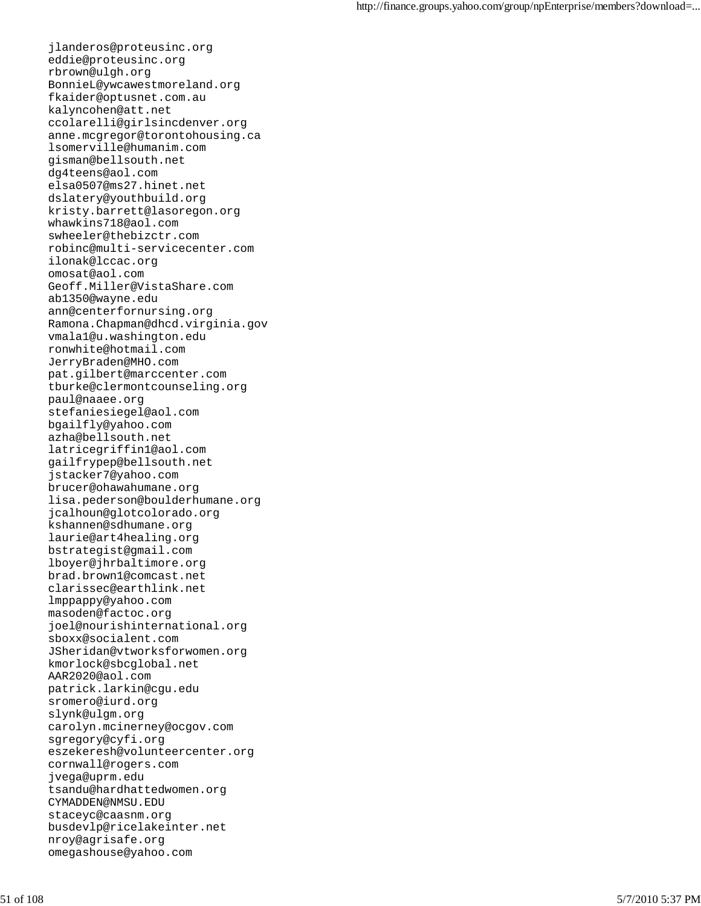jlanderos@proteusinc.org eddie@proteusinc.org rbrown@ulgh.org BonnieL@ywcawestmoreland.org fkaider@optusnet.com.au kalyncohen@att.net ccolarelli@girlsincdenver.org anne.mcgregor@torontohousing.ca lsomerville@humanim.com gisman@bellsouth.net dg4teens@aol.com elsa0507@ms27.hinet.net dslatery@youthbuild.org kristy.barrett@lasoregon.org whawkins718@aol.com swheeler@thebizctr.com robinc@multi-servicecenter.com ilonak@lccac.org omosat@aol.com Geoff.Miller@VistaShare.com ab1350@wayne.edu ann@centerfornursing.org Ramona.Chapman@dhcd.virginia.gov vmala1@u.washington.edu ronwhite@hotmail.com JerryBraden@MHO.com pat.gilbert@marccenter.com tburke@clermontcounseling.org paul@naaee.org stefaniesiegel@aol.com bgailfly@yahoo.com azha@bellsouth.net latricegriffin1@aol.com gailfrypep@bellsouth.net jstacker7@yahoo.com brucer@ohawahumane.org lisa.pederson@boulderhumane.org jcalhoun@glotcolorado.org kshannen@sdhumane.org laurie@art4healing.org bstrategist@gmail.com lboyer@jhrbaltimore.org brad.brown1@comcast.net clarissec@earthlink.net lmppappy@yahoo.com masoden@factoc.org joel@nourishinternational.org sboxx@socialent.com JSheridan@vtworksforwomen.org kmorlock@sbcglobal.net AAR2020@aol.com patrick.larkin@cgu.edu sromero@iurd.org slynk@ulgm.org carolyn.mcinerney@ocgov.com sgregory@cyfi.org eszekeresh@volunteercenter.org cornwall@rogers.com jvega@uprm.edu tsandu@hardhattedwomen.org CYMADDEN@NMSU.EDU staceyc@caasnm.org busdevlp@ricelakeinter.net nroy@agrisafe.org omegashouse@yahoo.com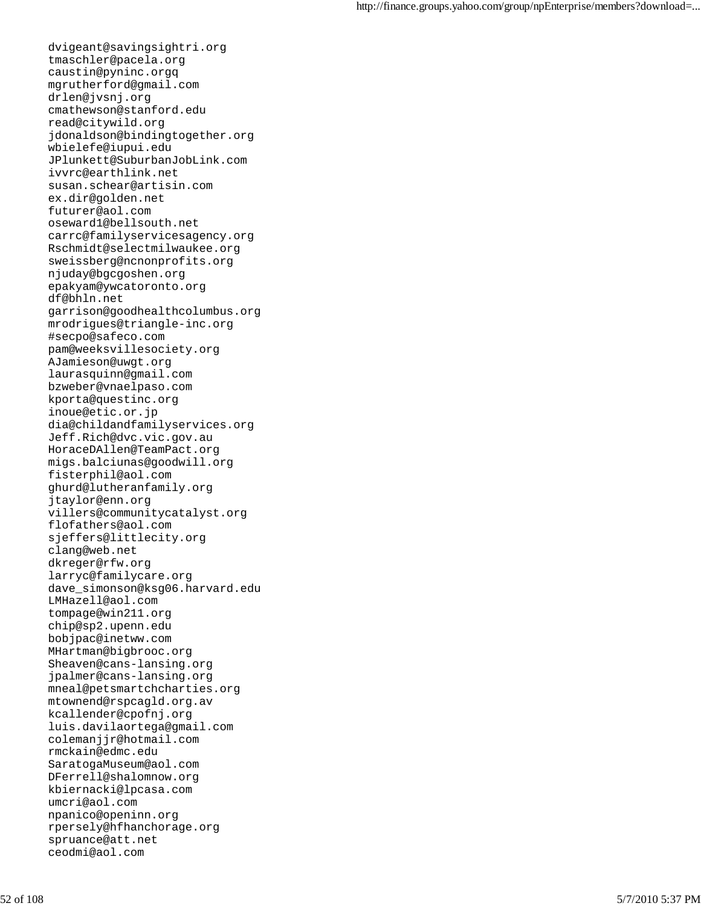dvigeant@savingsightri.org tmaschler@pacela.org caustin@pyninc.orgq mgrutherford@gmail.com drlen@jvsnj.org cmathewson@stanford.edu read@citywild.org jdonaldson@bindingtogether.org wbielefe@iupui.edu JPlunkett@SuburbanJobLink.com ivvrc@earthlink.net susan.schear@artisin.com ex.dir@golden.net futurer@aol.com oseward1@bellsouth.net carrc@familyservicesagency.org Rschmidt@selectmilwaukee.org sweissberg@ncnonprofits.org njuday@bgcgoshen.org epakyam@ywcatoronto.org df@bhln.net garrison@goodhealthcolumbus.org mrodrigues@triangle-inc.org #secpo@safeco.com pam@weeksvillesociety.org AJamieson@uwgt.org laurasquinn@gmail.com bzweber@vnaelpaso.com kporta@questinc.org inoue@etic.or.jp dia@childandfamilyservices.org Jeff.Rich@dvc.vic.gov.au HoraceDAllen@TeamPact.org migs.balciunas@goodwill.org fisterphil@aol.com ghurd@lutheranfamily.org jtaylor@enn.org villers@communitycatalyst.org flofathers@aol.com sjeffers@littlecity.org clang@web.net dkreger@rfw.org larryc@familycare.org dave\_simonson@ksg06.harvard.edu LMHazell@aol.com tompage@win211.org chip@sp2.upenn.edu bobjpac@inetww.com MHartman@bigbrooc.org Sheaven@cans-lansing.org jpalmer@cans-lansing.org mneal@petsmartchcharties.org mtownend@rspcagld.org.av kcallender@cpofnj.org luis.davilaortega@gmail.com colemanjjr@hotmail.com rmckain@edmc.edu SaratogaMuseum@aol.com DFerrell@shalomnow.org kbiernacki@lpcasa.com umcri@aol.com npanico@openinn.org rpersely@hfhanchorage.org spruance@att.net ceodmi@aol.com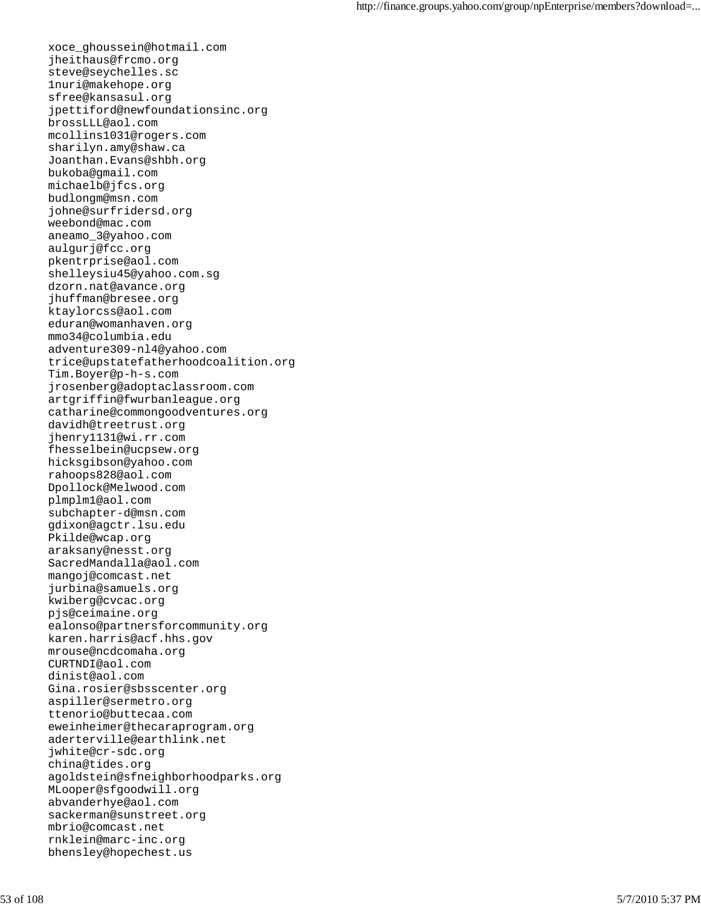xoce\_ghoussein@hotmail.com jheithaus@frcmo.org steve@seychelles.sc 1nuri@makehope.org sfree@kansasul.org jpettiford@newfoundationsinc.org brossLLL@aol.com mcollins1031@rogers.com sharilyn.amy@shaw.ca Joanthan.Evans@shbh.org bukoba@gmail.com michaelb@jfcs.org budlongm@msn.com johne@surfridersd.org weebond@mac.com aneamo\_3@yahoo.com aulgurj@fcc.org pkentrprise@aol.com shelleysiu45@yahoo.com.sg dzorn.nat@avance.org jhuffman@bresee.org ktaylorcss@aol.com eduran@womanhaven.org mmo34@columbia.edu adventure309-nl4@yahoo.com trice@upstatefatherhoodcoalition.org Tim.Boyer@p-h-s.com jrosenberg@adoptaclassroom.com artgriffin@fwurbanleague.org catharine@commongoodventures.org davidh@treetrust.org jhenry1131@wi.rr.com fhesselbein@ucpsew.org hicksgibson@yahoo.com rahoops828@aol.com Dpollock@Melwood.com plmplm1@aol.com subchapter-d@msn.com gdixon@agctr.lsu.edu Pkilde@wcap.org araksany@nesst.org SacredMandalla@aol.com mangoj@comcast.net jurbina@samuels.org kwiberg@cvcac.org pjs@ceimaine.org ealonso@partnersforcommunity.org karen.harris@acf.hhs.gov mrouse@ncdcomaha.org CURTNDI@aol.com dinist@aol.com Gina.rosier@sbsscenter.org aspiller@sermetro.org ttenorio@buttecaa.com eweinheimer@thecaraprogram.org aderterville@earthlink.net jwhite@cr-sdc.org china@tides.org agoldstein@sfneighborhoodparks.org MLooper@sfgoodwill.org abvanderhye@aol.com sackerman@sunstreet.org mbrio@comcast.net rnklein@marc-inc.org bhensley@hopechest.us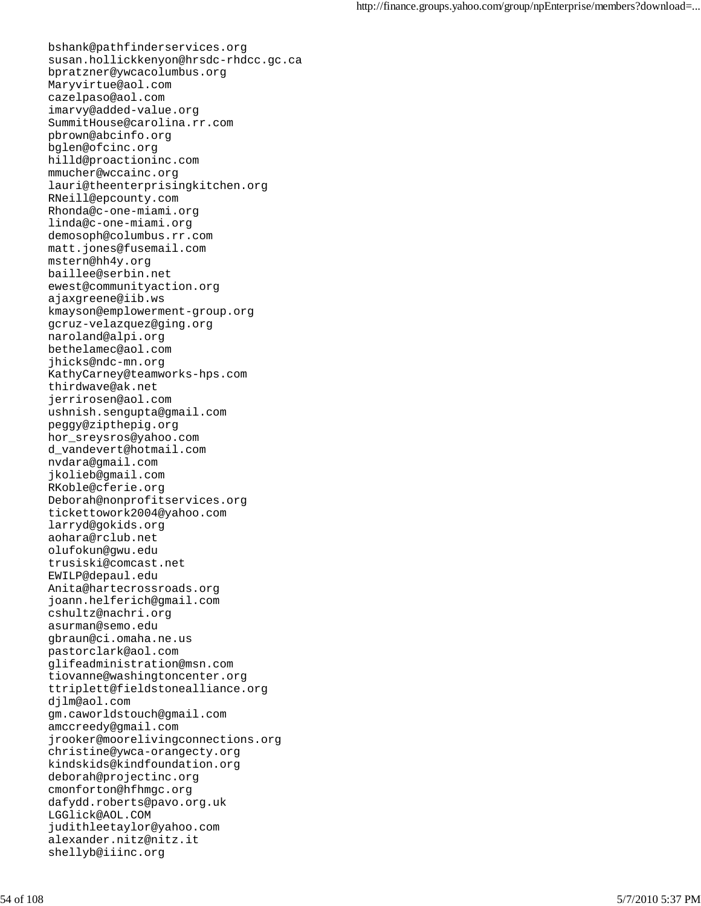bshank@pathfinderservices.org susan.hollickkenyon@hrsdc-rhdcc.gc.ca bpratzner@ywcacolumbus.org Maryvirtue@aol.com cazelpaso@aol.com imarvy@added-value.org SummitHouse@carolina.rr.com pbrown@abcinfo.org bglen@ofcinc.org hilld@proactioninc.com mmucher@wccainc.org lauri@theenterprisingkitchen.org RNeill@epcounty.com Rhonda@c-one-miami.org linda@c-one-miami.org demosoph@columbus.rr.com matt.jones@fusemail.com mstern@hh4y.org baillee@serbin.net ewest@communityaction.org ajaxgreene@iib.ws kmayson@emplowerment-group.org gcruz-velazquez@ging.org naroland@alpi.org bethelamec@aol.com jhicks@ndc-mn.org KathyCarney@teamworks-hps.com thirdwave@ak.net jerrirosen@aol.com ushnish.sengupta@gmail.com peggy@zipthepig.org hor\_sreysros@yahoo.com d\_vandevert@hotmail.com nvdara@gmail.com jkolieb@gmail.com RKoble@cferie.org Deborah@nonprofitservices.org tickettowork2004@yahoo.com larryd@gokids.org aohara@rclub.net olufokun@gwu.edu trusiski@comcast.net EWILP@depaul.edu Anita@hartecrossroads.org joann.helferich@gmail.com cshultz@nachri.org asurman@semo.edu gbraun@ci.omaha.ne.us pastorclark@aol.com glifeadministration@msn.com tiovanne@washingtoncenter.org ttriplett@fieldstonealliance.org djlm@aol.com gm.caworldstouch@gmail.com amccreedy@gmail.com jrooker@moorelivingconnections.org christine@ywca-orangecty.org kindskids@kindfoundation.org deborah@projectinc.org cmonforton@hfhmgc.org dafydd.roberts@pavo.org.uk LGGlick@AOL.COM judithleetaylor@yahoo.com alexander.nitz@nitz.it shellyb@iiinc.org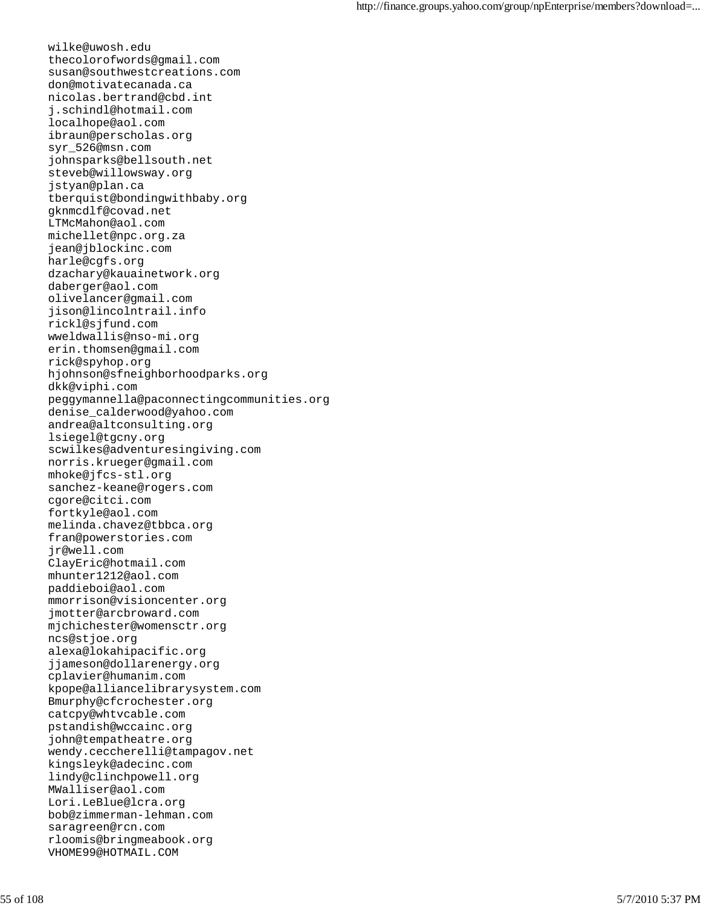wilke@uwosh.edu thecolorofwords@gmail.com susan@southwestcreations.com don@motivatecanada.ca nicolas.bertrand@cbd.int j.schindl@hotmail.com localhope@aol.com ibraun@perscholas.org syr\_526@msn.com johnsparks@bellsouth.net steveb@willowsway.org jstyan@plan.ca tberquist@bondingwithbaby.org gknmcdlf@covad.net LTMcMahon@aol.com michellet@npc.org.za jean@jblockinc.com harle@cgfs.org dzachary@kauainetwork.org daberger@aol.com olivelancer@gmail.com jison@lincolntrail.info rickl@sjfund.com wweldwallis@nso-mi.org erin.thomsen@gmail.com rick@spyhop.org hjohnson@sfneighborhoodparks.org dkk@viphi.com peggymannella@paconnectingcommunities.org denise\_calderwood@yahoo.com andrea@altconsulting.org lsiegel@tgcny.org scwilkes@adventuresingiving.com norris.krueger@gmail.com mhoke@jfcs-stl.org sanchez-keane@rogers.com cgore@citci.com fortkyle@aol.com melinda.chavez@tbbca.org fran@powerstories.com jr@well.com ClayEric@hotmail.com mhunter1212@aol.com paddieboi@aol.com mmorrison@visioncenter.org jmotter@arcbroward.com mjchichester@womensctr.org ncs@stjoe.org alexa@lokahipacific.org jjameson@dollarenergy.org cplavier@humanim.com kpope@alliancelibrarysystem.com Bmurphy@cfcrochester.org catcpy@whtvcable.com pstandish@wccainc.org john@tempatheatre.org wendy.ceccherelli@tampagov.net kingsleyk@adecinc.com lindy@clinchpowell.org MWalliser@aol.com Lori.LeBlue@lcra.org bob@zimmerman-lehman.com saragreen@rcn.com rloomis@bringmeabook.org VHOME99@HOTMAIL.COM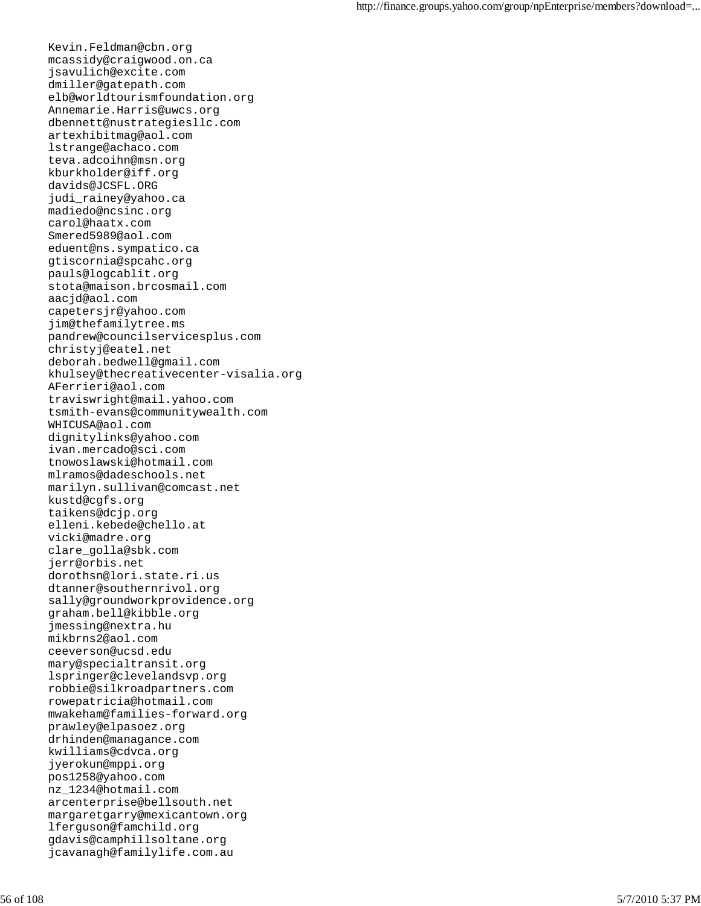Kevin.Feldman@cbn.org mcassidy@craigwood.on.ca jsavulich@excite.com dmiller@gatepath.com elb@worldtourismfoundation.org Annemarie.Harris@uwcs.org dbennett@nustrategiesllc.com artexhibitmag@aol.com lstrange@achaco.com teva.adcoihn@msn.org kburkholder@iff.org davids@JCSFL.ORG judi\_rainey@yahoo.ca madiedo@ncsinc.org carol@haatx.com Smered5989@aol.com eduent@ns.sympatico.ca gtiscornia@spcahc.org pauls@logcablit.org stota@maison.brcosmail.com aacjd@aol.com capetersjr@yahoo.com jim@thefamilytree.ms pandrew@councilservicesplus.com christyj@eatel.net deborah.bedwell@gmail.com khulsey@thecreativecenter-visalia.org AFerrieri@aol.com traviswright@mail.yahoo.com tsmith-evans@communitywealth.com WHICUSA@aol.com dignitylinks@yahoo.com ivan.mercado@sci.com tnowoslawski@hotmail.com mlramos@dadeschools.net marilyn.sullivan@comcast.net kustd@cgfs.org taikens@dcjp.org elleni.kebede@chello.at vicki@madre.org clare\_golla@sbk.com jerr@orbis.net dorothsn@lori.state.ri.us dtanner@southernrivol.org sally@groundworkprovidence.org graham.bell@kibble.org jmessing@nextra.hu mikbrns2@aol.com ceeverson@ucsd.edu mary@specialtransit.org lspringer@clevelandsvp.org robbie@silkroadpartners.com rowepatricia@hotmail.com mwakeham@families-forward.org prawley@elpasoez.org drhinden@managance.com kwilliams@cdvca.org jyerokun@mppi.org pos1258@yahoo.com nz\_1234@hotmail.com arcenterprise@bellsouth.net margaretgarry@mexicantown.org lferguson@famchild.org gdavis@camphillsoltane.org jcavanagh@familylife.com.au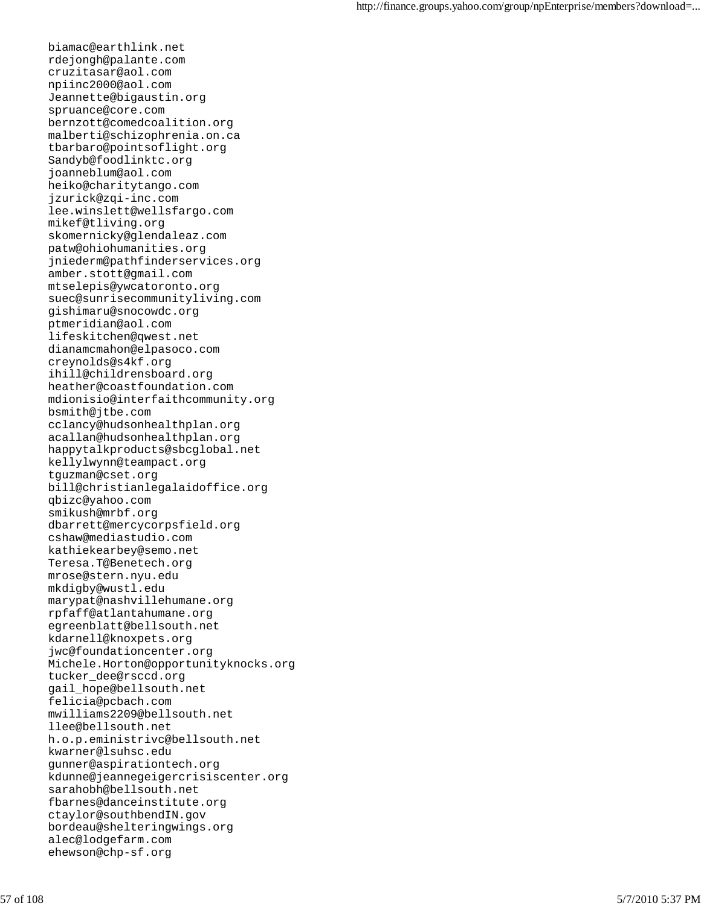biamac@earthlink.net rdejongh@palante.com cruzitasar@aol.com npiinc2000@aol.com Jeannette@bigaustin.org spruance@core.com bernzott@comedcoalition.org malberti@schizophrenia.on.ca tbarbaro@pointsoflight.org Sandyb@foodlinktc.org joanneblum@aol.com heiko@charitytango.com jzurick@zqi-inc.com lee.winslett@wellsfargo.com mikef@tliving.org skomernicky@glendaleaz.com patw@ohiohumanities.org jniederm@pathfinderservices.org amber.stott@gmail.com mtselepis@ywcatoronto.org suec@sunrisecommunityliving.com gishimaru@snocowdc.org ptmeridian@aol.com lifeskitchen@qwest.net dianamcmahon@elpasoco.com creynolds@s4kf.org ihill@childrensboard.org heather@coastfoundation.com mdionisio@interfaithcommunity.org bsmith@jtbe.com cclancy@hudsonhealthplan.org acallan@hudsonhealthplan.org happytalkproducts@sbcglobal.net kellylwynn@teampact.org tguzman@cset.org bill@christianlegalaidoffice.org qbizc@yahoo.com smikush@mrbf.org dbarrett@mercycorpsfield.org cshaw@mediastudio.com kathiekearbey@semo.net Teresa.T@Benetech.org mrose@stern.nyu.edu mkdigby@wustl.edu marypat@nashvillehumane.org rpfaff@atlantahumane.org egreenblatt@bellsouth.net kdarnell@knoxpets.org jwc@foundationcenter.org Michele.Horton@opportunityknocks.org tucker\_dee@rsccd.org gail\_hope@bellsouth.net felicia@pcbach.com mwilliams2209@bellsouth.net llee@bellsouth.net h.o.p.eministrivc@bellsouth.net kwarner@lsuhsc.edu gunner@aspirationtech.org kdunne@jeannegeigercrisiscenter.org sarahobh@bellsouth.net fbarnes@danceinstitute.org ctaylor@southbendIN.gov bordeau@shelteringwings.org alec@lodgefarm.com ehewson@chp-sf.org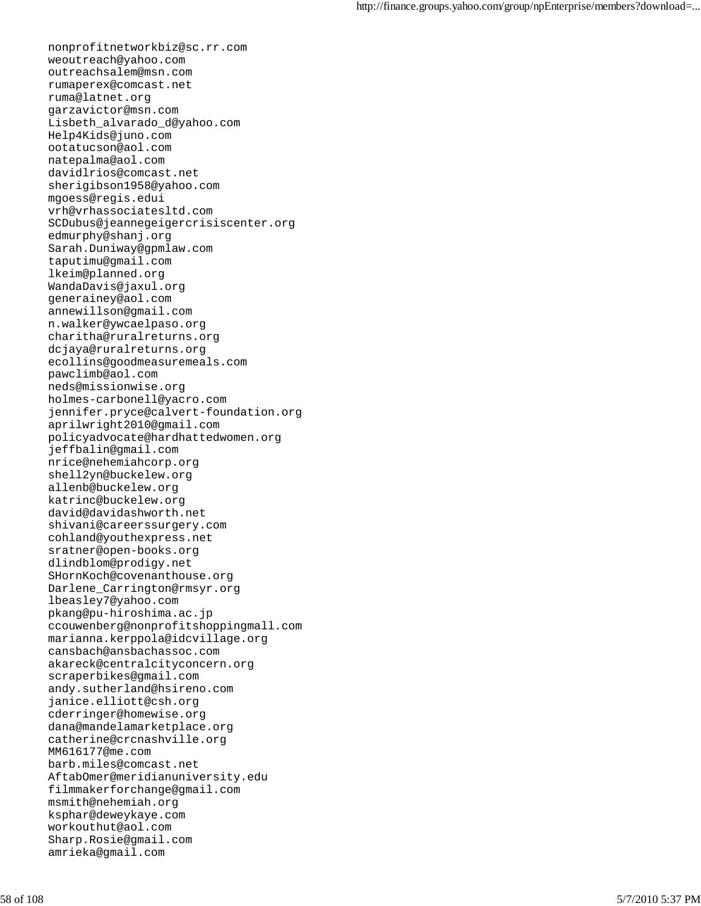nonprofitnetworkbiz@sc.rr.com weoutreach@yahoo.com outreachsalem@msn.com rumaperex@comcast.net ruma@latnet.org garzavictor@msn.com Lisbeth\_alvarado\_d@yahoo.com Help4Kids@juno.com ootatucson@aol.com natepalma@aol.com davidlrios@comcast.net sherigibson1958@yahoo.com mgoess@regis.edui vrh@vrhassociatesltd.com SCDubus@jeannegeigercrisiscenter.org edmurphy@shanj.org Sarah.Duniway@gpmlaw.com taputimu@gmail.com lkeim@planned.org WandaDavis@jaxul.org generainey@aol.com annewillson@gmail.com n.walker@ywcaelpaso.org charitha@ruralreturns.org dcjaya@ruralreturns.org ecollins@goodmeasuremeals.com pawclimb@aol.com neds@missionwise.org holmes-carbonell@yacro.com jennifer.pryce@calvert-foundation.org aprilwright2010@gmail.com policyadvocate@hardhattedwomen.org jeffbalin@gmail.com nrice@nehemiahcorp.org shell2yn@buckelew.org allenb@buckelew.org katrinc@buckelew.org david@davidashworth.net shivani@careerssurgery.com cohland@youthexpress.net sratner@open-books.org dlindblom@prodigy.net SHornKoch@covenanthouse.org Darlene\_Carrington@rmsyr.org lbeasley7@yahoo.com pkang@pu-hiroshima.ac.jp ccouwenberg@nonprofitshoppingmall.com marianna.kerppola@idcvillage.org cansbach@ansbachassoc.com akareck@centralcityconcern.org scraperbikes@gmail.com andy.sutherland@hsireno.com janice.elliott@csh.org cderringer@homewise.org dana@mandelamarketplace.org catherine@crcnashville.org MM616177@me.com barb.miles@comcast.net AftabOmer@meridianuniversity.edu filmmakerforchange@gmail.com msmith@nehemiah.org ksphar@deweykaye.com workouthut@aol.com Sharp.Rosie@gmail.com amrieka@gmail.com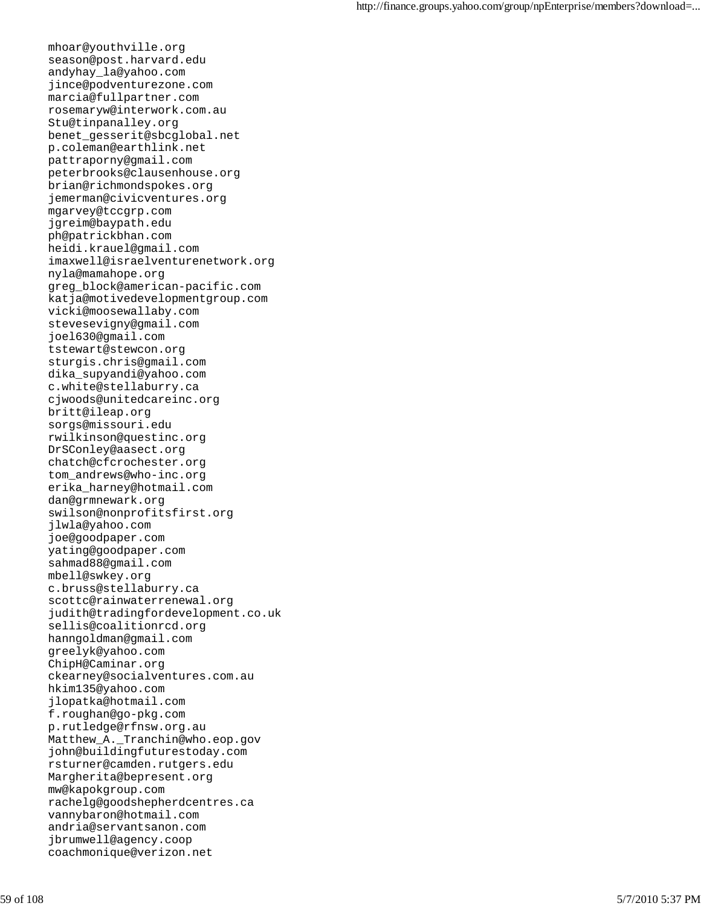mhoar@youthville.org season@post.harvard.edu andyhay\_la@yahoo.com jince@podventurezone.com marcia@fullpartner.com rosemaryw@interwork.com.au Stu@tinpanalley.org benet\_gesserit@sbcglobal.net p.coleman@earthlink.net pattraporny@gmail.com peterbrooks@clausenhouse.org brian@richmondspokes.org jemerman@civicventures.org mgarvey@tccgrp.com jgreim@baypath.edu ph@patrickbhan.com heidi.krauel@gmail.com imaxwell@israelventurenetwork.org nyla@mamahope.org greg\_block@american-pacific.com katja@motivedevelopmentgroup.com vicki@moosewallaby.com stevesevigny@gmail.com joel630@gmail.com tstewart@stewcon.org sturgis.chris@gmail.com dika\_supyandi@yahoo.com c.white@stellaburry.ca cjwoods@unitedcareinc.org britt@ileap.org sorgs@missouri.edu rwilkinson@questinc.org DrSConley@aasect.org chatch@cfcrochester.org tom\_andrews@who-inc.org erika\_harney@hotmail.com dan@grmnewark.org swilson@nonprofitsfirst.org jlwla@yahoo.com joe@goodpaper.com yating@goodpaper.com sahmad88@gmail.com mbell@swkey.org c.bruss@stellaburry.ca scottc@rainwaterrenewal.org judith@tradingfordevelopment.co.uk sellis@coalitionrcd.org hanngoldman@gmail.com greelyk@yahoo.com ChipH@Caminar.org ckearney@socialventures.com.au hkim135@yahoo.com jlopatka@hotmail.com f.roughan@go-pkg.com p.rutledge@rfnsw.org.au Matthew A. Tranchin@who.eop.gov john@buildingfuturestoday.com rsturner@camden.rutgers.edu Margherita@bepresent.org mw@kapokgroup.com rachelg@goodshepherdcentres.ca vannybaron@hotmail.com andria@servantsanon.com jbrumwell@agency.coop coachmonique@verizon.net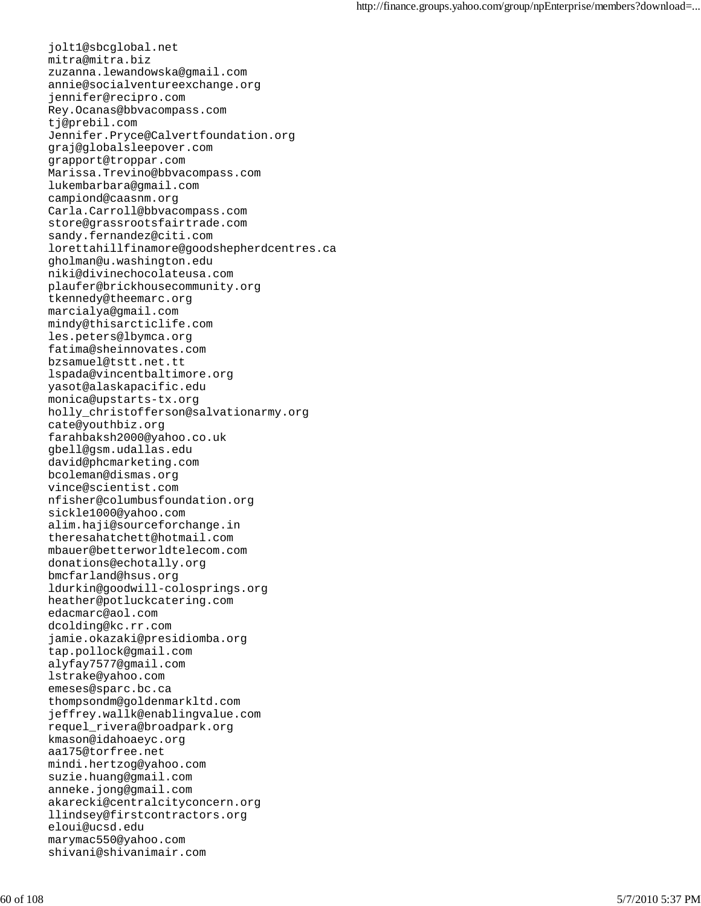jolt1@sbcglobal.net mitra@mitra.biz zuzanna.lewandowska@gmail.com annie@socialventureexchange.org jennifer@recipro.com Rey.Ocanas@bbvacompass.com tj@prebil.com Jennifer.Pryce@Calvertfoundation.org graj@globalsleepover.com grapport@troppar.com Marissa.Trevino@bbvacompass.com lukembarbara@gmail.com campiond@caasnm.org Carla.Carroll@bbvacompass.com store@grassrootsfairtrade.com sandy.fernandez@citi.com lorettahillfinamore@goodshepherdcentres.ca gholman@u.washington.edu niki@divinechocolateusa.com plaufer@brickhousecommunity.org tkennedy@theemarc.org marcialya@gmail.com mindy@thisarcticlife.com les.peters@lbymca.org fatima@sheinnovates.com bzsamuel@tstt.net.tt lspada@vincentbaltimore.org yasot@alaskapacific.edu monica@upstarts-tx.org holly\_christofferson@salvationarmy.org cate@youthbiz.org farahbaksh2000@yahoo.co.uk gbell@gsm.udallas.edu david@phcmarketing.com bcoleman@dismas.org vince@scientist.com nfisher@columbusfoundation.org sickle1000@yahoo.com alim.haji@sourceforchange.in theresahatchett@hotmail.com mbauer@betterworldtelecom.com donations@echotally.org bmcfarland@hsus.org ldurkin@goodwill-colosprings.org heather@potluckcatering.com edacmarc@aol.com dcolding@kc.rr.com jamie.okazaki@presidiomba.org tap.pollock@gmail.com alyfay7577@gmail.com lstrake@yahoo.com emeses@sparc.bc.ca thompsondm@goldenmarkltd.com jeffrey.wallk@enablingvalue.com requel\_rivera@broadpark.org kmason@idahoaeyc.org aa175@torfree.net mindi.hertzog@yahoo.com suzie.huang@gmail.com anneke.jong@gmail.com akarecki@centralcityconcern.org llindsey@firstcontractors.org eloui@ucsd.edu marymac550@yahoo.com shivani@shivanimair.com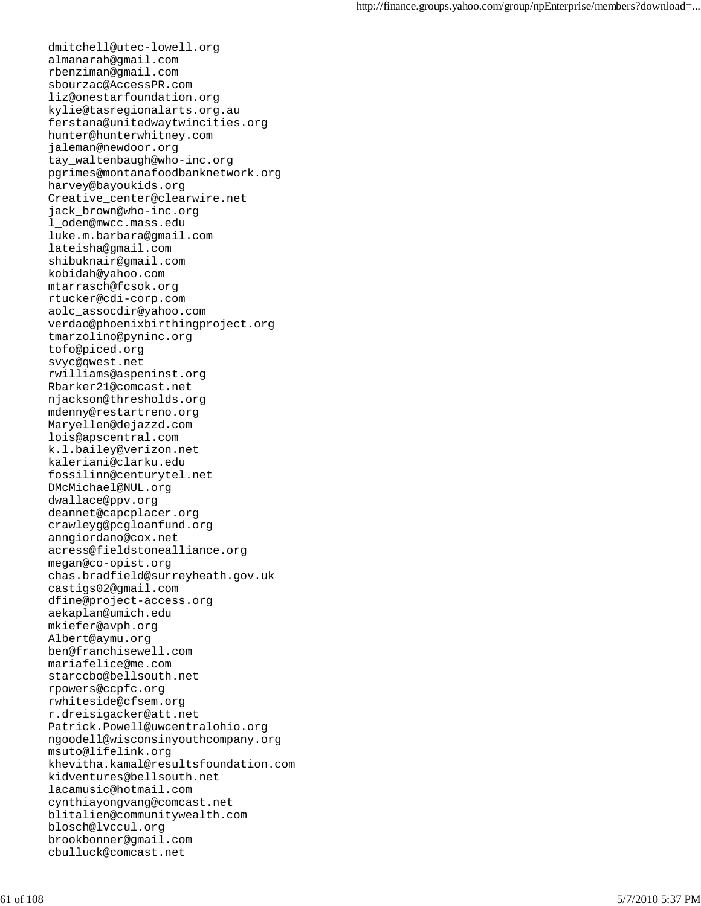dmitchell@utec-lowell.org almanarah@gmail.com rbenziman@gmail.com sbourzac@AccessPR.com liz@onestarfoundation.org kylie@tasregionalarts.org.au ferstana@unitedwaytwincities.org hunter@hunterwhitney.com jaleman@newdoor.org tay\_waltenbaugh@who-inc.org pgrimes@montanafoodbanknetwork.org harvey@bayoukids.org Creative\_center@clearwire.net jack\_brown@who-inc.org l\_oden@mwcc.mass.edu luke.m.barbara@gmail.com lateisha@gmail.com shibuknair@gmail.com kobidah@yahoo.com mtarrasch@fcsok.org rtucker@cdi-corp.com aolc\_assocdir@yahoo.com verdao@phoenixbirthingproject.org tmarzolino@pyninc.org tofo@piced.org svyc@qwest.net rwilliams@aspeninst.org Rbarker21@comcast.net njackson@thresholds.org mdenny@restartreno.org Maryellen@dejazzd.com lois@apscentral.com k.l.bailey@verizon.net kaleriani@clarku.edu fossilinn@centurytel.net DMcMichael@NUL.org dwallace@ppv.org deannet@capcplacer.org crawleyg@pcgloanfund.org anngiordano@cox.net acress@fieldstonealliance.org megan@co-opist.org chas.bradfield@surreyheath.gov.uk castigs02@gmail.com dfine@project-access.org aekaplan@umich.edu mkiefer@avph.org Albert@aymu.org ben@franchisewell.com mariafelice@me.com starccbo@bellsouth.net rpowers@ccpfc.org rwhiteside@cfsem.org r.dreisigacker@att.net Patrick.Powell@uwcentralohio.org ngoodell@wisconsinyouthcompany.org msuto@lifelink.org khevitha.kamal@resultsfoundation.com kidventures@bellsouth.net lacamusic@hotmail.com cynthiayongvang@comcast.net blitalien@communitywealth.com blosch@lvccul.org brookbonner@gmail.com cbulluck@comcast.net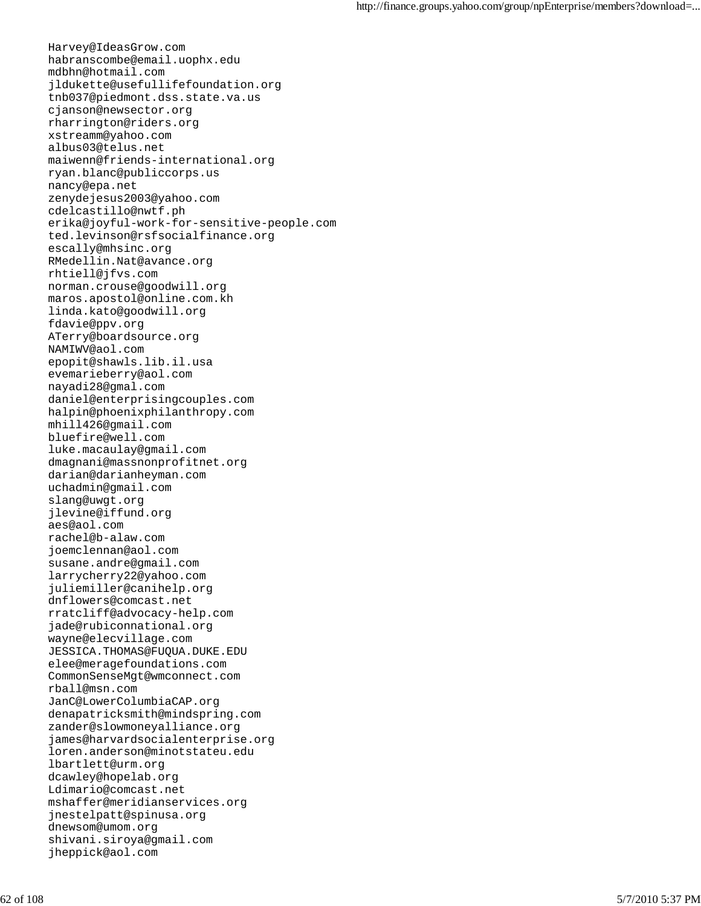Harvey@IdeasGrow.com habranscombe@email.uophx.edu mdbhn@hotmail.com jldukette@usefullifefoundation.org tnb037@piedmont.dss.state.va.us cjanson@newsector.org rharrington@riders.org xstreamm@yahoo.com albus03@telus.net maiwenn@friends-international.org ryan.blanc@publiccorps.us nancy@epa.net zenydejesus2003@yahoo.com cdelcastillo@nwtf.ph erika@joyful-work-for-sensitive-people.com ted.levinson@rsfsocialfinance.org escally@mhsinc.org RMedellin.Nat@avance.org rhtiell@jfvs.com norman.crouse@goodwill.org maros.apostol@online.com.kh linda.kato@goodwill.org fdavie@ppv.org ATerry@boardsource.org NAMIWV@aol.com epopit@shawls.lib.il.usa evemarieberry@aol.com nayadi28@gmal.com daniel@enterprisingcouples.com halpin@phoenixphilanthropy.com mhill426@gmail.com bluefire@well.com luke.macaulay@gmail.com dmagnani@massnonprofitnet.org darian@darianheyman.com uchadmin@gmail.com slang@uwgt.org jlevine@iffund.org aes@aol.com rachel@b-alaw.com joemclennan@aol.com susane.andre@gmail.com larrycherry22@yahoo.com juliemiller@canihelp.org dnflowers@comcast.net rratcliff@advocacy-help.com jade@rubiconnational.org wayne@elecvillage.com JESSICA.THOMAS@FUQUA.DUKE.EDU elee@meragefoundations.com CommonSenseMgt@wmconnect.com rball@msn.com JanC@LowerColumbiaCAP.org denapatricksmith@mindspring.com zander@slowmoneyalliance.org james@harvardsocialenterprise.org loren.anderson@minotstateu.edu lbartlett@urm.org dcawley@hopelab.org Ldimario@comcast.net mshaffer@meridianservices.org jnestelpatt@spinusa.org dnewsom@umom.org shivani.siroya@gmail.com jheppick@aol.com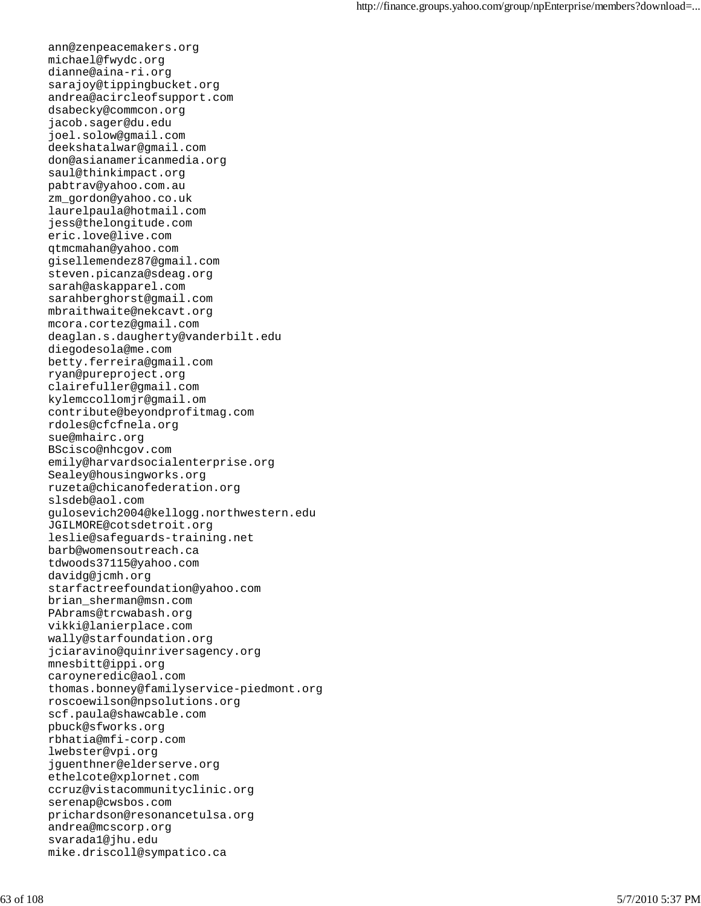ann@zenpeacemakers.org michael@fwydc.org dianne@aina-ri.org sarajoy@tippingbucket.org andrea@acircleofsupport.com dsabecky@commcon.org jacob.sager@du.edu joel.solow@gmail.com deekshatalwar@gmail.com don@asianamericanmedia.org saul@thinkimpact.org pabtrav@yahoo.com.au zm\_gordon@yahoo.co.uk laurelpaula@hotmail.com jess@thelongitude.com eric.love@live.com qtmcmahan@yahoo.com gisellemendez87@gmail.com steven.picanza@sdeag.org sarah@askapparel.com sarahberghorst@gmail.com mbraithwaite@nekcavt.org mcora.cortez@gmail.com deaglan.s.daugherty@vanderbilt.edu diegodesola@me.com betty.ferreira@gmail.com ryan@pureproject.org clairefuller@gmail.com kylemccollomjr@gmail.om contribute@beyondprofitmag.com rdoles@cfcfnela.org sue@mhairc.org BScisco@nhcgov.com emily@harvardsocialenterprise.org Sealey@housingworks.org ruzeta@chicanofederation.org slsdeb@aol.com gulosevich2004@kellogg.northwestern.edu JGILMORE@cotsdetroit.org leslie@safeguards-training.net barb@womensoutreach.ca tdwoods37115@yahoo.com davidg@jcmh.org starfactreefoundation@yahoo.com brian\_sherman@msn.com PAbrams@trcwabash.org vikki@lanierplace.com wally@starfoundation.org jciaravino@quinriversagency.org mnesbitt@ippi.org caroyneredic@aol.com thomas.bonney@familyservice-piedmont.org roscoewilson@npsolutions.org scf.paula@shawcable.com pbuck@sfworks.org rbhatia@mfi-corp.com lwebster@vpi.org jguenthner@elderserve.org ethelcote@xplornet.com ccruz@vistacommunityclinic.org serenap@cwsbos.com prichardson@resonancetulsa.org andrea@mcscorp.org svarada1@jhu.edu mike.driscoll@sympatico.ca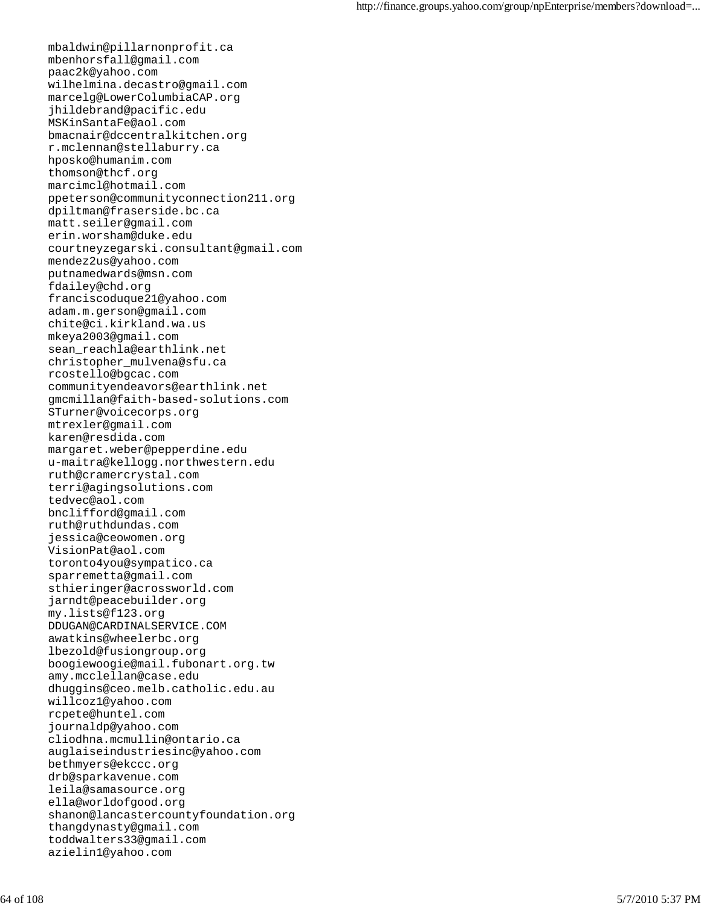mbaldwin@pillarnonprofit.ca mbenhorsfall@gmail.com paac2k@yahoo.com wilhelmina.decastro@gmail.com marcelg@LowerColumbiaCAP.org jhildebrand@pacific.edu MSKinSantaFe@aol.com bmacnair@dccentralkitchen.org r.mclennan@stellaburry.ca hposko@humanim.com thomson@thcf.org marcimcl@hotmail.com ppeterson@communityconnection211.org dpiltman@fraserside.bc.ca matt.seiler@gmail.com erin.worsham@duke.edu courtneyzegarski.consultant@gmail.com mendez2us@yahoo.com putnamedwards@msn.com fdailey@chd.org franciscoduque21@yahoo.com adam.m.gerson@gmail.com chite@ci.kirkland.wa.us mkeya2003@gmail.com sean\_reachla@earthlink.net christopher\_mulvena@sfu.ca rcostello@bgcac.com communityendeavors@earthlink.net gmcmillan@faith-based-solutions.com STurner@voicecorps.org mtrexler@gmail.com karen@resdida.com margaret.weber@pepperdine.edu u-maitra@kellogg.northwestern.edu ruth@cramercrystal.com terri@agingsolutions.com tedvec@aol.com bnclifford@gmail.com ruth@ruthdundas.com jessica@ceowomen.org VisionPat@aol.com toronto4you@sympatico.ca sparremetta@gmail.com sthieringer@acrossworld.com jarndt@peacebuilder.org my.lists@f123.org DDUGAN@CARDINALSERVICE.COM awatkins@wheelerbc.org lbezold@fusiongroup.org boogiewoogie@mail.fubonart.org.tw amy.mcclellan@case.edu dhuggins@ceo.melb.catholic.edu.au willcoz1@yahoo.com rcpete@huntel.com journaldp@yahoo.com cliodhna.mcmullin@ontario.ca auglaiseindustriesinc@yahoo.com bethmyers@ekccc.org drb@sparkavenue.com leila@samasource.org ella@worldofgood.org shanon@lancastercountyfoundation.org thangdynasty@gmail.com toddwalters33@gmail.com azielin1@yahoo.com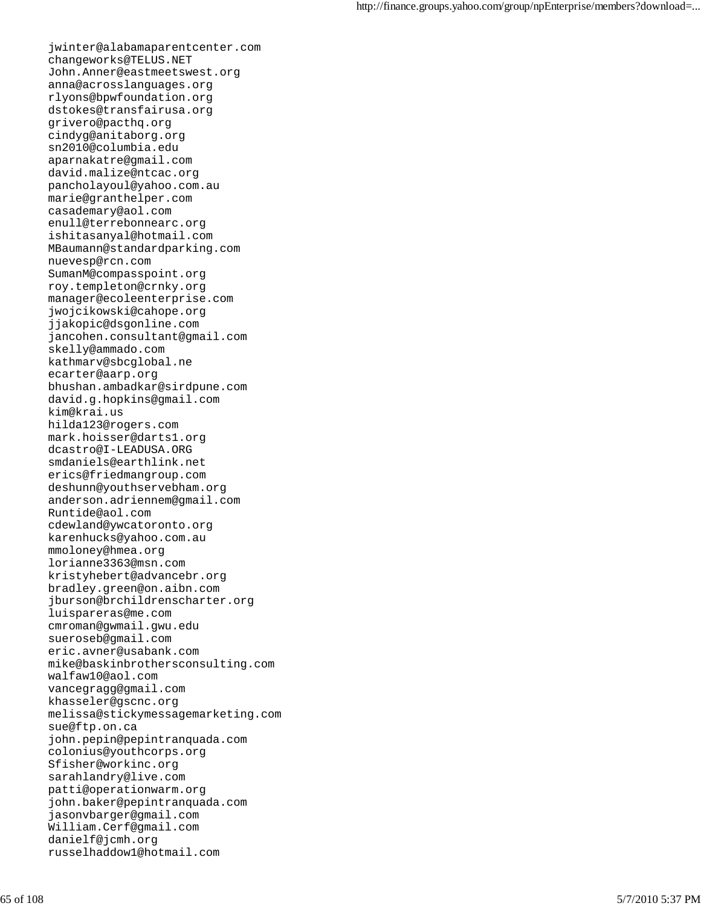jwinter@alabamaparentcenter.com changeworks@TELUS.NET John.Anner@eastmeetswest.org anna@acrosslanguages.org rlyons@bpwfoundation.org dstokes@transfairusa.org grivero@pacthq.org cindyg@anitaborg.org sn2010@columbia.edu aparnakatre@gmail.com david.malize@ntcac.org pancholayoul@yahoo.com.au marie@granthelper.com casademary@aol.com enull@terrebonnearc.org ishitasanyal@hotmail.com MBaumann@standardparking.com nuevesp@rcn.com SumanM@compasspoint.org roy.templeton@crnky.org manager@ecoleenterprise.com jwojcikowski@cahope.org jjakopic@dsgonline.com jancohen.consultant@gmail.com skelly@ammado.com kathmarv@sbcglobal.ne ecarter@aarp.org bhushan.ambadkar@sirdpune.com david.g.hopkins@gmail.com kim@krai.us hilda123@rogers.com mark.hoisser@darts1.org dcastro@I-LEADUSA.ORG smdaniels@earthlink.net erics@friedmangroup.com deshunn@youthservebham.org anderson.adriennem@gmail.com Runtide@aol.com cdewland@ywcatoronto.org karenhucks@yahoo.com.au mmoloney@hmea.org lorianne3363@msn.com kristyhebert@advancebr.org bradley.green@on.aibn.com jburson@brchildrenscharter.org luispareras@me.com cmroman@gwmail.gwu.edu sueroseb@gmail.com eric.avner@usabank.com mike@baskinbrothersconsulting.com walfaw10@aol.com vancegragg@gmail.com khasseler@gscnc.org melissa@stickymessagemarketing.com sue@ftp.on.ca john.pepin@pepintranquada.com colonius@youthcorps.org Sfisher@workinc.org sarahlandry@live.com patti@operationwarm.org john.baker@pepintranquada.com jasonvbarger@gmail.com William.Cerf@gmail.com danielf@jcmh.org russelhaddow1@hotmail.com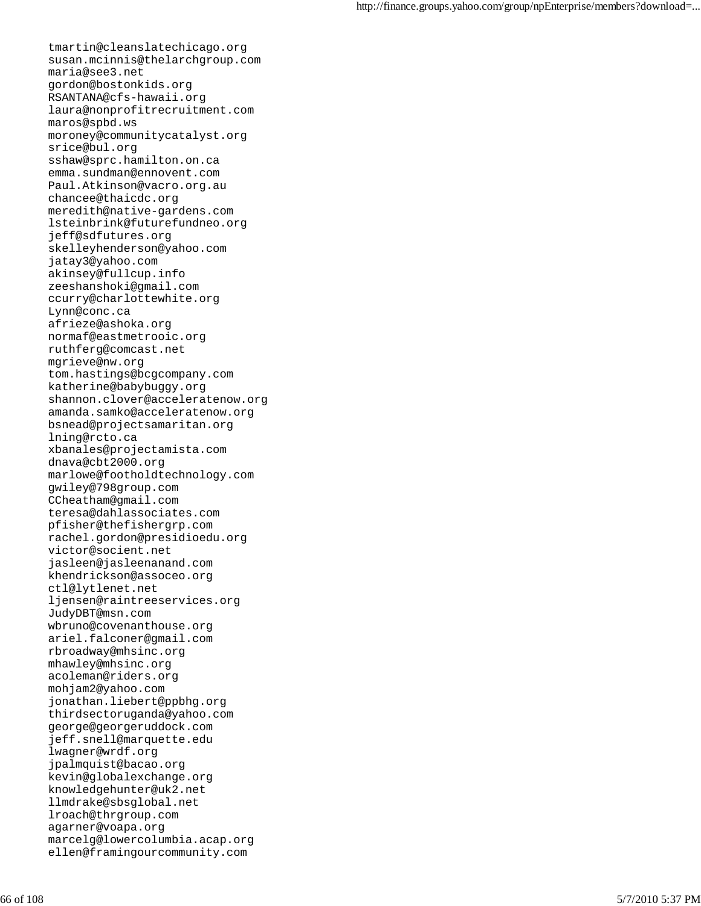tmartin@cleanslatechicago.org susan.mcinnis@thelarchgroup.com maria@see3.net gordon@bostonkids.org RSANTANA@cfs-hawaii.org laura@nonprofitrecruitment.com maros@spbd.ws moroney@communitycatalyst.org srice@bul.org sshaw@sprc.hamilton.on.ca emma.sundman@ennovent.com Paul.Atkinson@vacro.org.au chancee@thaicdc.org meredith@native-gardens.com lsteinbrink@futurefundneo.org jeff@sdfutures.org skelleyhenderson@yahoo.com jatay3@yahoo.com akinsey@fullcup.info zeeshanshoki@gmail.com ccurry@charlottewhite.org Lynn@conc.ca afrieze@ashoka.org normaf@eastmetrooic.org ruthferg@comcast.net mgrieve@nw.org tom.hastings@bcgcompany.com katherine@babybuggy.org shannon.clover@acceleratenow.org amanda.samko@acceleratenow.org bsnead@projectsamaritan.org lning@rcto.ca xbanales@projectamista.com dnava@cbt2000.org marlowe@footholdtechnology.com gwiley@798group.com CCheatham@gmail.com teresa@dahlassociates.com pfisher@thefishergrp.com rachel.gordon@presidioedu.org victor@socient.net jasleen@jasleenanand.com khendrickson@assoceo.org ctl@lytlenet.net ljensen@raintreeservices.org JudyDBT@msn.com wbruno@covenanthouse.org ariel.falconer@gmail.com rbroadway@mhsinc.org mhawley@mhsinc.org acoleman@riders.org mohjam2@yahoo.com jonathan.liebert@ppbhg.org thirdsectoruganda@yahoo.com george@georgeruddock.com jeff.snell@marquette.edu lwagner@wrdf.org jpalmquist@bacao.org kevin@globalexchange.org knowledgehunter@uk2.net llmdrake@sbsglobal.net lroach@thrgroup.com agarner@voapa.org marcelg@lowercolumbia.acap.org ellen@framingourcommunity.com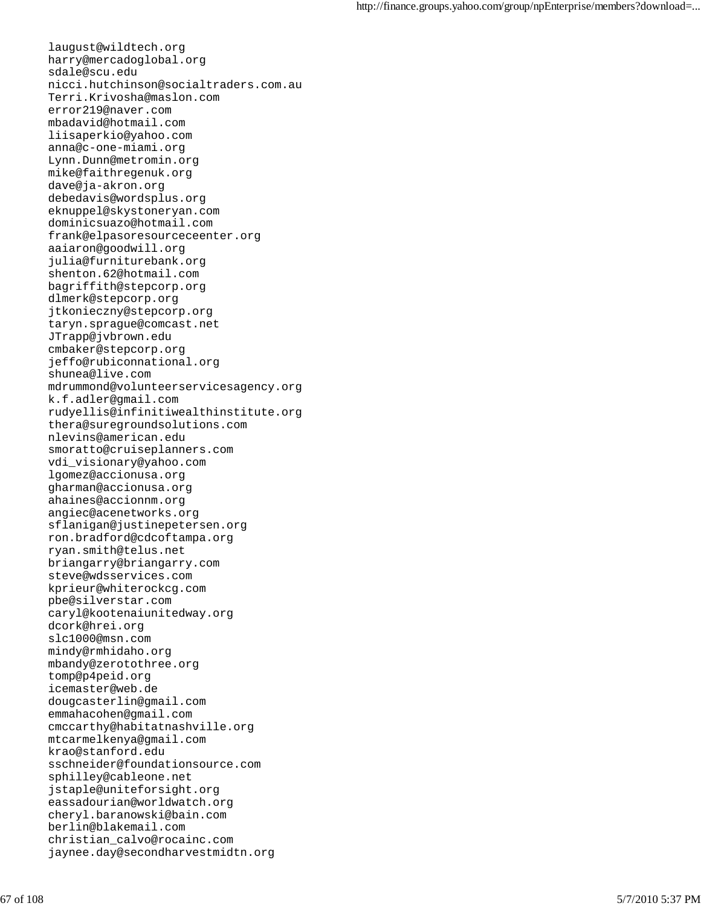laugust@wildtech.org harry@mercadoglobal.org sdale@scu.edu nicci.hutchinson@socialtraders.com.au Terri.Krivosha@maslon.com error219@naver.com mbadavid@hotmail.com liisaperkio@yahoo.com anna@c-one-miami.org Lynn.Dunn@metromin.org mike@faithregenuk.org dave@ja-akron.org debedavis@wordsplus.org eknuppel@skystoneryan.com dominicsuazo@hotmail.com frank@elpasoresourceceenter.org aaiaron@goodwill.org julia@furniturebank.org shenton.62@hotmail.com bagriffith@stepcorp.org dlmerk@stepcorp.org jtkonieczny@stepcorp.org taryn.sprague@comcast.net JTrapp@jvbrown.edu cmbaker@stepcorp.org jeffo@rubiconnational.org shunea@live.com mdrummond@volunteerservicesagency.org k.f.adler@gmail.com rudyellis@infinitiwealthinstitute.org thera@suregroundsolutions.com nlevins@american.edu smoratto@cruiseplanners.com vdi\_visionary@yahoo.com lgomez@accionusa.org gharman@accionusa.org ahaines@accionnm.org angiec@acenetworks.org sflanigan@justinepetersen.org ron.bradford@cdcoftampa.org ryan.smith@telus.net briangarry@briangarry.com steve@wdsservices.com kprieur@whiterockcg.com pbe@silverstar.com caryl@kootenaiunitedway.org dcork@hrei.org slc1000@msn.com mindy@rmhidaho.org mbandy@zerotothree.org tomp@p4peid.org icemaster@web.de dougcasterlin@gmail.com emmahacohen@gmail.com cmccarthy@habitatnashville.org mtcarmelkenya@gmail.com krao@stanford.edu sschneider@foundationsource.com sphilley@cableone.net jstaple@uniteforsight.org eassadourian@worldwatch.org cheryl.baranowski@bain.com berlin@blakemail.com christian\_calvo@rocainc.com jaynee.day@secondharvestmidtn.org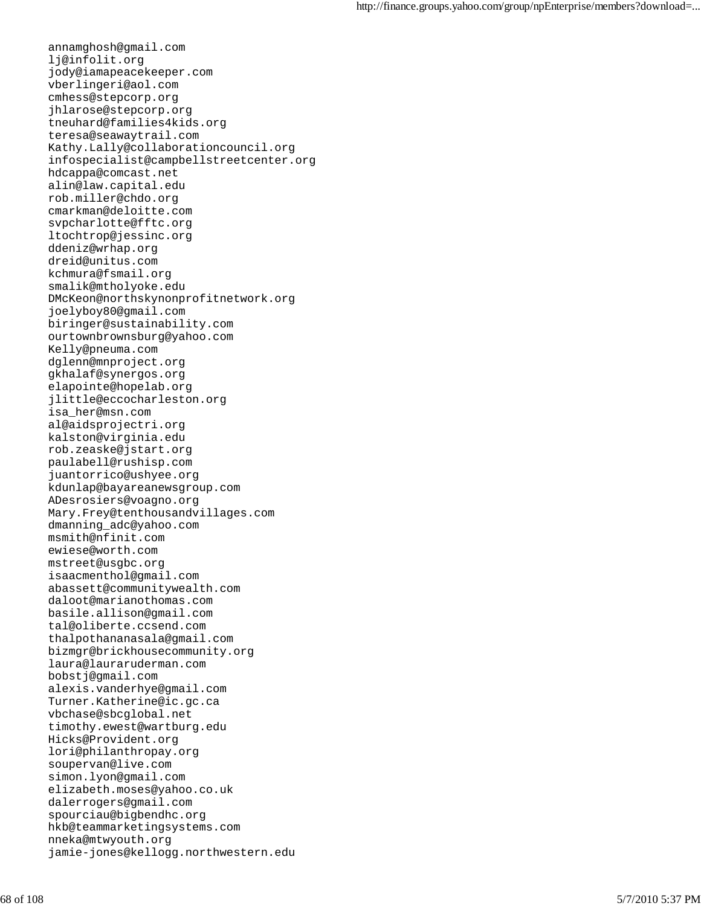annamghosh@gmail.com lj@infolit.org jody@iamapeacekeeper.com vberlingeri@aol.com cmhess@stepcorp.org jhlarose@stepcorp.org tneuhard@families4kids.org teresa@seawaytrail.com Kathy.Lally@collaborationcouncil.org infospecialist@campbellstreetcenter.org hdcappa@comcast.net alin@law.capital.edu rob.miller@chdo.org cmarkman@deloitte.com svpcharlotte@fftc.org ltochtrop@jessinc.org ddeniz@wrhap.org dreid@unitus.com kchmura@fsmail.org smalik@mtholyoke.edu DMcKeon@northskynonprofitnetwork.org joelyboy80@gmail.com biringer@sustainability.com ourtownbrownsburg@yahoo.com Kelly@pneuma.com dglenn@mnproject.org gkhalaf@synergos.org elapointe@hopelab.org jlittle@eccocharleston.org isa\_her@msn.com al@aidsprojectri.org kalston@virginia.edu rob.zeaske@jstart.org paulabell@rushisp.com juantorrico@ushyee.org kdunlap@bayareanewsgroup.com ADesrosiers@voagno.org Mary.Frey@tenthousandvillages.com dmanning\_adc@yahoo.com msmith@nfinit.com ewiese@worth.com mstreet@usgbc.org isaacmenthol@gmail.com abassett@communitywealth.com daloot@marianothomas.com basile.allison@gmail.com tal@oliberte.ccsend.com thalpothananasala@gmail.com bizmgr@brickhousecommunity.org laura@lauraruderman.com bobstj@gmail.com alexis.vanderhye@gmail.com Turner.Katherine@ic.gc.ca vbchase@sbcglobal.net timothy.ewest@wartburg.edu Hicks@Provident.org lori@philanthropay.org soupervan@live.com simon.lyon@gmail.com elizabeth.moses@yahoo.co.uk dalerrogers@gmail.com spourciau@bigbendhc.org hkb@teammarketingsystems.com nneka@mtwyouth.org jamie-jones@kellogg.northwestern.edu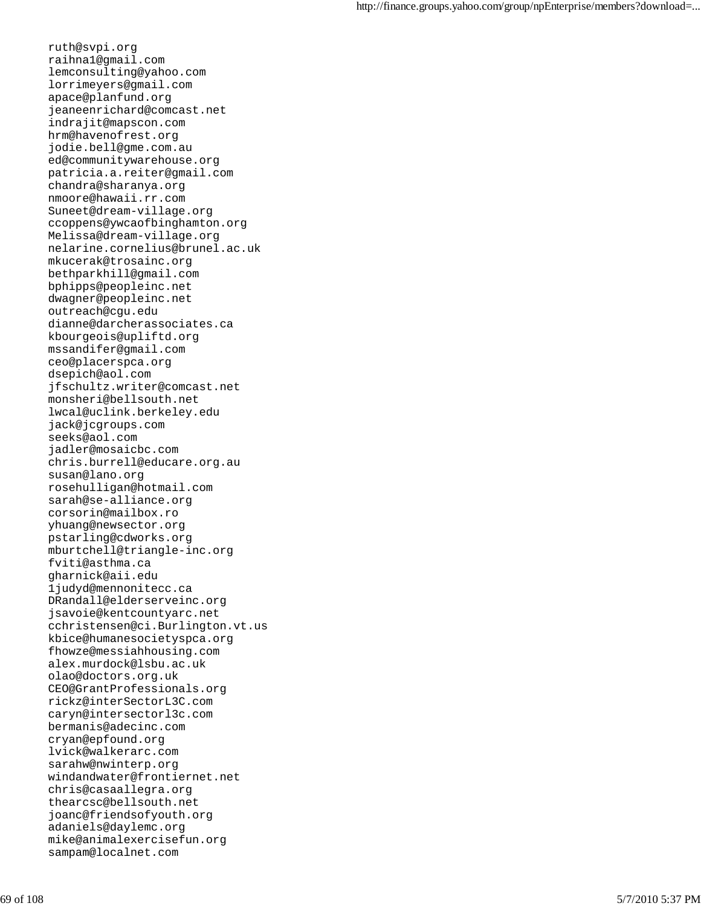ruth@svpi.org raihna1@gmail.com lemconsulting@yahoo.com lorrimeyers@gmail.com apace@planfund.org jeaneenrichard@comcast.net indrajit@mapscon.com hrm@havenofrest.org jodie.bell@gme.com.au ed@communitywarehouse.org patricia.a.reiter@gmail.com chandra@sharanya.org nmoore@hawaii.rr.com Suneet@dream-village.org ccoppens@ywcaofbinghamton.org Melissa@dream-village.org nelarine.cornelius@brunel.ac.uk mkucerak@trosainc.org bethparkhill@gmail.com bphipps@peopleinc.net dwagner@peopleinc.net outreach@cgu.edu dianne@darcherassociates.ca kbourgeois@upliftd.org mssandifer@gmail.com ceo@placerspca.org dsepich@aol.com jfschultz.writer@comcast.net monsheri@bellsouth.net lwcal@uclink.berkeley.edu jack@jcgroups.com seeks@aol.com jadler@mosaicbc.com chris.burrell@educare.org.au susan@lano.org rosehulligan@hotmail.com sarah@se-alliance.org corsorin@mailbox.ro yhuang@newsector.org pstarling@cdworks.org mburtchell@triangle-inc.org fviti@asthma.ca gharnick@aii.edu 1judyd@mennonitecc.ca DRandall@elderserveinc.org jsavoie@kentcountyarc.net cchristensen@ci.Burlington.vt.us kbice@humanesocietyspca.org fhowze@messiahhousing.com alex.murdock@lsbu.ac.uk olao@doctors.org.uk CEO@GrantProfessionals.org rickz@interSectorL3C.com caryn@intersectorl3c.com bermanis@adecinc.com cryan@epfound.org lvick@walkerarc.com sarahw@nwinterp.org windandwater@frontiernet.net chris@casaallegra.org thearcsc@bellsouth.net joanc@friendsofyouth.org adaniels@daylemc.org mike@animalexercisefun.org sampam@localnet.com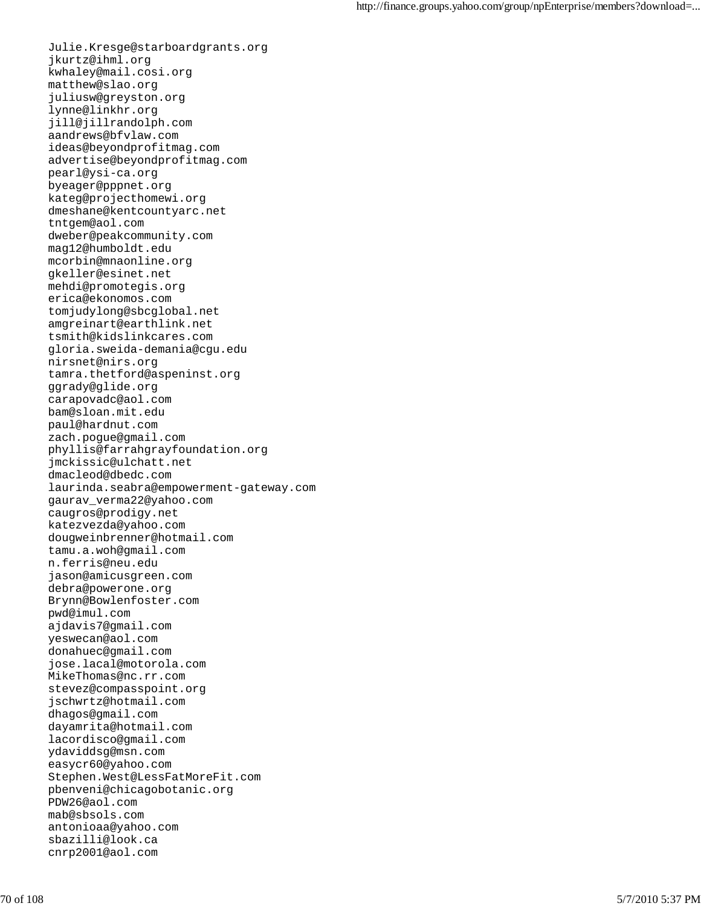Julie.Kresge@starboardgrants.org jkurtz@ihml.org kwhaley@mail.cosi.org matthew@slao.org juliusw@greyston.org lynne@linkhr.org jill@jillrandolph.com aandrews@bfvlaw.com ideas@beyondprofitmag.com advertise@beyondprofitmag.com pearl@ysi-ca.org byeager@pppnet.org kateg@projecthomewi.org dmeshane@kentcountyarc.net tntgem@aol.com dweber@peakcommunity.com mag12@humboldt.edu mcorbin@mnaonline.org gkeller@esinet.net mehdi@promotegis.org erica@ekonomos.com tomjudylong@sbcglobal.net amgreinart@earthlink.net tsmith@kidslinkcares.com gloria.sweida-demania@cgu.edu nirsnet@nirs.org tamra.thetford@aspeninst.org ggrady@glide.org carapovadc@aol.com bam@sloan.mit.edu paul@hardnut.com zach.pogue@gmail.com phyllis@farrahgrayfoundation.org jmckissic@ulchatt.net dmacleod@dbedc.com laurinda.seabra@empowerment-gateway.com gaurav\_verma22@yahoo.com caugros@prodigy.net katezvezda@yahoo.com dougweinbrenner@hotmail.com tamu.a.woh@gmail.com n.ferris@neu.edu jason@amicusgreen.com debra@powerone.org Brynn@Bowlenfoster.com pwd@imul.com ajdavis7@gmail.com yeswecan@aol.com donahuec@gmail.com jose.lacal@motorola.com MikeThomas@nc.rr.com stevez@compasspoint.org jschwrtz@hotmail.com dhagos@gmail.com dayamrita@hotmail.com lacordisco@gmail.com ydaviddsg@msn.com easycr60@yahoo.com Stephen.West@LessFatMoreFit.com pbenveni@chicagobotanic.org PDW26@aol.com mab@sbsols.com antonioaa@yahoo.com sbazilli@look.ca cnrp2001@aol.com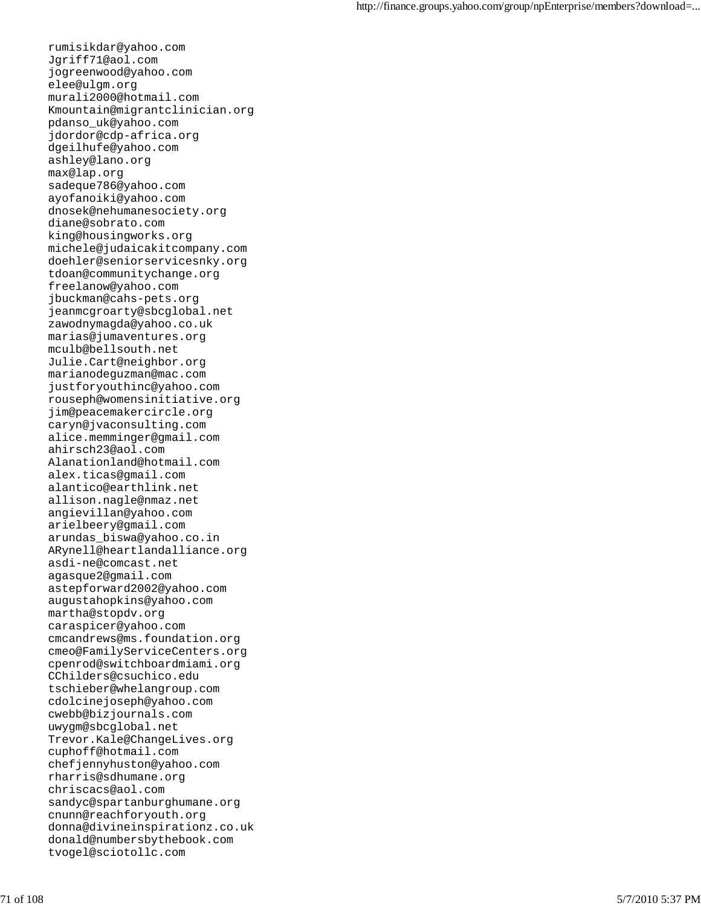rumisikdar@yahoo.com Jgriff71@aol.com jogreenwood@yahoo.com elee@ulgm.org murali2000@hotmail.com Kmountain@migrantclinician.org pdanso\_uk@yahoo.com jdordor@cdp-africa.org dgeilhufe@yahoo.com ashley@lano.org max@lap.org sadeque786@yahoo.com ayofanoiki@yahoo.com dnosek@nehumanesociety.org diane@sobrato.com king@housingworks.org michele@judaicakitcompany.com doehler@seniorservicesnky.org tdoan@communitychange.org freelanow@yahoo.com jbuckman@cahs-pets.org jeanmcgroarty@sbcglobal.net zawodnymagda@yahoo.co.uk marias@jumaventures.org mculb@bellsouth.net Julie.Cart@neighbor.org marianodeguzman@mac.com justforyouthinc@yahoo.com rouseph@womensinitiative.org jim@peacemakercircle.org caryn@jvaconsulting.com alice.memminger@gmail.com ahirsch23@aol.com Alanationland@hotmail.com alex.ticas@gmail.com alantico@earthlink.net allison.nagle@nmaz.net angievillan@yahoo.com arielbeery@gmail.com arundas\_biswa@yahoo.co.in ARynell@heartlandalliance.org asdi-ne@comcast.net agasque2@gmail.com astepforward2002@yahoo.com augustahopkins@yahoo.com martha@stopdv.org caraspicer@yahoo.com cmcandrews@ms.foundation.org cmeo@FamilyServiceCenters.org cpenrod@switchboardmiami.org CChilders@csuchico.edu tschieber@whelangroup.com cdolcinejoseph@yahoo.com cwebb@bizjournals.com uwygm@sbcglobal.net Trevor.Kale@ChangeLives.org cuphoff@hotmail.com chefjennyhuston@yahoo.com rharris@sdhumane.org chriscacs@aol.com sandyc@spartanburghumane.org cnunn@reachforyouth.org donna@divineinspirationz.co.uk donald@numbersbythebook.com tvogel@sciotollc.com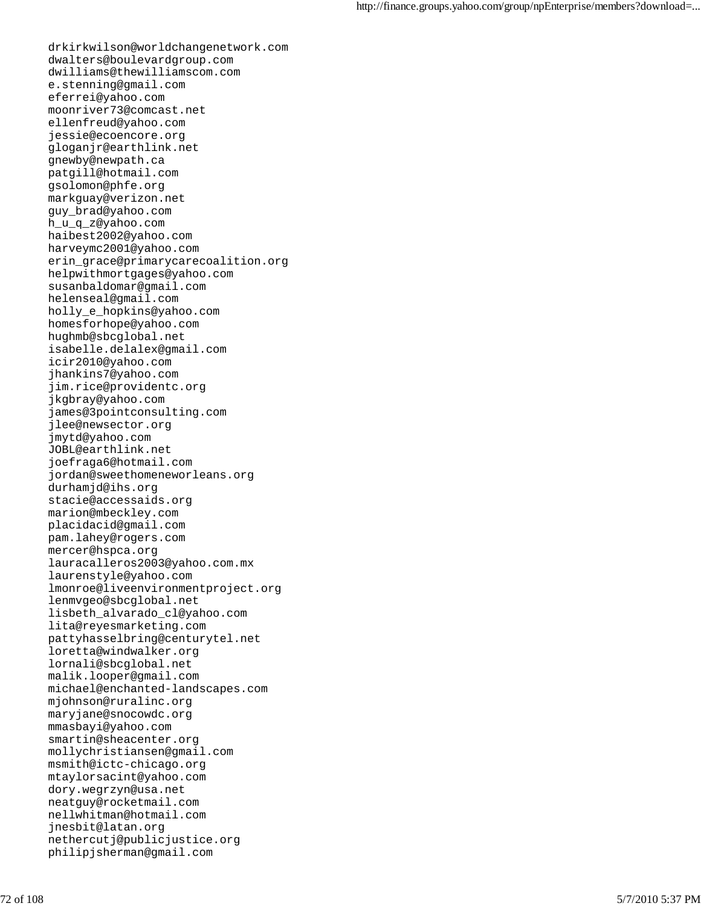drkirkwilson@worldchangenetwork.com dwalters@boulevardgroup.com dwilliams@thewilliamscom.com e.stenning@gmail.com eferrei@yahoo.com moonriver73@comcast.net ellenfreud@yahoo.com jessie@ecoencore.org gloganjr@earthlink.net gnewby@newpath.ca patgill@hotmail.com gsolomon@phfe.org markguay@verizon.net guy\_brad@yahoo.com h\_u\_q\_z@yahoo.com haibest2002@yahoo.com harveymc2001@yahoo.com erin\_grace@primarycarecoalition.org helpwithmortgages@yahoo.com susanbaldomar@gmail.com helenseal@gmail.com holly\_e\_hopkins@yahoo.com homesforhope@yahoo.com hughmb@sbcglobal.net isabelle.delalex@gmail.com icir2010@yahoo.com jhankins7@yahoo.com jim.rice@providentc.org jkgbray@yahoo.com james@3pointconsulting.com jlee@newsector.org jmytd@yahoo.com JOBL@earthlink.net joefraga6@hotmail.com jordan@sweethomeneworleans.org durhamjd@ihs.org stacie@accessaids.org marion@mbeckley.com placidacid@gmail.com pam.lahey@rogers.com mercer@hspca.org lauracalleros2003@yahoo.com.mx laurenstyle@yahoo.com lmonroe@liveenvironmentproject.org lenmvgeo@sbcglobal.net lisbeth\_alvarado\_cl@yahoo.com lita@reyesmarketing.com pattyhasselbring@centurytel.net loretta@windwalker.org lornali@sbcglobal.net malik.looper@gmail.com michael@enchanted-landscapes.com mjohnson@ruralinc.org maryjane@snocowdc.org mmasbayi@yahoo.com smartin@sheacenter.org mollychristiansen@gmail.com msmith@ictc-chicago.org mtaylorsacint@yahoo.com dory.wegrzyn@usa.net neatguy@rocketmail.com nellwhitman@hotmail.com jnesbit@latan.org nethercutj@publicjustice.org philipjsherman@gmail.com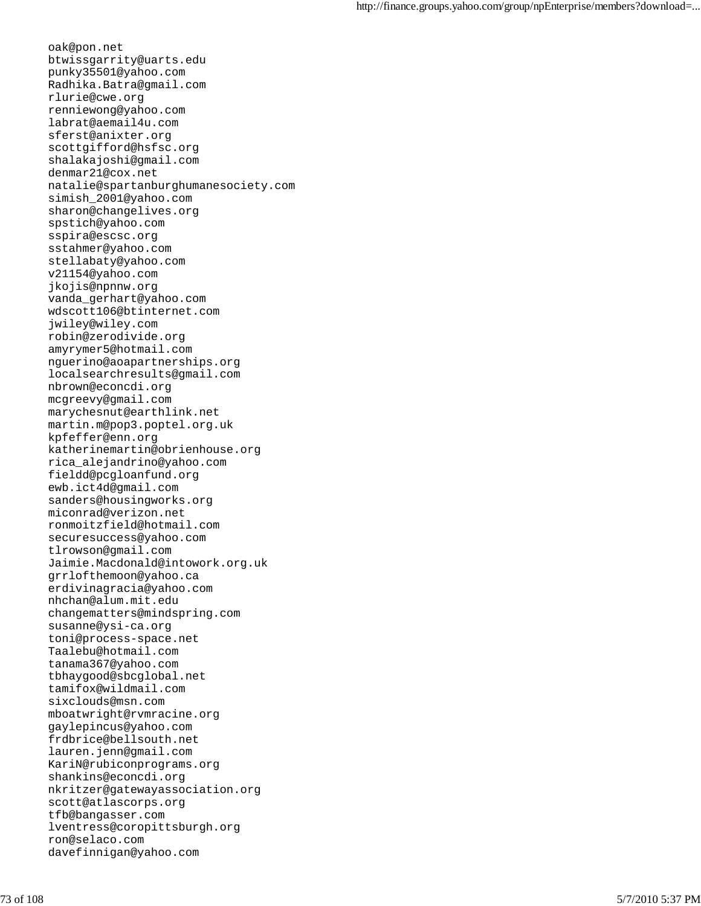oak@pon.net btwissgarrity@uarts.edu punky35501@yahoo.com Radhika.Batra@gmail.com rlurie@cwe.org renniewong@yahoo.com labrat@aemail4u.com sferst@anixter.org scottgifford@hsfsc.org shalakajoshi@gmail.com denmar21@cox.net natalie@spartanburghumanesociety.com simish\_2001@yahoo.com sharon@changelives.org spstich@yahoo.com sspira@escsc.org sstahmer@yahoo.com stellabaty@yahoo.com v21154@yahoo.com jkojis@npnnw.org vanda\_gerhart@yahoo.com wdscott106@btinternet.com jwiley@wiley.com robin@zerodivide.org amyrymer5@hotmail.com nguerino@aoapartnerships.org localsearchresults@gmail.com nbrown@econcdi.org mcgreevy@gmail.com marychesnut@earthlink.net martin.m@pop3.poptel.org.uk kpfeffer@enn.org katherinemartin@obrienhouse.org rica\_alejandrino@yahoo.com fieldd@pcgloanfund.org ewb.ict4d@gmail.com sanders@housingworks.org miconrad@verizon.net ronmoitzfield@hotmail.com securesuccess@yahoo.com tlrowson@gmail.com Jaimie.Macdonald@intowork.org.uk grrlofthemoon@yahoo.ca erdivinagracia@yahoo.com nhchan@alum.mit.edu changematters@mindspring.com susanne@ysi-ca.org toni@process-space.net Taalebu@hotmail.com tanama367@yahoo.com tbhaygood@sbcglobal.net tamifox@wildmail.com sixclouds@msn.com mboatwright@rvmracine.org gaylepincus@yahoo.com frdbrice@bellsouth.net lauren.jenn@gmail.com KariN@rubiconprograms.org shankins@econcdi.org nkritzer@gatewayassociation.org scott@atlascorps.org tfb@bangasser.com lventress@coropittsburgh.org ron@selaco.com davefinnigan@yahoo.com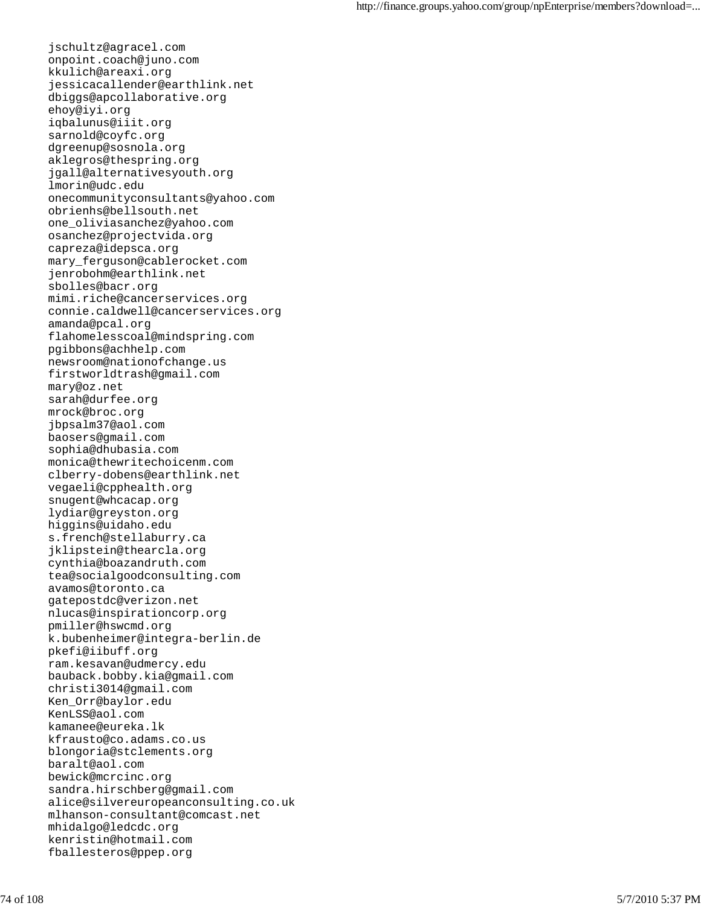jschultz@agracel.com onpoint.coach@juno.com kkulich@areaxi.org jessicacallender@earthlink.net dbiggs@apcollaborative.org ehoy@iyi.org iqbalunus@iiit.org sarnold@coyfc.org dgreenup@sosnola.org aklegros@thespring.org jgall@alternativesyouth.org lmorin@udc.edu onecommunityconsultants@yahoo.com obrienhs@bellsouth.net one\_oliviasanchez@yahoo.com osanchez@projectvida.org capreza@idepsca.org mary\_ferguson@cablerocket.com jenrobohm@earthlink.net sbolles@bacr.org mimi.riche@cancerservices.org connie.caldwell@cancerservices.org amanda@pcal.org flahomelesscoal@mindspring.com pgibbons@achhelp.com newsroom@nationofchange.us firstworldtrash@gmail.com mary@oz.net sarah@durfee.org mrock@broc.org jbpsalm37@aol.com baosers@gmail.com sophia@dhubasia.com monica@thewritechoicenm.com clberry-dobens@earthlink.net vegaeli@cpphealth.org snugent@whcacap.org lydiar@greyston.org higgins@uidaho.edu s.french@stellaburry.ca jklipstein@thearcla.org cynthia@boazandruth.com tea@socialgoodconsulting.com avamos@toronto.ca gatepostdc@verizon.net nlucas@inspirationcorp.org pmiller@hswcmd.org k.bubenheimer@integra-berlin.de pkefi@iibuff.org ram.kesavan@udmercy.edu bauback.bobby.kia@gmail.com christi3014@gmail.com Ken\_Orr@baylor.edu KenLSS@aol.com kamanee@eureka.lk kfrausto@co.adams.co.us blongoria@stclements.org baralt@aol.com bewick@mcrcinc.org sandra.hirschberg@gmail.com alice@silvereuropeanconsulting.co.uk mlhanson-consultant@comcast.net mhidalgo@ledcdc.org kenristin@hotmail.com fballesteros@ppep.org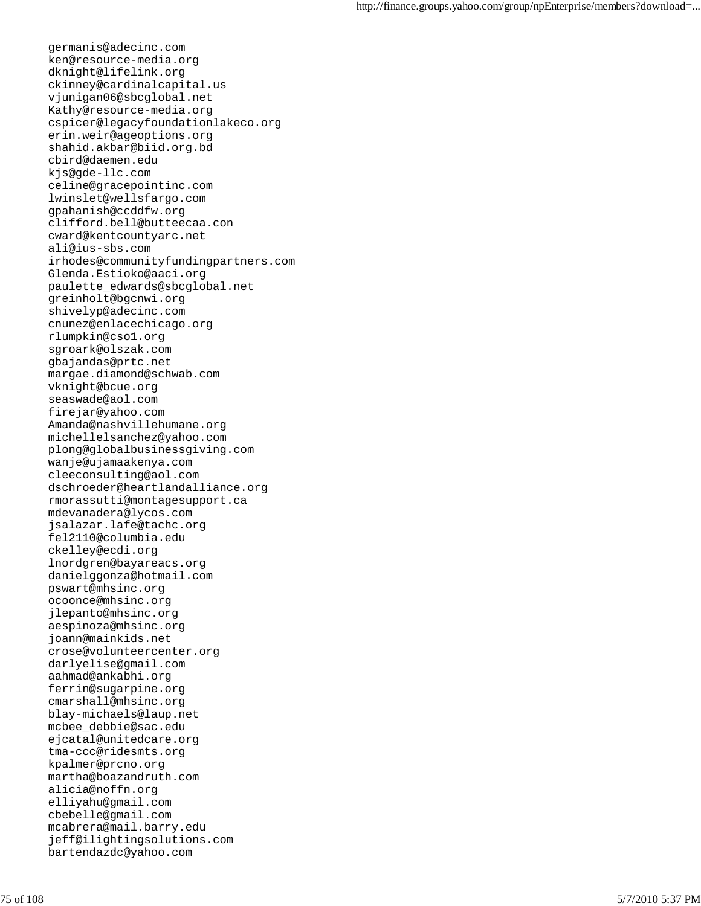germanis@adecinc.com ken@resource-media.org dknight@lifelink.org ckinney@cardinalcapital.us vjunigan06@sbcglobal.net Kathy@resource-media.org cspicer@legacyfoundationlakeco.org erin.weir@ageoptions.org shahid.akbar@biid.org.bd cbird@daemen.edu kjs@gde-llc.com celine@gracepointinc.com lwinslet@wellsfargo.com gpahanish@ccddfw.org clifford.bell@butteecaa.con cward@kentcountyarc.net ali@ius-sbs.com irhodes@communityfundingpartners.com Glenda.Estioko@aaci.org paulette\_edwards@sbcglobal.net greinholt@bgcnwi.org shivelyp@adecinc.com cnunez@enlacechicago.org rlumpkin@cso1.org sgroark@olszak.com gbajandas@prtc.net margae.diamond@schwab.com vknight@bcue.org seaswade@aol.com firejar@yahoo.com Amanda@nashvillehumane.org michellelsanchez@yahoo.com plong@globalbusinessgiving.com wanje@ujamaakenya.com cleeconsulting@aol.com dschroeder@heartlandalliance.org rmorassutti@montagesupport.ca mdevanadera@lycos.com jsalazar.lafe@tachc.org fel2110@columbia.edu ckelley@ecdi.org lnordgren@bayareacs.org danielggonza@hotmail.com pswart@mhsinc.org ocoonce@mhsinc.org jlepanto@mhsinc.org aespinoza@mhsinc.org joann@mainkids.net crose@volunteercenter.org darlyelise@gmail.com aahmad@ankabhi.org ferrin@sugarpine.org cmarshall@mhsinc.org blay-michaels@laup.net mcbee\_debbie@sac.edu ejcatal@unitedcare.org tma-ccc@ridesmts.org kpalmer@prcno.org martha@boazandruth.com alicia@noffn.org elliyahu@gmail.com cbebelle@gmail.com mcabrera@mail.barry.edu jeff@ilightingsolutions.com bartendazdc@yahoo.com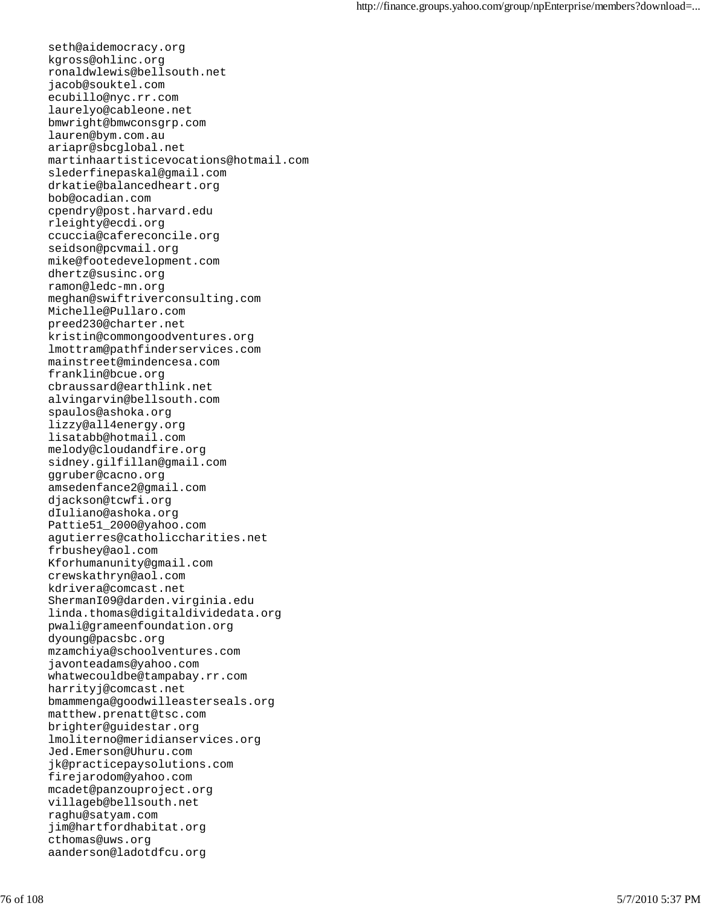seth@aidemocracy.org kgross@ohlinc.org ronaldwlewis@bellsouth.net jacob@souktel.com ecubillo@nyc.rr.com laurelyo@cableone.net bmwright@bmwconsgrp.com lauren@bym.com.au ariapr@sbcglobal.net martinhaartisticevocations@hotmail.com slederfinepaskal@gmail.com drkatie@balancedheart.org bob@ocadian.com cpendry@post.harvard.edu rleighty@ecdi.org ccuccia@cafereconcile.org seidson@pcvmail.org mike@footedevelopment.com dhertz@susinc.org ramon@ledc-mn.org meghan@swiftriverconsulting.com Michelle@Pullaro.com preed230@charter.net kristin@commongoodventures.org lmottram@pathfinderservices.com mainstreet@mindencesa.com franklin@bcue.org cbraussard@earthlink.net alvingarvin@bellsouth.com spaulos@ashoka.org lizzy@all4energy.org lisatabb@hotmail.com melody@cloudandfire.org sidney.gilfillan@gmail.com ggruber@cacno.org amsedenfance2@gmail.com djackson@tcwfi.org dIuliano@ashoka.org Pattie51\_2000@yahoo.com agutierres@catholiccharities.net frbushey@aol.com Kforhumanunity@gmail.com crewskathryn@aol.com kdrivera@comcast.net ShermanI09@darden.virginia.edu linda.thomas@digitaldividedata.org pwali@grameenfoundation.org dyoung@pacsbc.org mzamchiya@schoolventures.com javonteadams@yahoo.com whatwecouldbe@tampabay.rr.com harrityj@comcast.net bmammenga@goodwilleasterseals.org matthew.prenatt@tsc.com brighter@guidestar.org lmoliterno@meridianservices.org Jed.Emerson@Uhuru.com jk@practicepaysolutions.com firejarodom@yahoo.com mcadet@panzouproject.org villageb@bellsouth.net raghu@satyam.com jim@hartfordhabitat.org cthomas@uws.org aanderson@ladotdfcu.org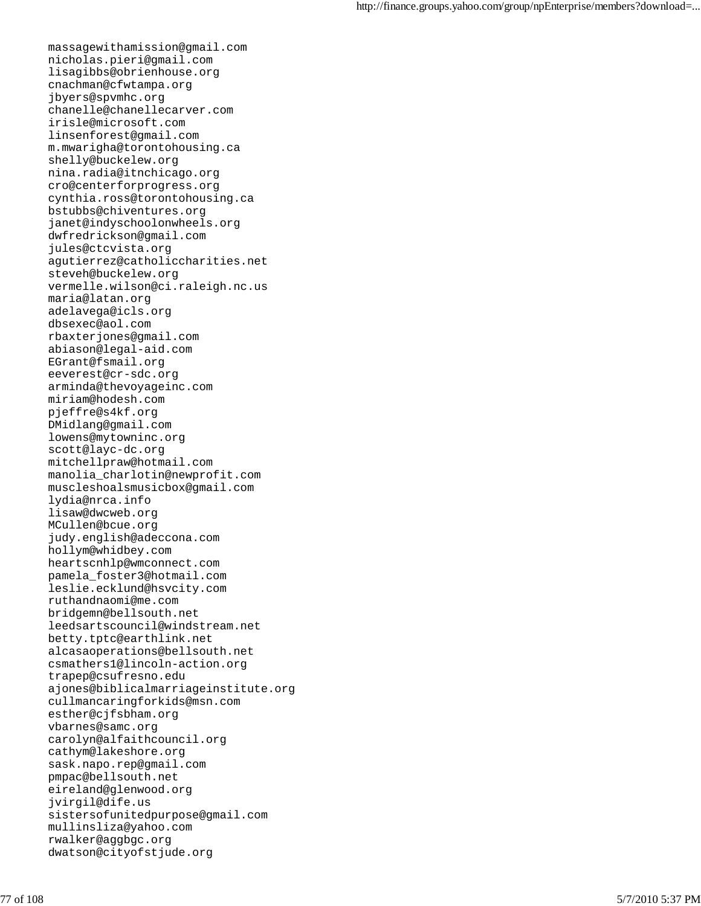massagewithamission@gmail.com nicholas.pieri@gmail.com lisagibbs@obrienhouse.org cnachman@cfwtampa.org jbyers@spvmhc.org chanelle@chanellecarver.com irisle@microsoft.com linsenforest@gmail.com m.mwarigha@torontohousing.ca shelly@buckelew.org nina.radia@itnchicago.org cro@centerforprogress.org cynthia.ross@torontohousing.ca bstubbs@chiventures.org janet@indyschoolonwheels.org dwfredrickson@gmail.com jules@ctcvista.org agutierrez@catholiccharities.net steveh@buckelew.org vermelle.wilson@ci.raleigh.nc.us maria@latan.org adelavega@icls.org dbsexec@aol.com rbaxterjones@gmail.com abiason@legal-aid.com EGrant@fsmail.org eeverest@cr-sdc.org arminda@thevoyageinc.com miriam@hodesh.com pjeffre@s4kf.org DMidlang@gmail.com lowens@mytowninc.org scott@layc-dc.org mitchellpraw@hotmail.com manolia\_charlotin@newprofit.com muscleshoalsmusicbox@gmail.com lydia@nrca.info lisaw@dwcweb.org MCullen@bcue.org judy.english@adeccona.com hollym@whidbey.com heartscnhlp@wmconnect.com pamela\_foster3@hotmail.com leslie.ecklund@hsvcity.com ruthandnaomi@me.com bridgemn@bellsouth.net leedsartscouncil@windstream.net betty.tptc@earthlink.net alcasaoperations@bellsouth.net csmathers1@lincoln-action.org trapep@csufresno.edu ajones@biblicalmarriageinstitute.org cullmancaringforkids@msn.com esther@cjfsbham.org vbarnes@samc.org carolyn@alfaithcouncil.org cathym@lakeshore.org sask.napo.rep@gmail.com pmpac@bellsouth.net eireland@glenwood.org jvirgil@dife.us sistersofunitedpurpose@gmail.com mullinsliza@yahoo.com rwalker@aggbgc.org dwatson@cityofstjude.org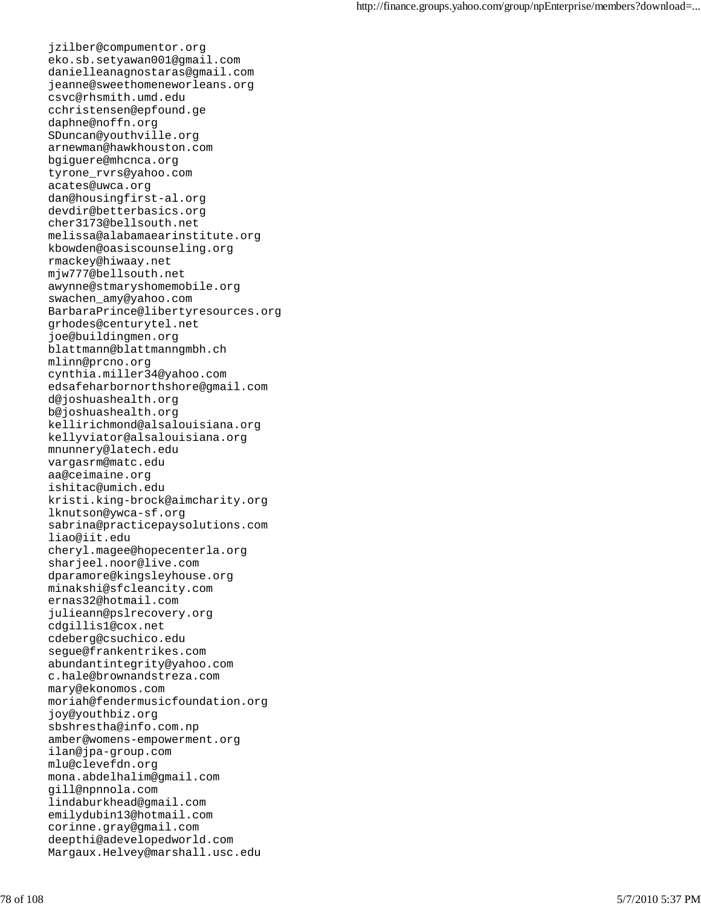jzilber@compumentor.org eko.sb.setyawan001@gmail.com danielleanagnostaras@gmail.com jeanne@sweethomeneworleans.org csvc@rhsmith.umd.edu cchristensen@epfound.ge daphne@noffn.org SDuncan@youthville.org arnewman@hawkhouston.com bgiguere@mhcnca.org tyrone\_rvrs@yahoo.com acates@uwca.org dan@housingfirst-al.org devdir@betterbasics.org cher3173@bellsouth.net melissa@alabamaearinstitute.org kbowden@oasiscounseling.org rmackey@hiwaay.net mjw777@bellsouth.net awynne@stmaryshomemobile.org swachen\_amy@yahoo.com BarbaraPrince@libertyresources.org grhodes@centurytel.net joe@buildingmen.org blattmann@blattmanngmbh.ch mlinn@prcno.org cynthia.miller34@yahoo.com edsafeharbornorthshore@gmail.com d@joshuashealth.org b@joshuashealth.org kellirichmond@alsalouisiana.org kellyviator@alsalouisiana.org mnunnery@latech.edu vargasrm@matc.edu aa@ceimaine.org ishitac@umich.edu kristi.king-brock@aimcharity.org lknutson@ywca-sf.org sabrina@practicepaysolutions.com liao@iit.edu cheryl.magee@hopecenterla.org sharjeel.noor@live.com dparamore@kingsleyhouse.org minakshi@sfcleancity.com ernas32@hotmail.com julieann@pslrecovery.org cdgillis1@cox.net cdeberg@csuchico.edu segue@frankentrikes.com abundantintegrity@yahoo.com c.hale@brownandstreza.com mary@ekonomos.com moriah@fendermusicfoundation.org joy@youthbiz.org sbshrestha@info.com.np amber@womens-empowerment.org ilan@jpa-group.com mlu@clevefdn.org mona.abdelhalim@gmail.com gill@npnnola.com lindaburkhead@gmail.com emilydubin13@hotmail.com corinne.gray@gmail.com deepthi@adevelopedworld.com Margaux.Helvey@marshall.usc.edu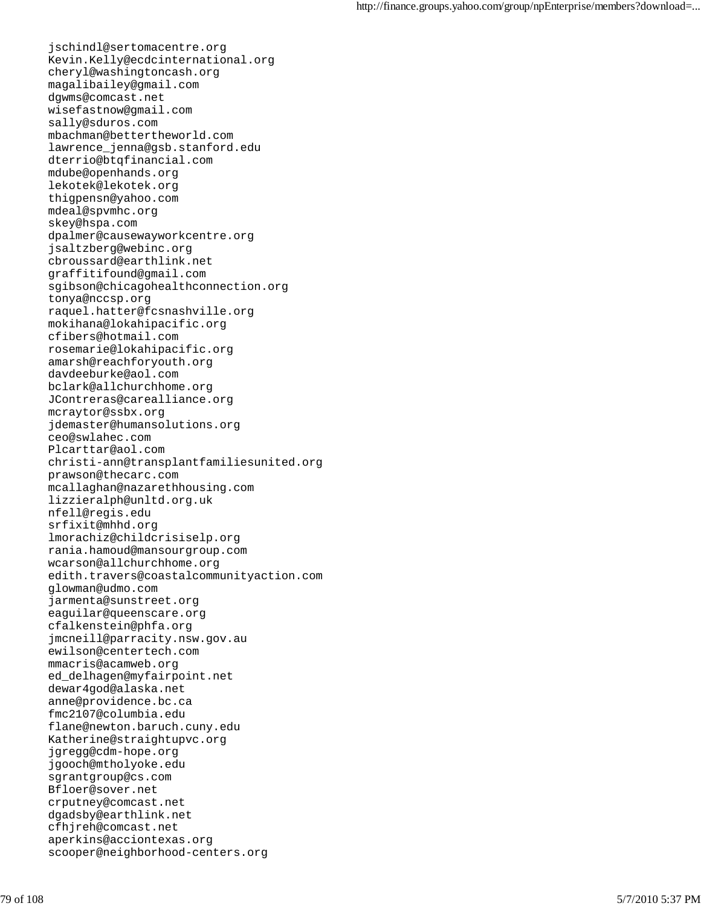jschindl@sertomacentre.org Kevin.Kelly@ecdcinternational.org cheryl@washingtoncash.org magalibailey@gmail.com dgwms@comcast.net wisefastnow@gmail.com sally@sduros.com mbachman@bettertheworld.com lawrence\_jenna@gsb.stanford.edu dterrio@btqfinancial.com mdube@openhands.org lekotek@lekotek.org thigpensn@yahoo.com mdeal@spvmhc.org skey@hspa.com dpalmer@causewayworkcentre.org jsaltzberg@webinc.org cbroussard@earthlink.net graffitifound@gmail.com sgibson@chicagohealthconnection.org tonya@nccsp.org raquel.hatter@fcsnashville.org mokihana@lokahipacific.org cfibers@hotmail.com rosemarie@lokahipacific.org amarsh@reachforyouth.org davdeeburke@aol.com bclark@allchurchhome.org JContreras@carealliance.org mcraytor@ssbx.org jdemaster@humansolutions.org ceo@swlahec.com Plcarttar@aol.com christi-ann@transplantfamiliesunited.org prawson@thecarc.com mcallaghan@nazarethhousing.com lizzieralph@unltd.org.uk nfell@regis.edu srfixit@mhhd.org lmorachiz@childcrisiselp.org rania.hamoud@mansourgroup.com wcarson@allchurchhome.org edith.travers@coastalcommunityaction.com glowman@udmo.com jarmenta@sunstreet.org eaguilar@queenscare.org cfalkenstein@phfa.org jmcneill@parracity.nsw.gov.au ewilson@centertech.com mmacris@acamweb.org ed\_delhagen@myfairpoint.net dewar4god@alaska.net anne@providence.bc.ca fmc2107@columbia.edu flane@newton.baruch.cuny.edu Katherine@straightupvc.org jgregg@cdm-hope.org jgooch@mtholyoke.edu sgrantgroup@cs.com Bfloer@sover.net crputney@comcast.net dgadsby@earthlink.net cfhjreh@comcast.net aperkins@acciontexas.org scooper@neighborhood-centers.org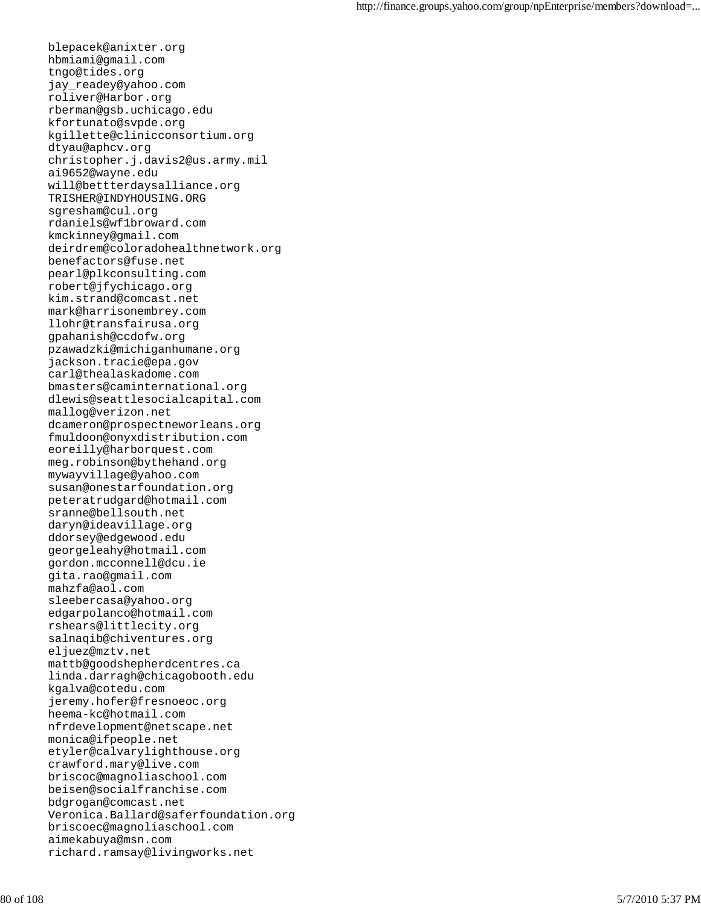blepacek@anixter.org hbmiami@gmail.com tngo@tides.org jay\_readey@yahoo.com roliver@Harbor.org rberman@gsb.uchicago.edu kfortunato@svpde.org kgillette@clinicconsortium.org dtyau@aphcv.org christopher.j.davis2@us.army.mil ai9652@wayne.edu will@bettterdaysalliance.org TRISHER@INDYHOUSING.ORG sgresham@cul.org rdaniels@wf1broward.com kmckinney@gmail.com deirdrem@coloradohealthnetwork.org benefactors@fuse.net pearl@plkconsulting.com robert@jfychicago.org kim.strand@comcast.net mark@harrisonembrey.com llohr@transfairusa.org gpahanish@ccdofw.org pzawadzki@michiganhumane.org jackson.tracie@epa.gov carl@thealaskadome.com bmasters@caminternational.org dlewis@seattlesocialcapital.com mallog@verizon.net dcameron@prospectneworleans.org fmuldoon@onyxdistribution.com eoreilly@harborquest.com meg.robinson@bythehand.org mywayvillage@yahoo.com susan@onestarfoundation.org peteratrudgard@hotmail.com sranne@bellsouth.net daryn@ideavillage.org ddorsey@edgewood.edu georgeleahy@hotmail.com gordon.mcconnell@dcu.ie gita.rao@gmail.com mahzfa@aol.com sleebercasa@yahoo.org edgarpolanco@hotmail.com rshears@littlecity.org salnaqib@chiventures.org eljuez@mztv.net mattb@goodshepherdcentres.ca linda.darragh@chicagobooth.edu kgalva@cotedu.com jeremy.hofer@fresnoeoc.org heema-kc@hotmail.com nfrdevelopment@netscape.net monica@ifpeople.net etyler@calvarylighthouse.org crawford.mary@live.com briscoc@magnoliaschool.com beisen@socialfranchise.com bdgrogan@comcast.net Veronica.Ballard@saferfoundation.org briscoec@magnoliaschool.com aimekabuya@msn.com richard.ramsay@livingworks.net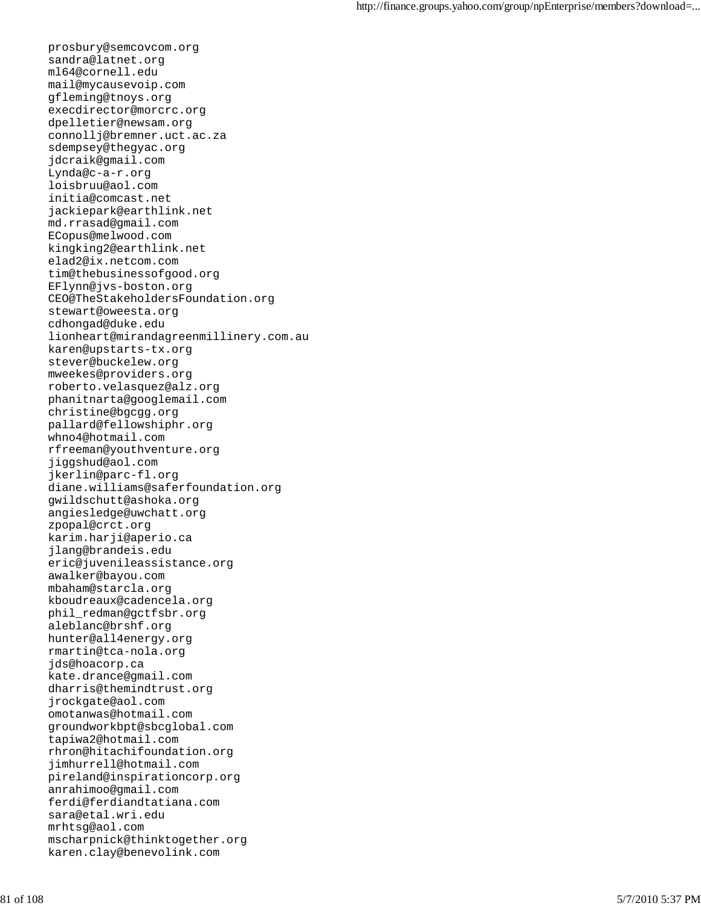prosbury@semcovcom.org sandra@latnet.org ml64@cornell.edu mail@mycausevoip.com gfleming@tnoys.org execdirector@morcrc.org dpelletier@newsam.org connollj@bremner.uct.ac.za sdempsey@thegyac.org jdcraik@gmail.com Lynda@c-a-r.org loisbruu@aol.com initia@comcast.net jackiepark@earthlink.net md.rrasad@gmail.com ECopus@melwood.com kingking2@earthlink.net elad2@ix.netcom.com tim@thebusinessofgood.org EFlynn@jvs-boston.org CEO@TheStakeholdersFoundation.org stewart@oweesta.org cdhongad@duke.edu lionheart@mirandagreenmillinery.com.au karen@upstarts-tx.org stever@buckelew.org mweekes@providers.org roberto.velasquez@alz.org phanitnarta@googlemail.com christine@bgcgg.org pallard@fellowshiphr.org whno4@hotmail.com rfreeman@youthventure.org jiggshud@aol.com jkerlin@parc-fl.org diane.williams@saferfoundation.org gwildschutt@ashoka.org angiesledge@uwchatt.org zpopal@crct.org karim.harji@aperio.ca jlang@brandeis.edu eric@juvenileassistance.org awalker@bayou.com mbaham@starcla.org kboudreaux@cadencela.org phil\_redman@gctfsbr.org aleblanc@brshf.org hunter@all4energy.org rmartin@tca-nola.org jds@hoacorp.ca kate.drance@gmail.com dharris@themindtrust.org jrockgate@aol.com omotanwas@hotmail.com groundworkbpt@sbcglobal.com tapiwa2@hotmail.com rhron@hitachifoundation.org jimhurrell@hotmail.com pireland@inspirationcorp.org anrahimoo@gmail.com ferdi@ferdiandtatiana.com sara@etal.wri.edu mrhtsg@aol.com mscharpnick@thinktogether.org karen.clay@benevolink.com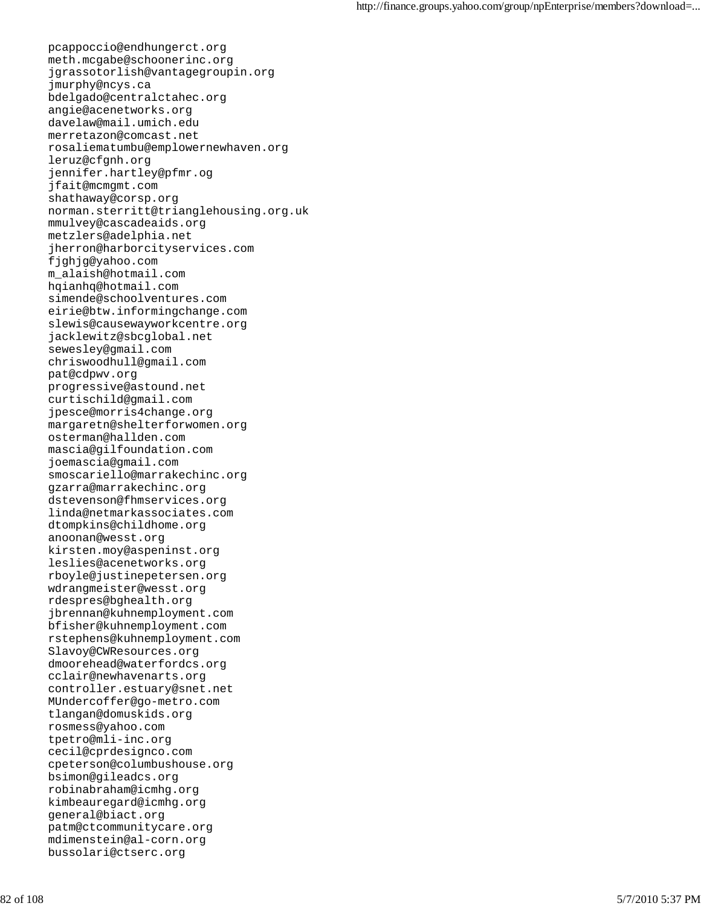pcappoccio@endhungerct.org meth.mcgabe@schoonerinc.org jgrassotorlish@vantagegroupin.org jmurphy@ncys.ca bdelgado@centralctahec.org angie@acenetworks.org davelaw@mail.umich.edu merretazon@comcast.net rosaliematumbu@emplowernewhaven.org leruz@cfgnh.org jennifer.hartley@pfmr.og jfait@mcmgmt.com shathaway@corsp.org norman.sterritt@trianglehousing.org.uk mmulvey@cascadeaids.org metzlers@adelphia.net jherron@harborcityservices.com fjghjg@yahoo.com m\_alaish@hotmail.com hqianhq@hotmail.com simende@schoolventures.com eirie@btw.informingchange.com slewis@causewayworkcentre.org jacklewitz@sbcglobal.net sewesley@gmail.com chriswoodhull@gmail.com pat@cdpwv.org progressive@astound.net curtischild@gmail.com jpesce@morris4change.org margaretn@shelterforwomen.org osterman@hallden.com mascia@gilfoundation.com joemascia@gmail.com smoscariello@marrakechinc.org gzarra@marrakechinc.org dstevenson@fhmservices.org linda@netmarkassociates.com dtompkins@childhome.org anoonan@wesst.org kirsten.moy@aspeninst.org leslies@acenetworks.org rboyle@justinepetersen.org wdrangmeister@wesst.org rdespres@bghealth.org jbrennan@kuhnemployment.com bfisher@kuhnemployment.com rstephens@kuhnemployment.com Slavoy@CWResources.org dmoorehead@waterfordcs.org cclair@newhavenarts.org controller.estuary@snet.net MUndercoffer@go-metro.com tlangan@domuskids.org rosmess@yahoo.com tpetro@mli-inc.org cecil@cprdesignco.com cpeterson@columbushouse.org bsimon@gileadcs.org robinabraham@icmhg.org kimbeauregard@icmhg.org general@biact.org patm@ctcommunitycare.org mdimenstein@al-corn.org bussolari@ctserc.org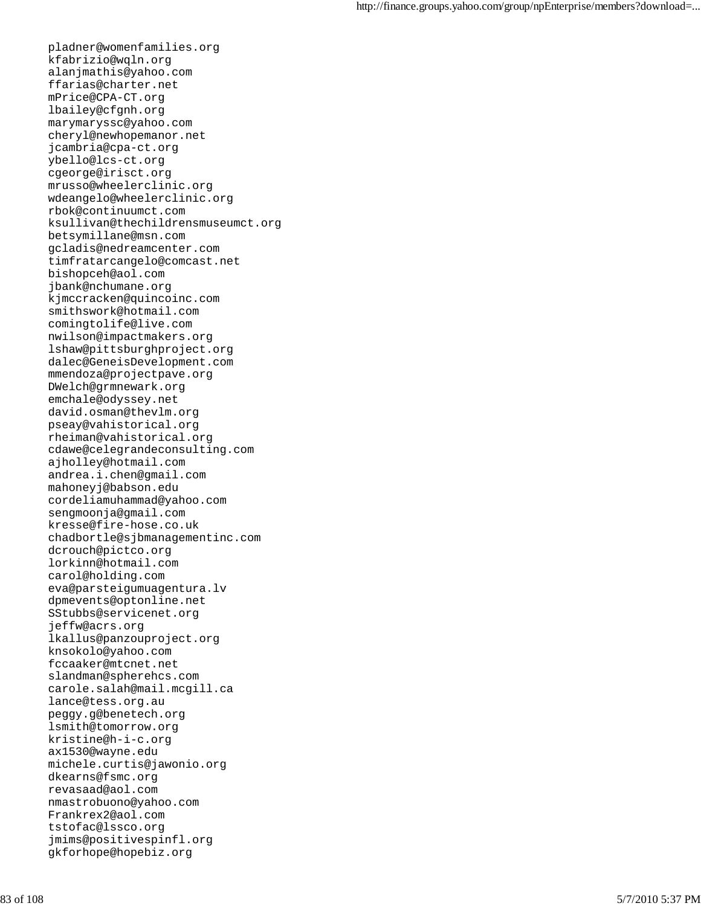pladner@womenfamilies.org kfabrizio@wqln.org alanjmathis@yahoo.com ffarias@charter.net mPrice@CPA-CT.org lbailey@cfgnh.org marymaryssc@yahoo.com cheryl@newhopemanor.net jcambria@cpa-ct.org ybello@lcs-ct.org cgeorge@irisct.org mrusso@wheelerclinic.org wdeangelo@wheelerclinic.org rbok@continuumct.com ksullivan@thechildrensmuseumct.org betsymillane@msn.com gcladis@nedreamcenter.com timfratarcangelo@comcast.net bishopceh@aol.com jbank@nchumane.org kjmccracken@quincoinc.com smithswork@hotmail.com comingtolife@live.com nwilson@impactmakers.org lshaw@pittsburghproject.org dalec@GeneisDevelopment.com mmendoza@projectpave.org DWelch@grmnewark.org emchale@odyssey.net david.osman@thevlm.org pseay@vahistorical.org rheiman@vahistorical.org cdawe@celegrandeconsulting.com ajholley@hotmail.com andrea.i.chen@gmail.com mahoneyj@babson.edu cordeliamuhammad@yahoo.com sengmoonja@gmail.com kresse@fire-hose.co.uk chadbortle@sjbmanagementinc.com dcrouch@pictco.org lorkinn@hotmail.com carol@holding.com eva@parsteigumuagentura.lv dpmevents@optonline.net SStubbs@servicenet.org jeffw@acrs.org lkallus@panzouproject.org knsokolo@yahoo.com fccaaker@mtcnet.net slandman@spherehcs.com carole.salah@mail.mcgill.ca lance@tess.org.au peggy.g@benetech.org lsmith@tomorrow.org kristine@h-i-c.org ax1530@wayne.edu michele.curtis@jawonio.org dkearns@fsmc.org revasaad@aol.com nmastrobuono@yahoo.com Frankrex2@aol.com tstofac@lssco.org jmims@positivespinfl.org gkforhope@hopebiz.org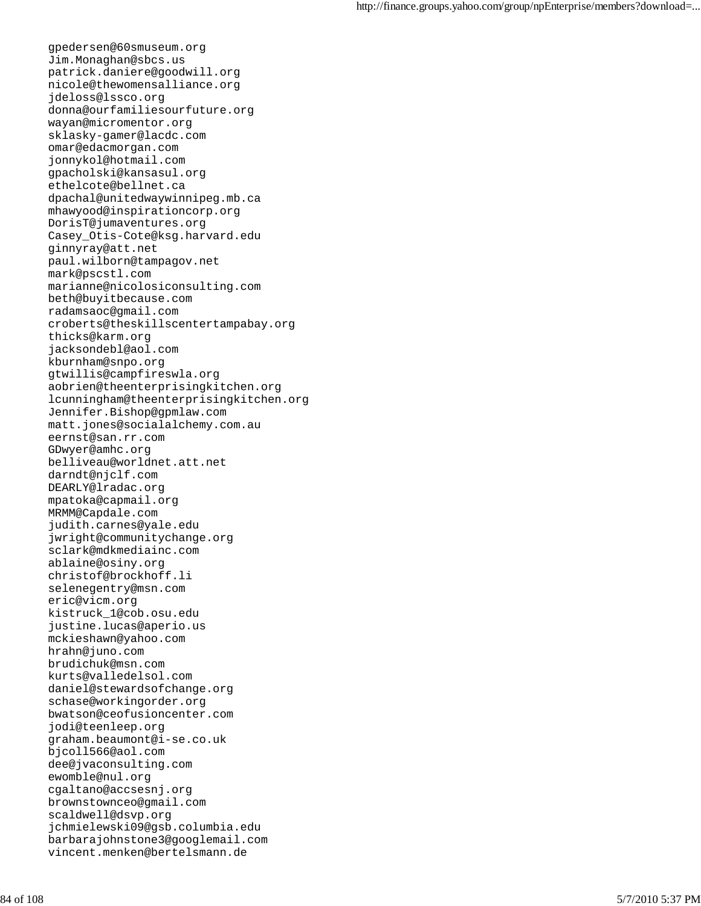gpedersen@60smuseum.org Jim.Monaghan@sbcs.us patrick.daniere@goodwill.org nicole@thewomensalliance.org jdeloss@lssco.org donna@ourfamiliesourfuture.org wayan@micromentor.org sklasky-gamer@lacdc.com omar@edacmorgan.com jonnykol@hotmail.com gpacholski@kansasul.org ethelcote@bellnet.ca dpachal@unitedwaywinnipeg.mb.ca mhawyood@inspirationcorp.org DorisT@jumaventures.org Casey\_Otis-Cote@ksg.harvard.edu ginnyray@att.net paul.wilborn@tampagov.net mark@pscstl.com marianne@nicolosiconsulting.com beth@buyitbecause.com radamsaoc@gmail.com croberts@theskillscentertampabay.org thicks@karm.org jacksondebl@aol.com kburnham@snpo.org gtwillis@campfireswla.org aobrien@theenterprisingkitchen.org lcunningham@theenterprisingkitchen.org Jennifer.Bishop@gpmlaw.com matt.jones@socialalchemy.com.au eernst@san.rr.com GDwyer@amhc.org belliveau@worldnet.att.net darndt@njclf.com DEARLY@lradac.org mpatoka@capmail.org MRMM@Capdale.com judith.carnes@yale.edu jwright@communitychange.org sclark@mdkmediainc.com ablaine@osiny.org christof@brockhoff.li selenegentry@msn.com eric@vicm.org kistruck\_1@cob.osu.edu justine.lucas@aperio.us mckieshawn@yahoo.com hrahn@juno.com brudichuk@msn.com kurts@valledelsol.com daniel@stewardsofchange.org schase@workingorder.org bwatson@ceofusioncenter.com jodi@teenleep.org graham.beaumont@i-se.co.uk bjcoll566@aol.com dee@jvaconsulting.com ewomble@nul.org cgaltano@accsesnj.org brownstownceo@gmail.com scaldwell@dsvp.org jchmielewski09@gsb.columbia.edu barbarajohnstone3@googlemail.com vincent.menken@bertelsmann.de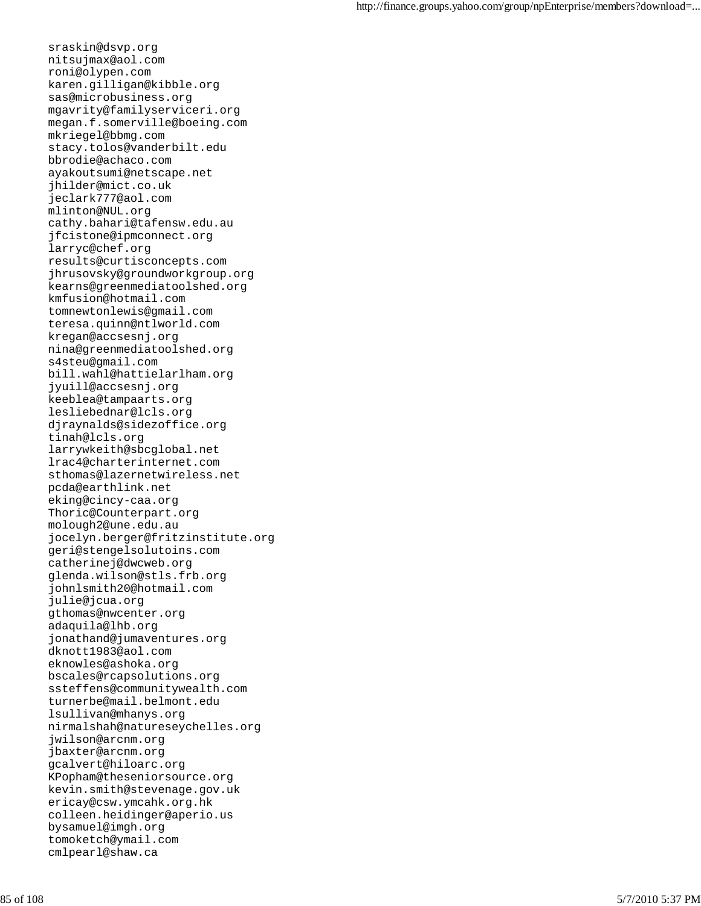sraskin@dsvp.org nitsujmax@aol.com roni@olypen.com karen.gilligan@kibble.org sas@microbusiness.org mgavrity@familyserviceri.org megan.f.somerville@boeing.com mkriegel@bbmg.com stacy.tolos@vanderbilt.edu bbrodie@achaco.com ayakoutsumi@netscape.net jhilder@mict.co.uk jeclark777@aol.com mlinton@NUL.org cathy.bahari@tafensw.edu.au jfcistone@ipmconnect.org larryc@chef.org results@curtisconcepts.com jhrusovsky@groundworkgroup.org kearns@greenmediatoolshed.org kmfusion@hotmail.com tomnewtonlewis@gmail.com teresa.quinn@ntlworld.com kregan@accsesnj.org nina@greenmediatoolshed.org s4steu@gmail.com bill.wahl@hattielarlham.org jyuill@accsesnj.org keeblea@tampaarts.org lesliebednar@lcls.org djraynalds@sidezoffice.org tinah@lcls.org larrywkeith@sbcglobal.net lrac4@charterinternet.com sthomas@lazernetwireless.net pcda@earthlink.net eking@cincy-caa.org Thoric@Counterpart.org molough2@une.edu.au jocelyn.berger@fritzinstitute.org geri@stengelsolutoins.com catherinej@dwcweb.org glenda.wilson@stls.frb.org johnlsmith20@hotmail.com julie@jcua.org gthomas@nwcenter.org adaquila@lhb.org jonathand@jumaventures.org dknott1983@aol.com eknowles@ashoka.org bscales@rcapsolutions.org ssteffens@communitywealth.com turnerbe@mail.belmont.edu lsullivan@mhanys.org nirmalshah@natureseychelles.org jwilson@arcnm.org jbaxter@arcnm.org gcalvert@hiloarc.org KPopham@theseniorsource.org kevin.smith@stevenage.gov.uk ericay@csw.ymcahk.org.hk colleen.heidinger@aperio.us bysamuel@imgh.org tomoketch@ymail.com cmlpearl@shaw.ca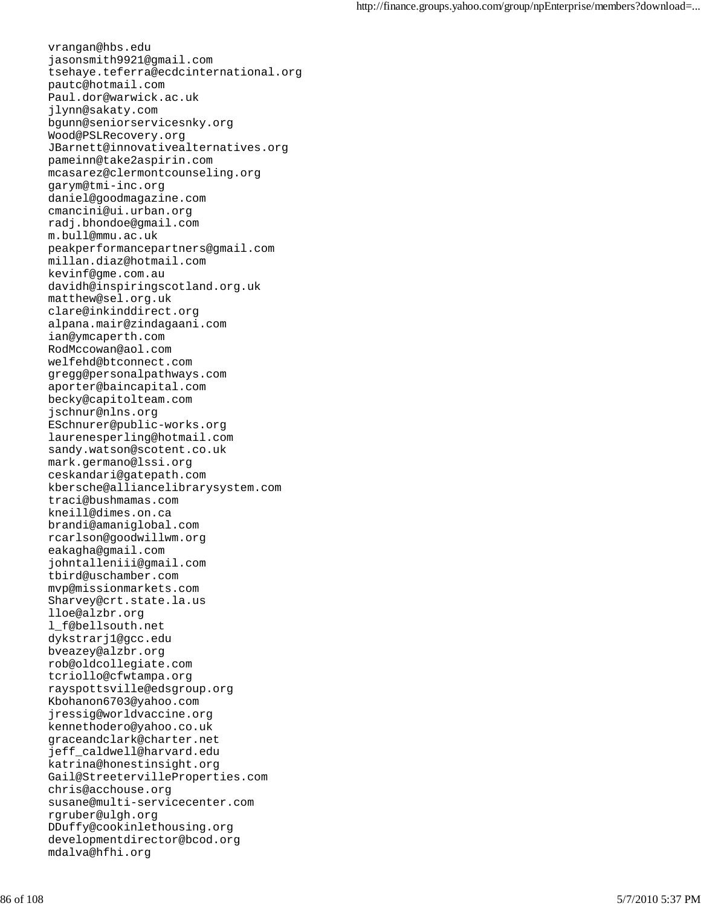vrangan@hbs.edu jasonsmith9921@gmail.com tsehaye.teferra@ecdcinternational.org pautc@hotmail.com Paul.dor@warwick.ac.uk jlynn@sakaty.com bgunn@seniorservicesnky.org Wood@PSLRecovery.org JBarnett@innovativealternatives.org pameinn@take2aspirin.com mcasarez@clermontcounseling.org garym@tmi-inc.org daniel@goodmagazine.com cmancini@ui.urban.org radj.bhondoe@gmail.com m.bull@mmu.ac.uk peakperformancepartners@gmail.com millan.diaz@hotmail.com kevinf@gme.com.au davidh@inspiringscotland.org.uk matthew@sel.org.uk clare@inkinddirect.org alpana.mair@zindagaani.com ian@ymcaperth.com RodMccowan@aol.com welfehd@btconnect.com gregg@personalpathways.com aporter@baincapital.com becky@capitolteam.com jschnur@nlns.org ESchnurer@public-works.org laurenesperling@hotmail.com sandy.watson@scotent.co.uk mark.germano@lssi.org ceskandari@gatepath.com kbersche@alliancelibrarysystem.com traci@bushmamas.com kneill@dimes.on.ca brandi@amaniglobal.com rcarlson@goodwillwm.org eakagha@gmail.com johntalleniii@gmail.com tbird@uschamber.com mvp@missionmarkets.com Sharvey@crt.state.la.us lloe@alzbr.org l\_f@bellsouth.net dykstrarj1@gcc.edu bveazey@alzbr.org rob@oldcollegiate.com tcriollo@cfwtampa.org rayspottsville@edsgroup.org Kbohanon6703@yahoo.com jressig@worldvaccine.org kennethodero@yahoo.co.uk graceandclark@charter.net jeff\_caldwell@harvard.edu katrina@honestinsight.org Gail@StreetervilleProperties.com chris@acchouse.org susane@multi-servicecenter.com rgruber@ulgh.org DDuffy@cookinlethousing.org developmentdirector@bcod.org mdalva@hfhi.org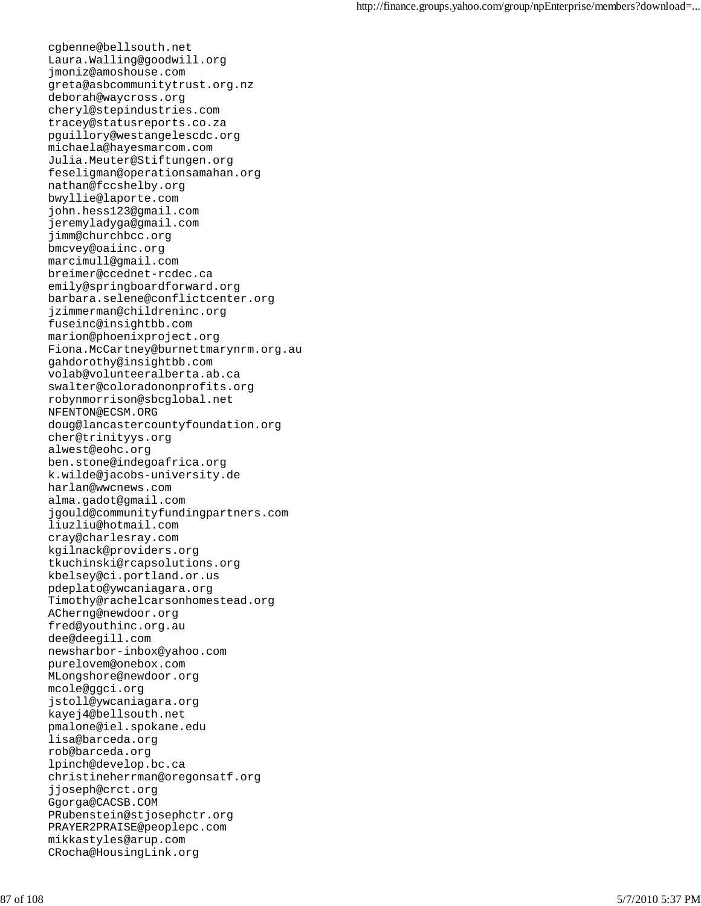cgbenne@bellsouth.net Laura.Walling@goodwill.org jmoniz@amoshouse.com greta@asbcommunitytrust.org.nz deborah@waycross.org cheryl@stepindustries.com tracey@statusreports.co.za pguillory@westangelescdc.org michaela@hayesmarcom.com Julia.Meuter@Stiftungen.org feseligman@operationsamahan.org nathan@fccshelby.org bwyllie@laporte.com john.hess123@gmail.com jeremyladyga@gmail.com jimm@churchbcc.org bmcvey@oaiinc.org marcimull@gmail.com breimer@ccednet-rcdec.ca emily@springboardforward.org barbara.selene@conflictcenter.org jzimmerman@childreninc.org fuseinc@insightbb.com marion@phoenixproject.org Fiona.McCartney@burnettmarynrm.org.au gahdorothy@insightbb.com volab@volunteeralberta.ab.ca swalter@coloradononprofits.org robynmorrison@sbcglobal.net NFENTON@ECSM.ORG doug@lancastercountyfoundation.org cher@trinityys.org alwest@eohc.org ben.stone@indegoafrica.org k.wilde@jacobs-university.de harlan@wwcnews.com alma.gadot@gmail.com jgould@communityfundingpartners.com liuzliu@hotmail.com cray@charlesray.com kgilnack@providers.org tkuchinski@rcapsolutions.org kbelsey@ci.portland.or.us pdeplato@ywcaniagara.org Timothy@rachelcarsonhomestead.org ACherng@newdoor.org fred@youthinc.org.au dee@deegill.com newsharbor-inbox@yahoo.com purelovem@onebox.com MLongshore@newdoor.org mcole@ggci.org jstoll@ywcaniagara.org kayej4@bellsouth.net pmalone@iel.spokane.edu lisa@barceda.org rob@barceda.org lpinch@develop.bc.ca christineherrman@oregonsatf.org jjoseph@crct.org Ggorga@CACSB.COM PRubenstein@stjosephctr.org PRAYER2PRAISE@peoplepc.com mikkastyles@arup.com CRocha@HousingLink.org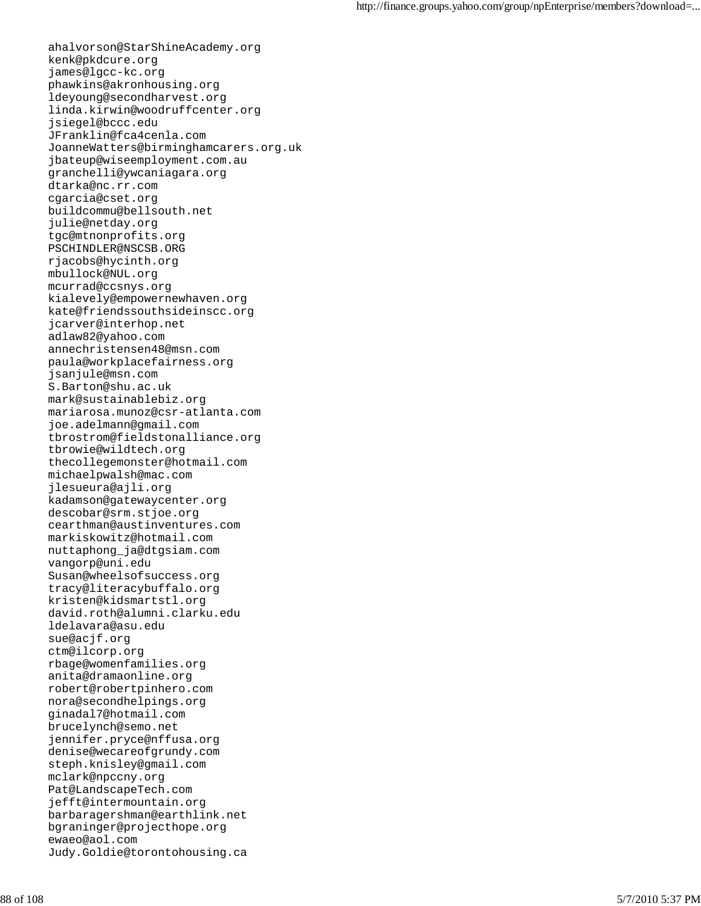ahalvorson@StarShineAcademy.org kenk@pkdcure.org james@lgcc-kc.org phawkins@akronhousing.org ldeyoung@secondharvest.org linda.kirwin@woodruffcenter.org jsiegel@bccc.edu JFranklin@fca4cenla.com JoanneWatters@birminghamcarers.org.uk jbateup@wiseemployment.com.au granchelli@ywcaniagara.org dtarka@nc.rr.com cgarcia@cset.org buildcommu@bellsouth.net julie@netday.org tgc@mtnonprofits.org PSCHINDLER@NSCSB.ORG rjacobs@hycinth.org mbullock@NUL.org mcurrad@ccsnys.org kialevely@empowernewhaven.org kate@friendssouthsideinscc.org jcarver@interhop.net adlaw82@yahoo.com annechristensen48@msn.com paula@workplacefairness.org jsanjule@msn.com S.Barton@shu.ac.uk mark@sustainablebiz.org mariarosa.munoz@csr-atlanta.com joe.adelmann@gmail.com tbrostrom@fieldstonalliance.org tbrowie@wildtech.org thecollegemonster@hotmail.com michaelpwalsh@mac.com jlesueura@ajli.org kadamson@gatewaycenter.org descobar@srm.stjoe.org cearthman@austinventures.com markiskowitz@hotmail.com nuttaphong\_ja@dtgsiam.com vangorp@uni.edu Susan@wheelsofsuccess.org tracy@literacybuffalo.org kristen@kidsmartstl.org david.roth@alumni.clarku.edu ldelavara@asu.edu sue@acjf.org ctm@ilcorp.org rbage@womenfamilies.org anita@dramaonline.org robert@robertpinhero.com nora@secondhelpings.org ginadal7@hotmail.com brucelynch@semo.net jennifer.pryce@nffusa.org denise@wecareofgrundy.com steph.knisley@gmail.com mclark@npccny.org Pat@LandscapeTech.com jefft@intermountain.org barbaragershman@earthlink.net bgraninger@projecthope.org ewaeo@aol.com Judy.Goldie@torontohousing.ca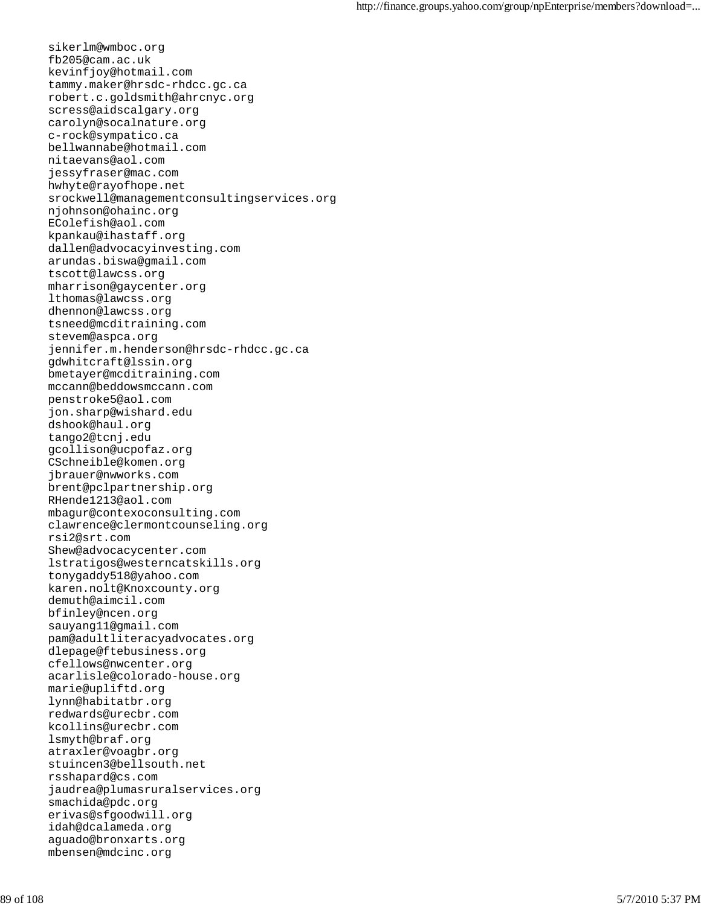sikerlm@wmboc.org fb205@cam.ac.uk kevinfjoy@hotmail.com tammy.maker@hrsdc-rhdcc.gc.ca robert.c.goldsmith@ahrcnyc.org scress@aidscalgary.org carolyn@socalnature.org c-rock@sympatico.ca bellwannabe@hotmail.com nitaevans@aol.com jessyfraser@mac.com hwhyte@rayofhope.net srockwell@managementconsultingservices.org njohnson@ohainc.org EColefish@aol.com kpankau@ihastaff.org dallen@advocacyinvesting.com arundas.biswa@gmail.com tscott@lawcss.org mharrison@gaycenter.org lthomas@lawcss.org dhennon@lawcss.org tsneed@mcditraining.com stevem@aspca.org jennifer.m.henderson@hrsdc-rhdcc.gc.ca gdwhitcraft@lssin.org bmetayer@mcditraining.com mccann@beddowsmccann.com penstroke5@aol.com jon.sharp@wishard.edu dshook@haul.org tango2@tcnj.edu gcollison@ucpofaz.org CSchneible@komen.org jbrauer@nwworks.com brent@pclpartnership.org RHende1213@aol.com mbagur@contexoconsulting.com clawrence@clermontcounseling.org rsi2@srt.com Shew@advocacycenter.com lstratigos@westerncatskills.org tonygaddy518@yahoo.com karen.nolt@Knoxcounty.org demuth@aimcil.com bfinley@ncen.org sauyang11@gmail.com pam@adultliteracyadvocates.org dlepage@ftebusiness.org cfellows@nwcenter.org acarlisle@colorado-house.org marie@upliftd.org lynn@habitatbr.org redwards@urecbr.com kcollins@urecbr.com lsmyth@braf.org atraxler@voagbr.org stuincen3@bellsouth.net rsshapard@cs.com jaudrea@plumasruralservices.org smachida@pdc.org erivas@sfgoodwill.org idah@dcalameda.org aguado@bronxarts.org mbensen@mdcinc.org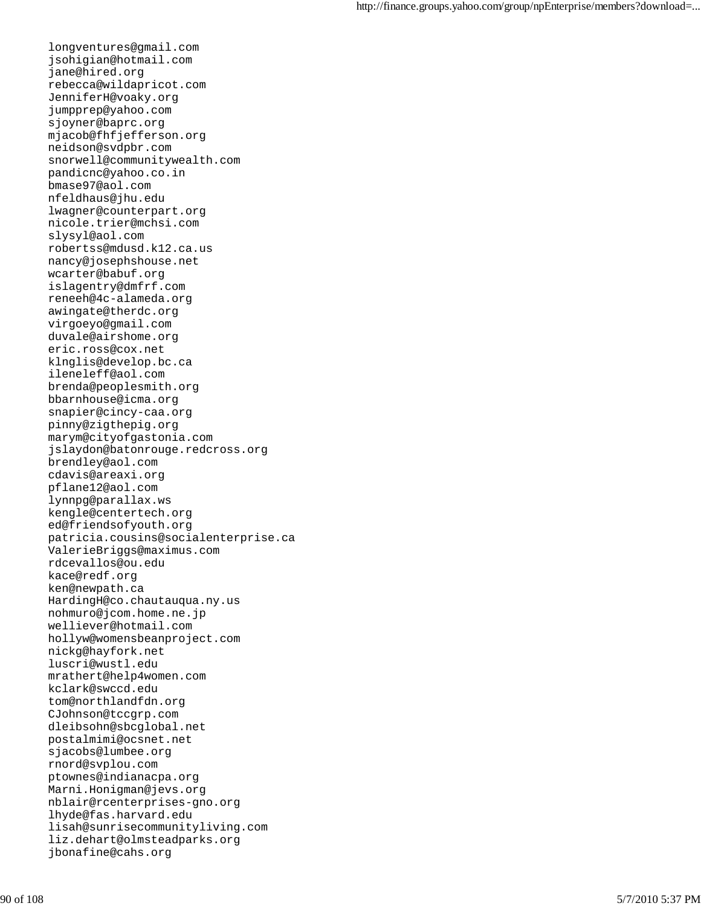longventures@gmail.com jsohigian@hotmail.com jane@hired.org rebecca@wildapricot.com JenniferH@voaky.org jumpprep@yahoo.com sjoyner@baprc.org mjacob@fhfjefferson.org neidson@svdpbr.com snorwell@communitywealth.com pandicnc@yahoo.co.in bmase97@aol.com nfeldhaus@jhu.edu lwagner@counterpart.org nicole.trier@mchsi.com slysyl@aol.com robertss@mdusd.k12.ca.us nancy@josephshouse.net wcarter@babuf.org islagentry@dmfrf.com reneeh@4c-alameda.org awingate@therdc.org virgoeyo@gmail.com duvale@airshome.org eric.ross@cox.net klnglis@develop.bc.ca ileneleff@aol.com brenda@peoplesmith.org bbarnhouse@icma.org snapier@cincy-caa.org pinny@zigthepig.org marym@cityofgastonia.com jslaydon@batonrouge.redcross.org brendley@aol.com cdavis@areaxi.org pflane12@aol.com lynnpg@parallax.ws kengle@centertech.org ed@friendsofyouth.org patricia.cousins@socialenterprise.ca ValerieBriggs@maximus.com rdcevallos@ou.edu kace@redf.org ken@newpath.ca HardingH@co.chautauqua.ny.us nohmuro@jcom.home.ne.jp welliever@hotmail.com hollyw@womensbeanproject.com nickg@hayfork.net luscri@wustl.edu mrathert@help4women.com kclark@swccd.edu tom@northlandfdn.org CJohnson@tccgrp.com dleibsohn@sbcglobal.net postalmimi@ocsnet.net sjacobs@lumbee.org rnord@svplou.com ptownes@indianacpa.org Marni.Honigman@jevs.org nblair@rcenterprises-gno.org lhyde@fas.harvard.edu lisah@sunrisecommunityliving.com liz.dehart@olmsteadparks.org jbonafine@cahs.org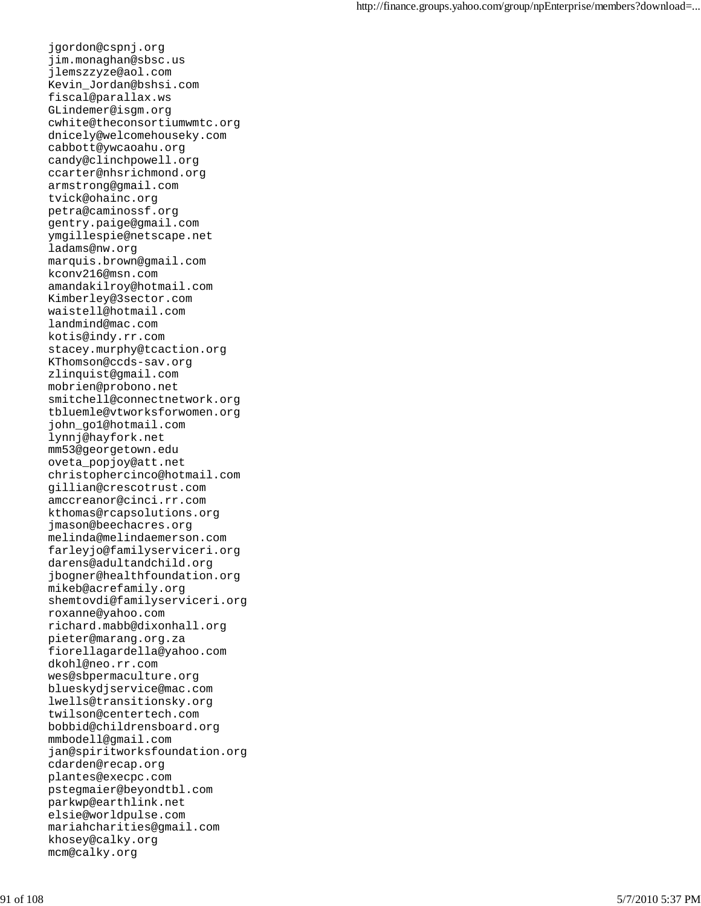jgordon@cspnj.org jim.monaghan@sbsc.us jlemszzyze@aol.com Kevin\_Jordan@bshsi.com fiscal@parallax.ws GLindemer@isgm.org cwhite@theconsortiumwmtc.org dnicely@welcomehouseky.com cabbott@ywcaoahu.org candy@clinchpowell.org ccarter@nhsrichmond.org armstrong@gmail.com tvick@ohainc.org petra@caminossf.org gentry.paige@gmail.com ymgillespie@netscape.net ladams@nw.org marquis.brown@gmail.com kconv216@msn.com amandakilroy@hotmail.com Kimberley@3sector.com waistell@hotmail.com landmind@mac.com kotis@indy.rr.com stacey.murphy@tcaction.org KThomson@ccds-sav.org zlinquist@gmail.com mobrien@probono.net smitchell@connectnetwork.org tbluemle@vtworksforwomen.org john\_go1@hotmail.com lynnj@hayfork.net mm53@georgetown.edu oveta\_popjoy@att.net christophercinco@hotmail.com gillian@crescotrust.com amccreanor@cinci.rr.com kthomas@rcapsolutions.org jmason@beechacres.org melinda@melindaemerson.com farleyjo@familyserviceri.org darens@adultandchild.org jbogner@healthfoundation.org mikeb@acrefamily.org shemtovdi@familyserviceri.org roxanne@yahoo.com richard.mabb@dixonhall.org pieter@marang.org.za fiorellagardella@yahoo.com dkohl@neo.rr.com wes@sbpermaculture.org blueskydjservice@mac.com lwells@transitionsky.org twilson@centertech.com bobbid@childrensboard.org mmbodell@gmail.com jan@spiritworksfoundation.org cdarden@recap.org plantes@execpc.com pstegmaier@beyondtbl.com parkwp@earthlink.net elsie@worldpulse.com mariahcharities@gmail.com khosey@calky.org mcm@calky.org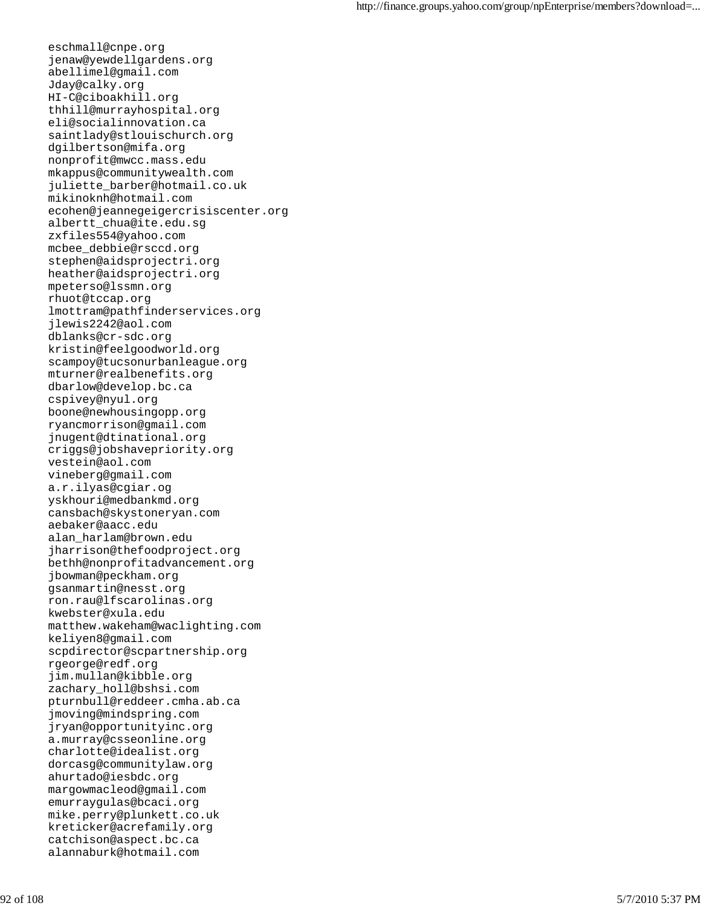eschmall@cnpe.org jenaw@yewdellgardens.org abellimel@gmail.com Jday@calky.org HI-C@ciboakhill.org thhill@murrayhospital.org eli@socialinnovation.ca saintlady@stlouischurch.org dgilbertson@mifa.org nonprofit@mwcc.mass.edu mkappus@communitywealth.com juliette\_barber@hotmail.co.uk mikinoknh@hotmail.com ecohen@jeannegeigercrisiscenter.org albertt\_chua@ite.edu.sg zxfiles554@yahoo.com mcbee\_debbie@rsccd.org stephen@aidsprojectri.org heather@aidsprojectri.org mpeterso@lssmn.org rhuot@tccap.org lmottram@pathfinderservices.org jlewis2242@aol.com dblanks@cr-sdc.org kristin@feelgoodworld.org scampoy@tucsonurbanleague.org mturner@realbenefits.org dbarlow@develop.bc.ca cspivey@nyul.org boone@newhousingopp.org ryancmorrison@gmail.com jnugent@dtinational.org criggs@jobshavepriority.org vestein@aol.com vineberg@gmail.com a.r.ilyas@cgiar.og yskhouri@medbankmd.org cansbach@skystoneryan.com aebaker@aacc.edu alan\_harlam@brown.edu jharrison@thefoodproject.org bethh@nonprofitadvancement.org jbowman@peckham.org gsanmartin@nesst.org ron.rau@lfscarolinas.org kwebster@xula.edu matthew.wakeham@waclighting.com keliyen8@gmail.com scpdirector@scpartnership.org rgeorge@redf.org jim.mullan@kibble.org zachary\_holl@bshsi.com pturnbull@reddeer.cmha.ab.ca jmoving@mindspring.com jryan@opportunityinc.org a.murray@csseonline.org charlotte@idealist.org dorcasg@communitylaw.org ahurtado@iesbdc.org margowmacleod@gmail.com emurraygulas@bcaci.org mike.perry@plunkett.co.uk kreticker@acrefamily.org catchison@aspect.bc.ca alannaburk@hotmail.com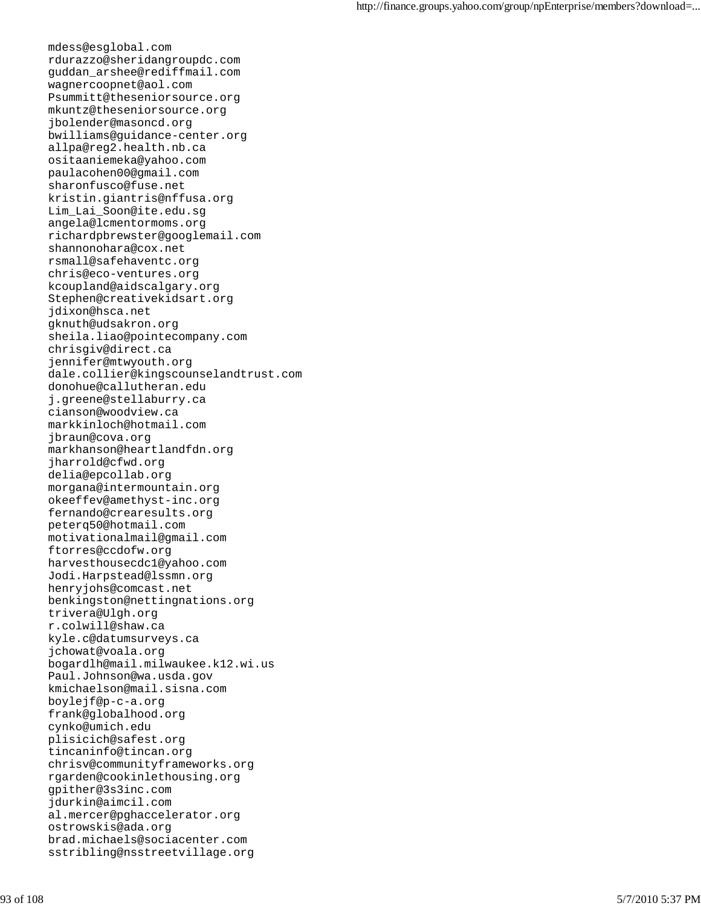mdess@esglobal.com rdurazzo@sheridangroupdc.com guddan\_arshee@rediffmail.com wagnercoopnet@aol.com Psummitt@theseniorsource.org mkuntz@theseniorsource.org jbolender@masoncd.org bwilliams@guidance-center.org allpa@reg2.health.nb.ca ositaaniemeka@yahoo.com paulacohen00@gmail.com sharonfusco@fuse.net kristin.giantris@nffusa.org Lim\_Lai\_Soon@ite.edu.sg angela@lcmentormoms.org richardpbrewster@googlemail.com shannonohara@cox.net rsmall@safehaventc.org chris@eco-ventures.org kcoupland@aidscalgary.org Stephen@creativekidsart.org jdixon@hsca.net gknuth@udsakron.org sheila.liao@pointecompany.com chrisgiv@direct.ca jennifer@mtwyouth.org dale.collier@kingscounselandtrust.com donohue@callutheran.edu j.greene@stellaburry.ca cianson@woodview.ca markkinloch@hotmail.com jbraun@cova.org markhanson@heartlandfdn.org jharrold@cfwd.org delia@epcollab.org morgana@intermountain.org okeeffev@amethyst-inc.org fernando@crearesults.org peterq50@hotmail.com motivationalmail@gmail.com ftorres@ccdofw.org harvesthousecdc1@yahoo.com Jodi.Harpstead@lssmn.org henryjohs@comcast.net benkingston@nettingnations.org trivera@Ulgh.org r.colwill@shaw.ca kyle.c@datumsurveys.ca jchowat@voala.org bogardlh@mail.milwaukee.k12.wi.us Paul.Johnson@wa.usda.gov kmichaelson@mail.sisna.com boylejf@p-c-a.org frank@globalhood.org cynko@umich.edu plisicich@safest.org tincaninfo@tincan.org chrisv@communityframeworks.org rgarden@cookinlethousing.org gpither@3s3inc.com jdurkin@aimcil.com al.mercer@pghaccelerator.org ostrowskis@ada.org brad.michaels@sociacenter.com sstribling@nsstreetvillage.org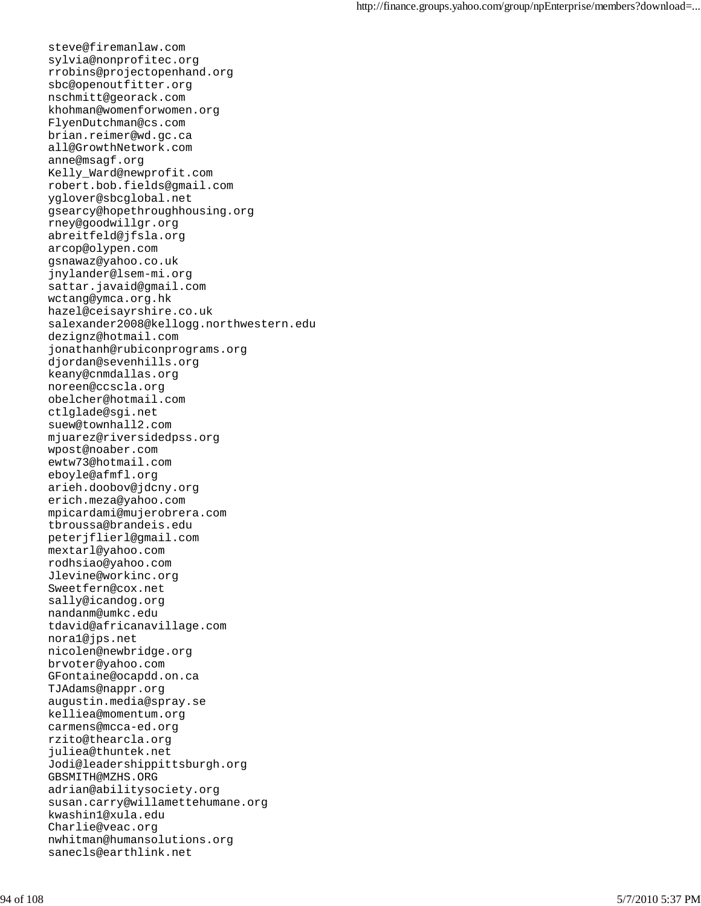steve@firemanlaw.com sylvia@nonprofitec.org rrobins@projectopenhand.org sbc@openoutfitter.org nschmitt@georack.com khohman@womenforwomen.org FlyenDutchman@cs.com brian.reimer@wd.gc.ca all@GrowthNetwork.com anne@msagf.org Kelly\_Ward@newprofit.com robert.bob.fields@gmail.com yglover@sbcglobal.net gsearcy@hopethroughhousing.org rney@goodwillgr.org abreitfeld@jfsla.org arcop@olypen.com gsnawaz@yahoo.co.uk jnylander@lsem-mi.org sattar.javaid@gmail.com wctang@ymca.org.hk hazel@ceisayrshire.co.uk salexander2008@kellogg.northwestern.edu dezignz@hotmail.com jonathanh@rubiconprograms.org djordan@sevenhills.org keany@cnmdallas.org noreen@ccscla.org obelcher@hotmail.com ctlglade@sgi.net suew@townhall2.com mjuarez@riversidedpss.org wpost@noaber.com ewtw73@hotmail.com eboyle@afmfl.org arieh.doobov@jdcny.org erich.meza@yahoo.com mpicardami@mujerobrera.com tbroussa@brandeis.edu peterjflierl@gmail.com mextarl@yahoo.com rodhsiao@yahoo.com Jlevine@workinc.org Sweetfern@cox.net sally@icandog.org nandanm@umkc.edu tdavid@africanavillage.com nora1@jps.net nicolen@newbridge.org brvoter@yahoo.com GFontaine@ocapdd.on.ca TJAdams@nappr.org augustin.media@spray.se kelliea@momentum.org carmens@mcca-ed.org rzito@thearcla.org juliea@thuntek.net Jodi@leadershippittsburgh.org GBSMITH@MZHS.ORG adrian@abilitysociety.org susan.carry@willamettehumane.org kwashin1@xula.edu Charlie@veac.org nwhitman@humansolutions.org sanecls@earthlink.net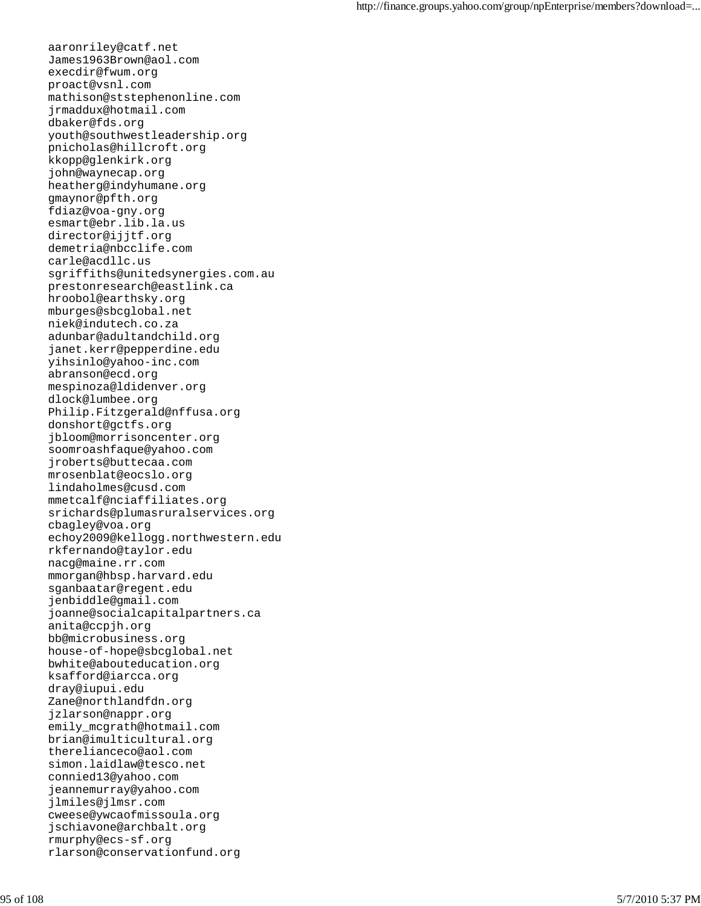aaronriley@catf.net James1963Brown@aol.com execdir@fwum.org proact@vsnl.com mathison@ststephenonline.com jrmaddux@hotmail.com dbaker@fds.org youth@southwestleadership.org pnicholas@hillcroft.org kkopp@glenkirk.org john@waynecap.org heatherg@indyhumane.org gmaynor@pfth.org fdiaz@voa-gny.org esmart@ebr.lib.la.us director@ijjtf.org demetria@nbcclife.com carle@acdllc.us sgriffiths@unitedsynergies.com.au prestonresearch@eastlink.ca hroobol@earthsky.org mburges@sbcglobal.net niek@indutech.co.za adunbar@adultandchild.org janet.kerr@pepperdine.edu yihsinlo@yahoo-inc.com abranson@ecd.org mespinoza@ldidenver.org dlock@lumbee.org Philip.Fitzgerald@nffusa.org donshort@gctfs.org jbloom@morrisoncenter.org soomroashfaque@yahoo.com jroberts@buttecaa.com mrosenblat@eocslo.org lindaholmes@cusd.com mmetcalf@nciaffiliates.org srichards@plumasruralservices.org cbagley@voa.org echoy2009@kellogg.northwestern.edu rkfernando@taylor.edu nacg@maine.rr.com mmorgan@hbsp.harvard.edu sganbaatar@regent.edu jenbiddle@gmail.com joanne@socialcapitalpartners.ca anita@ccpjh.org bb@microbusiness.org house-of-hope@sbcglobal.net bwhite@abouteducation.org ksafford@iarcca.org dray@iupui.edu Zane@northlandfdn.org jzlarson@nappr.org emily\_mcgrath@hotmail.com brian@imulticultural.org therelianceco@aol.com simon.laidlaw@tesco.net connied13@yahoo.com jeannemurray@yahoo.com jlmiles@jlmsr.com cweese@ywcaofmissoula.org jschiavone@archbalt.org rmurphy@ecs-sf.org rlarson@conservationfund.org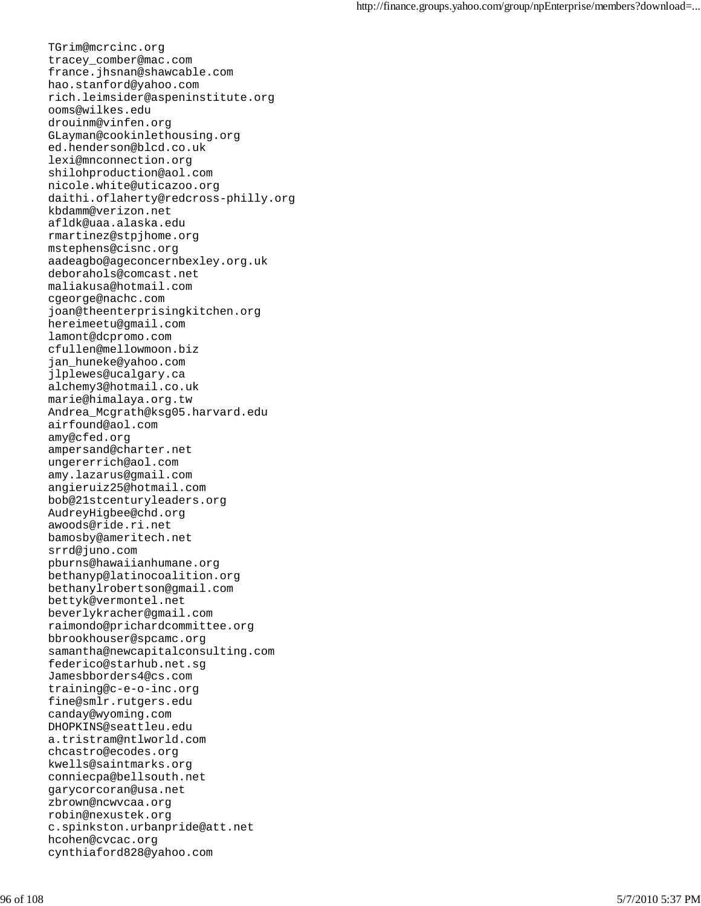TGrim@mcrcinc.org tracey\_comber@mac.com france.jhsnan@shawcable.com hao.stanford@yahoo.com rich.leimsider@aspeninstitute.org ooms@wilkes.edu drouinm@vinfen.org GLayman@cookinlethousing.org ed.henderson@blcd.co.uk lexi@mnconnection.org shilohproduction@aol.com nicole.white@uticazoo.org daithi.oflaherty@redcross-philly.org kbdamm@verizon.net afldk@uaa.alaska.edu rmartinez@stpjhome.org mstephens@cisnc.org aadeagbo@ageconcernbexley.org.uk deborahols@comcast.net maliakusa@hotmail.com cgeorge@nachc.com joan@theenterprisingkitchen.org hereimeetu@gmail.com lamont@dcpromo.com cfullen@mellowmoon.biz jan\_huneke@yahoo.com jlplewes@ucalgary.ca alchemy3@hotmail.co.uk marie@himalaya.org.tw Andrea\_Mcgrath@ksg05.harvard.edu airfound@aol.com amy@cfed.org ampersand@charter.net ungererrich@aol.com amy.lazarus@gmail.com angieruiz25@hotmail.com bob@21stcenturyleaders.org AudreyHigbee@chd.org awoods@ride.ri.net bamosby@ameritech.net srrd@juno.com pburns@hawaiianhumane.org bethanyp@latinocoalition.org bethanylrobertson@gmail.com bettyk@vermontel.net beverlykracher@gmail.com raimondo@prichardcommittee.org bbrookhouser@spcamc.org samantha@newcapitalconsulting.com federico@starhub.net.sg Jamesbborders4@cs.com training@c-e-o-inc.org fine@smlr.rutgers.edu canday@wyoming.com DHOPKINS@seattleu.edu a.tristram@ntlworld.com chcastro@ecodes.org kwells@saintmarks.org conniecpa@bellsouth.net garycorcoran@usa.net zbrown@ncwvcaa.org robin@nexustek.org c.spinkston.urbanpride@att.net hcohen@cvcac.org cynthiaford828@yahoo.com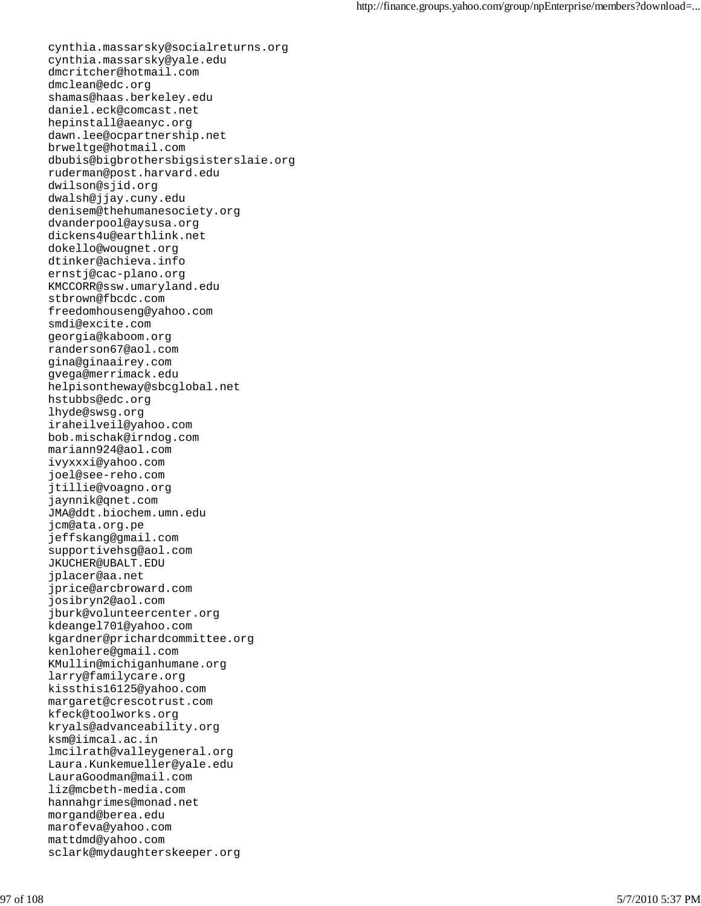cynthia.massarsky@socialreturns.org cynthia.massarsky@yale.edu dmcritcher@hotmail.com dmclean@edc.org shamas@haas.berkeley.edu daniel.eck@comcast.net hepinstall@aeanyc.org dawn.lee@ocpartnership.net brweltge@hotmail.com dbubis@bigbrothersbigsisterslaie.org ruderman@post.harvard.edu dwilson@sjid.org dwalsh@jjay.cuny.edu denisem@thehumanesociety.org dvanderpool@aysusa.org dickens4u@earthlink.net dokello@wougnet.org dtinker@achieva.info ernstj@cac-plano.org KMCCORR@ssw.umaryland.edu stbrown@fbcdc.com freedomhouseng@yahoo.com smdi@excite.com georgia@kaboom.org randerson67@aol.com gina@ginaairey.com gvega@merrimack.edu helpisontheway@sbcglobal.net hstubbs@edc.org lhyde@swsg.org iraheilveil@yahoo.com bob.mischak@irndog.com mariann924@aol.com ivyxxxi@yahoo.com joel@see-reho.com jtillie@voagno.org jaynnik@qnet.com JMA@ddt.biochem.umn.edu jcm@ata.org.pe jeffskang@gmail.com supportivehsg@aol.com JKUCHER@UBALT.EDU jplacer@aa.net jprice@arcbroward.com josibryn2@aol.com jburk@volunteercenter.org kdeangel701@yahoo.com kgardner@prichardcommittee.org kenlohere@gmail.com KMullin@michiganhumane.org larry@familycare.org kissthis16125@yahoo.com margaret@crescotrust.com kfeck@toolworks.org kryals@advanceability.org ksm@iimcal.ac.in lmcilrath@valleygeneral.org Laura.Kunkemueller@yale.edu LauraGoodman@mail.com liz@mcbeth-media.com hannahgrimes@monad.net morgand@berea.edu marofeva@yahoo.com mattdmd@yahoo.com sclark@mydaughterskeeper.org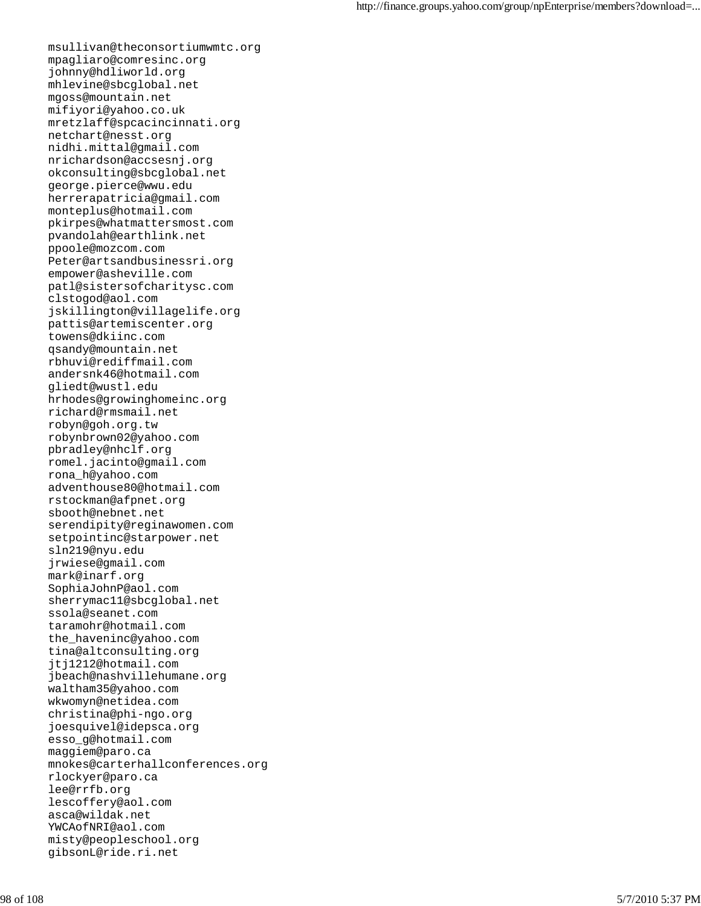msullivan@theconsortiumwmtc.org mpagliaro@comresinc.org johnny@hdliworld.org mhlevine@sbcglobal.net mgoss@mountain.net mifiyori@yahoo.co.uk mretzlaff@spcacincinnati.org netchart@nesst.org nidhi.mittal@gmail.com nrichardson@accsesnj.org okconsulting@sbcglobal.net george.pierce@wwu.edu herrerapatricia@gmail.com monteplus@hotmail.com pkirpes@whatmattersmost.com pvandolah@earthlink.net ppoole@mozcom.com Peter@artsandbusinessri.org empower@asheville.com patl@sistersofcharitysc.com clstogod@aol.com jskillington@villagelife.org pattis@artemiscenter.org towens@dkiinc.com qsandy@mountain.net rbhuvi@rediffmail.com andersnk46@hotmail.com gliedt@wustl.edu hrhodes@growinghomeinc.org richard@rmsmail.net robyn@goh.org.tw robynbrown02@yahoo.com pbradley@nhclf.org romel.jacinto@gmail.com rona\_h@yahoo.com adventhouse80@hotmail.com rstockman@afpnet.org sbooth@nebnet.net serendipity@reginawomen.com setpointinc@starpower.net sln219@nyu.edu jrwiese@gmail.com mark@inarf.org SophiaJohnP@aol.com sherrymac11@sbcglobal.net ssola@seanet.com taramohr@hotmail.com the\_haveninc@yahoo.com tina@altconsulting.org jtj1212@hotmail.com jbeach@nashvillehumane.org waltham35@yahoo.com wkwomyn@netidea.com christina@phi-ngo.org joesquivel@idepsca.org esso\_g@hotmail.com maggiem@paro.ca mnokes@carterhallconferences.org rlockyer@paro.ca lee@rrfb.org lescoffery@aol.com asca@wildak.net YWCAofNRI@aol.com misty@peopleschool.org gibsonL@ride.ri.net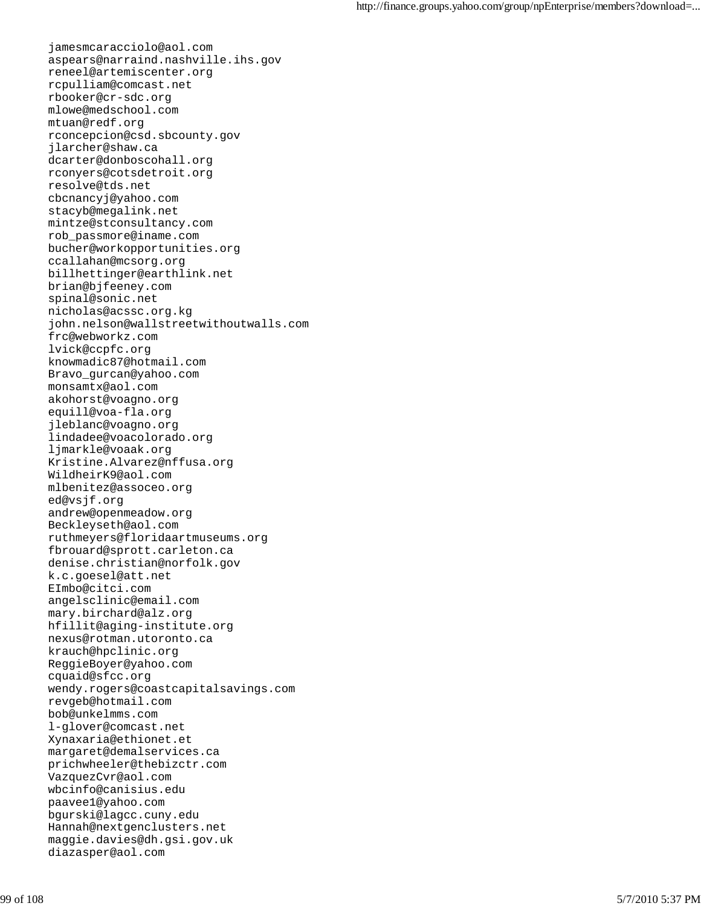jamesmcaracciolo@aol.com aspears@narraind.nashville.ihs.gov reneel@artemiscenter.org rcpulliam@comcast.net rbooker@cr-sdc.org mlowe@medschool.com mtuan@redf.org rconcepcion@csd.sbcounty.gov jlarcher@shaw.ca dcarter@donboscohall.org rconyers@cotsdetroit.org resolve@tds.net cbcnancyj@yahoo.com stacyb@megalink.net mintze@stconsultancy.com rob\_passmore@iname.com bucher@workopportunities.org ccallahan@mcsorg.org billhettinger@earthlink.net brian@bjfeeney.com spinal@sonic.net nicholas@acssc.org.kg john.nelson@wallstreetwithoutwalls.com frc@webworkz.com lvick@ccpfc.org knowmadic87@hotmail.com Bravo\_gurcan@yahoo.com monsamtx@aol.com akohorst@voagno.org equill@voa-fla.org jleblanc@voagno.org lindadee@voacolorado.org ljmarkle@voaak.org Kristine.Alvarez@nffusa.org WildheirK9@aol.com mlbenitez@assoceo.org ed@vsjf.org andrew@openmeadow.org Beckleyseth@aol.com ruthmeyers@floridaartmuseums.org fbrouard@sprott.carleton.ca denise.christian@norfolk.gov k.c.goesel@att.net EImbo@citci.com angelsclinic@email.com mary.birchard@alz.org hfillit@aging-institute.org nexus@rotman.utoronto.ca krauch@hpclinic.org ReggieBoyer@yahoo.com cquaid@sfcc.org wendy.rogers@coastcapitalsavings.com revgeb@hotmail.com bob@unkelmms.com l-glover@comcast.net Xynaxaria@ethionet.et margaret@demalservices.ca prichwheeler@thebizctr.com VazquezCvr@aol.com wbcinfo@canisius.edu paavee1@yahoo.com bgurski@lagcc.cuny.edu Hannah@nextgenclusters.net maggie.davies@dh.gsi.gov.uk diazasper@aol.com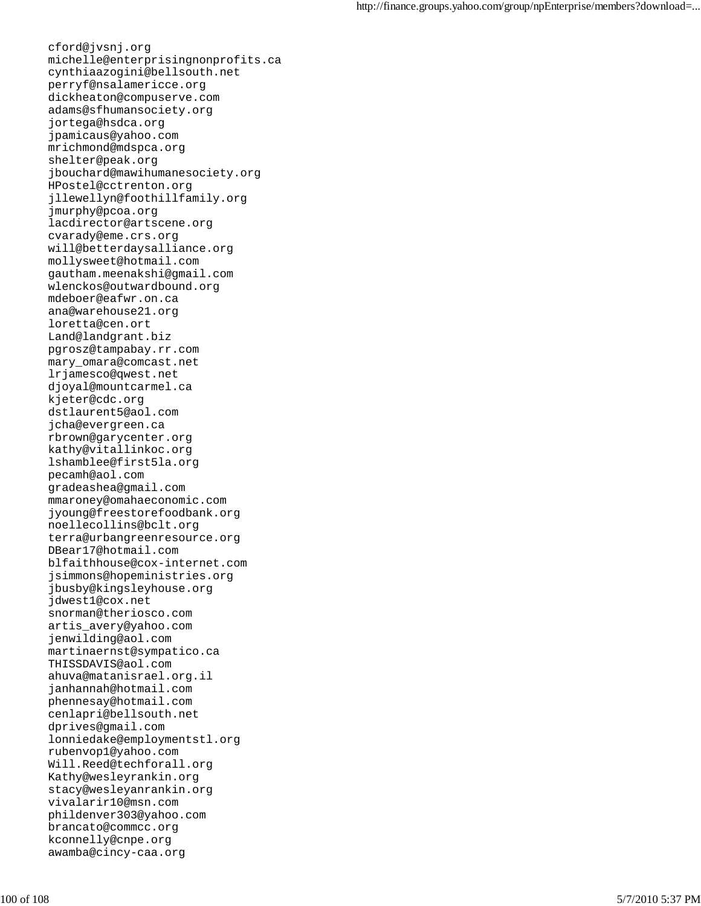cford@jvsnj.org michelle@enterprisingnonprofits.ca cynthiaazogini@bellsouth.net perryf@nsalamericce.org dickheaton@compuserve.com adams@sfhumansociety.org jortega@hsdca.org jpamicaus@yahoo.com mrichmond@mdspca.org shelter@peak.org jbouchard@mawihumanesociety.org HPostel@cctrenton.org jllewellyn@foothillfamily.org jmurphy@pcoa.org lacdirector@artscene.org cvarady@eme.crs.org will@betterdaysalliance.org mollysweet@hotmail.com gautham.meenakshi@gmail.com wlenckos@outwardbound.org mdeboer@eafwr.on.ca ana@warehouse21.org loretta@cen.ort Land@landgrant.biz pgrosz@tampabay.rr.com mary\_omara@comcast.net lrjamesco@qwest.net djoyal@mountcarmel.ca kjeter@cdc.org dstlaurent5@aol.com jcha@evergreen.ca rbrown@garycenter.org kathy@vitallinkoc.org lshamblee@first5la.org pecamh@aol.com gradeashea@gmail.com mmaroney@omahaeconomic.com jyoung@freestorefoodbank.org noellecollins@bclt.org terra@urbangreenresource.org DBear17@hotmail.com blfaithhouse@cox-internet.com jsimmons@hopeministries.org jbusby@kingsleyhouse.org jdwest1@cox.net snorman@theriosco.com artis\_avery@yahoo.com jenwilding@aol.com martinaernst@sympatico.ca THISSDAVIS@aol.com ahuva@matanisrael.org.il janhannah@hotmail.com phennesay@hotmail.com cenlapri@bellsouth.net dprives@gmail.com lonniedake@employmentstl.org rubenvop1@yahoo.com Will.Reed@techforall.org Kathy@wesleyrankin.org stacy@wesleyanrankin.org vivalarir10@msn.com phildenver303@yahoo.com brancato@commcc.org kconnelly@cnpe.org awamba@cincy-caa.org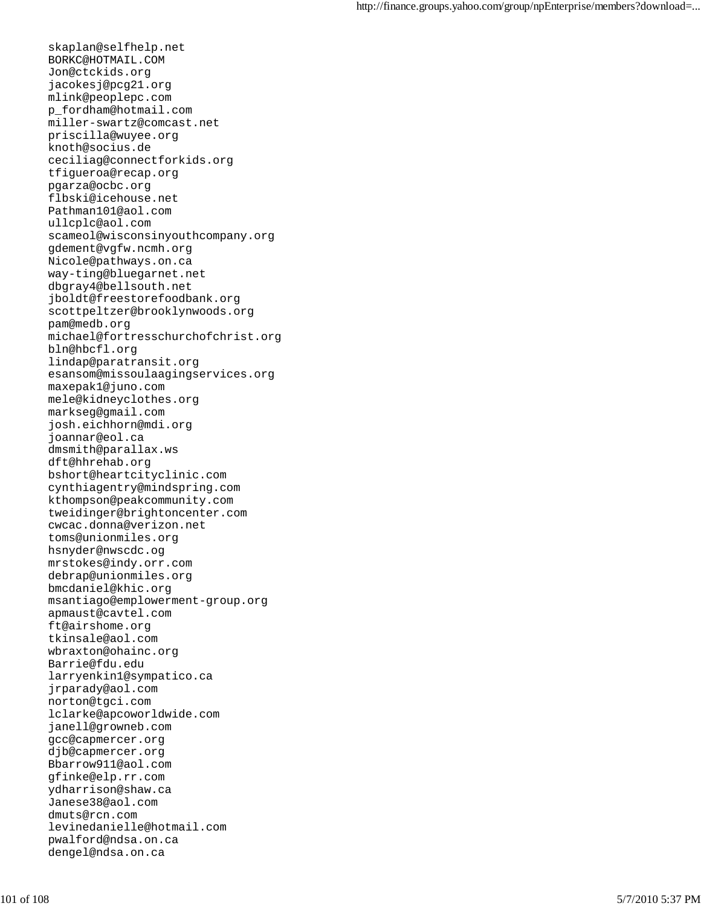skaplan@selfhelp.net BORKC@HOTMAIL.COM Jon@ctckids.org jacokesj@pcg21.org mlink@peoplepc.com p\_fordham@hotmail.com miller-swartz@comcast.net priscilla@wuyee.org knoth@socius.de ceciliag@connectforkids.org tfigueroa@recap.org pgarza@ocbc.org flbski@icehouse.net Pathman101@aol.com ullcplc@aol.com scameol@wisconsinyouthcompany.org gdement@vgfw.ncmh.org Nicole@pathways.on.ca way-ting@bluegarnet.net dbgray4@bellsouth.net jboldt@freestorefoodbank.org scottpeltzer@brooklynwoods.org pam@medb.org michael@fortresschurchofchrist.org bln@hbcfl.org lindap@paratransit.org esansom@missoulaagingservices.org maxepak1@juno.com mele@kidneyclothes.org markseg@gmail.com josh.eichhorn@mdi.org joannar@eol.ca dmsmith@parallax.ws dft@hhrehab.org bshort@heartcityclinic.com cynthiagentry@mindspring.com kthompson@peakcommunity.com tweidinger@brightoncenter.com cwcac.donna@verizon.net toms@unionmiles.org hsnyder@nwscdc.og mrstokes@indy.orr.com debrap@unionmiles.org bmcdaniel@khic.org msantiago@emplowerment-group.org apmaust@cavtel.com ft@airshome.org tkinsale@aol.com wbraxton@ohainc.org Barrie@fdu.edu larryenkin1@sympatico.ca jrparady@aol.com norton@tgci.com lclarke@apcoworldwide.com janell@growneb.com gcc@capmercer.org djb@capmercer.org Bbarrow911@aol.com gfinke@elp.rr.com ydharrison@shaw.ca Janese38@aol.com dmuts@rcn.com levinedanielle@hotmail.com pwalford@ndsa.on.ca dengel@ndsa.on.ca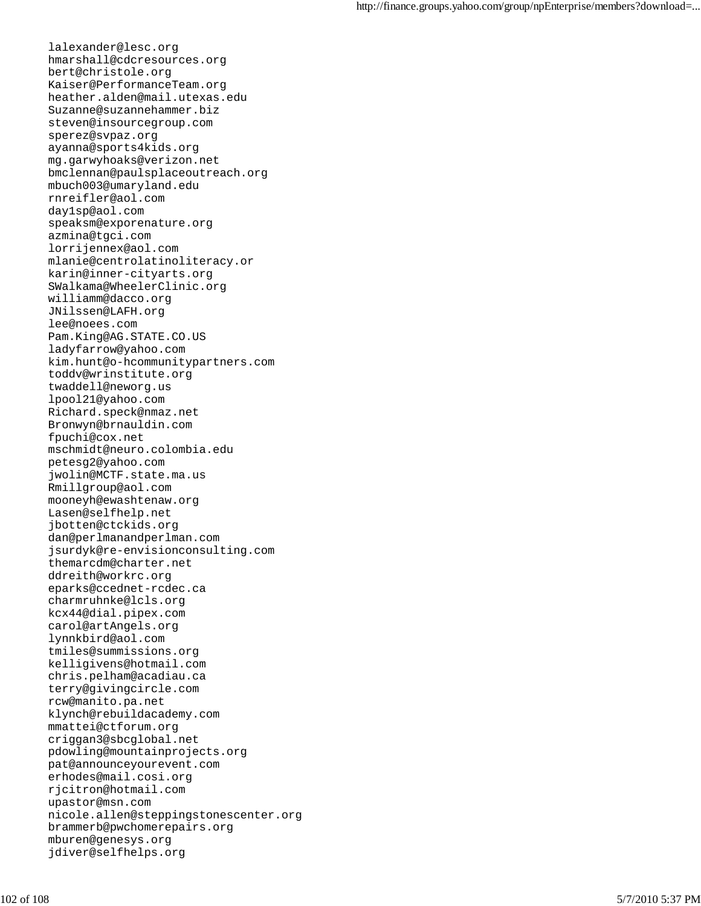lalexander@lesc.org hmarshall@cdcresources.org bert@christole.org Kaiser@PerformanceTeam.org heather.alden@mail.utexas.edu Suzanne@suzannehammer.biz steven@insourcegroup.com sperez@svpaz.org ayanna@sports4kids.org mg.garwyhoaks@verizon.net bmclennan@paulsplaceoutreach.org mbuch003@umaryland.edu rnreifler@aol.com day1sp@aol.com speaksm@exporenature.org azmina@tgci.com lorrijennex@aol.com mlanie@centrolatinoliteracy.or karin@inner-cityarts.org SWalkama@WheelerClinic.org williamm@dacco.org JNilssen@LAFH.org lee@noees.com Pam.King@AG.STATE.CO.US ladyfarrow@yahoo.com kim.hunt@o-hcommunitypartners.com toddv@wrinstitute.org twaddell@neworg.us lpool21@yahoo.com Richard.speck@nmaz.net Bronwyn@brnauldin.com fpuchi@cox.net mschmidt@neuro.colombia.edu petesg2@yahoo.com jwolin@MCTF.state.ma.us Rmillgroup@aol.com mooneyh@ewashtenaw.org Lasen@selfhelp.net jbotten@ctckids.org dan@perlmanandperlman.com jsurdyk@re-envisionconsulting.com themarcdm@charter.net ddreith@workrc.org eparks@ccednet-rcdec.ca charmruhnke@lcls.org kcx44@dial.pipex.com carol@artAngels.org lynnkbird@aol.com tmiles@summissions.org kelligivens@hotmail.com chris.pelham@acadiau.ca terry@givingcircle.com rcw@manito.pa.net klynch@rebuildacademy.com mmattei@ctforum.org criggan3@sbcglobal.net pdowling@mountainprojects.org pat@announceyourevent.com erhodes@mail.cosi.org rjcitron@hotmail.com upastor@msn.com nicole.allen@steppingstonescenter.org brammerb@pwchomerepairs.org mburen@genesys.org jdiver@selfhelps.org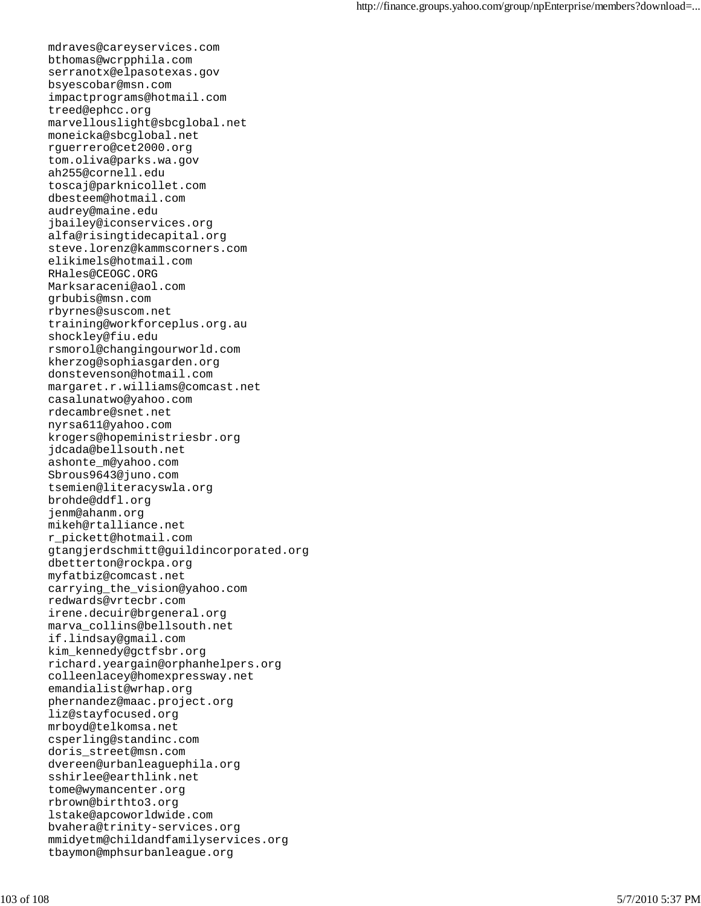mdraves@careyservices.com bthomas@wcrpphila.com serranotx@elpasotexas.gov bsyescobar@msn.com impactprograms@hotmail.com treed@ephcc.org marvellouslight@sbcglobal.net moneicka@sbcglobal.net rguerrero@cet2000.org tom.oliva@parks.wa.gov ah255@cornell.edu toscaj@parknicollet.com dbesteem@hotmail.com audrey@maine.edu jbailey@iconservices.org alfa@risingtidecapital.org steve.lorenz@kammscorners.com elikimels@hotmail.com RHales@CEOGC.ORG Marksaraceni@aol.com grbubis@msn.com rbyrnes@suscom.net training@workforceplus.org.au shockley@fiu.edu rsmorol@changingourworld.com kherzog@sophiasgarden.org donstevenson@hotmail.com margaret.r.williams@comcast.net casalunatwo@yahoo.com rdecambre@snet.net nyrsa611@yahoo.com krogers@hopeministriesbr.org jdcada@bellsouth.net ashonte\_m@yahoo.com Sbrous9643@juno.com tsemien@literacyswla.org brohde@ddfl.org jenm@ahanm.org mikeh@rtalliance.net r\_pickett@hotmail.com gtangjerdschmitt@guildincorporated.org dbetterton@rockpa.org myfatbiz@comcast.net carrying\_the\_vision@yahoo.com redwards@vrtecbr.com irene.decuir@brgeneral.org marva\_collins@bellsouth.net if.lindsay@gmail.com kim\_kennedy@gctfsbr.org richard.yeargain@orphanhelpers.org colleenlacey@homexpressway.net emandialist@wrhap.org phernandez@maac.project.org liz@stayfocused.org mrboyd@telkomsa.net csperling@standinc.com doris\_street@msn.com dvereen@urbanleaguephila.org sshirlee@earthlink.net tome@wymancenter.org rbrown@birthto3.org lstake@apcoworldwide.com bvahera@trinity-services.org mmidyetm@childandfamilyservices.org tbaymon@mphsurbanleague.org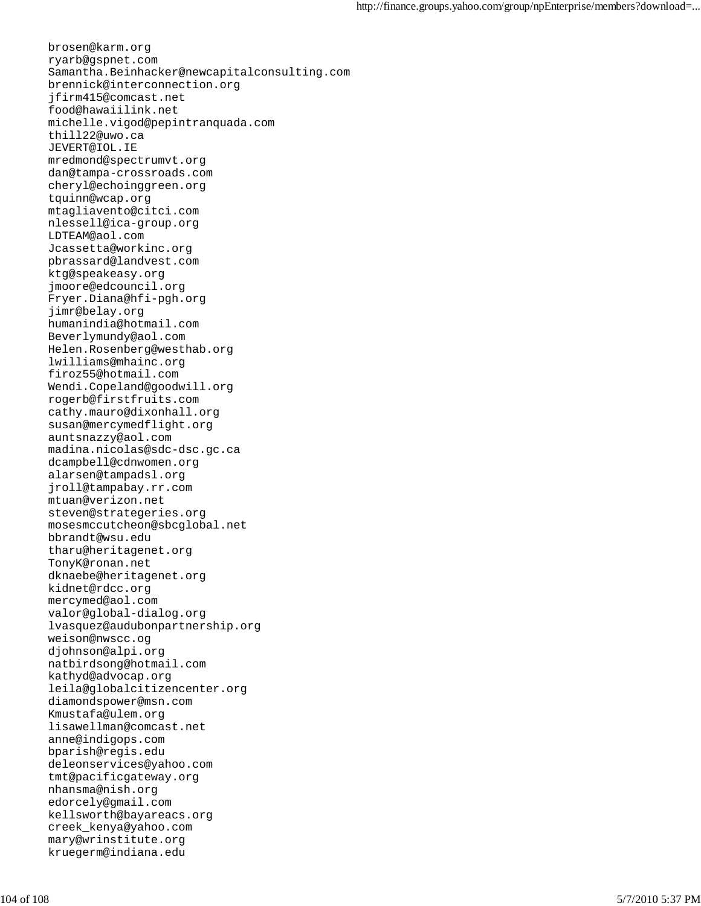brosen@karm.org ryarb@gspnet.com Samantha.Beinhacker@newcapitalconsulting.com brennick@interconnection.org jfirm415@comcast.net food@hawaiilink.net michelle.vigod@pepintranquada.com thill22@uwo.ca JEVERT@IOL.IE mredmond@spectrumvt.org dan@tampa-crossroads.com cheryl@echoinggreen.org tquinn@wcap.org mtagliavento@citci.com nlessell@ica-group.org LDTEAM@aol.com Jcassetta@workinc.org pbrassard@landvest.com ktg@speakeasy.org jmoore@edcouncil.org Fryer.Diana@hfi-pgh.org jimr@belay.org humanindia@hotmail.com Beverlymundy@aol.com Helen.Rosenberg@westhab.org lwilliams@mhainc.org firoz55@hotmail.com Wendi.Copeland@goodwill.org rogerb@firstfruits.com cathy.mauro@dixonhall.org susan@mercymedflight.org auntsnazzy@aol.com madina.nicolas@sdc-dsc.gc.ca dcampbell@cdnwomen.org alarsen@tampadsl.org jroll@tampabay.rr.com mtuan@verizon.net steven@strategeries.org mosesmccutcheon@sbcglobal.net bbrandt@wsu.edu tharu@heritagenet.org TonyK@ronan.net dknaebe@heritagenet.org kidnet@rdcc.org mercymed@aol.com valor@global-dialog.org lvasquez@audubonpartnership.org weison@nwscc.og djohnson@alpi.org natbirdsong@hotmail.com kathyd@advocap.org leila@globalcitizencenter.org diamondspower@msn.com Kmustafa@ulem.org lisawellman@comcast.net anne@indigops.com bparish@regis.edu deleonservices@yahoo.com tmt@pacificgateway.org nhansma@nish.org edorcely@gmail.com kellsworth@bayareacs.org creek\_kenya@yahoo.com mary@wrinstitute.org kruegerm@indiana.edu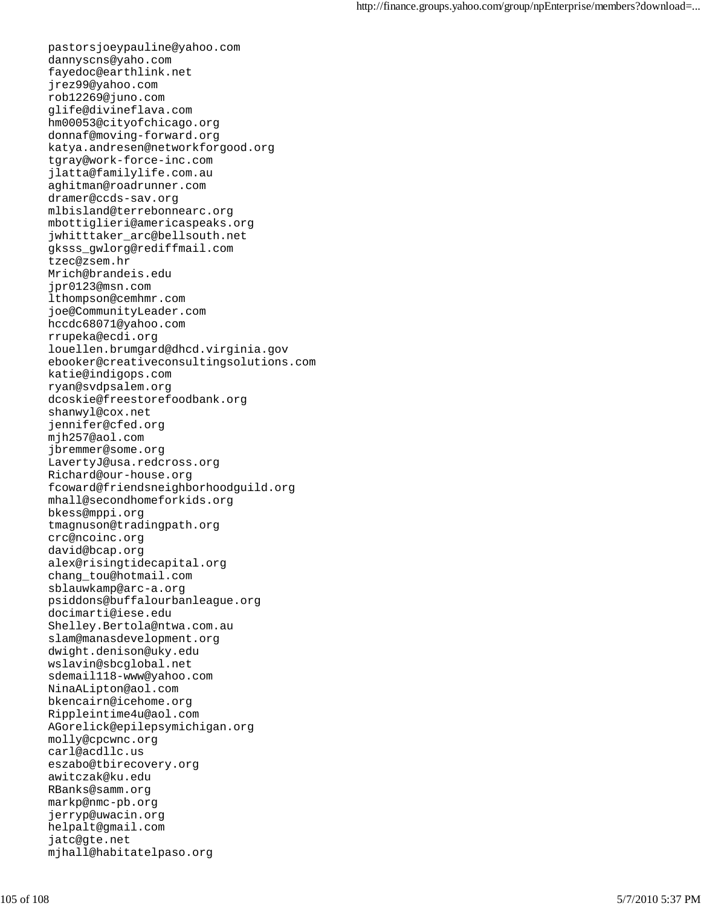pastorsjoeypauline@yahoo.com dannyscns@yaho.com fayedoc@earthlink.net jrez99@yahoo.com rob12269@juno.com glife@divineflava.com hm00053@cityofchicago.org donnaf@moving-forward.org katya.andresen@networkforgood.org tgray@work-force-inc.com jlatta@familylife.com.au aghitman@roadrunner.com dramer@ccds-sav.org mlbisland@terrebonnearc.org mbottiglieri@americaspeaks.org jwhitttaker\_arc@bellsouth.net gksss\_gwlorg@rediffmail.com tzec@zsem.hr Mrich@brandeis.edu jpr0123@msn.com lthompson@cemhmr.com joe@CommunityLeader.com hccdc68071@yahoo.com rrupeka@ecdi.org louellen.brumgard@dhcd.virginia.gov ebooker@creativeconsultingsolutions.com katie@indigops.com ryan@svdpsalem.org dcoskie@freestorefoodbank.org shanwyl@cox.net jennifer@cfed.org mjh257@aol.com jbremmer@some.org LavertyJ@usa.redcross.org Richard@our-house.org fcoward@friendsneighborhoodguild.org mhall@secondhomeforkids.org bkess@mppi.org tmagnuson@tradingpath.org crc@ncoinc.org david@bcap.org alex@risingtidecapital.org chang\_tou@hotmail.com sblauwkamp@arc-a.org psiddons@buffalourbanleague.org docimarti@iese.edu Shelley.Bertola@ntwa.com.au slam@manasdevelopment.org dwight.denison@uky.edu wslavin@sbcglobal.net sdemail118-www@yahoo.com NinaALipton@aol.com bkencairn@icehome.org Rippleintime4u@aol.com AGorelick@epilepsymichigan.org molly@cpcwnc.org carl@acdllc.us eszabo@tbirecovery.org awitczak@ku.edu RBanks@samm.org markp@nmc-pb.org jerryp@uwacin.org helpalt@gmail.com jatc@gte.net mjhall@habitatelpaso.org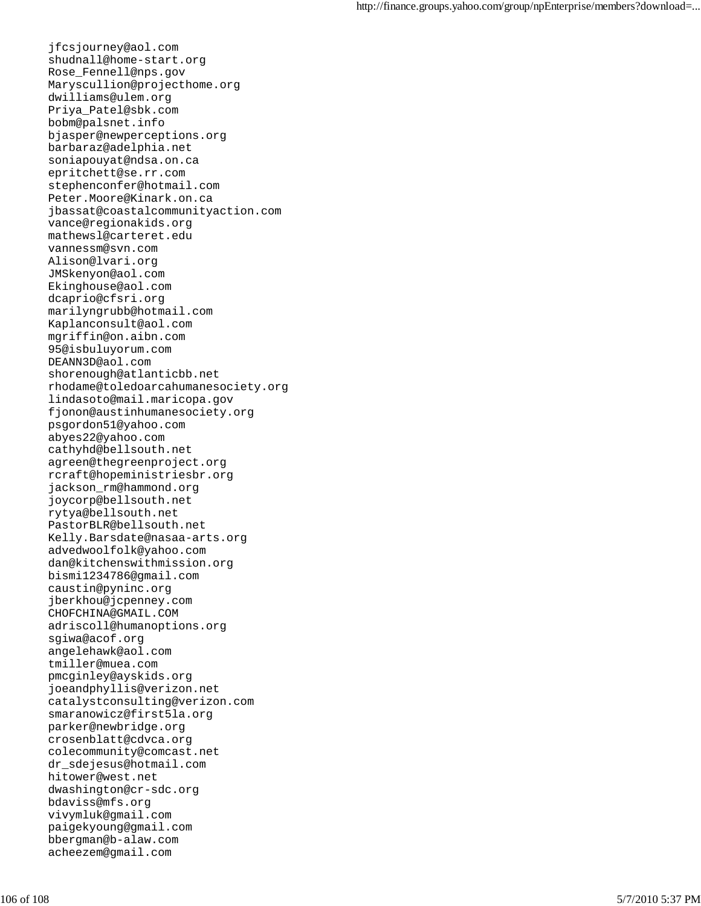jfcsjourney@aol.com shudnall@home-start.org Rose\_Fennell@nps.gov Maryscullion@projecthome.org dwilliams@ulem.org Priya\_Patel@sbk.com bobm@palsnet.info bjasper@newperceptions.org barbaraz@adelphia.net soniapouyat@ndsa.on.ca epritchett@se.rr.com stephenconfer@hotmail.com Peter.Moore@Kinark.on.ca jbassat@coastalcommunityaction.com vance@regionakids.org mathewsl@carteret.edu vannessm@svn.com Alison@lvari.org JMSkenyon@aol.com Ekinghouse@aol.com dcaprio@cfsri.org marilyngrubb@hotmail.com Kaplanconsult@aol.com mgriffin@on.aibn.com 95@isbuluyorum.com DEANN3D@aol.com shorenough@atlanticbb.net rhodame@toledoarcahumanesociety.org lindasoto@mail.maricopa.gov fjonon@austinhumanesociety.org psgordon51@yahoo.com abyes22@yahoo.com cathyhd@bellsouth.net agreen@thegreenproject.org rcraft@hopeministriesbr.org jackson\_rm@hammond.org joycorp@bellsouth.net rytya@bellsouth.net PastorBLR@bellsouth.net Kelly.Barsdate@nasaa-arts.org advedwoolfolk@yahoo.com dan@kitchenswithmission.org bismi1234786@gmail.com caustin@pyninc.org jberkhou@jcpenney.com CHOFCHINA@GMAIL.COM adriscoll@humanoptions.org sgiwa@acof.org angelehawk@aol.com tmiller@muea.com pmcginley@ayskids.org joeandphyllis@verizon.net catalystconsulting@verizon.com smaranowicz@first5la.org parker@newbridge.org crosenblatt@cdvca.org colecommunity@comcast.net dr\_sdejesus@hotmail.com hitower@west.net dwashington@cr-sdc.org bdaviss@mfs.org vivymluk@gmail.com paigekyoung@gmail.com bbergman@b-alaw.com acheezem@gmail.com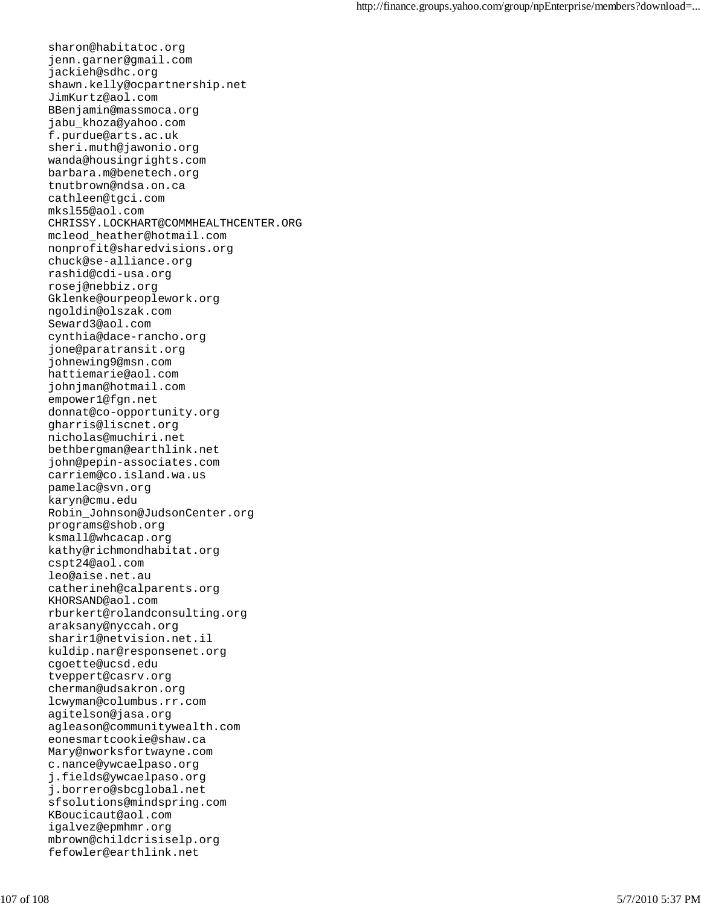sharon@habitatoc.org jenn.garner@gmail.com jackieh@sdhc.org shawn.kelly@ocpartnership.net JimKurtz@aol.com BBenjamin@massmoca.org jabu\_khoza@yahoo.com f.purdue@arts.ac.uk sheri.muth@jawonio.org wanda@housingrights.com barbara.m@benetech.org tnutbrown@ndsa.on.ca cathleen@tgci.com mksl55@aol.com CHRISSY.LOCKHART@COMMHEALTHCENTER.ORG mcleod\_heather@hotmail.com nonprofit@sharedvisions.org chuck@se-alliance.org rashid@cdi-usa.org rosej@nebbiz.org Gklenke@ourpeoplework.org ngoldin@olszak.com Seward3@aol.com cynthia@dace-rancho.org jone@paratransit.org johnewing9@msn.com hattiemarie@aol.com johnjman@hotmail.com empower1@fgn.net donnat@co-opportunity.org gharris@liscnet.org nicholas@muchiri.net bethbergman@earthlink.net john@pepin-associates.com carriem@co.island.wa.us pamelac@svn.org karyn@cmu.edu Robin\_Johnson@JudsonCenter.org programs@shob.org ksmall@whcacap.org kathy@richmondhabitat.org cspt24@aol.com leo@aise.net.au catherineh@calparents.org KHORSAND@aol.com rburkert@rolandconsulting.org araksany@nyccah.org sharir1@netvision.net.il kuldip.nar@responsenet.org cgoette@ucsd.edu tveppert@casrv.org cherman@udsakron.org lcwyman@columbus.rr.com agitelson@jasa.org agleason@communitywealth.com eonesmartcookie@shaw.ca Mary@nworksfortwayne.com c.nance@ywcaelpaso.org j.fields@ywcaelpaso.org j.borrero@sbcglobal.net sfsolutions@mindspring.com KBoucicaut@aol.com igalvez@epmhmr.org mbrown@childcrisiselp.org fefowler@earthlink.net